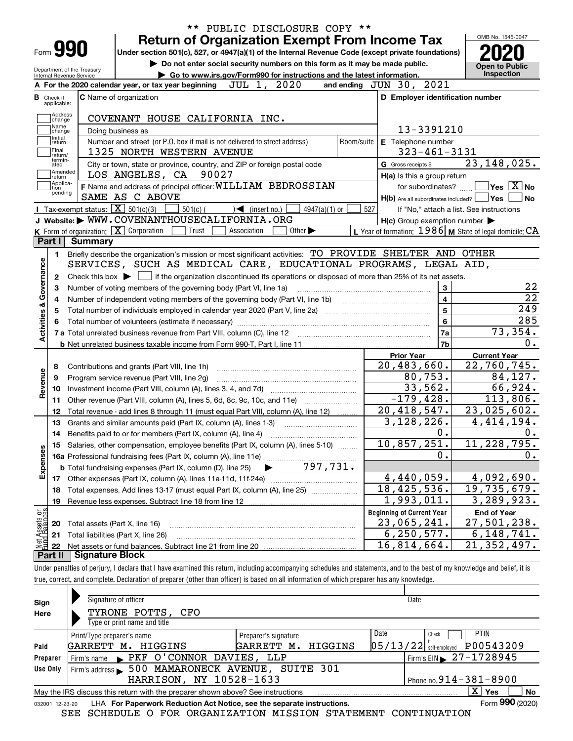|                                                        |                                | <b>Return of Organization Exempt From Income Tax</b>                                                                                                |                                                                             |                             |                 |     |                                                     |                | OMB No. 1545-0047                                         |
|--------------------------------------------------------|--------------------------------|-----------------------------------------------------------------------------------------------------------------------------------------------------|-----------------------------------------------------------------------------|-----------------------------|-----------------|-----|-----------------------------------------------------|----------------|-----------------------------------------------------------|
| Form <b>990</b>                                        |                                | Under section 501(c), 527, or 4947(a)(1) of the Internal Revenue Code (except private foundations)                                                  |                                                                             |                             |                 |     |                                                     |                |                                                           |
|                                                        |                                |                                                                                                                                                     | Do not enter social security numbers on this form as it may be made public. |                             |                 |     |                                                     |                | <b>Open to Public</b>                                     |
| Department of the Treasury<br>Internal Revenue Service |                                |                                                                                                                                                     | Go to www.irs.gov/Form990 for instructions and the latest information.      |                             |                 |     |                                                     |                | Inspection                                                |
|                                                        |                                | A For the 2020 calendar year, or tax year beginning $JUL$ 1, $2020$                                                                                 |                                                                             |                             |                 |     | and ending $JUN$ 30, $2021$                         |                |                                                           |
| <b>B</b> Check if<br>applicable:                       |                                | <b>C</b> Name of organization                                                                                                                       |                                                                             |                             |                 |     | D Employer identification number                    |                |                                                           |
| Address                                                |                                |                                                                                                                                                     |                                                                             |                             |                 |     |                                                     |                |                                                           |
| change<br>Name                                         |                                | COVENANT HOUSE CALIFORNIA INC.                                                                                                                      |                                                                             |                             |                 |     | 13-3391210                                          |                |                                                           |
| change<br>Initial                                      |                                | Doing business as<br>Number and street (or P.O. box if mail is not delivered to street address)                                                     |                                                                             |                             | Room/suite      |     | E Telephone number                                  |                |                                                           |
| return<br>Final                                        |                                | 1325 NORTH WESTERN AVENUE                                                                                                                           |                                                                             |                             |                 |     | $323 - 461 - 3131$                                  |                |                                                           |
| return/<br>termin-<br>ated                             |                                | City or town, state or province, country, and ZIP or foreign postal code                                                                            |                                                                             |                             |                 |     | G Gross receipts \$                                 |                | 23, 148, 025.                                             |
| Amended                                                |                                | LOS ANGELES, CA 90027                                                                                                                               |                                                                             |                             |                 |     | H(a) Is this a group return                         |                |                                                           |
| return<br>Applica-<br>tion                             |                                | F Name and address of principal officer: WILLIAM BEDROSSIAN                                                                                         |                                                                             |                             |                 |     | for subordinates?                                   |                | $\overline{\mathsf{Yes}}$ $\overline{\mathsf{X}}$ No      |
| pending                                                |                                | SAME AS C ABOVE                                                                                                                                     |                                                                             |                             |                 |     | $H(b)$ Are all subordinates included? $\Box$ Yes    |                |                                                           |
|                                                        |                                | <b>Tax-exempt status:</b> $\boxed{\mathbf{X}}$ 501(c)(3)<br>$501(c)$ (                                                                              | $\mathcal{A}$ (insert no.)                                                  |                             | $4947(a)(1)$ or | 527 |                                                     |                | If "No," attach a list. See instructions                  |
|                                                        |                                | J Website: WWW.COVENANTHOUSECALIFORNIA.ORG                                                                                                          |                                                                             |                             |                 |     | $H(c)$ Group exemption number $\blacktriangleright$ |                |                                                           |
|                                                        |                                | K Form of organization: $\boxed{\mathbf{X}}$ Corporation<br>Trust                                                                                   | Association                                                                 | Other $\blacktriangleright$ |                 |     |                                                     |                | L Year of formation: $1986$ M State of legal domicile: CA |
| Part I                                                 | Summary                        |                                                                                                                                                     |                                                                             |                             |                 |     |                                                     |                |                                                           |
| 1.                                                     |                                | Briefly describe the organization's mission or most significant activities: TO PROVIDE SHELTER AND OTHER                                            |                                                                             |                             |                 |     |                                                     |                |                                                           |
|                                                        |                                | SERVICES, SUCH AS MEDICAL CARE, EDUCATIONAL PROGRAMS, LEGAL AID,                                                                                    |                                                                             |                             |                 |     |                                                     |                |                                                           |
| 2                                                      |                                | Check this box $\blacktriangleright$ $\blacksquare$ if the organization discontinued its operations or disposed of more than 25% of its net assets. |                                                                             |                             |                 |     |                                                     |                |                                                           |
|                                                        |                                |                                                                                                                                                     |                                                                             |                             |                 |     |                                                     |                |                                                           |
|                                                        |                                |                                                                                                                                                     |                                                                             |                             |                 |     |                                                     | $\mathbf{3}$   |                                                           |
|                                                        |                                | Number of voting members of the governing body (Part VI, line 1a)                                                                                   |                                                                             |                             |                 |     |                                                     | $\overline{4}$ |                                                           |
|                                                        |                                |                                                                                                                                                     |                                                                             |                             |                 |     |                                                     | $\overline{5}$ |                                                           |
|                                                        |                                | Total number of individuals employed in calendar year 2020 (Part V, line 2a) manufacture controller to intervent                                    |                                                                             |                             |                 |     |                                                     | $6\phantom{a}$ |                                                           |
|                                                        |                                |                                                                                                                                                     |                                                                             |                             |                 |     |                                                     |                |                                                           |
| Activities & Governance                                |                                |                                                                                                                                                     |                                                                             |                             |                 |     |                                                     | 7a<br>7b       | 73,354.                                                   |
|                                                        |                                |                                                                                                                                                     |                                                                             |                             |                 |     | <b>Prior Year</b>                                   |                |                                                           |
| 8                                                      |                                |                                                                                                                                                     |                                                                             |                             |                 |     | 20,483,660.                                         |                | <b>Current Year</b>                                       |
| 9                                                      |                                | Contributions and grants (Part VIII, line 1h)<br>Program service revenue (Part VIII, line 2g)                                                       |                                                                             |                             |                 |     | 80,753.                                             |                | 22,760,745.<br>84,127.                                    |
| 10                                                     |                                |                                                                                                                                                     |                                                                             |                             |                 |     |                                                     |                |                                                           |
| Revenue<br>11                                          |                                |                                                                                                                                                     |                                                                             |                             |                 |     | 33,562.<br>$-179, 428.$                             |                | 66,924.<br>113,806.                                       |
| 12                                                     |                                |                                                                                                                                                     |                                                                             |                             |                 |     |                                                     |                |                                                           |
| 13                                                     |                                | Total revenue - add lines 8 through 11 (must equal Part VIII, column (A), line 12)                                                                  |                                                                             |                             |                 |     | 20, 418, 547.                                       |                | 23,025,602.                                               |
| 14                                                     |                                | Grants and similar amounts paid (Part IX, column (A), lines 1-3)                                                                                    |                                                                             |                             |                 |     | 3,128,226.                                          | 0.             | 4, 414, 194.                                              |
|                                                        |                                | Benefits paid to or for members (Part IX, column (A), line 4)                                                                                       |                                                                             |                             |                 |     |                                                     |                |                                                           |
|                                                        |                                | 15 Salaries, other compensation, employee benefits (Part IX, column (A), lines 5-10)                                                                |                                                                             |                             |                 |     | 10,857,251.                                         | 0.             | 11,228,795.                                               |
|                                                        |                                |                                                                                                                                                     |                                                                             |                             |                 |     |                                                     |                |                                                           |
| Expenses                                               |                                | 16 Detailed, State 22<br>16a Professional fundraising fees (Part IX, column (A), line 11e)<br>197, 731.                                             |                                                                             |                             |                 |     |                                                     |                |                                                           |
| 18                                                     |                                |                                                                                                                                                     |                                                                             |                             |                 |     | 4,440,059.<br>18,425,536.                           |                | 4,092,690.<br>19,735,679.                                 |
| 19                                                     |                                | Total expenses. Add lines 13-17 (must equal Part IX, column (A), line 25)                                                                           |                                                                             |                             |                 |     | 1,993,011.                                          |                | 3, 289, 923.                                              |
|                                                        |                                |                                                                                                                                                     |                                                                             |                             |                 |     |                                                     |                |                                                           |
|                                                        |                                |                                                                                                                                                     |                                                                             |                             |                 |     | <b>Beginning of Current Year</b>                    |                | <b>End of Year</b>                                        |
| 20                                                     | Total assets (Part X, line 16) |                                                                                                                                                     |                                                                             |                             |                 |     | 23,065,241.                                         |                | 27,501,238.                                               |
| Net Assets or<br>Eund Balances<br>21<br>22             |                                | Total liabilities (Part X, line 26)                                                                                                                 |                                                                             |                             |                 |     | 6, 250, 577.<br>16,814,664.                         |                | 6, 148, 741.<br>21,352,497.                               |

| Sign            | Signature of officer                                                            |                                  | Date                                   |
|-----------------|---------------------------------------------------------------------------------|----------------------------------|----------------------------------------|
| Here            | TYRONE POTTS, CFO                                                               |                                  |                                        |
|                 | Type or print name and title                                                    |                                  |                                        |
|                 | Print/Type preparer's name                                                      | Preparer's signature             | Date<br><b>PTIN</b><br>Check           |
| Paid            | GARRETT M.<br>HIGGINS                                                           | HIGGINS<br>GARRETT M.            | P00543209<br>$05/13/22$ self-employed  |
| Preparer        | Firm's name PKF O'CONNOR DAVIES, LLP                                            |                                  | Firm's EIN $\triangleright$ 27-1728945 |
| Use Only        | Firm's address                                                                  | 500 MAMARONECK AVENUE, SUITE 301 |                                        |
|                 | HARRISON, NY 10528-1633                                                         |                                  | Phone no. $914 - 381 - 8900$           |
|                 | May the IRS discuss this return with the preparer shown above? See instructions |                                  | $\mathbf{X}$<br>No<br>Yes              |
| 032001 12-23-20 | LHA For Paperwork Reduction Act Notice, see the separate instructions.          |                                  | Form 990 (2020)                        |

SEE SCHEDULE O FOR ORGANIZATION MISSION STATEMENT CONTINUATION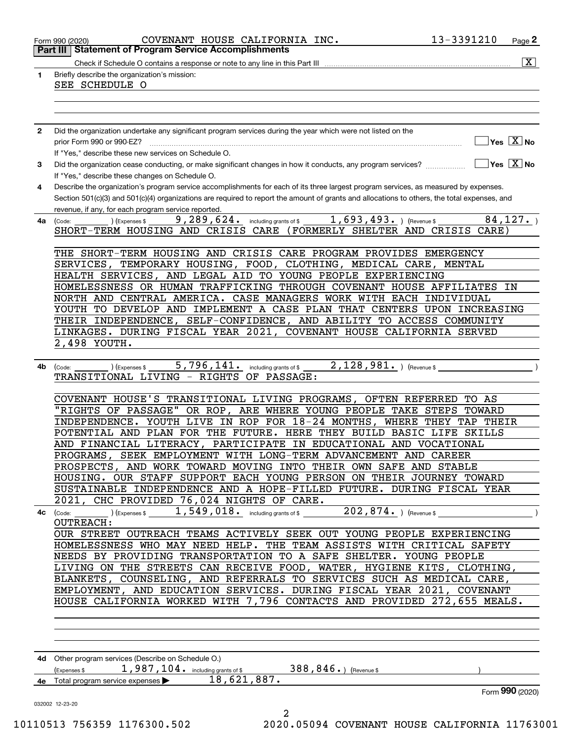|              | COVENANT HOUSE CALIFORNIA INC.<br>Form 990 (2020)                                                                                                | 13-3391210      | Page <sup>2</sup>                                                |
|--------------|--------------------------------------------------------------------------------------------------------------------------------------------------|-----------------|------------------------------------------------------------------|
|              | <b>Part III   Statement of Program Service Accomplishments</b>                                                                                   |                 |                                                                  |
| 1            | Briefly describe the organization's mission:                                                                                                     |                 | $\boxed{\text{X}}$                                               |
|              | SEE SCHEDULE O                                                                                                                                   |                 |                                                                  |
|              |                                                                                                                                                  |                 |                                                                  |
|              |                                                                                                                                                  |                 |                                                                  |
|              |                                                                                                                                                  |                 |                                                                  |
| $\mathbf{2}$ | Did the organization undertake any significant program services during the year which were not listed on the<br>prior Form 990 or 990-EZ?        |                 | $ {\mathsf Y}{\mathsf e}{\mathsf s} \ \overline{{\mathsf X}}$ No |
|              | If "Yes," describe these new services on Schedule O.                                                                                             |                 |                                                                  |
| 3            | Did the organization cease conducting, or make significant changes in how it conducts, any program services?                                     |                 | $\sqrt{}$ Yes $\sqrt{}$ X $\sqrt{}$ No                           |
|              | If "Yes," describe these changes on Schedule O.                                                                                                  |                 |                                                                  |
| 4            | Describe the organization's program service accomplishments for each of its three largest program services, as measured by expenses.             |                 |                                                                  |
|              | Section 501(c)(3) and 501(c)(4) organizations are required to report the amount of grants and allocations to others, the total expenses, and     |                 |                                                                  |
|              | revenue, if any, for each program service reported.<br>$1,693,493.$ (Revenue \$<br>$9,289,624.$ including grants of \$<br>(Expenses \$           |                 | 84, 127.                                                         |
| 4a           | (Code:<br>SHORT-TERM HOUSING AND CRISIS CARE (FORMERLY SHELTER AND CRISIS CARE)                                                                  |                 |                                                                  |
|              |                                                                                                                                                  |                 |                                                                  |
|              | THE SHORT-TERM HOUSING AND CRISIS CARE PROGRAM PROVIDES EMERGENCY                                                                                |                 |                                                                  |
|              | TEMPORARY HOUSING, FOOD, CLOTHING, MEDICAL CARE, MENTAL<br>SERVICES,                                                                             |                 |                                                                  |
|              | HEALTH SERVICES, AND LEGAL AID TO YOUNG PEOPLE EXPERIENCING                                                                                      |                 |                                                                  |
|              | HOMELESSNESS OR HUMAN TRAFFICKING THROUGH COVENANT HOUSE AFFILIATES IN                                                                           |                 |                                                                  |
|              | NORTH AND CENTRAL AMERICA. CASE MANAGERS WORK WITH EACH INDIVIDUAL<br>YOUTH TO DEVELOP AND IMPLEMENT A CASE PLAN THAT CENTERS UPON INCREASING    |                 |                                                                  |
|              | THEIR INDEPENDENCE, SELF-CONFIDENCE, AND ABILITY TO ACCESS COMMUNITY                                                                             |                 |                                                                  |
|              | LINKAGES. DURING FISCAL YEAR 2021, COVENANT HOUSE CALIFORNIA SERVED                                                                              |                 |                                                                  |
|              | 2,498 YOUTH.                                                                                                                                     |                 |                                                                  |
|              |                                                                                                                                                  |                 |                                                                  |
| 4b           | $2,128,981.$ ) (Revenue \$<br>$5,796,141$ . including grants of \$<br>(Expenses \$<br>(Code:                                                     |                 |                                                                  |
|              | TRANSITIONAL LIVING - RIGHTS OF PASSAGE:                                                                                                         |                 |                                                                  |
|              |                                                                                                                                                  |                 |                                                                  |
|              | COVENANT HOUSE'S TRANSITIONAL LIVING PROGRAMS, OFTEN REFERRED<br>"RIGHTS OF PASSAGE"<br>OR ROP, ARE WHERE YOUNG PEOPLE TAKE STEPS                | TO AS<br>TOWARD |                                                                  |
|              | INDEPENDENCE. YOUTH LIVE IN ROP FOR 18-24 MONTHS, WHERE THEY TAP THEIR                                                                           |                 |                                                                  |
|              | POTENTIAL AND PLAN FOR THE FUTURE. HERE THEY BUILD BASIC LIFE SKILLS                                                                             |                 |                                                                  |
|              | AND FINANCIAL LITERACY, PARTICIPATE IN EDUCATIONAL AND VOCATIONAL                                                                                |                 |                                                                  |
|              | PROGRAMS, SEEK EMPLOYMENT WITH LONG-TERM ADVANCEMENT AND CAREER                                                                                  |                 |                                                                  |
|              | PROSPECTS, AND WORK TOWARD MOVING INTO THEIR OWN SAFE AND STABLE                                                                                 |                 |                                                                  |
|              | HOUSING. OUR STAFF SUPPORT EACH YOUNG PERSON ON THEIR JOURNEY TOWARD                                                                             |                 |                                                                  |
|              | SUSTAINABLE INDEPENDENCE AND A HOPE-FILLED FUTURE. DURING FISCAL YEAR                                                                            |                 |                                                                  |
|              | 2021, CHC PROVIDED 76,024 NIGHTS OF CARE.                                                                                                        |                 | $\overline{\phantom{a}}$                                         |
|              | <b>OUTREACH:</b>                                                                                                                                 |                 |                                                                  |
|              | OUR STREET OUTREACH TEAMS ACTIVELY SEEK OUT YOUNG PEOPLE EXPERIENCING                                                                            |                 |                                                                  |
|              | HOMELESSNESS WHO MAY NEED HELP. THE TEAM ASSISTS WITH CRITICAL SAFETY                                                                            |                 |                                                                  |
|              | NEEDS BY PROVIDING TRANSPORTATION TO A SAFE SHELTER. YOUNG PEOPLE                                                                                |                 |                                                                  |
|              | LIVING ON THE STREETS CAN RECEIVE FOOD, WATER, HYGIENE KITS, CLOTHING,                                                                           |                 |                                                                  |
|              | BLANKETS, COUNSELING, AND REFERRALS TO SERVICES SUCH AS MEDICAL CARE,                                                                            |                 |                                                                  |
|              | EMPLOYMENT, AND EDUCATION SERVICES. DURING FISCAL YEAR 2021, COVENANT<br>HOUSE CALIFORNIA WORKED WITH 7,796 CONTACTS AND PROVIDED 272,655 MEALS. |                 |                                                                  |
|              |                                                                                                                                                  |                 |                                                                  |
|              |                                                                                                                                                  |                 |                                                                  |
|              |                                                                                                                                                  |                 |                                                                  |
|              |                                                                                                                                                  |                 |                                                                  |
|              | 4d Other program services (Describe on Schedule O.)                                                                                              |                 |                                                                  |
|              | 1,987,104. including grants of \$388,846.) (Revenue \$<br>(Expenses \$                                                                           |                 |                                                                  |
|              | 4e Total program service expenses > 18,621,887.                                                                                                  |                 |                                                                  |
|              |                                                                                                                                                  |                 | Form $990(2020)$                                                 |
|              | 032002 12-23-20<br>2                                                                                                                             |                 |                                                                  |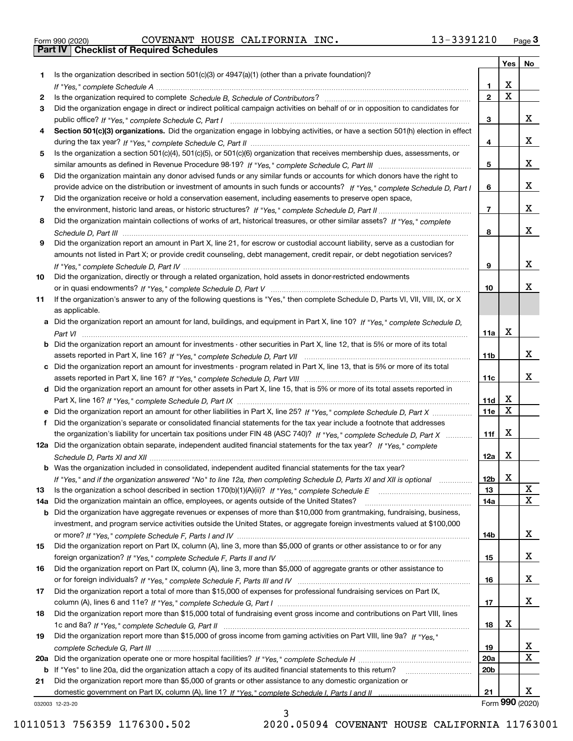| Form 990 (2020) |  |  |
|-----------------|--|--|

Form 990 (2020) Page **3Part IV Checklist of Required Schedules** COVENANT HOUSE CALIFORNIA INC. 13-3391210

|     |                                                                                                                                                 |                 | Yes                     | No          |
|-----|-------------------------------------------------------------------------------------------------------------------------------------------------|-----------------|-------------------------|-------------|
| 1.  | Is the organization described in section $501(c)(3)$ or $4947(a)(1)$ (other than a private foundation)?                                         |                 |                         |             |
|     |                                                                                                                                                 | 1               | х                       |             |
| 2   |                                                                                                                                                 | $\mathbf{2}$    | $\overline{\text{x}}$   |             |
| 3   | Did the organization engage in direct or indirect political campaign activities on behalf of or in opposition to candidates for                 |                 |                         |             |
|     |                                                                                                                                                 | 3               |                         | x           |
| 4   | Section 501(c)(3) organizations. Did the organization engage in lobbying activities, or have a section 501(h) election in effect                |                 |                         |             |
|     |                                                                                                                                                 | 4               |                         | x           |
| 5   | Is the organization a section 501(c)(4), 501(c)(5), or 501(c)(6) organization that receives membership dues, assessments, or                    |                 |                         |             |
|     |                                                                                                                                                 | 5               |                         | x           |
| 6   | Did the organization maintain any donor advised funds or any similar funds or accounts for which donors have the right to                       |                 |                         |             |
|     | provide advice on the distribution or investment of amounts in such funds or accounts? If "Yes," complete Schedule D, Part I                    | 6               |                         | x           |
| 7   | Did the organization receive or hold a conservation easement, including easements to preserve open space,                                       |                 |                         |             |
|     |                                                                                                                                                 | $\overline{7}$  |                         | x           |
| 8   | Did the organization maintain collections of works of art, historical treasures, or other similar assets? If "Yes," complete                    |                 |                         |             |
|     |                                                                                                                                                 | 8               |                         | x           |
| 9   | Did the organization report an amount in Part X, line 21, for escrow or custodial account liability, serve as a custodian for                   |                 |                         |             |
|     | amounts not listed in Part X; or provide credit counseling, debt management, credit repair, or debt negotiation services?                       |                 |                         | x           |
|     |                                                                                                                                                 | 9               |                         |             |
| 10  | Did the organization, directly or through a related organization, hold assets in donor-restricted endowments                                    |                 |                         | x.          |
|     |                                                                                                                                                 | 10              |                         |             |
| 11  | If the organization's answer to any of the following questions is "Yes," then complete Schedule D, Parts VI, VII, VIII, IX, or X                |                 |                         |             |
|     | as applicable.<br>a Did the organization report an amount for land, buildings, and equipment in Part X, line 10? If "Yes," complete Schedule D. |                 |                         |             |
|     |                                                                                                                                                 | 11a             | X                       |             |
|     | <b>b</b> Did the organization report an amount for investments - other securities in Part X, line 12, that is 5% or more of its total           |                 |                         |             |
|     |                                                                                                                                                 | 11b             |                         | x           |
|     | c Did the organization report an amount for investments - program related in Part X, line 13, that is 5% or more of its total                   |                 |                         |             |
|     |                                                                                                                                                 | 11c             |                         | x           |
|     | d Did the organization report an amount for other assets in Part X, line 15, that is 5% or more of its total assets reported in                 |                 |                         |             |
|     |                                                                                                                                                 | 11d             | х                       |             |
|     |                                                                                                                                                 | 11e             | $\overline{\mathbf{x}}$ |             |
| f   | Did the organization's separate or consolidated financial statements for the tax year include a footnote that addresses                         |                 |                         |             |
|     | the organization's liability for uncertain tax positions under FIN 48 (ASC 740)? If "Yes," complete Schedule D, Part X                          | 11f             | X                       |             |
|     | 12a Did the organization obtain separate, independent audited financial statements for the tax year? If "Yes," complete                         |                 |                         |             |
|     |                                                                                                                                                 | 12a             | X                       |             |
|     | <b>b</b> Was the organization included in consolidated, independent audited financial statements for the tax year?                              |                 |                         |             |
|     | If "Yes," and if the organization answered "No" to line 12a, then completing Schedule D, Parts XI and XII is optional                           | 12b             | X                       |             |
| 13  |                                                                                                                                                 | 13              |                         | X           |
| 14a | Did the organization maintain an office, employees, or agents outside of the United States?                                                     | 14a             |                         | $\mathbf X$ |
|     | <b>b</b> Did the organization have aggregate revenues or expenses of more than \$10,000 from grantmaking, fundraising, business,                |                 |                         |             |
|     | investment, and program service activities outside the United States, or aggregate foreign investments valued at \$100,000                      |                 |                         |             |
|     |                                                                                                                                                 | 14b             |                         | x           |
| 15  | Did the organization report on Part IX, column (A), line 3, more than \$5,000 of grants or other assistance to or for any                       |                 |                         |             |
|     |                                                                                                                                                 | 15              |                         | x           |
| 16  | Did the organization report on Part IX, column (A), line 3, more than \$5,000 of aggregate grants or other assistance to                        |                 |                         |             |
|     |                                                                                                                                                 | 16              |                         | x           |
| 17  | Did the organization report a total of more than \$15,000 of expenses for professional fundraising services on Part IX,                         |                 |                         |             |
|     |                                                                                                                                                 | 17              |                         | x           |
| 18  | Did the organization report more than \$15,000 total of fundraising event gross income and contributions on Part VIII, lines                    |                 |                         |             |
|     |                                                                                                                                                 | 18              | х                       |             |
| 19  | Did the organization report more than \$15,000 of gross income from gaming activities on Part VIII, line 9a? If "Yes."                          |                 |                         |             |
|     |                                                                                                                                                 | 19              |                         | X           |
|     |                                                                                                                                                 | 20a             |                         | $\mathbf X$ |
|     | b If "Yes" to line 20a, did the organization attach a copy of its audited financial statements to this return?                                  | 20 <sub>b</sub> |                         |             |
| 21  | Did the organization report more than \$5,000 of grants or other assistance to any domestic organization or                                     |                 |                         |             |
|     |                                                                                                                                                 | 21              |                         | X.          |
|     | 032003 12-23-20                                                                                                                                 |                 | Form 990 (2020)         |             |

032003 12-23-20

3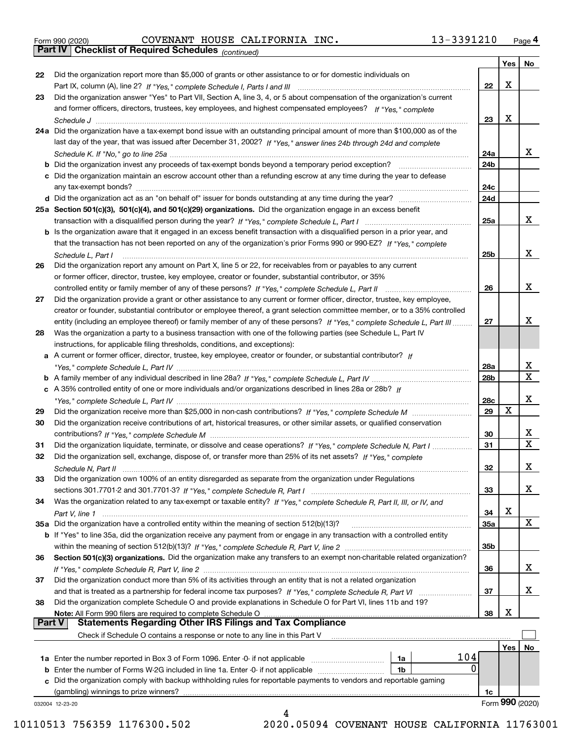|  | Form 990 (2020) |
|--|-----------------|

Form 990 (2020) Page **4Part IV Checklist of Required Schedules** COVENANT HOUSE CALIFORNIA INC. 13-3391210

*(continued)*

|               |                                                                                                                                    |                 | Yes | No              |
|---------------|------------------------------------------------------------------------------------------------------------------------------------|-----------------|-----|-----------------|
| 22            | Did the organization report more than \$5,000 of grants or other assistance to or for domestic individuals on                      |                 |     |                 |
|               |                                                                                                                                    | 22              | х   |                 |
| 23            | Did the organization answer "Yes" to Part VII, Section A, line 3, 4, or 5 about compensation of the organization's current         |                 |     |                 |
|               | and former officers, directors, trustees, key employees, and highest compensated employees? If "Yes," complete                     |                 |     |                 |
|               |                                                                                                                                    | 23              | х   |                 |
|               | 24a Did the organization have a tax-exempt bond issue with an outstanding principal amount of more than \$100,000 as of the        |                 |     |                 |
|               | last day of the year, that was issued after December 31, 2002? If "Yes," answer lines 24b through 24d and complete                 |                 |     |                 |
|               |                                                                                                                                    | 24a             |     | x               |
|               | <b>b</b> Did the organization invest any proceeds of tax-exempt bonds beyond a temporary period exception?                         | 24 <sub>b</sub> |     |                 |
|               | c Did the organization maintain an escrow account other than a refunding escrow at any time during the year to defease             |                 |     |                 |
|               |                                                                                                                                    | 24c             |     |                 |
|               |                                                                                                                                    | 24d             |     |                 |
|               | 25a Section 501(c)(3), 501(c)(4), and 501(c)(29) organizations. Did the organization engage in an excess benefit                   |                 |     |                 |
|               |                                                                                                                                    | 25a             |     | x               |
|               |                                                                                                                                    |                 |     |                 |
|               | b Is the organization aware that it engaged in an excess benefit transaction with a disqualified person in a prior year, and       |                 |     |                 |
|               | that the transaction has not been reported on any of the organization's prior Forms 990 or 990-EZ? If "Yes," complete              |                 |     | х               |
|               | Schedule L. Part I                                                                                                                 | 25 <sub>b</sub> |     |                 |
| 26            | Did the organization report any amount on Part X, line 5 or 22, for receivables from or payables to any current                    |                 |     |                 |
|               | or former officer, director, trustee, key employee, creator or founder, substantial contributor, or 35%                            |                 |     |                 |
|               |                                                                                                                                    | 26              |     | х               |
| 27            | Did the organization provide a grant or other assistance to any current or former officer, director, trustee, key employee,        |                 |     |                 |
|               | creator or founder, substantial contributor or employee thereof, a grant selection committee member, or to a 35% controlled        |                 |     |                 |
|               | entity (including an employee thereof) or family member of any of these persons? If "Yes," complete Schedule L, Part III           | 27              |     | x               |
| 28            | Was the organization a party to a business transaction with one of the following parties (see Schedule L, Part IV                  |                 |     |                 |
|               | instructions, for applicable filing thresholds, conditions, and exceptions):                                                       |                 |     |                 |
|               | a A current or former officer, director, trustee, key employee, creator or founder, or substantial contributor? If                 |                 |     |                 |
|               |                                                                                                                                    | 28a             |     | х               |
|               |                                                                                                                                    | 28b             |     | $\mathbf x$     |
|               | c A 35% controlled entity of one or more individuals and/or organizations described in lines 28a or 28b? If                        |                 |     |                 |
|               |                                                                                                                                    | 28c             |     | х               |
| 29            |                                                                                                                                    | 29              | х   |                 |
| 30            | Did the organization receive contributions of art, historical treasures, or other similar assets, or qualified conservation        |                 |     |                 |
|               |                                                                                                                                    | 30              |     | х               |
| 31            | Did the organization liquidate, terminate, or dissolve and cease operations? If "Yes," complete Schedule N, Part I                 | 31              |     | $\mathbf x$     |
| 32            | Did the organization sell, exchange, dispose of, or transfer more than 25% of its net assets? If "Yes," complete                   |                 |     |                 |
|               |                                                                                                                                    | 32              |     | х               |
|               | Schedule N. Part II                                                                                                                |                 |     |                 |
| 33            | Did the organization own 100% of an entity disregarded as separate from the organization under Regulations                         |                 |     | х               |
|               |                                                                                                                                    | 33              |     |                 |
| 34            | Was the organization related to any tax-exempt or taxable entity? If "Yes," complete Schedule R, Part II, III, or IV, and          |                 |     |                 |
|               | Part V, line 1                                                                                                                     | 34              | X   |                 |
|               | 35a Did the organization have a controlled entity within the meaning of section 512(b)(13)?                                        | <b>35a</b>      |     | x               |
|               | <b>b</b> If "Yes" to line 35a, did the organization receive any payment from or engage in any transaction with a controlled entity |                 |     |                 |
|               |                                                                                                                                    | 35b             |     |                 |
| 36            | Section 501(c)(3) organizations. Did the organization make any transfers to an exempt non-charitable related organization?         |                 |     |                 |
|               |                                                                                                                                    | 36              |     | x               |
| 37            | Did the organization conduct more than 5% of its activities through an entity that is not a related organization                   |                 |     |                 |
|               | and that is treated as a partnership for federal income tax purposes? If "Yes," complete Schedule R, Part VI                       | 37              |     | х               |
| 38            | Did the organization complete Schedule O and provide explanations in Schedule O for Part VI, lines 11b and 19?                     |                 |     |                 |
|               | Note: All Form 990 filers are required to complete Schedule O                                                                      | 38              | х   |                 |
| <b>Part V</b> | <b>Statements Regarding Other IRS Filings and Tax Compliance</b>                                                                   |                 |     |                 |
|               | Check if Schedule O contains a response or note to any line in this Part V                                                         |                 |     |                 |
|               |                                                                                                                                    |                 | Yes | No              |
|               | 104<br>1a Enter the number reported in Box 3 of Form 1096. Enter -0- if not applicable<br>1a                                       |                 |     |                 |
|               | 0<br><b>b</b> Enter the number of Forms W-2G included in line 1a. Enter -0- if not applicable<br>1b                                |                 |     |                 |
|               | c Did the organization comply with backup withholding rules for reportable payments to vendors and reportable gaming               |                 |     |                 |
|               | (gambling) winnings to prize winners?                                                                                              | 1c              |     |                 |
|               | 032004 12-23-20                                                                                                                    |                 |     | Form 990 (2020) |
|               | 4                                                                                                                                  |                 |     |                 |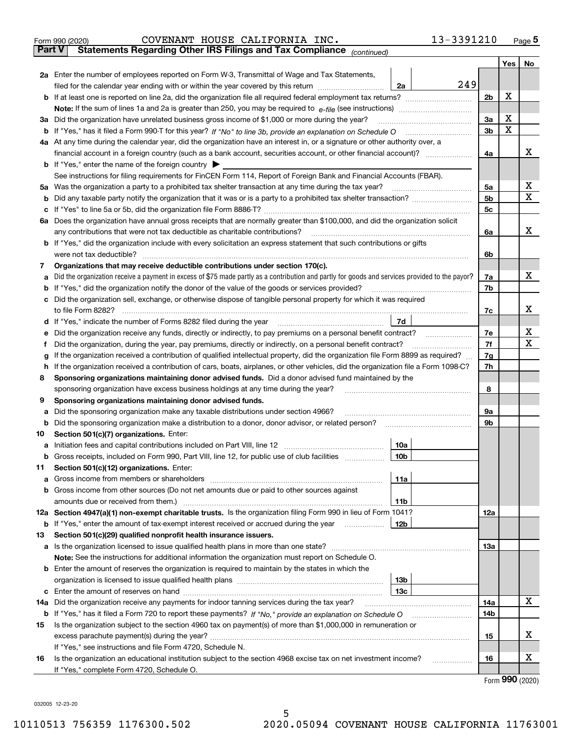| <b>Part V</b><br>Statements Regarding Other IRS Filings and Tax Compliance (continued)<br>2a Enter the number of employees reported on Form W-3, Transmittal of Wage and Tax Statements,<br>filed for the calendar year ending with or within the year covered by this return<br>Did the organization have unrelated business gross income of \$1,000 or more during the year?<br>За<br>b<br>4a At any time during the calendar year, did the organization have an interest in, or a signature or other authority over, a<br>financial account in a foreign country (such as a bank account, securities account, or other financial account)?<br><b>b</b> If "Yes," enter the name of the foreign country $\blacktriangleright$<br>See instructions for filing requirements for FinCEN Form 114, Report of Foreign Bank and Financial Accounts (FBAR).<br>Was the organization a party to a prohibited tax shelter transaction at any time during the tax year?<br>5a<br>b<br>с<br>6a Does the organization have annual gross receipts that are normally greater than \$100,000, and did the organization solicit<br>any contributions that were not tax deductible as charitable contributions?<br><b>b</b> If "Yes," did the organization include with every solicitation an express statement that such contributions or gifts<br>were not tax deductible?<br>Organizations that may receive deductible contributions under section 170(c).<br>7<br>Did the organization receive a payment in excess of \$75 made partly as a contribution and partly for goods and services provided to the payor?<br>а<br>If "Yes," did the organization notify the donor of the value of the goods or services provided?<br>b<br>Did the organization sell, exchange, or otherwise dispose of tangible personal property for which it was required<br>d<br>е<br>Did the organization, during the year, pay premiums, directly or indirectly, on a personal benefit contract?<br>f<br>g<br>If the organization received a contribution of cars, boats, airplanes, or other vehicles, did the organization file a Form 1098-C?<br>h<br>Sponsoring organizations maintaining donor advised funds. Did a donor advised fund maintained by the<br>8<br>sponsoring organization have excess business holdings at any time during the year?<br>Sponsoring organizations maintaining donor advised funds.<br>9<br>Did the sponsoring organization make any taxable distributions under section 4966?<br>а<br>Did the sponsoring organization make a distribution to a donor, donor advisor, or related person?<br>b<br>Section 501(c)(7) organizations. Enter:<br>10<br>а<br>Gross receipts, included on Form 990, Part VIII, line 12, for public use of club facilities<br>Section 501(c)(12) organizations. Enter:<br>11<br>Gross income from members or shareholders<br>а<br>Gross income from other sources (Do not net amounts due or paid to other sources against<br>b<br>amounts due or received from them.)<br>12a Section 4947(a)(1) non-exempt charitable trusts. Is the organization filing Form 990 in lieu of Form 1041?<br><b>b</b> If "Yes," enter the amount of tax-exempt interest received or accrued during the year <i>manument</i><br>Section 501(c)(29) qualified nonprofit health insurance issuers.<br>13<br>Is the organization licensed to issue qualified health plans in more than one state?<br>a<br>Note: See the instructions for additional information the organization must report on Schedule O.<br>Enter the amount of reserves the organization is required to maintain by the states in which the<br>b |                                                                                                                                  | 2a              | 249 | 2 <sub>b</sub><br>3a<br>3 <sub>b</sub><br>4a | Yes<br>x<br>х<br>X | No<br>x |
|-----------------------------------------------------------------------------------------------------------------------------------------------------------------------------------------------------------------------------------------------------------------------------------------------------------------------------------------------------------------------------------------------------------------------------------------------------------------------------------------------------------------------------------------------------------------------------------------------------------------------------------------------------------------------------------------------------------------------------------------------------------------------------------------------------------------------------------------------------------------------------------------------------------------------------------------------------------------------------------------------------------------------------------------------------------------------------------------------------------------------------------------------------------------------------------------------------------------------------------------------------------------------------------------------------------------------------------------------------------------------------------------------------------------------------------------------------------------------------------------------------------------------------------------------------------------------------------------------------------------------------------------------------------------------------------------------------------------------------------------------------------------------------------------------------------------------------------------------------------------------------------------------------------------------------------------------------------------------------------------------------------------------------------------------------------------------------------------------------------------------------------------------------------------------------------------------------------------------------------------------------------------------------------------------------------------------------------------------------------------------------------------------------------------------------------------------------------------------------------------------------------------------------------------------------------------------------------------------------------------------------------------------------------------------------------------------------------------------------------------------------------------------------------------------------------------------------------------------------------------------------------------------------------------------------------------------------------------------------------------------------------------------------------------------------------------------------------------------------------------------------------------------------------------------------------------------------------------------------------------------------------------------------------------------------------------------------------------------------------------------------------------------------------------------------------------------------------------------------------------------------------------------------------------------------------------------------------------------------------------------------|----------------------------------------------------------------------------------------------------------------------------------|-----------------|-----|----------------------------------------------|--------------------|---------|
|                                                                                                                                                                                                                                                                                                                                                                                                                                                                                                                                                                                                                                                                                                                                                                                                                                                                                                                                                                                                                                                                                                                                                                                                                                                                                                                                                                                                                                                                                                                                                                                                                                                                                                                                                                                                                                                                                                                                                                                                                                                                                                                                                                                                                                                                                                                                                                                                                                                                                                                                                                                                                                                                                                                                                                                                                                                                                                                                                                                                                                                                                                                                                                                                                                                                                                                                                                                                                                                                                                                                                                                                                             |                                                                                                                                  |                 |     |                                              |                    |         |
|                                                                                                                                                                                                                                                                                                                                                                                                                                                                                                                                                                                                                                                                                                                                                                                                                                                                                                                                                                                                                                                                                                                                                                                                                                                                                                                                                                                                                                                                                                                                                                                                                                                                                                                                                                                                                                                                                                                                                                                                                                                                                                                                                                                                                                                                                                                                                                                                                                                                                                                                                                                                                                                                                                                                                                                                                                                                                                                                                                                                                                                                                                                                                                                                                                                                                                                                                                                                                                                                                                                                                                                                                             |                                                                                                                                  |                 |     |                                              |                    |         |
|                                                                                                                                                                                                                                                                                                                                                                                                                                                                                                                                                                                                                                                                                                                                                                                                                                                                                                                                                                                                                                                                                                                                                                                                                                                                                                                                                                                                                                                                                                                                                                                                                                                                                                                                                                                                                                                                                                                                                                                                                                                                                                                                                                                                                                                                                                                                                                                                                                                                                                                                                                                                                                                                                                                                                                                                                                                                                                                                                                                                                                                                                                                                                                                                                                                                                                                                                                                                                                                                                                                                                                                                                             |                                                                                                                                  |                 |     |                                              |                    |         |
|                                                                                                                                                                                                                                                                                                                                                                                                                                                                                                                                                                                                                                                                                                                                                                                                                                                                                                                                                                                                                                                                                                                                                                                                                                                                                                                                                                                                                                                                                                                                                                                                                                                                                                                                                                                                                                                                                                                                                                                                                                                                                                                                                                                                                                                                                                                                                                                                                                                                                                                                                                                                                                                                                                                                                                                                                                                                                                                                                                                                                                                                                                                                                                                                                                                                                                                                                                                                                                                                                                                                                                                                                             |                                                                                                                                  |                 |     |                                              |                    |         |
|                                                                                                                                                                                                                                                                                                                                                                                                                                                                                                                                                                                                                                                                                                                                                                                                                                                                                                                                                                                                                                                                                                                                                                                                                                                                                                                                                                                                                                                                                                                                                                                                                                                                                                                                                                                                                                                                                                                                                                                                                                                                                                                                                                                                                                                                                                                                                                                                                                                                                                                                                                                                                                                                                                                                                                                                                                                                                                                                                                                                                                                                                                                                                                                                                                                                                                                                                                                                                                                                                                                                                                                                                             |                                                                                                                                  |                 |     |                                              |                    |         |
|                                                                                                                                                                                                                                                                                                                                                                                                                                                                                                                                                                                                                                                                                                                                                                                                                                                                                                                                                                                                                                                                                                                                                                                                                                                                                                                                                                                                                                                                                                                                                                                                                                                                                                                                                                                                                                                                                                                                                                                                                                                                                                                                                                                                                                                                                                                                                                                                                                                                                                                                                                                                                                                                                                                                                                                                                                                                                                                                                                                                                                                                                                                                                                                                                                                                                                                                                                                                                                                                                                                                                                                                                             |                                                                                                                                  |                 |     |                                              |                    |         |
|                                                                                                                                                                                                                                                                                                                                                                                                                                                                                                                                                                                                                                                                                                                                                                                                                                                                                                                                                                                                                                                                                                                                                                                                                                                                                                                                                                                                                                                                                                                                                                                                                                                                                                                                                                                                                                                                                                                                                                                                                                                                                                                                                                                                                                                                                                                                                                                                                                                                                                                                                                                                                                                                                                                                                                                                                                                                                                                                                                                                                                                                                                                                                                                                                                                                                                                                                                                                                                                                                                                                                                                                                             |                                                                                                                                  |                 |     |                                              |                    |         |
|                                                                                                                                                                                                                                                                                                                                                                                                                                                                                                                                                                                                                                                                                                                                                                                                                                                                                                                                                                                                                                                                                                                                                                                                                                                                                                                                                                                                                                                                                                                                                                                                                                                                                                                                                                                                                                                                                                                                                                                                                                                                                                                                                                                                                                                                                                                                                                                                                                                                                                                                                                                                                                                                                                                                                                                                                                                                                                                                                                                                                                                                                                                                                                                                                                                                                                                                                                                                                                                                                                                                                                                                                             |                                                                                                                                  |                 |     |                                              |                    |         |
|                                                                                                                                                                                                                                                                                                                                                                                                                                                                                                                                                                                                                                                                                                                                                                                                                                                                                                                                                                                                                                                                                                                                                                                                                                                                                                                                                                                                                                                                                                                                                                                                                                                                                                                                                                                                                                                                                                                                                                                                                                                                                                                                                                                                                                                                                                                                                                                                                                                                                                                                                                                                                                                                                                                                                                                                                                                                                                                                                                                                                                                                                                                                                                                                                                                                                                                                                                                                                                                                                                                                                                                                                             |                                                                                                                                  |                 |     |                                              |                    |         |
|                                                                                                                                                                                                                                                                                                                                                                                                                                                                                                                                                                                                                                                                                                                                                                                                                                                                                                                                                                                                                                                                                                                                                                                                                                                                                                                                                                                                                                                                                                                                                                                                                                                                                                                                                                                                                                                                                                                                                                                                                                                                                                                                                                                                                                                                                                                                                                                                                                                                                                                                                                                                                                                                                                                                                                                                                                                                                                                                                                                                                                                                                                                                                                                                                                                                                                                                                                                                                                                                                                                                                                                                                             |                                                                                                                                  |                 |     |                                              |                    |         |
|                                                                                                                                                                                                                                                                                                                                                                                                                                                                                                                                                                                                                                                                                                                                                                                                                                                                                                                                                                                                                                                                                                                                                                                                                                                                                                                                                                                                                                                                                                                                                                                                                                                                                                                                                                                                                                                                                                                                                                                                                                                                                                                                                                                                                                                                                                                                                                                                                                                                                                                                                                                                                                                                                                                                                                                                                                                                                                                                                                                                                                                                                                                                                                                                                                                                                                                                                                                                                                                                                                                                                                                                                             |                                                                                                                                  |                 |     |                                              |                    |         |
|                                                                                                                                                                                                                                                                                                                                                                                                                                                                                                                                                                                                                                                                                                                                                                                                                                                                                                                                                                                                                                                                                                                                                                                                                                                                                                                                                                                                                                                                                                                                                                                                                                                                                                                                                                                                                                                                                                                                                                                                                                                                                                                                                                                                                                                                                                                                                                                                                                                                                                                                                                                                                                                                                                                                                                                                                                                                                                                                                                                                                                                                                                                                                                                                                                                                                                                                                                                                                                                                                                                                                                                                                             |                                                                                                                                  |                 |     |                                              |                    |         |
|                                                                                                                                                                                                                                                                                                                                                                                                                                                                                                                                                                                                                                                                                                                                                                                                                                                                                                                                                                                                                                                                                                                                                                                                                                                                                                                                                                                                                                                                                                                                                                                                                                                                                                                                                                                                                                                                                                                                                                                                                                                                                                                                                                                                                                                                                                                                                                                                                                                                                                                                                                                                                                                                                                                                                                                                                                                                                                                                                                                                                                                                                                                                                                                                                                                                                                                                                                                                                                                                                                                                                                                                                             |                                                                                                                                  |                 |     | 5a                                           |                    | х       |
|                                                                                                                                                                                                                                                                                                                                                                                                                                                                                                                                                                                                                                                                                                                                                                                                                                                                                                                                                                                                                                                                                                                                                                                                                                                                                                                                                                                                                                                                                                                                                                                                                                                                                                                                                                                                                                                                                                                                                                                                                                                                                                                                                                                                                                                                                                                                                                                                                                                                                                                                                                                                                                                                                                                                                                                                                                                                                                                                                                                                                                                                                                                                                                                                                                                                                                                                                                                                                                                                                                                                                                                                                             |                                                                                                                                  |                 |     | 5 <sub>b</sub>                               |                    | x       |
|                                                                                                                                                                                                                                                                                                                                                                                                                                                                                                                                                                                                                                                                                                                                                                                                                                                                                                                                                                                                                                                                                                                                                                                                                                                                                                                                                                                                                                                                                                                                                                                                                                                                                                                                                                                                                                                                                                                                                                                                                                                                                                                                                                                                                                                                                                                                                                                                                                                                                                                                                                                                                                                                                                                                                                                                                                                                                                                                                                                                                                                                                                                                                                                                                                                                                                                                                                                                                                                                                                                                                                                                                             |                                                                                                                                  |                 |     | 5c                                           |                    |         |
|                                                                                                                                                                                                                                                                                                                                                                                                                                                                                                                                                                                                                                                                                                                                                                                                                                                                                                                                                                                                                                                                                                                                                                                                                                                                                                                                                                                                                                                                                                                                                                                                                                                                                                                                                                                                                                                                                                                                                                                                                                                                                                                                                                                                                                                                                                                                                                                                                                                                                                                                                                                                                                                                                                                                                                                                                                                                                                                                                                                                                                                                                                                                                                                                                                                                                                                                                                                                                                                                                                                                                                                                                             |                                                                                                                                  |                 |     |                                              |                    |         |
|                                                                                                                                                                                                                                                                                                                                                                                                                                                                                                                                                                                                                                                                                                                                                                                                                                                                                                                                                                                                                                                                                                                                                                                                                                                                                                                                                                                                                                                                                                                                                                                                                                                                                                                                                                                                                                                                                                                                                                                                                                                                                                                                                                                                                                                                                                                                                                                                                                                                                                                                                                                                                                                                                                                                                                                                                                                                                                                                                                                                                                                                                                                                                                                                                                                                                                                                                                                                                                                                                                                                                                                                                             |                                                                                                                                  |                 |     | 6a                                           |                    | x       |
|                                                                                                                                                                                                                                                                                                                                                                                                                                                                                                                                                                                                                                                                                                                                                                                                                                                                                                                                                                                                                                                                                                                                                                                                                                                                                                                                                                                                                                                                                                                                                                                                                                                                                                                                                                                                                                                                                                                                                                                                                                                                                                                                                                                                                                                                                                                                                                                                                                                                                                                                                                                                                                                                                                                                                                                                                                                                                                                                                                                                                                                                                                                                                                                                                                                                                                                                                                                                                                                                                                                                                                                                                             |                                                                                                                                  |                 |     |                                              |                    |         |
|                                                                                                                                                                                                                                                                                                                                                                                                                                                                                                                                                                                                                                                                                                                                                                                                                                                                                                                                                                                                                                                                                                                                                                                                                                                                                                                                                                                                                                                                                                                                                                                                                                                                                                                                                                                                                                                                                                                                                                                                                                                                                                                                                                                                                                                                                                                                                                                                                                                                                                                                                                                                                                                                                                                                                                                                                                                                                                                                                                                                                                                                                                                                                                                                                                                                                                                                                                                                                                                                                                                                                                                                                             |                                                                                                                                  |                 |     | 6b                                           |                    |         |
|                                                                                                                                                                                                                                                                                                                                                                                                                                                                                                                                                                                                                                                                                                                                                                                                                                                                                                                                                                                                                                                                                                                                                                                                                                                                                                                                                                                                                                                                                                                                                                                                                                                                                                                                                                                                                                                                                                                                                                                                                                                                                                                                                                                                                                                                                                                                                                                                                                                                                                                                                                                                                                                                                                                                                                                                                                                                                                                                                                                                                                                                                                                                                                                                                                                                                                                                                                                                                                                                                                                                                                                                                             |                                                                                                                                  |                 |     |                                              |                    |         |
|                                                                                                                                                                                                                                                                                                                                                                                                                                                                                                                                                                                                                                                                                                                                                                                                                                                                                                                                                                                                                                                                                                                                                                                                                                                                                                                                                                                                                                                                                                                                                                                                                                                                                                                                                                                                                                                                                                                                                                                                                                                                                                                                                                                                                                                                                                                                                                                                                                                                                                                                                                                                                                                                                                                                                                                                                                                                                                                                                                                                                                                                                                                                                                                                                                                                                                                                                                                                                                                                                                                                                                                                                             |                                                                                                                                  |                 |     | 7a                                           |                    | x       |
|                                                                                                                                                                                                                                                                                                                                                                                                                                                                                                                                                                                                                                                                                                                                                                                                                                                                                                                                                                                                                                                                                                                                                                                                                                                                                                                                                                                                                                                                                                                                                                                                                                                                                                                                                                                                                                                                                                                                                                                                                                                                                                                                                                                                                                                                                                                                                                                                                                                                                                                                                                                                                                                                                                                                                                                                                                                                                                                                                                                                                                                                                                                                                                                                                                                                                                                                                                                                                                                                                                                                                                                                                             |                                                                                                                                  |                 |     | 7b                                           |                    |         |
|                                                                                                                                                                                                                                                                                                                                                                                                                                                                                                                                                                                                                                                                                                                                                                                                                                                                                                                                                                                                                                                                                                                                                                                                                                                                                                                                                                                                                                                                                                                                                                                                                                                                                                                                                                                                                                                                                                                                                                                                                                                                                                                                                                                                                                                                                                                                                                                                                                                                                                                                                                                                                                                                                                                                                                                                                                                                                                                                                                                                                                                                                                                                                                                                                                                                                                                                                                                                                                                                                                                                                                                                                             |                                                                                                                                  |                 |     |                                              |                    |         |
|                                                                                                                                                                                                                                                                                                                                                                                                                                                                                                                                                                                                                                                                                                                                                                                                                                                                                                                                                                                                                                                                                                                                                                                                                                                                                                                                                                                                                                                                                                                                                                                                                                                                                                                                                                                                                                                                                                                                                                                                                                                                                                                                                                                                                                                                                                                                                                                                                                                                                                                                                                                                                                                                                                                                                                                                                                                                                                                                                                                                                                                                                                                                                                                                                                                                                                                                                                                                                                                                                                                                                                                                                             |                                                                                                                                  |                 |     | 7c                                           |                    | x       |
|                                                                                                                                                                                                                                                                                                                                                                                                                                                                                                                                                                                                                                                                                                                                                                                                                                                                                                                                                                                                                                                                                                                                                                                                                                                                                                                                                                                                                                                                                                                                                                                                                                                                                                                                                                                                                                                                                                                                                                                                                                                                                                                                                                                                                                                                                                                                                                                                                                                                                                                                                                                                                                                                                                                                                                                                                                                                                                                                                                                                                                                                                                                                                                                                                                                                                                                                                                                                                                                                                                                                                                                                                             |                                                                                                                                  | 7d              |     |                                              |                    |         |
|                                                                                                                                                                                                                                                                                                                                                                                                                                                                                                                                                                                                                                                                                                                                                                                                                                                                                                                                                                                                                                                                                                                                                                                                                                                                                                                                                                                                                                                                                                                                                                                                                                                                                                                                                                                                                                                                                                                                                                                                                                                                                                                                                                                                                                                                                                                                                                                                                                                                                                                                                                                                                                                                                                                                                                                                                                                                                                                                                                                                                                                                                                                                                                                                                                                                                                                                                                                                                                                                                                                                                                                                                             |                                                                                                                                  |                 |     | 7e                                           |                    | х       |
|                                                                                                                                                                                                                                                                                                                                                                                                                                                                                                                                                                                                                                                                                                                                                                                                                                                                                                                                                                                                                                                                                                                                                                                                                                                                                                                                                                                                                                                                                                                                                                                                                                                                                                                                                                                                                                                                                                                                                                                                                                                                                                                                                                                                                                                                                                                                                                                                                                                                                                                                                                                                                                                                                                                                                                                                                                                                                                                                                                                                                                                                                                                                                                                                                                                                                                                                                                                                                                                                                                                                                                                                                             |                                                                                                                                  |                 |     | 7f<br>7g                                     |                    | x       |
|                                                                                                                                                                                                                                                                                                                                                                                                                                                                                                                                                                                                                                                                                                                                                                                                                                                                                                                                                                                                                                                                                                                                                                                                                                                                                                                                                                                                                                                                                                                                                                                                                                                                                                                                                                                                                                                                                                                                                                                                                                                                                                                                                                                                                                                                                                                                                                                                                                                                                                                                                                                                                                                                                                                                                                                                                                                                                                                                                                                                                                                                                                                                                                                                                                                                                                                                                                                                                                                                                                                                                                                                                             | If the organization received a contribution of qualified intellectual property, did the organization file Form 8899 as required? |                 |     |                                              |                    |         |
|                                                                                                                                                                                                                                                                                                                                                                                                                                                                                                                                                                                                                                                                                                                                                                                                                                                                                                                                                                                                                                                                                                                                                                                                                                                                                                                                                                                                                                                                                                                                                                                                                                                                                                                                                                                                                                                                                                                                                                                                                                                                                                                                                                                                                                                                                                                                                                                                                                                                                                                                                                                                                                                                                                                                                                                                                                                                                                                                                                                                                                                                                                                                                                                                                                                                                                                                                                                                                                                                                                                                                                                                                             |                                                                                                                                  |                 |     | 7h                                           |                    |         |
|                                                                                                                                                                                                                                                                                                                                                                                                                                                                                                                                                                                                                                                                                                                                                                                                                                                                                                                                                                                                                                                                                                                                                                                                                                                                                                                                                                                                                                                                                                                                                                                                                                                                                                                                                                                                                                                                                                                                                                                                                                                                                                                                                                                                                                                                                                                                                                                                                                                                                                                                                                                                                                                                                                                                                                                                                                                                                                                                                                                                                                                                                                                                                                                                                                                                                                                                                                                                                                                                                                                                                                                                                             |                                                                                                                                  |                 |     |                                              |                    |         |
|                                                                                                                                                                                                                                                                                                                                                                                                                                                                                                                                                                                                                                                                                                                                                                                                                                                                                                                                                                                                                                                                                                                                                                                                                                                                                                                                                                                                                                                                                                                                                                                                                                                                                                                                                                                                                                                                                                                                                                                                                                                                                                                                                                                                                                                                                                                                                                                                                                                                                                                                                                                                                                                                                                                                                                                                                                                                                                                                                                                                                                                                                                                                                                                                                                                                                                                                                                                                                                                                                                                                                                                                                             |                                                                                                                                  |                 |     |                                              |                    |         |
|                                                                                                                                                                                                                                                                                                                                                                                                                                                                                                                                                                                                                                                                                                                                                                                                                                                                                                                                                                                                                                                                                                                                                                                                                                                                                                                                                                                                                                                                                                                                                                                                                                                                                                                                                                                                                                                                                                                                                                                                                                                                                                                                                                                                                                                                                                                                                                                                                                                                                                                                                                                                                                                                                                                                                                                                                                                                                                                                                                                                                                                                                                                                                                                                                                                                                                                                                                                                                                                                                                                                                                                                                             |                                                                                                                                  |                 |     | 8                                            |                    |         |
|                                                                                                                                                                                                                                                                                                                                                                                                                                                                                                                                                                                                                                                                                                                                                                                                                                                                                                                                                                                                                                                                                                                                                                                                                                                                                                                                                                                                                                                                                                                                                                                                                                                                                                                                                                                                                                                                                                                                                                                                                                                                                                                                                                                                                                                                                                                                                                                                                                                                                                                                                                                                                                                                                                                                                                                                                                                                                                                                                                                                                                                                                                                                                                                                                                                                                                                                                                                                                                                                                                                                                                                                                             |                                                                                                                                  |                 |     |                                              |                    |         |
|                                                                                                                                                                                                                                                                                                                                                                                                                                                                                                                                                                                                                                                                                                                                                                                                                                                                                                                                                                                                                                                                                                                                                                                                                                                                                                                                                                                                                                                                                                                                                                                                                                                                                                                                                                                                                                                                                                                                                                                                                                                                                                                                                                                                                                                                                                                                                                                                                                                                                                                                                                                                                                                                                                                                                                                                                                                                                                                                                                                                                                                                                                                                                                                                                                                                                                                                                                                                                                                                                                                                                                                                                             |                                                                                                                                  |                 |     | 9а                                           |                    |         |
|                                                                                                                                                                                                                                                                                                                                                                                                                                                                                                                                                                                                                                                                                                                                                                                                                                                                                                                                                                                                                                                                                                                                                                                                                                                                                                                                                                                                                                                                                                                                                                                                                                                                                                                                                                                                                                                                                                                                                                                                                                                                                                                                                                                                                                                                                                                                                                                                                                                                                                                                                                                                                                                                                                                                                                                                                                                                                                                                                                                                                                                                                                                                                                                                                                                                                                                                                                                                                                                                                                                                                                                                                             |                                                                                                                                  |                 |     | 9b                                           |                    |         |
|                                                                                                                                                                                                                                                                                                                                                                                                                                                                                                                                                                                                                                                                                                                                                                                                                                                                                                                                                                                                                                                                                                                                                                                                                                                                                                                                                                                                                                                                                                                                                                                                                                                                                                                                                                                                                                                                                                                                                                                                                                                                                                                                                                                                                                                                                                                                                                                                                                                                                                                                                                                                                                                                                                                                                                                                                                                                                                                                                                                                                                                                                                                                                                                                                                                                                                                                                                                                                                                                                                                                                                                                                             |                                                                                                                                  |                 |     |                                              |                    |         |
|                                                                                                                                                                                                                                                                                                                                                                                                                                                                                                                                                                                                                                                                                                                                                                                                                                                                                                                                                                                                                                                                                                                                                                                                                                                                                                                                                                                                                                                                                                                                                                                                                                                                                                                                                                                                                                                                                                                                                                                                                                                                                                                                                                                                                                                                                                                                                                                                                                                                                                                                                                                                                                                                                                                                                                                                                                                                                                                                                                                                                                                                                                                                                                                                                                                                                                                                                                                                                                                                                                                                                                                                                             |                                                                                                                                  | 10a             |     |                                              |                    |         |
|                                                                                                                                                                                                                                                                                                                                                                                                                                                                                                                                                                                                                                                                                                                                                                                                                                                                                                                                                                                                                                                                                                                                                                                                                                                                                                                                                                                                                                                                                                                                                                                                                                                                                                                                                                                                                                                                                                                                                                                                                                                                                                                                                                                                                                                                                                                                                                                                                                                                                                                                                                                                                                                                                                                                                                                                                                                                                                                                                                                                                                                                                                                                                                                                                                                                                                                                                                                                                                                                                                                                                                                                                             |                                                                                                                                  | 10b             |     |                                              |                    |         |
|                                                                                                                                                                                                                                                                                                                                                                                                                                                                                                                                                                                                                                                                                                                                                                                                                                                                                                                                                                                                                                                                                                                                                                                                                                                                                                                                                                                                                                                                                                                                                                                                                                                                                                                                                                                                                                                                                                                                                                                                                                                                                                                                                                                                                                                                                                                                                                                                                                                                                                                                                                                                                                                                                                                                                                                                                                                                                                                                                                                                                                                                                                                                                                                                                                                                                                                                                                                                                                                                                                                                                                                                                             |                                                                                                                                  |                 |     |                                              |                    |         |
|                                                                                                                                                                                                                                                                                                                                                                                                                                                                                                                                                                                                                                                                                                                                                                                                                                                                                                                                                                                                                                                                                                                                                                                                                                                                                                                                                                                                                                                                                                                                                                                                                                                                                                                                                                                                                                                                                                                                                                                                                                                                                                                                                                                                                                                                                                                                                                                                                                                                                                                                                                                                                                                                                                                                                                                                                                                                                                                                                                                                                                                                                                                                                                                                                                                                                                                                                                                                                                                                                                                                                                                                                             |                                                                                                                                  | 11a             |     |                                              |                    |         |
|                                                                                                                                                                                                                                                                                                                                                                                                                                                                                                                                                                                                                                                                                                                                                                                                                                                                                                                                                                                                                                                                                                                                                                                                                                                                                                                                                                                                                                                                                                                                                                                                                                                                                                                                                                                                                                                                                                                                                                                                                                                                                                                                                                                                                                                                                                                                                                                                                                                                                                                                                                                                                                                                                                                                                                                                                                                                                                                                                                                                                                                                                                                                                                                                                                                                                                                                                                                                                                                                                                                                                                                                                             |                                                                                                                                  |                 |     |                                              |                    |         |
|                                                                                                                                                                                                                                                                                                                                                                                                                                                                                                                                                                                                                                                                                                                                                                                                                                                                                                                                                                                                                                                                                                                                                                                                                                                                                                                                                                                                                                                                                                                                                                                                                                                                                                                                                                                                                                                                                                                                                                                                                                                                                                                                                                                                                                                                                                                                                                                                                                                                                                                                                                                                                                                                                                                                                                                                                                                                                                                                                                                                                                                                                                                                                                                                                                                                                                                                                                                                                                                                                                                                                                                                                             |                                                                                                                                  | 11 <sub>b</sub> |     |                                              |                    |         |
|                                                                                                                                                                                                                                                                                                                                                                                                                                                                                                                                                                                                                                                                                                                                                                                                                                                                                                                                                                                                                                                                                                                                                                                                                                                                                                                                                                                                                                                                                                                                                                                                                                                                                                                                                                                                                                                                                                                                                                                                                                                                                                                                                                                                                                                                                                                                                                                                                                                                                                                                                                                                                                                                                                                                                                                                                                                                                                                                                                                                                                                                                                                                                                                                                                                                                                                                                                                                                                                                                                                                                                                                                             |                                                                                                                                  | <b>12b</b>      |     | 12a                                          |                    |         |
|                                                                                                                                                                                                                                                                                                                                                                                                                                                                                                                                                                                                                                                                                                                                                                                                                                                                                                                                                                                                                                                                                                                                                                                                                                                                                                                                                                                                                                                                                                                                                                                                                                                                                                                                                                                                                                                                                                                                                                                                                                                                                                                                                                                                                                                                                                                                                                                                                                                                                                                                                                                                                                                                                                                                                                                                                                                                                                                                                                                                                                                                                                                                                                                                                                                                                                                                                                                                                                                                                                                                                                                                                             |                                                                                                                                  |                 |     |                                              |                    |         |
|                                                                                                                                                                                                                                                                                                                                                                                                                                                                                                                                                                                                                                                                                                                                                                                                                                                                                                                                                                                                                                                                                                                                                                                                                                                                                                                                                                                                                                                                                                                                                                                                                                                                                                                                                                                                                                                                                                                                                                                                                                                                                                                                                                                                                                                                                                                                                                                                                                                                                                                                                                                                                                                                                                                                                                                                                                                                                                                                                                                                                                                                                                                                                                                                                                                                                                                                                                                                                                                                                                                                                                                                                             |                                                                                                                                  |                 |     | 13a                                          |                    |         |
|                                                                                                                                                                                                                                                                                                                                                                                                                                                                                                                                                                                                                                                                                                                                                                                                                                                                                                                                                                                                                                                                                                                                                                                                                                                                                                                                                                                                                                                                                                                                                                                                                                                                                                                                                                                                                                                                                                                                                                                                                                                                                                                                                                                                                                                                                                                                                                                                                                                                                                                                                                                                                                                                                                                                                                                                                                                                                                                                                                                                                                                                                                                                                                                                                                                                                                                                                                                                                                                                                                                                                                                                                             |                                                                                                                                  |                 |     |                                              |                    |         |
|                                                                                                                                                                                                                                                                                                                                                                                                                                                                                                                                                                                                                                                                                                                                                                                                                                                                                                                                                                                                                                                                                                                                                                                                                                                                                                                                                                                                                                                                                                                                                                                                                                                                                                                                                                                                                                                                                                                                                                                                                                                                                                                                                                                                                                                                                                                                                                                                                                                                                                                                                                                                                                                                                                                                                                                                                                                                                                                                                                                                                                                                                                                                                                                                                                                                                                                                                                                                                                                                                                                                                                                                                             |                                                                                                                                  |                 |     |                                              |                    |         |
| с                                                                                                                                                                                                                                                                                                                                                                                                                                                                                                                                                                                                                                                                                                                                                                                                                                                                                                                                                                                                                                                                                                                                                                                                                                                                                                                                                                                                                                                                                                                                                                                                                                                                                                                                                                                                                                                                                                                                                                                                                                                                                                                                                                                                                                                                                                                                                                                                                                                                                                                                                                                                                                                                                                                                                                                                                                                                                                                                                                                                                                                                                                                                                                                                                                                                                                                                                                                                                                                                                                                                                                                                                           |                                                                                                                                  | 13 <sub>b</sub> |     |                                              |                    |         |
| Did the organization receive any payments for indoor tanning services during the tax year?<br>14a                                                                                                                                                                                                                                                                                                                                                                                                                                                                                                                                                                                                                                                                                                                                                                                                                                                                                                                                                                                                                                                                                                                                                                                                                                                                                                                                                                                                                                                                                                                                                                                                                                                                                                                                                                                                                                                                                                                                                                                                                                                                                                                                                                                                                                                                                                                                                                                                                                                                                                                                                                                                                                                                                                                                                                                                                                                                                                                                                                                                                                                                                                                                                                                                                                                                                                                                                                                                                                                                                                                           |                                                                                                                                  | 13 <sub>c</sub> |     |                                              |                    |         |
| <b>b</b> If "Yes," has it filed a Form 720 to report these payments? If "No," provide an explanation on Schedule O                                                                                                                                                                                                                                                                                                                                                                                                                                                                                                                                                                                                                                                                                                                                                                                                                                                                                                                                                                                                                                                                                                                                                                                                                                                                                                                                                                                                                                                                                                                                                                                                                                                                                                                                                                                                                                                                                                                                                                                                                                                                                                                                                                                                                                                                                                                                                                                                                                                                                                                                                                                                                                                                                                                                                                                                                                                                                                                                                                                                                                                                                                                                                                                                                                                                                                                                                                                                                                                                                                          |                                                                                                                                  |                 |     | 14a                                          |                    | x       |
| Is the organization subject to the section 4960 tax on payment(s) of more than \$1,000,000 in remuneration or<br>15                                                                                                                                                                                                                                                                                                                                                                                                                                                                                                                                                                                                                                                                                                                                                                                                                                                                                                                                                                                                                                                                                                                                                                                                                                                                                                                                                                                                                                                                                                                                                                                                                                                                                                                                                                                                                                                                                                                                                                                                                                                                                                                                                                                                                                                                                                                                                                                                                                                                                                                                                                                                                                                                                                                                                                                                                                                                                                                                                                                                                                                                                                                                                                                                                                                                                                                                                                                                                                                                                                         |                                                                                                                                  |                 |     | 14b                                          |                    |         |
| excess parachute payment(s) during the year?                                                                                                                                                                                                                                                                                                                                                                                                                                                                                                                                                                                                                                                                                                                                                                                                                                                                                                                                                                                                                                                                                                                                                                                                                                                                                                                                                                                                                                                                                                                                                                                                                                                                                                                                                                                                                                                                                                                                                                                                                                                                                                                                                                                                                                                                                                                                                                                                                                                                                                                                                                                                                                                                                                                                                                                                                                                                                                                                                                                                                                                                                                                                                                                                                                                                                                                                                                                                                                                                                                                                                                                |                                                                                                                                  |                 |     |                                              |                    |         |
| If "Yes," see instructions and file Form 4720, Schedule N.                                                                                                                                                                                                                                                                                                                                                                                                                                                                                                                                                                                                                                                                                                                                                                                                                                                                                                                                                                                                                                                                                                                                                                                                                                                                                                                                                                                                                                                                                                                                                                                                                                                                                                                                                                                                                                                                                                                                                                                                                                                                                                                                                                                                                                                                                                                                                                                                                                                                                                                                                                                                                                                                                                                                                                                                                                                                                                                                                                                                                                                                                                                                                                                                                                                                                                                                                                                                                                                                                                                                                                  |                                                                                                                                  |                 |     | 15                                           |                    | x       |
| Is the organization an educational institution subject to the section 4968 excise tax on net investment income?<br>16                                                                                                                                                                                                                                                                                                                                                                                                                                                                                                                                                                                                                                                                                                                                                                                                                                                                                                                                                                                                                                                                                                                                                                                                                                                                                                                                                                                                                                                                                                                                                                                                                                                                                                                                                                                                                                                                                                                                                                                                                                                                                                                                                                                                                                                                                                                                                                                                                                                                                                                                                                                                                                                                                                                                                                                                                                                                                                                                                                                                                                                                                                                                                                                                                                                                                                                                                                                                                                                                                                       |                                                                                                                                  |                 |     |                                              |                    |         |
| If "Yes," complete Form 4720, Schedule O.                                                                                                                                                                                                                                                                                                                                                                                                                                                                                                                                                                                                                                                                                                                                                                                                                                                                                                                                                                                                                                                                                                                                                                                                                                                                                                                                                                                                                                                                                                                                                                                                                                                                                                                                                                                                                                                                                                                                                                                                                                                                                                                                                                                                                                                                                                                                                                                                                                                                                                                                                                                                                                                                                                                                                                                                                                                                                                                                                                                                                                                                                                                                                                                                                                                                                                                                                                                                                                                                                                                                                                                   |                                                                                                                                  |                 |     | 16                                           |                    | х       |

Form (2020) **990**

032005 12-23-20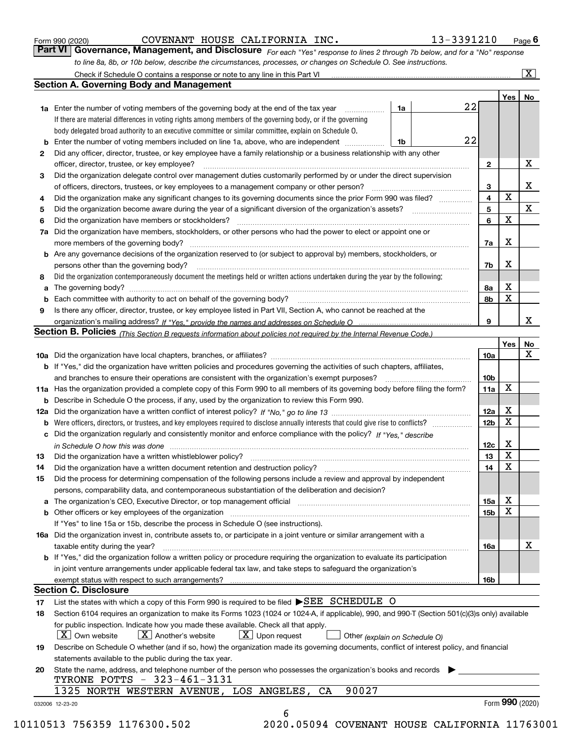|  | Form 990 (2020) |
|--|-----------------|
|  |                 |

COVENANT HOUSE CALIFORNIA INC. 13-3391210

*For each "Yes" response to lines 2 through 7b below, and for a "No" response to line 8a, 8b, or 10b below, describe the circumstances, processes, or changes on Schedule O. See instructions.* Form 990 (2020) **COVENANT HOUSE CALIFORNIA INC.** 13-3391210 Page 6<br>**Part VI Governance, Management, and Disclosure** For each "Yes" response to lines 2 through 7b below, and for a "No" response

| 22<br>1a<br><b>1a</b> Enter the number of voting members of the governing body at the end of the tax year <i>manumum</i><br>If there are material differences in voting rights among members of the governing body, or if the governing<br>body delegated broad authority to an executive committee or similar committee, explain on Schedule O.<br>22<br><b>b</b> Enter the number of voting members included on line 1a, above, who are independent <i>manument</i><br>1b<br>Did any officer, director, trustee, or key employee have a family relationship or a business relationship with any other<br>2<br>officer, director, trustee, or key employee?<br>Did the organization delegate control over management duties customarily performed by or under the direct supervision<br>З<br>Did the organization make any significant changes to its governing documents since the prior Form 990 was filed?<br>4<br>5<br>Did the organization have members or stockholders?<br>6<br>7a Did the organization have members, stockholders, or other persons who had the power to elect or appoint one or<br>more members of the governing body?<br><b>b</b> Are any governance decisions of the organization reserved to (or subject to approval by) members, stockholders, or<br>persons other than the governing body?<br>Did the organization contemporaneously document the meetings held or written actions undertaken during the year by the following:<br>8<br>Is there any officer, director, trustee, or key employee listed in Part VII, Section A, who cannot be reached at the<br>9<br>Section B. Policies (This Section B requests information about policies not required by the Internal Revenue Code.)<br>b If "Yes," did the organization have written policies and procedures governing the activities of such chapters, affiliates,<br>11a Has the organization provided a complete copy of this Form 990 to all members of its governing body before filing the form?<br><b>b</b> Describe in Schedule O the process, if any, used by the organization to review this Form 990.<br>c Did the organization regularly and consistently monitor and enforce compliance with the policy? If "Yes." describe<br>in Schedule O how this was done with the control of the control of the control of the control of the control o<br>Did the organization have a written whistleblower policy?<br>13<br>Did the organization have a written document retention and destruction policy?<br>The organization have a written document retention and destruction policy?<br>14<br>Did the process for determining compensation of the following persons include a review and approval by independent<br>15<br>persons, comparability data, and contemporaneous substantiation of the deliberation and decision?<br>a The organization's CEO, Executive Director, or top management official [11] [12] The organization's CEO, Executive Director, or top management official [12] [12] [12] [12] The organization's CEO, Executive Director, or t<br>b Other officers or key employees of the organization manufactured content to content of the organization manufactured content of the organization manufactured content of the organization manufactured content of the organi<br>If "Yes" to line 15a or 15b, describe the process in Schedule O (see instructions).<br>16a Did the organization invest in, contribute assets to, or participate in a joint venture or similar arrangement with a<br>taxable entity during the year?<br>b If "Yes," did the organization follow a written policy or procedure requiring the organization to evaluate its participation<br>in joint venture arrangements under applicable federal tax law, and take steps to safeguard the organization's<br>exempt status with respect to such arrangements?<br><b>Section C. Disclosure</b><br>List the states with which a copy of this Form 990 is required to be filed SEE SCHEDULE O<br>17<br>Section 6104 requires an organization to make its Forms 1023 (1024 or 1024-A, if applicable), 990, and 990-T (Section 501(c)(3)s only) available<br>18<br>for public inspection. Indicate how you made these available. Check all that apply.<br>$\vert X \vert$ Own website<br>$\lfloor$ X $\rfloor$ Another's website<br>$\lfloor x \rfloor$ Upon request<br>Other (explain on Schedule O)<br>Describe on Schedule O whether (and if so, how) the organization made its governing documents, conflict of interest policy, and financial<br>19<br>statements available to the public during the tax year.<br>State the name, address, and telephone number of the person who possesses the organization's books and records<br>20<br>TYRONE POTTS - 323-461-3131 |                         |                   | Yes   No |
|--------------------------------------------------------------------------------------------------------------------------------------------------------------------------------------------------------------------------------------------------------------------------------------------------------------------------------------------------------------------------------------------------------------------------------------------------------------------------------------------------------------------------------------------------------------------------------------------------------------------------------------------------------------------------------------------------------------------------------------------------------------------------------------------------------------------------------------------------------------------------------------------------------------------------------------------------------------------------------------------------------------------------------------------------------------------------------------------------------------------------------------------------------------------------------------------------------------------------------------------------------------------------------------------------------------------------------------------------------------------------------------------------------------------------------------------------------------------------------------------------------------------------------------------------------------------------------------------------------------------------------------------------------------------------------------------------------------------------------------------------------------------------------------------------------------------------------------------------------------------------------------------------------------------------------------------------------------------------------------------------------------------------------------------------------------------------------------------------------------------------------------------------------------------------------------------------------------------------------------------------------------------------------------------------------------------------------------------------------------------------------------------------------------------------------------------------------------------------------------------------------------------------------------------------------------------------------------------------------------------------------------------------------------------------------------------------------------------------------------------------------------------------------------------------------------------------------------------------------------------------------------------------------------------------------------------------------------------------------------------------------------------------------------------------------------------------------------------------------------------------------------------------------------------------------------------------------------------------------------------------------------------------------------------------------------------------------------------------------------------------------------------------------------------------------------------------------------------------------------------------------------------------------------------------------------------------------------------------------------------------------------------------------------------------------------------------------------------------------------------------------------------------------------------------------------------------------------------------------------------------------------------------------------------------------------------------------------------------------------------------------------------------------------------------------------------------------------------------------------------------------------------------------------------------------------------------------------------------------------------------------------------------------------------------------------------------------------------------------------------------------------------------------------------------------------------------------------------------------------------------------------------------------------------------------------------------------------------------------------------------------------------------------------------------------------------------------------------------------------------------------------------|-------------------------|-------------------|----------|
|                                                                                                                                                                                                                                                                                                                                                                                                                                                                                                                                                                                                                                                                                                                                                                                                                                                                                                                                                                                                                                                                                                                                                                                                                                                                                                                                                                                                                                                                                                                                                                                                                                                                                                                                                                                                                                                                                                                                                                                                                                                                                                                                                                                                                                                                                                                                                                                                                                                                                                                                                                                                                                                                                                                                                                                                                                                                                                                                                                                                                                                                                                                                                                                                                                                                                                                                                                                                                                                                                                                                                                                                                                                                                                                                                                                                                                                                                                                                                                                                                                                                                                                                                                                                                                                                                                                                                                                                                                                                                                                                                                                                                                                                                                                                                                    |                         |                   |          |
|                                                                                                                                                                                                                                                                                                                                                                                                                                                                                                                                                                                                                                                                                                                                                                                                                                                                                                                                                                                                                                                                                                                                                                                                                                                                                                                                                                                                                                                                                                                                                                                                                                                                                                                                                                                                                                                                                                                                                                                                                                                                                                                                                                                                                                                                                                                                                                                                                                                                                                                                                                                                                                                                                                                                                                                                                                                                                                                                                                                                                                                                                                                                                                                                                                                                                                                                                                                                                                                                                                                                                                                                                                                                                                                                                                                                                                                                                                                                                                                                                                                                                                                                                                                                                                                                                                                                                                                                                                                                                                                                                                                                                                                                                                                                                                    |                         |                   |          |
|                                                                                                                                                                                                                                                                                                                                                                                                                                                                                                                                                                                                                                                                                                                                                                                                                                                                                                                                                                                                                                                                                                                                                                                                                                                                                                                                                                                                                                                                                                                                                                                                                                                                                                                                                                                                                                                                                                                                                                                                                                                                                                                                                                                                                                                                                                                                                                                                                                                                                                                                                                                                                                                                                                                                                                                                                                                                                                                                                                                                                                                                                                                                                                                                                                                                                                                                                                                                                                                                                                                                                                                                                                                                                                                                                                                                                                                                                                                                                                                                                                                                                                                                                                                                                                                                                                                                                                                                                                                                                                                                                                                                                                                                                                                                                                    |                         |                   |          |
|                                                                                                                                                                                                                                                                                                                                                                                                                                                                                                                                                                                                                                                                                                                                                                                                                                                                                                                                                                                                                                                                                                                                                                                                                                                                                                                                                                                                                                                                                                                                                                                                                                                                                                                                                                                                                                                                                                                                                                                                                                                                                                                                                                                                                                                                                                                                                                                                                                                                                                                                                                                                                                                                                                                                                                                                                                                                                                                                                                                                                                                                                                                                                                                                                                                                                                                                                                                                                                                                                                                                                                                                                                                                                                                                                                                                                                                                                                                                                                                                                                                                                                                                                                                                                                                                                                                                                                                                                                                                                                                                                                                                                                                                                                                                                                    |                         |                   |          |
|                                                                                                                                                                                                                                                                                                                                                                                                                                                                                                                                                                                                                                                                                                                                                                                                                                                                                                                                                                                                                                                                                                                                                                                                                                                                                                                                                                                                                                                                                                                                                                                                                                                                                                                                                                                                                                                                                                                                                                                                                                                                                                                                                                                                                                                                                                                                                                                                                                                                                                                                                                                                                                                                                                                                                                                                                                                                                                                                                                                                                                                                                                                                                                                                                                                                                                                                                                                                                                                                                                                                                                                                                                                                                                                                                                                                                                                                                                                                                                                                                                                                                                                                                                                                                                                                                                                                                                                                                                                                                                                                                                                                                                                                                                                                                                    |                         |                   |          |
|                                                                                                                                                                                                                                                                                                                                                                                                                                                                                                                                                                                                                                                                                                                                                                                                                                                                                                                                                                                                                                                                                                                                                                                                                                                                                                                                                                                                                                                                                                                                                                                                                                                                                                                                                                                                                                                                                                                                                                                                                                                                                                                                                                                                                                                                                                                                                                                                                                                                                                                                                                                                                                                                                                                                                                                                                                                                                                                                                                                                                                                                                                                                                                                                                                                                                                                                                                                                                                                                                                                                                                                                                                                                                                                                                                                                                                                                                                                                                                                                                                                                                                                                                                                                                                                                                                                                                                                                                                                                                                                                                                                                                                                                                                                                                                    | $\mathbf{2}$            |                   | Х        |
|                                                                                                                                                                                                                                                                                                                                                                                                                                                                                                                                                                                                                                                                                                                                                                                                                                                                                                                                                                                                                                                                                                                                                                                                                                                                                                                                                                                                                                                                                                                                                                                                                                                                                                                                                                                                                                                                                                                                                                                                                                                                                                                                                                                                                                                                                                                                                                                                                                                                                                                                                                                                                                                                                                                                                                                                                                                                                                                                                                                                                                                                                                                                                                                                                                                                                                                                                                                                                                                                                                                                                                                                                                                                                                                                                                                                                                                                                                                                                                                                                                                                                                                                                                                                                                                                                                                                                                                                                                                                                                                                                                                                                                                                                                                                                                    |                         |                   |          |
|                                                                                                                                                                                                                                                                                                                                                                                                                                                                                                                                                                                                                                                                                                                                                                                                                                                                                                                                                                                                                                                                                                                                                                                                                                                                                                                                                                                                                                                                                                                                                                                                                                                                                                                                                                                                                                                                                                                                                                                                                                                                                                                                                                                                                                                                                                                                                                                                                                                                                                                                                                                                                                                                                                                                                                                                                                                                                                                                                                                                                                                                                                                                                                                                                                                                                                                                                                                                                                                                                                                                                                                                                                                                                                                                                                                                                                                                                                                                                                                                                                                                                                                                                                                                                                                                                                                                                                                                                                                                                                                                                                                                                                                                                                                                                                    | 3                       |                   | Х        |
|                                                                                                                                                                                                                                                                                                                                                                                                                                                                                                                                                                                                                                                                                                                                                                                                                                                                                                                                                                                                                                                                                                                                                                                                                                                                                                                                                                                                                                                                                                                                                                                                                                                                                                                                                                                                                                                                                                                                                                                                                                                                                                                                                                                                                                                                                                                                                                                                                                                                                                                                                                                                                                                                                                                                                                                                                                                                                                                                                                                                                                                                                                                                                                                                                                                                                                                                                                                                                                                                                                                                                                                                                                                                                                                                                                                                                                                                                                                                                                                                                                                                                                                                                                                                                                                                                                                                                                                                                                                                                                                                                                                                                                                                                                                                                                    | $\overline{\mathbf{4}}$ | $\mathbf X$       |          |
|                                                                                                                                                                                                                                                                                                                                                                                                                                                                                                                                                                                                                                                                                                                                                                                                                                                                                                                                                                                                                                                                                                                                                                                                                                                                                                                                                                                                                                                                                                                                                                                                                                                                                                                                                                                                                                                                                                                                                                                                                                                                                                                                                                                                                                                                                                                                                                                                                                                                                                                                                                                                                                                                                                                                                                                                                                                                                                                                                                                                                                                                                                                                                                                                                                                                                                                                                                                                                                                                                                                                                                                                                                                                                                                                                                                                                                                                                                                                                                                                                                                                                                                                                                                                                                                                                                                                                                                                                                                                                                                                                                                                                                                                                                                                                                    | 5                       |                   | X        |
|                                                                                                                                                                                                                                                                                                                                                                                                                                                                                                                                                                                                                                                                                                                                                                                                                                                                                                                                                                                                                                                                                                                                                                                                                                                                                                                                                                                                                                                                                                                                                                                                                                                                                                                                                                                                                                                                                                                                                                                                                                                                                                                                                                                                                                                                                                                                                                                                                                                                                                                                                                                                                                                                                                                                                                                                                                                                                                                                                                                                                                                                                                                                                                                                                                                                                                                                                                                                                                                                                                                                                                                                                                                                                                                                                                                                                                                                                                                                                                                                                                                                                                                                                                                                                                                                                                                                                                                                                                                                                                                                                                                                                                                                                                                                                                    | 6                       | $\mathbf X$       |          |
|                                                                                                                                                                                                                                                                                                                                                                                                                                                                                                                                                                                                                                                                                                                                                                                                                                                                                                                                                                                                                                                                                                                                                                                                                                                                                                                                                                                                                                                                                                                                                                                                                                                                                                                                                                                                                                                                                                                                                                                                                                                                                                                                                                                                                                                                                                                                                                                                                                                                                                                                                                                                                                                                                                                                                                                                                                                                                                                                                                                                                                                                                                                                                                                                                                                                                                                                                                                                                                                                                                                                                                                                                                                                                                                                                                                                                                                                                                                                                                                                                                                                                                                                                                                                                                                                                                                                                                                                                                                                                                                                                                                                                                                                                                                                                                    |                         |                   |          |
|                                                                                                                                                                                                                                                                                                                                                                                                                                                                                                                                                                                                                                                                                                                                                                                                                                                                                                                                                                                                                                                                                                                                                                                                                                                                                                                                                                                                                                                                                                                                                                                                                                                                                                                                                                                                                                                                                                                                                                                                                                                                                                                                                                                                                                                                                                                                                                                                                                                                                                                                                                                                                                                                                                                                                                                                                                                                                                                                                                                                                                                                                                                                                                                                                                                                                                                                                                                                                                                                                                                                                                                                                                                                                                                                                                                                                                                                                                                                                                                                                                                                                                                                                                                                                                                                                                                                                                                                                                                                                                                                                                                                                                                                                                                                                                    |                         | Х                 |          |
|                                                                                                                                                                                                                                                                                                                                                                                                                                                                                                                                                                                                                                                                                                                                                                                                                                                                                                                                                                                                                                                                                                                                                                                                                                                                                                                                                                                                                                                                                                                                                                                                                                                                                                                                                                                                                                                                                                                                                                                                                                                                                                                                                                                                                                                                                                                                                                                                                                                                                                                                                                                                                                                                                                                                                                                                                                                                                                                                                                                                                                                                                                                                                                                                                                                                                                                                                                                                                                                                                                                                                                                                                                                                                                                                                                                                                                                                                                                                                                                                                                                                                                                                                                                                                                                                                                                                                                                                                                                                                                                                                                                                                                                                                                                                                                    | 7a                      |                   |          |
|                                                                                                                                                                                                                                                                                                                                                                                                                                                                                                                                                                                                                                                                                                                                                                                                                                                                                                                                                                                                                                                                                                                                                                                                                                                                                                                                                                                                                                                                                                                                                                                                                                                                                                                                                                                                                                                                                                                                                                                                                                                                                                                                                                                                                                                                                                                                                                                                                                                                                                                                                                                                                                                                                                                                                                                                                                                                                                                                                                                                                                                                                                                                                                                                                                                                                                                                                                                                                                                                                                                                                                                                                                                                                                                                                                                                                                                                                                                                                                                                                                                                                                                                                                                                                                                                                                                                                                                                                                                                                                                                                                                                                                                                                                                                                                    |                         | X                 |          |
|                                                                                                                                                                                                                                                                                                                                                                                                                                                                                                                                                                                                                                                                                                                                                                                                                                                                                                                                                                                                                                                                                                                                                                                                                                                                                                                                                                                                                                                                                                                                                                                                                                                                                                                                                                                                                                                                                                                                                                                                                                                                                                                                                                                                                                                                                                                                                                                                                                                                                                                                                                                                                                                                                                                                                                                                                                                                                                                                                                                                                                                                                                                                                                                                                                                                                                                                                                                                                                                                                                                                                                                                                                                                                                                                                                                                                                                                                                                                                                                                                                                                                                                                                                                                                                                                                                                                                                                                                                                                                                                                                                                                                                                                                                                                                                    | 7b                      |                   |          |
|                                                                                                                                                                                                                                                                                                                                                                                                                                                                                                                                                                                                                                                                                                                                                                                                                                                                                                                                                                                                                                                                                                                                                                                                                                                                                                                                                                                                                                                                                                                                                                                                                                                                                                                                                                                                                                                                                                                                                                                                                                                                                                                                                                                                                                                                                                                                                                                                                                                                                                                                                                                                                                                                                                                                                                                                                                                                                                                                                                                                                                                                                                                                                                                                                                                                                                                                                                                                                                                                                                                                                                                                                                                                                                                                                                                                                                                                                                                                                                                                                                                                                                                                                                                                                                                                                                                                                                                                                                                                                                                                                                                                                                                                                                                                                                    |                         |                   |          |
|                                                                                                                                                                                                                                                                                                                                                                                                                                                                                                                                                                                                                                                                                                                                                                                                                                                                                                                                                                                                                                                                                                                                                                                                                                                                                                                                                                                                                                                                                                                                                                                                                                                                                                                                                                                                                                                                                                                                                                                                                                                                                                                                                                                                                                                                                                                                                                                                                                                                                                                                                                                                                                                                                                                                                                                                                                                                                                                                                                                                                                                                                                                                                                                                                                                                                                                                                                                                                                                                                                                                                                                                                                                                                                                                                                                                                                                                                                                                                                                                                                                                                                                                                                                                                                                                                                                                                                                                                                                                                                                                                                                                                                                                                                                                                                    | 8а                      | х                 |          |
|                                                                                                                                                                                                                                                                                                                                                                                                                                                                                                                                                                                                                                                                                                                                                                                                                                                                                                                                                                                                                                                                                                                                                                                                                                                                                                                                                                                                                                                                                                                                                                                                                                                                                                                                                                                                                                                                                                                                                                                                                                                                                                                                                                                                                                                                                                                                                                                                                                                                                                                                                                                                                                                                                                                                                                                                                                                                                                                                                                                                                                                                                                                                                                                                                                                                                                                                                                                                                                                                                                                                                                                                                                                                                                                                                                                                                                                                                                                                                                                                                                                                                                                                                                                                                                                                                                                                                                                                                                                                                                                                                                                                                                                                                                                                                                    | 8b                      | $\mathbf X$       |          |
|                                                                                                                                                                                                                                                                                                                                                                                                                                                                                                                                                                                                                                                                                                                                                                                                                                                                                                                                                                                                                                                                                                                                                                                                                                                                                                                                                                                                                                                                                                                                                                                                                                                                                                                                                                                                                                                                                                                                                                                                                                                                                                                                                                                                                                                                                                                                                                                                                                                                                                                                                                                                                                                                                                                                                                                                                                                                                                                                                                                                                                                                                                                                                                                                                                                                                                                                                                                                                                                                                                                                                                                                                                                                                                                                                                                                                                                                                                                                                                                                                                                                                                                                                                                                                                                                                                                                                                                                                                                                                                                                                                                                                                                                                                                                                                    |                         |                   |          |
|                                                                                                                                                                                                                                                                                                                                                                                                                                                                                                                                                                                                                                                                                                                                                                                                                                                                                                                                                                                                                                                                                                                                                                                                                                                                                                                                                                                                                                                                                                                                                                                                                                                                                                                                                                                                                                                                                                                                                                                                                                                                                                                                                                                                                                                                                                                                                                                                                                                                                                                                                                                                                                                                                                                                                                                                                                                                                                                                                                                                                                                                                                                                                                                                                                                                                                                                                                                                                                                                                                                                                                                                                                                                                                                                                                                                                                                                                                                                                                                                                                                                                                                                                                                                                                                                                                                                                                                                                                                                                                                                                                                                                                                                                                                                                                    | 9                       |                   | X        |
|                                                                                                                                                                                                                                                                                                                                                                                                                                                                                                                                                                                                                                                                                                                                                                                                                                                                                                                                                                                                                                                                                                                                                                                                                                                                                                                                                                                                                                                                                                                                                                                                                                                                                                                                                                                                                                                                                                                                                                                                                                                                                                                                                                                                                                                                                                                                                                                                                                                                                                                                                                                                                                                                                                                                                                                                                                                                                                                                                                                                                                                                                                                                                                                                                                                                                                                                                                                                                                                                                                                                                                                                                                                                                                                                                                                                                                                                                                                                                                                                                                                                                                                                                                                                                                                                                                                                                                                                                                                                                                                                                                                                                                                                                                                                                                    |                         |                   |          |
|                                                                                                                                                                                                                                                                                                                                                                                                                                                                                                                                                                                                                                                                                                                                                                                                                                                                                                                                                                                                                                                                                                                                                                                                                                                                                                                                                                                                                                                                                                                                                                                                                                                                                                                                                                                                                                                                                                                                                                                                                                                                                                                                                                                                                                                                                                                                                                                                                                                                                                                                                                                                                                                                                                                                                                                                                                                                                                                                                                                                                                                                                                                                                                                                                                                                                                                                                                                                                                                                                                                                                                                                                                                                                                                                                                                                                                                                                                                                                                                                                                                                                                                                                                                                                                                                                                                                                                                                                                                                                                                                                                                                                                                                                                                                                                    |                         | Yes               | No       |
|                                                                                                                                                                                                                                                                                                                                                                                                                                                                                                                                                                                                                                                                                                                                                                                                                                                                                                                                                                                                                                                                                                                                                                                                                                                                                                                                                                                                                                                                                                                                                                                                                                                                                                                                                                                                                                                                                                                                                                                                                                                                                                                                                                                                                                                                                                                                                                                                                                                                                                                                                                                                                                                                                                                                                                                                                                                                                                                                                                                                                                                                                                                                                                                                                                                                                                                                                                                                                                                                                                                                                                                                                                                                                                                                                                                                                                                                                                                                                                                                                                                                                                                                                                                                                                                                                                                                                                                                                                                                                                                                                                                                                                                                                                                                                                    | 10a                     |                   | X        |
|                                                                                                                                                                                                                                                                                                                                                                                                                                                                                                                                                                                                                                                                                                                                                                                                                                                                                                                                                                                                                                                                                                                                                                                                                                                                                                                                                                                                                                                                                                                                                                                                                                                                                                                                                                                                                                                                                                                                                                                                                                                                                                                                                                                                                                                                                                                                                                                                                                                                                                                                                                                                                                                                                                                                                                                                                                                                                                                                                                                                                                                                                                                                                                                                                                                                                                                                                                                                                                                                                                                                                                                                                                                                                                                                                                                                                                                                                                                                                                                                                                                                                                                                                                                                                                                                                                                                                                                                                                                                                                                                                                                                                                                                                                                                                                    |                         |                   |          |
|                                                                                                                                                                                                                                                                                                                                                                                                                                                                                                                                                                                                                                                                                                                                                                                                                                                                                                                                                                                                                                                                                                                                                                                                                                                                                                                                                                                                                                                                                                                                                                                                                                                                                                                                                                                                                                                                                                                                                                                                                                                                                                                                                                                                                                                                                                                                                                                                                                                                                                                                                                                                                                                                                                                                                                                                                                                                                                                                                                                                                                                                                                                                                                                                                                                                                                                                                                                                                                                                                                                                                                                                                                                                                                                                                                                                                                                                                                                                                                                                                                                                                                                                                                                                                                                                                                                                                                                                                                                                                                                                                                                                                                                                                                                                                                    | 10 <sub>b</sub>         |                   |          |
|                                                                                                                                                                                                                                                                                                                                                                                                                                                                                                                                                                                                                                                                                                                                                                                                                                                                                                                                                                                                                                                                                                                                                                                                                                                                                                                                                                                                                                                                                                                                                                                                                                                                                                                                                                                                                                                                                                                                                                                                                                                                                                                                                                                                                                                                                                                                                                                                                                                                                                                                                                                                                                                                                                                                                                                                                                                                                                                                                                                                                                                                                                                                                                                                                                                                                                                                                                                                                                                                                                                                                                                                                                                                                                                                                                                                                                                                                                                                                                                                                                                                                                                                                                                                                                                                                                                                                                                                                                                                                                                                                                                                                                                                                                                                                                    | 11a                     | X                 |          |
|                                                                                                                                                                                                                                                                                                                                                                                                                                                                                                                                                                                                                                                                                                                                                                                                                                                                                                                                                                                                                                                                                                                                                                                                                                                                                                                                                                                                                                                                                                                                                                                                                                                                                                                                                                                                                                                                                                                                                                                                                                                                                                                                                                                                                                                                                                                                                                                                                                                                                                                                                                                                                                                                                                                                                                                                                                                                                                                                                                                                                                                                                                                                                                                                                                                                                                                                                                                                                                                                                                                                                                                                                                                                                                                                                                                                                                                                                                                                                                                                                                                                                                                                                                                                                                                                                                                                                                                                                                                                                                                                                                                                                                                                                                                                                                    |                         |                   |          |
|                                                                                                                                                                                                                                                                                                                                                                                                                                                                                                                                                                                                                                                                                                                                                                                                                                                                                                                                                                                                                                                                                                                                                                                                                                                                                                                                                                                                                                                                                                                                                                                                                                                                                                                                                                                                                                                                                                                                                                                                                                                                                                                                                                                                                                                                                                                                                                                                                                                                                                                                                                                                                                                                                                                                                                                                                                                                                                                                                                                                                                                                                                                                                                                                                                                                                                                                                                                                                                                                                                                                                                                                                                                                                                                                                                                                                                                                                                                                                                                                                                                                                                                                                                                                                                                                                                                                                                                                                                                                                                                                                                                                                                                                                                                                                                    | 12a                     | х                 |          |
|                                                                                                                                                                                                                                                                                                                                                                                                                                                                                                                                                                                                                                                                                                                                                                                                                                                                                                                                                                                                                                                                                                                                                                                                                                                                                                                                                                                                                                                                                                                                                                                                                                                                                                                                                                                                                                                                                                                                                                                                                                                                                                                                                                                                                                                                                                                                                                                                                                                                                                                                                                                                                                                                                                                                                                                                                                                                                                                                                                                                                                                                                                                                                                                                                                                                                                                                                                                                                                                                                                                                                                                                                                                                                                                                                                                                                                                                                                                                                                                                                                                                                                                                                                                                                                                                                                                                                                                                                                                                                                                                                                                                                                                                                                                                                                    | 12 <sub>b</sub>         | $\mathbf X$       |          |
|                                                                                                                                                                                                                                                                                                                                                                                                                                                                                                                                                                                                                                                                                                                                                                                                                                                                                                                                                                                                                                                                                                                                                                                                                                                                                                                                                                                                                                                                                                                                                                                                                                                                                                                                                                                                                                                                                                                                                                                                                                                                                                                                                                                                                                                                                                                                                                                                                                                                                                                                                                                                                                                                                                                                                                                                                                                                                                                                                                                                                                                                                                                                                                                                                                                                                                                                                                                                                                                                                                                                                                                                                                                                                                                                                                                                                                                                                                                                                                                                                                                                                                                                                                                                                                                                                                                                                                                                                                                                                                                                                                                                                                                                                                                                                                    |                         |                   |          |
|                                                                                                                                                                                                                                                                                                                                                                                                                                                                                                                                                                                                                                                                                                                                                                                                                                                                                                                                                                                                                                                                                                                                                                                                                                                                                                                                                                                                                                                                                                                                                                                                                                                                                                                                                                                                                                                                                                                                                                                                                                                                                                                                                                                                                                                                                                                                                                                                                                                                                                                                                                                                                                                                                                                                                                                                                                                                                                                                                                                                                                                                                                                                                                                                                                                                                                                                                                                                                                                                                                                                                                                                                                                                                                                                                                                                                                                                                                                                                                                                                                                                                                                                                                                                                                                                                                                                                                                                                                                                                                                                                                                                                                                                                                                                                                    | 12c                     | х                 |          |
|                                                                                                                                                                                                                                                                                                                                                                                                                                                                                                                                                                                                                                                                                                                                                                                                                                                                                                                                                                                                                                                                                                                                                                                                                                                                                                                                                                                                                                                                                                                                                                                                                                                                                                                                                                                                                                                                                                                                                                                                                                                                                                                                                                                                                                                                                                                                                                                                                                                                                                                                                                                                                                                                                                                                                                                                                                                                                                                                                                                                                                                                                                                                                                                                                                                                                                                                                                                                                                                                                                                                                                                                                                                                                                                                                                                                                                                                                                                                                                                                                                                                                                                                                                                                                                                                                                                                                                                                                                                                                                                                                                                                                                                                                                                                                                    | 13                      | X                 |          |
|                                                                                                                                                                                                                                                                                                                                                                                                                                                                                                                                                                                                                                                                                                                                                                                                                                                                                                                                                                                                                                                                                                                                                                                                                                                                                                                                                                                                                                                                                                                                                                                                                                                                                                                                                                                                                                                                                                                                                                                                                                                                                                                                                                                                                                                                                                                                                                                                                                                                                                                                                                                                                                                                                                                                                                                                                                                                                                                                                                                                                                                                                                                                                                                                                                                                                                                                                                                                                                                                                                                                                                                                                                                                                                                                                                                                                                                                                                                                                                                                                                                                                                                                                                                                                                                                                                                                                                                                                                                                                                                                                                                                                                                                                                                                                                    | 14                      | $\mathbf X$       |          |
|                                                                                                                                                                                                                                                                                                                                                                                                                                                                                                                                                                                                                                                                                                                                                                                                                                                                                                                                                                                                                                                                                                                                                                                                                                                                                                                                                                                                                                                                                                                                                                                                                                                                                                                                                                                                                                                                                                                                                                                                                                                                                                                                                                                                                                                                                                                                                                                                                                                                                                                                                                                                                                                                                                                                                                                                                                                                                                                                                                                                                                                                                                                                                                                                                                                                                                                                                                                                                                                                                                                                                                                                                                                                                                                                                                                                                                                                                                                                                                                                                                                                                                                                                                                                                                                                                                                                                                                                                                                                                                                                                                                                                                                                                                                                                                    |                         |                   |          |
|                                                                                                                                                                                                                                                                                                                                                                                                                                                                                                                                                                                                                                                                                                                                                                                                                                                                                                                                                                                                                                                                                                                                                                                                                                                                                                                                                                                                                                                                                                                                                                                                                                                                                                                                                                                                                                                                                                                                                                                                                                                                                                                                                                                                                                                                                                                                                                                                                                                                                                                                                                                                                                                                                                                                                                                                                                                                                                                                                                                                                                                                                                                                                                                                                                                                                                                                                                                                                                                                                                                                                                                                                                                                                                                                                                                                                                                                                                                                                                                                                                                                                                                                                                                                                                                                                                                                                                                                                                                                                                                                                                                                                                                                                                                                                                    |                         |                   |          |
|                                                                                                                                                                                                                                                                                                                                                                                                                                                                                                                                                                                                                                                                                                                                                                                                                                                                                                                                                                                                                                                                                                                                                                                                                                                                                                                                                                                                                                                                                                                                                                                                                                                                                                                                                                                                                                                                                                                                                                                                                                                                                                                                                                                                                                                                                                                                                                                                                                                                                                                                                                                                                                                                                                                                                                                                                                                                                                                                                                                                                                                                                                                                                                                                                                                                                                                                                                                                                                                                                                                                                                                                                                                                                                                                                                                                                                                                                                                                                                                                                                                                                                                                                                                                                                                                                                                                                                                                                                                                                                                                                                                                                                                                                                                                                                    | 15a                     | х                 |          |
|                                                                                                                                                                                                                                                                                                                                                                                                                                                                                                                                                                                                                                                                                                                                                                                                                                                                                                                                                                                                                                                                                                                                                                                                                                                                                                                                                                                                                                                                                                                                                                                                                                                                                                                                                                                                                                                                                                                                                                                                                                                                                                                                                                                                                                                                                                                                                                                                                                                                                                                                                                                                                                                                                                                                                                                                                                                                                                                                                                                                                                                                                                                                                                                                                                                                                                                                                                                                                                                                                                                                                                                                                                                                                                                                                                                                                                                                                                                                                                                                                                                                                                                                                                                                                                                                                                                                                                                                                                                                                                                                                                                                                                                                                                                                                                    | 15b                     | $\mathbf X$       |          |
|                                                                                                                                                                                                                                                                                                                                                                                                                                                                                                                                                                                                                                                                                                                                                                                                                                                                                                                                                                                                                                                                                                                                                                                                                                                                                                                                                                                                                                                                                                                                                                                                                                                                                                                                                                                                                                                                                                                                                                                                                                                                                                                                                                                                                                                                                                                                                                                                                                                                                                                                                                                                                                                                                                                                                                                                                                                                                                                                                                                                                                                                                                                                                                                                                                                                                                                                                                                                                                                                                                                                                                                                                                                                                                                                                                                                                                                                                                                                                                                                                                                                                                                                                                                                                                                                                                                                                                                                                                                                                                                                                                                                                                                                                                                                                                    |                         |                   |          |
|                                                                                                                                                                                                                                                                                                                                                                                                                                                                                                                                                                                                                                                                                                                                                                                                                                                                                                                                                                                                                                                                                                                                                                                                                                                                                                                                                                                                                                                                                                                                                                                                                                                                                                                                                                                                                                                                                                                                                                                                                                                                                                                                                                                                                                                                                                                                                                                                                                                                                                                                                                                                                                                                                                                                                                                                                                                                                                                                                                                                                                                                                                                                                                                                                                                                                                                                                                                                                                                                                                                                                                                                                                                                                                                                                                                                                                                                                                                                                                                                                                                                                                                                                                                                                                                                                                                                                                                                                                                                                                                                                                                                                                                                                                                                                                    |                         |                   |          |
|                                                                                                                                                                                                                                                                                                                                                                                                                                                                                                                                                                                                                                                                                                                                                                                                                                                                                                                                                                                                                                                                                                                                                                                                                                                                                                                                                                                                                                                                                                                                                                                                                                                                                                                                                                                                                                                                                                                                                                                                                                                                                                                                                                                                                                                                                                                                                                                                                                                                                                                                                                                                                                                                                                                                                                                                                                                                                                                                                                                                                                                                                                                                                                                                                                                                                                                                                                                                                                                                                                                                                                                                                                                                                                                                                                                                                                                                                                                                                                                                                                                                                                                                                                                                                                                                                                                                                                                                                                                                                                                                                                                                                                                                                                                                                                    | 16a                     |                   | X        |
|                                                                                                                                                                                                                                                                                                                                                                                                                                                                                                                                                                                                                                                                                                                                                                                                                                                                                                                                                                                                                                                                                                                                                                                                                                                                                                                                                                                                                                                                                                                                                                                                                                                                                                                                                                                                                                                                                                                                                                                                                                                                                                                                                                                                                                                                                                                                                                                                                                                                                                                                                                                                                                                                                                                                                                                                                                                                                                                                                                                                                                                                                                                                                                                                                                                                                                                                                                                                                                                                                                                                                                                                                                                                                                                                                                                                                                                                                                                                                                                                                                                                                                                                                                                                                                                                                                                                                                                                                                                                                                                                                                                                                                                                                                                                                                    |                         |                   |          |
|                                                                                                                                                                                                                                                                                                                                                                                                                                                                                                                                                                                                                                                                                                                                                                                                                                                                                                                                                                                                                                                                                                                                                                                                                                                                                                                                                                                                                                                                                                                                                                                                                                                                                                                                                                                                                                                                                                                                                                                                                                                                                                                                                                                                                                                                                                                                                                                                                                                                                                                                                                                                                                                                                                                                                                                                                                                                                                                                                                                                                                                                                                                                                                                                                                                                                                                                                                                                                                                                                                                                                                                                                                                                                                                                                                                                                                                                                                                                                                                                                                                                                                                                                                                                                                                                                                                                                                                                                                                                                                                                                                                                                                                                                                                                                                    |                         |                   |          |
|                                                                                                                                                                                                                                                                                                                                                                                                                                                                                                                                                                                                                                                                                                                                                                                                                                                                                                                                                                                                                                                                                                                                                                                                                                                                                                                                                                                                                                                                                                                                                                                                                                                                                                                                                                                                                                                                                                                                                                                                                                                                                                                                                                                                                                                                                                                                                                                                                                                                                                                                                                                                                                                                                                                                                                                                                                                                                                                                                                                                                                                                                                                                                                                                                                                                                                                                                                                                                                                                                                                                                                                                                                                                                                                                                                                                                                                                                                                                                                                                                                                                                                                                                                                                                                                                                                                                                                                                                                                                                                                                                                                                                                                                                                                                                                    | 16b                     |                   |          |
|                                                                                                                                                                                                                                                                                                                                                                                                                                                                                                                                                                                                                                                                                                                                                                                                                                                                                                                                                                                                                                                                                                                                                                                                                                                                                                                                                                                                                                                                                                                                                                                                                                                                                                                                                                                                                                                                                                                                                                                                                                                                                                                                                                                                                                                                                                                                                                                                                                                                                                                                                                                                                                                                                                                                                                                                                                                                                                                                                                                                                                                                                                                                                                                                                                                                                                                                                                                                                                                                                                                                                                                                                                                                                                                                                                                                                                                                                                                                                                                                                                                                                                                                                                                                                                                                                                                                                                                                                                                                                                                                                                                                                                                                                                                                                                    |                         |                   |          |
|                                                                                                                                                                                                                                                                                                                                                                                                                                                                                                                                                                                                                                                                                                                                                                                                                                                                                                                                                                                                                                                                                                                                                                                                                                                                                                                                                                                                                                                                                                                                                                                                                                                                                                                                                                                                                                                                                                                                                                                                                                                                                                                                                                                                                                                                                                                                                                                                                                                                                                                                                                                                                                                                                                                                                                                                                                                                                                                                                                                                                                                                                                                                                                                                                                                                                                                                                                                                                                                                                                                                                                                                                                                                                                                                                                                                                                                                                                                                                                                                                                                                                                                                                                                                                                                                                                                                                                                                                                                                                                                                                                                                                                                                                                                                                                    |                         |                   |          |
|                                                                                                                                                                                                                                                                                                                                                                                                                                                                                                                                                                                                                                                                                                                                                                                                                                                                                                                                                                                                                                                                                                                                                                                                                                                                                                                                                                                                                                                                                                                                                                                                                                                                                                                                                                                                                                                                                                                                                                                                                                                                                                                                                                                                                                                                                                                                                                                                                                                                                                                                                                                                                                                                                                                                                                                                                                                                                                                                                                                                                                                                                                                                                                                                                                                                                                                                                                                                                                                                                                                                                                                                                                                                                                                                                                                                                                                                                                                                                                                                                                                                                                                                                                                                                                                                                                                                                                                                                                                                                                                                                                                                                                                                                                                                                                    |                         |                   |          |
|                                                                                                                                                                                                                                                                                                                                                                                                                                                                                                                                                                                                                                                                                                                                                                                                                                                                                                                                                                                                                                                                                                                                                                                                                                                                                                                                                                                                                                                                                                                                                                                                                                                                                                                                                                                                                                                                                                                                                                                                                                                                                                                                                                                                                                                                                                                                                                                                                                                                                                                                                                                                                                                                                                                                                                                                                                                                                                                                                                                                                                                                                                                                                                                                                                                                                                                                                                                                                                                                                                                                                                                                                                                                                                                                                                                                                                                                                                                                                                                                                                                                                                                                                                                                                                                                                                                                                                                                                                                                                                                                                                                                                                                                                                                                                                    |                         |                   |          |
|                                                                                                                                                                                                                                                                                                                                                                                                                                                                                                                                                                                                                                                                                                                                                                                                                                                                                                                                                                                                                                                                                                                                                                                                                                                                                                                                                                                                                                                                                                                                                                                                                                                                                                                                                                                                                                                                                                                                                                                                                                                                                                                                                                                                                                                                                                                                                                                                                                                                                                                                                                                                                                                                                                                                                                                                                                                                                                                                                                                                                                                                                                                                                                                                                                                                                                                                                                                                                                                                                                                                                                                                                                                                                                                                                                                                                                                                                                                                                                                                                                                                                                                                                                                                                                                                                                                                                                                                                                                                                                                                                                                                                                                                                                                                                                    |                         |                   |          |
|                                                                                                                                                                                                                                                                                                                                                                                                                                                                                                                                                                                                                                                                                                                                                                                                                                                                                                                                                                                                                                                                                                                                                                                                                                                                                                                                                                                                                                                                                                                                                                                                                                                                                                                                                                                                                                                                                                                                                                                                                                                                                                                                                                                                                                                                                                                                                                                                                                                                                                                                                                                                                                                                                                                                                                                                                                                                                                                                                                                                                                                                                                                                                                                                                                                                                                                                                                                                                                                                                                                                                                                                                                                                                                                                                                                                                                                                                                                                                                                                                                                                                                                                                                                                                                                                                                                                                                                                                                                                                                                                                                                                                                                                                                                                                                    |                         |                   |          |
|                                                                                                                                                                                                                                                                                                                                                                                                                                                                                                                                                                                                                                                                                                                                                                                                                                                                                                                                                                                                                                                                                                                                                                                                                                                                                                                                                                                                                                                                                                                                                                                                                                                                                                                                                                                                                                                                                                                                                                                                                                                                                                                                                                                                                                                                                                                                                                                                                                                                                                                                                                                                                                                                                                                                                                                                                                                                                                                                                                                                                                                                                                                                                                                                                                                                                                                                                                                                                                                                                                                                                                                                                                                                                                                                                                                                                                                                                                                                                                                                                                                                                                                                                                                                                                                                                                                                                                                                                                                                                                                                                                                                                                                                                                                                                                    |                         |                   |          |
|                                                                                                                                                                                                                                                                                                                                                                                                                                                                                                                                                                                                                                                                                                                                                                                                                                                                                                                                                                                                                                                                                                                                                                                                                                                                                                                                                                                                                                                                                                                                                                                                                                                                                                                                                                                                                                                                                                                                                                                                                                                                                                                                                                                                                                                                                                                                                                                                                                                                                                                                                                                                                                                                                                                                                                                                                                                                                                                                                                                                                                                                                                                                                                                                                                                                                                                                                                                                                                                                                                                                                                                                                                                                                                                                                                                                                                                                                                                                                                                                                                                                                                                                                                                                                                                                                                                                                                                                                                                                                                                                                                                                                                                                                                                                                                    |                         |                   |          |
|                                                                                                                                                                                                                                                                                                                                                                                                                                                                                                                                                                                                                                                                                                                                                                                                                                                                                                                                                                                                                                                                                                                                                                                                                                                                                                                                                                                                                                                                                                                                                                                                                                                                                                                                                                                                                                                                                                                                                                                                                                                                                                                                                                                                                                                                                                                                                                                                                                                                                                                                                                                                                                                                                                                                                                                                                                                                                                                                                                                                                                                                                                                                                                                                                                                                                                                                                                                                                                                                                                                                                                                                                                                                                                                                                                                                                                                                                                                                                                                                                                                                                                                                                                                                                                                                                                                                                                                                                                                                                                                                                                                                                                                                                                                                                                    |                         |                   |          |
| 90027<br>1325 NORTH WESTERN AVENUE, LOS ANGELES,<br>CA<br>032006 12-23-20                                                                                                                                                                                                                                                                                                                                                                                                                                                                                                                                                                                                                                                                                                                                                                                                                                                                                                                                                                                                                                                                                                                                                                                                                                                                                                                                                                                                                                                                                                                                                                                                                                                                                                                                                                                                                                                                                                                                                                                                                                                                                                                                                                                                                                                                                                                                                                                                                                                                                                                                                                                                                                                                                                                                                                                                                                                                                                                                                                                                                                                                                                                                                                                                                                                                                                                                                                                                                                                                                                                                                                                                                                                                                                                                                                                                                                                                                                                                                                                                                                                                                                                                                                                                                                                                                                                                                                                                                                                                                                                                                                                                                                                                                          |                         | Form $990$ (2020) |          |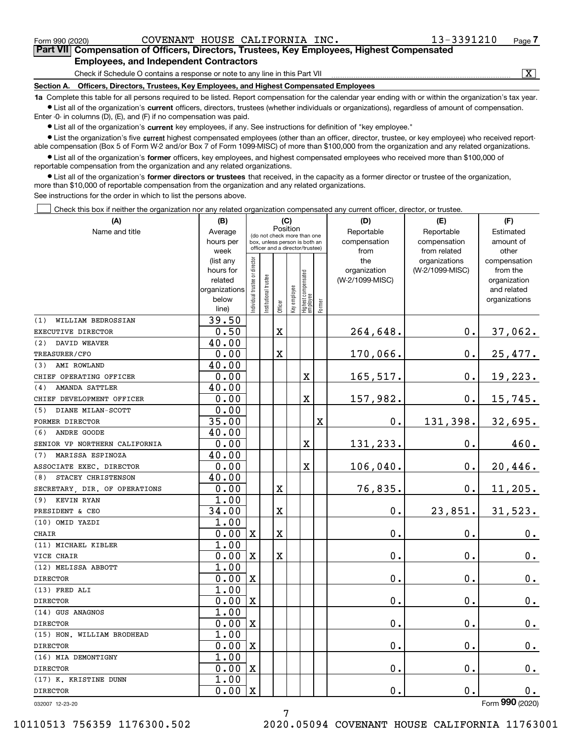| Form 990 (2020)                                                                                   | COVENANT HOUSE CALIFORNIA INC.                                                          | 13-3391210 | Page. |  |  |  |  |
|---------------------------------------------------------------------------------------------------|-----------------------------------------------------------------------------------------|------------|-------|--|--|--|--|
| <b>Part VII</b> Compensation of Officers, Directors, Trustees, Key Employees, Highest Compensated |                                                                                         |            |       |  |  |  |  |
| <b>Employees, and Independent Contractors</b>                                                     |                                                                                         |            |       |  |  |  |  |
|                                                                                                   | Check if Schedule O contains a response or note to any line in this Part VII            |            | х     |  |  |  |  |
|                                                                                                   | Continue A. Officers Directors Trustees Key Employees and Highest Componented Employees |            |       |  |  |  |  |

**Section A. Officers, Directors, Trustees, Key Employees, and Highest Compensated Employees**

**1a**  Complete this table for all persons required to be listed. Report compensation for the calendar year ending with or within the organization's tax year. **•** List all of the organization's current officers, directors, trustees (whether individuals or organizations), regardless of amount of compensation.

 $\bullet$  List all of the organization's  $\,$ current key employees, if any. See instructions for definition of "key employee." Enter -0- in columns (D), (E), and (F) if no compensation was paid.

**•** List the organization's five current highest compensated employees (other than an officer, director, trustee, or key employee) who received reportable compensation (Box 5 of Form W-2 and/or Box 7 of Form 1099-MISC) of more than \$100,000 from the organization and any related organizations.

**•** List all of the organization's former officers, key employees, and highest compensated employees who received more than \$100,000 of reportable compensation from the organization and any related organizations.

**former directors or trustees**  ¥ List all of the organization's that received, in the capacity as a former director or trustee of the organization, more than \$10,000 of reportable compensation from the organization and any related organizations.

See instructions for the order in which to list the persons above.

Check this box if neither the organization nor any related organization compensated any current officer, director, or trustee.  $\mathcal{L}^{\text{max}}$ 

| (A)                           | (B)                    |                               |                      | (C)                     |              |                                                                  |             | (D)                 | (E)                              | (F)                      |
|-------------------------------|------------------------|-------------------------------|----------------------|-------------------------|--------------|------------------------------------------------------------------|-------------|---------------------|----------------------------------|--------------------------|
| Name and title                | Average                |                               |                      | Position                |              | (do not check more than one                                      |             | Reportable          | Reportable                       | Estimated                |
|                               | hours per              |                               |                      |                         |              | box, unless person is both an<br>officer and a director/trustee) |             | compensation        | compensation                     | amount of                |
|                               | week                   |                               |                      |                         |              |                                                                  |             | from                | from related                     | other                    |
|                               | (list any<br>hours for |                               |                      |                         |              |                                                                  |             | the<br>organization | organizations<br>(W-2/1099-MISC) | compensation<br>from the |
|                               | related                |                               |                      |                         |              |                                                                  |             | (W-2/1099-MISC)     |                                  | organization             |
|                               | organizations          |                               |                      |                         |              |                                                                  |             |                     |                                  | and related              |
|                               | below                  | ndividual trustee or director | nstitutional trustee |                         | Key employee | Highest compensated<br>employee                                  |             |                     |                                  | organizations            |
|                               | line)                  |                               |                      | Officer                 |              |                                                                  | Former      |                     |                                  |                          |
| (1)<br>WILLIAM BEDROSSIAN     | 39.50                  |                               |                      |                         |              |                                                                  |             |                     |                                  |                          |
| EXECUTIVE DIRECTOR            | 0.50                   |                               |                      | $\mathbf X$             |              |                                                                  |             | 264,648.            | $0$ .                            | 37,062.                  |
| DAVID WEAVER<br>(2)           | 40.00                  |                               |                      |                         |              |                                                                  |             |                     |                                  |                          |
| TREASURER/CFO                 | 0.00                   |                               |                      | $\overline{\textbf{X}}$ |              |                                                                  |             | 170,066.            | $0$ .                            | 25,477.                  |
| (3)<br>AMI ROWLAND            | 40.00                  |                               |                      |                         |              |                                                                  |             |                     |                                  |                          |
| CHIEF OPERATING OFFICER       | 0.00                   |                               |                      |                         |              | X                                                                |             | 165,517.            | $0$ .                            | 19,223.                  |
| <b>AMANDA SATTLER</b><br>(4)  | 40.00                  |                               |                      |                         |              |                                                                  |             |                     |                                  |                          |
| CHIEF DEVELOPMENT OFFICER     | 0.00                   |                               |                      |                         |              | $\overline{\textbf{X}}$                                          |             | 157,982.            | $\mathbf 0$ .                    | 15,745.                  |
| (5) DIANE MILAN-SCOTT         | 0.00                   |                               |                      |                         |              |                                                                  |             |                     |                                  |                          |
| FORMER DIRECTOR               | 35.00                  |                               |                      |                         |              |                                                                  | $\mathbf x$ | 0.                  | 131,398.                         | 32,695.                  |
| (6)<br>ANDRE GOODE            | 40.00                  |                               |                      |                         |              |                                                                  |             |                     |                                  |                          |
| SENIOR VP NORTHERN CALIFORNIA | 0.00                   |                               |                      |                         |              | X                                                                |             | 131,233.            | 0.                               | 460.                     |
| (7)<br>MARISSA ESPINOZA       | 40.00                  |                               |                      |                         |              |                                                                  |             |                     |                                  |                          |
| ASSOCIATE EXEC. DIRECTOR      | 0.00                   |                               |                      |                         |              | X                                                                |             | 106,040.            | $0$ .                            | 20,446.                  |
| STACEY CHRISTENSON<br>(8)     | 40.00                  |                               |                      |                         |              |                                                                  |             |                     |                                  |                          |
| SECRETARY DIR. OF OPERATIONS  | 0.00                   |                               |                      | X                       |              |                                                                  |             | 76,835.             | $\mathbf 0$ .                    | 11, 205.                 |
| (9) KEVIN RYAN                | 1.00                   |                               |                      |                         |              |                                                                  |             |                     |                                  |                          |
| PRESIDENT & CEO               | 34.00                  |                               |                      | X                       |              |                                                                  |             | 0.                  | 23,851.                          | 31,523.                  |
| (10) OMID YAZDI               | 1.00                   |                               |                      |                         |              |                                                                  |             |                     |                                  |                          |
| <b>CHAIR</b>                  | 0.00                   | $\mathbf x$                   |                      | X                       |              |                                                                  |             | $\mathbf 0$ .       | 0.                               | 0.                       |
| (11) MICHAEL KIBLER           | 1.00                   |                               |                      |                         |              |                                                                  |             |                     |                                  |                          |
| VICE CHAIR                    | 0.00                   | $\mathbf X$                   |                      | $\mathbf X$             |              |                                                                  |             | $\mathbf 0$ .       | 0.                               | $0_{.}$                  |
| (12) MELISSA ABBOTT           | 1.00                   |                               |                      |                         |              |                                                                  |             |                     |                                  |                          |
| <b>DIRECTOR</b>               | 0.00                   | $\mathbf X$                   |                      |                         |              |                                                                  |             | $\mathbf 0$ .       | 0.                               | $0_{.}$                  |
| (13) FRED ALI                 | 1.00                   |                               |                      |                         |              |                                                                  |             |                     |                                  |                          |
| <b>DIRECTOR</b>               | 0.00                   | $\mathbf X$                   |                      |                         |              |                                                                  |             | $\mathbf 0$ .       | 0.                               | $\mathbf 0$ .            |
| (14) GUS ANAGNOS              | 1.00                   |                               |                      |                         |              |                                                                  |             |                     |                                  |                          |
| <b>DIRECTOR</b>               | 0.00                   | $\mathbf X$                   |                      |                         |              |                                                                  |             | $\mathbf 0$ .       | 0.                               | 0.                       |
| (15) HON. WILLIAM BRODHEAD    | 1.00                   |                               |                      |                         |              |                                                                  |             |                     |                                  |                          |
| <b>DIRECTOR</b>               | 0.00                   | $\mathbf x$                   |                      |                         |              |                                                                  |             | $\mathbf 0$ .       | 0.                               | $0_{.}$                  |
| (16) MIA DEMONTIGNY           | 1.00                   |                               |                      |                         |              |                                                                  |             |                     |                                  |                          |
| <b>DIRECTOR</b>               | 0.00                   | $\mathbf x$                   |                      |                         |              |                                                                  |             | $\mathbf 0$ .       | 0.                               | 0.                       |
| (17) K. KRISTINE DUNN         | 1.00                   |                               |                      |                         |              |                                                                  |             |                     |                                  |                          |
| <b>DIRECTOR</b>               | 0.00                   | $\mathbf X$                   |                      |                         |              |                                                                  |             | $\mathbf 0$ .       | 0.                               | 0.                       |

032007 12-23-20

Form (2020) **990**

7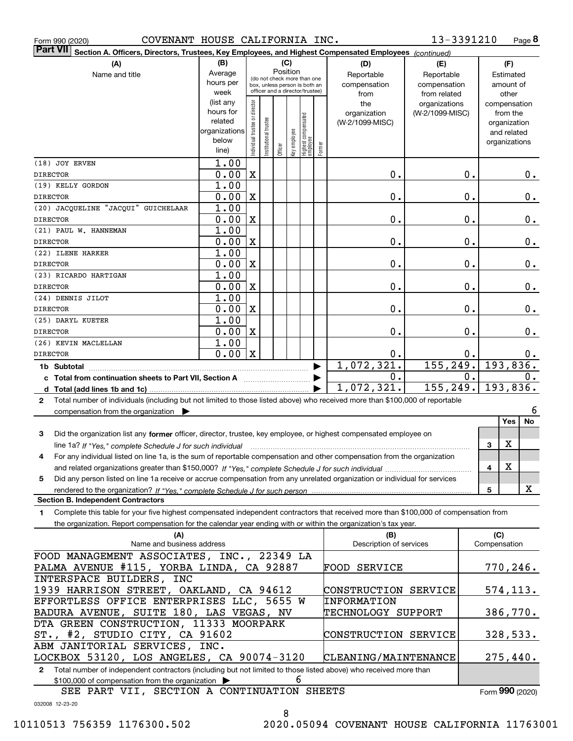|  | Form 990 (2020) |
|--|-----------------|
|  |                 |

Form 990 (2020) COVENANT HOUSE CALIFORNIA INC. 13-3391210 Page

**8** 13-3391210

| <b>Part VII</b><br>Section A. Officers, Directors, Trustees, Key Employees, and Highest Compensated Employees (continued)                    |                          |                               |                                                              |          |              |                                 |        |                                |                 |    |                              |               |
|----------------------------------------------------------------------------------------------------------------------------------------------|--------------------------|-------------------------------|--------------------------------------------------------------|----------|--------------|---------------------------------|--------|--------------------------------|-----------------|----|------------------------------|---------------|
| (A)                                                                                                                                          | (B)                      |                               |                                                              | (C)      |              |                                 |        | (D)                            | (E)             |    | (F)                          |               |
| Name and title                                                                                                                               | Average                  |                               |                                                              | Position |              |                                 |        | Reportable                     | Reportable      |    | Estimated                    |               |
|                                                                                                                                              | hours per                |                               | (do not check more than one<br>box, unless person is both an |          |              |                                 |        | compensation                   | compensation    |    | amount of                    |               |
|                                                                                                                                              | week                     |                               | officer and a director/trustee)                              |          |              |                                 |        | from                           | from related    |    | other                        |               |
|                                                                                                                                              | (list any                |                               |                                                              |          |              |                                 |        | the                            | organizations   |    | compensation                 |               |
|                                                                                                                                              | hours for                |                               |                                                              |          |              |                                 |        | organization                   | (W-2/1099-MISC) |    | from the                     |               |
|                                                                                                                                              | related<br>organizations |                               |                                                              |          |              |                                 |        | (W-2/1099-MISC)                |                 |    | organization                 |               |
|                                                                                                                                              | below                    |                               |                                                              |          |              |                                 |        |                                |                 |    | and related<br>organizations |               |
|                                                                                                                                              | line)                    | ndividual trustee or director | nstitutional trustee                                         | Officer  | Key employee | Highest compensated<br>employee | Former |                                |                 |    |                              |               |
| (18) JOY ERVEN                                                                                                                               | 1.00                     |                               |                                                              |          |              |                                 |        |                                |                 |    |                              |               |
| <b>DIRECTOR</b>                                                                                                                              | 0.00                     | $\mathbf X$                   |                                                              |          |              |                                 |        | 0.                             |                 | 0. |                              | $0$ .         |
| (19) KELLY GORDON                                                                                                                            | 1.00                     |                               |                                                              |          |              |                                 |        |                                |                 |    |                              |               |
| <b>DIRECTOR</b>                                                                                                                              | 0.00                     | $\mathbf X$                   |                                                              |          |              |                                 |        | 0.                             |                 | 0. |                              | 0.            |
| (20) JACQUELINE "JACQUI" GUICHELAAR                                                                                                          | 1.00                     |                               |                                                              |          |              |                                 |        |                                |                 |    |                              |               |
| <b>DIRECTOR</b>                                                                                                                              | 0.00                     | $\mathbf X$                   |                                                              |          |              |                                 |        | 0.                             |                 | 0. |                              | 0.            |
| (21) PAUL W. HANNEMAN                                                                                                                        | 1.00                     |                               |                                                              |          |              |                                 |        |                                |                 |    |                              |               |
| <b>DIRECTOR</b>                                                                                                                              | 0.00                     | $\mathbf X$                   |                                                              |          |              |                                 |        | 0.                             |                 | 0. |                              | 0.            |
| (22) ILENE HARKER                                                                                                                            | 1.00                     |                               |                                                              |          |              |                                 |        |                                |                 |    |                              |               |
| <b>DIRECTOR</b>                                                                                                                              | 0.00                     | $\mathbf X$                   |                                                              |          |              |                                 |        | 0.                             |                 | 0. |                              | $0$ .         |
| (23) RICARDO HARTIGAN                                                                                                                        | 1.00                     |                               |                                                              |          |              |                                 |        |                                |                 |    |                              |               |
| <b>DIRECTOR</b>                                                                                                                              | 0.00                     | $\mathbf X$                   |                                                              |          |              |                                 |        | 0.                             |                 | 0. |                              | $0$ .         |
| (24) DENNIS JILOT                                                                                                                            | 1.00                     |                               |                                                              |          |              |                                 |        |                                |                 |    |                              |               |
| <b>DIRECTOR</b>                                                                                                                              | 0.00                     | $\mathbf X$                   |                                                              |          |              |                                 |        | 0.                             |                 | 0. |                              | $\mathbf 0$ . |
| (25) DARYL KUETER                                                                                                                            | 1.00                     |                               |                                                              |          |              |                                 |        |                                |                 |    |                              |               |
| <b>DIRECTOR</b>                                                                                                                              | 0.00                     | $\mathbf X$                   |                                                              |          |              |                                 |        | 0.                             |                 | 0. |                              | $\mathbf 0$ . |
| (26) KEVIN MACLELLAN                                                                                                                         | 1.00                     |                               |                                                              |          |              |                                 |        |                                |                 |    |                              |               |
| <b>DIRECTOR</b>                                                                                                                              | 0.00                     | $\mathbf X$                   |                                                              |          |              |                                 |        | 0.                             |                 | 0. |                              | $0$ .         |
| 1b Subtotal                                                                                                                                  |                          |                               |                                                              |          |              |                                 | ▶      | 1,072,321.                     | 155, 249.       |    | 193,836.                     |               |
| c Total from continuation sheets to Part VII, Section A <b>manual</b> Testion Section 3                                                      |                          |                               |                                                              |          |              |                                 |        | 0.                             |                 | 0. |                              | 0.            |
|                                                                                                                                              |                          |                               |                                                              |          |              |                                 |        | 1,072,321.                     | 155, 249.       |    | 193,836.                     |               |
| Total number of individuals (including but not limited to those listed above) who received more than \$100,000 of reportable<br>$\mathbf{2}$ |                          |                               |                                                              |          |              |                                 |        |                                |                 |    |                              |               |
| compensation from the organization                                                                                                           |                          |                               |                                                              |          |              |                                 |        |                                |                 |    |                              | 6             |
|                                                                                                                                              |                          |                               |                                                              |          |              |                                 |        |                                |                 |    | <b>Yes</b>                   | No            |
| Did the organization list any former officer, director, trustee, key employee, or highest compensated employee on<br>3                       |                          |                               |                                                              |          |              |                                 |        |                                |                 |    |                              |               |
| line 1a? If "Yes," complete Schedule J for such individual                                                                                   |                          |                               |                                                              |          |              |                                 |        |                                |                 |    | X<br>3                       |               |
| For any individual listed on line 1a, is the sum of reportable compensation and other compensation from the organization<br>4                |                          |                               |                                                              |          |              |                                 |        |                                |                 |    |                              |               |
|                                                                                                                                              |                          |                               |                                                              |          |              |                                 |        |                                |                 |    | X<br>4                       |               |
| Did any person listed on line 1a receive or accrue compensation from any unrelated organization or individual for services<br>5              |                          |                               |                                                              |          |              |                                 |        |                                |                 |    |                              |               |
|                                                                                                                                              |                          |                               |                                                              |          |              |                                 |        |                                |                 |    | 5                            | x             |
| <b>Section B. Independent Contractors</b>                                                                                                    |                          |                               |                                                              |          |              |                                 |        |                                |                 |    |                              |               |
| Complete this table for your five highest compensated independent contractors that received more than \$100,000 of compensation from<br>1    |                          |                               |                                                              |          |              |                                 |        |                                |                 |    |                              |               |
| the organization. Report compensation for the calendar year ending with or within the organization's tax year.                               |                          |                               |                                                              |          |              |                                 |        |                                |                 |    |                              |               |
| (A)<br>Name and business address                                                                                                             |                          |                               |                                                              |          |              |                                 |        | (B)<br>Description of services |                 |    | (C)<br>Compensation          |               |
| FOOD MANAGEMENT ASSOCIATES, INC., 22349 LA                                                                                                   |                          |                               |                                                              |          |              |                                 |        |                                |                 |    |                              |               |
| PALMA AVENUE #115, YORBA LINDA, CA 92887                                                                                                     |                          |                               |                                                              |          |              |                                 |        | FOOD SERVICE                   |                 |    | 770,246.                     |               |
| INTERSPACE BUILDERS, INC                                                                                                                     |                          |                               |                                                              |          |              |                                 |        |                                |                 |    |                              |               |
| 1939 HARRISON STREET, OAKLAND, CA 94612                                                                                                      |                          |                               |                                                              |          |              |                                 |        | CONSTRUCTION SERVICE           |                 |    | 574, 113.                    |               |
| EFFORTLESS OFFICE ENTERPRISES LLC, 5655 W                                                                                                    |                          |                               |                                                              |          |              |                                 |        | <b>INFORMATION</b>             |                 |    |                              |               |
| BADURA AVENUE, SUITE 180, LAS VEGAS, NV                                                                                                      |                          |                               |                                                              |          |              |                                 |        | TECHNOLOGY SUPPORT             |                 |    | 386,770.                     |               |
| DTA GREEN CONSTRUCTION, 11333 MOORPARK                                                                                                       |                          |                               |                                                              |          |              |                                 |        |                                |                 |    |                              |               |
| ST., #2, STUDIO CITY, CA 91602                                                                                                               |                          |                               |                                                              |          |              |                                 |        | CONSTRUCTION SERVICE           |                 |    | 328,533.                     |               |
| ABM JANITORIAL SERVICES, INC.                                                                                                                |                          |                               |                                                              |          |              |                                 |        |                                |                 |    |                              |               |
| LOCKBOX 53120, LOS ANGELES, CA 90074-3120                                                                                                    |                          |                               |                                                              |          |              |                                 |        | CLEANING/MAINTENANCE           |                 |    | 275,440.                     |               |
| Total number of independent contractors (including but not limited to those listed above) who received more than<br>$\mathbf{2}$             |                          |                               |                                                              |          |              |                                 |        |                                |                 |    |                              |               |

\$100,000 of compensation from the organization | 6

SEE PART VII, SECTION A CONTINUATION SHEETS

Form (2020) **990**

032008 12-23-20

8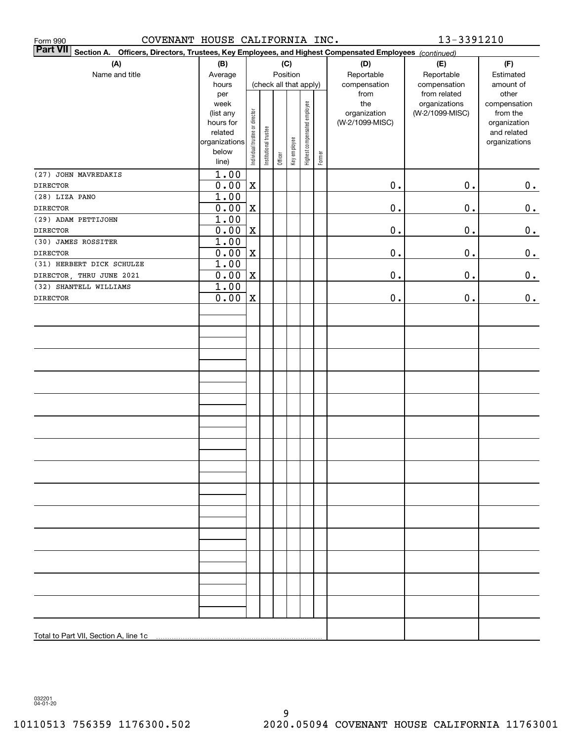| COVENANT HOUSE CALIFORNIA INC.<br>Form 990                                                                                |                                                                                              |                                |                       |         |                                        |                              |        |                                                                | 13-3391210                                                       |                                                                                                |
|---------------------------------------------------------------------------------------------------------------------------|----------------------------------------------------------------------------------------------|--------------------------------|-----------------------|---------|----------------------------------------|------------------------------|--------|----------------------------------------------------------------|------------------------------------------------------------------|------------------------------------------------------------------------------------------------|
| <b>Part VII</b><br>Section A. Officers, Directors, Trustees, Key Employees, and Highest Compensated Employees (continued) |                                                                                              |                                |                       |         |                                        |                              |        |                                                                |                                                                  |                                                                                                |
| (A)                                                                                                                       | (B)                                                                                          |                                |                       |         | (C)                                    |                              |        | (D)                                                            | (E)                                                              | (F)                                                                                            |
| Name and title                                                                                                            | Average                                                                                      |                                |                       |         | Position                               |                              |        | Reportable                                                     | Reportable                                                       | Estimated                                                                                      |
|                                                                                                                           | hours<br>per<br>week<br>(list any<br>hours for<br>related<br>organizations<br>below<br>line) | Individual trustee or director | Institutional trustee | Officer | (check all that apply)<br>Key employee | Highest compensated employee | Former | compensation<br>from<br>the<br>organization<br>(W-2/1099-MISC) | compensation<br>from related<br>organizations<br>(W-2/1099-MISC) | amount of<br>other<br>compensation<br>from the<br>organization<br>and related<br>organizations |
| (27) JOHN MAVREDAKIS                                                                                                      | 1.00                                                                                         |                                |                       |         |                                        |                              |        |                                                                |                                                                  |                                                                                                |
| <b>DIRECTOR</b>                                                                                                           | 0.00                                                                                         | $\mathbf X$                    |                       |         |                                        |                              |        | $\mathbf 0$ .                                                  | $\mathbf 0$ .                                                    | 0.                                                                                             |
| (28) LIZA PANO                                                                                                            | 1.00                                                                                         |                                |                       |         |                                        |                              |        |                                                                |                                                                  |                                                                                                |
| <b>DIRECTOR</b>                                                                                                           | 0.00                                                                                         | $\mathbf X$                    |                       |         |                                        |                              |        | $\mathbf 0$ .                                                  | 0.                                                               | $\mathbf 0$ .                                                                                  |
| (29) ADAM PETTIJOHN                                                                                                       | 1.00                                                                                         |                                |                       |         |                                        |                              |        |                                                                |                                                                  |                                                                                                |
| <b>DIRECTOR</b>                                                                                                           | 0.00                                                                                         | $\mathbf X$                    |                       |         |                                        |                              |        | $\mathbf 0$ .                                                  | 0.                                                               | $0_{.}$                                                                                        |
| (30) JAMES ROSSITER                                                                                                       | 1.00                                                                                         |                                |                       |         |                                        |                              |        |                                                                |                                                                  |                                                                                                |
| <b>DIRECTOR</b>                                                                                                           | 0.00                                                                                         | $\mathbf X$                    |                       |         |                                        |                              |        | $\mathbf 0$ .                                                  | 0.                                                               | $0_{.}$                                                                                        |
| (31) HERBERT DICK SCHULZE                                                                                                 | 1.00                                                                                         |                                |                       |         |                                        |                              |        |                                                                |                                                                  |                                                                                                |
| DIRECTOR, THRU JUNE 2021                                                                                                  | 0.00                                                                                         | $\mathbf X$                    |                       |         |                                        |                              |        | $\mathbf 0$ .                                                  | 0.                                                               | $\mathbf 0$ .                                                                                  |
| (32) SHANTELL WILLIAMS                                                                                                    | 1.00                                                                                         |                                |                       |         |                                        |                              |        |                                                                |                                                                  |                                                                                                |
| <b>DIRECTOR</b>                                                                                                           | 0.00                                                                                         | $\mathbf X$                    |                       |         |                                        |                              |        | $\mathbf 0$ .                                                  | 0.                                                               | 0.                                                                                             |
|                                                                                                                           |                                                                                              |                                |                       |         |                                        |                              |        |                                                                |                                                                  |                                                                                                |
|                                                                                                                           |                                                                                              |                                |                       |         |                                        |                              |        |                                                                |                                                                  |                                                                                                |
|                                                                                                                           |                                                                                              |                                |                       |         |                                        |                              |        |                                                                |                                                                  |                                                                                                |
|                                                                                                                           |                                                                                              |                                |                       |         |                                        |                              |        |                                                                |                                                                  |                                                                                                |
| Total to Part VII, Section A, line 1c                                                                                     |                                                                                              |                                |                       |         |                                        |                              |        |                                                                |                                                                  |                                                                                                |

032201 04-01-20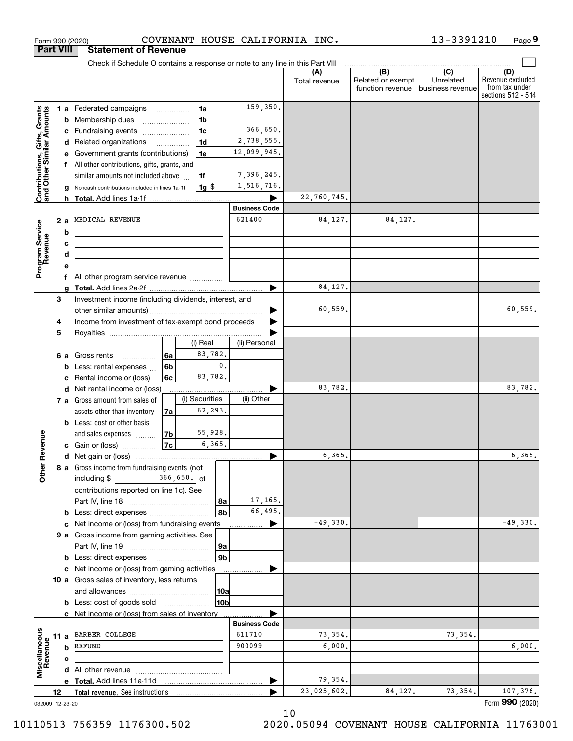|                                                           | <b>Part VIII</b> | <b>Statement of Revenue</b>                                                                                           |                            |                 |                                |                      |                                                           |                                                 |                                                                 |
|-----------------------------------------------------------|------------------|-----------------------------------------------------------------------------------------------------------------------|----------------------------|-----------------|--------------------------------|----------------------|-----------------------------------------------------------|-------------------------------------------------|-----------------------------------------------------------------|
|                                                           |                  | Check if Schedule O contains a response or note to any line in this Part VIII                                         |                            |                 |                                |                      |                                                           |                                                 |                                                                 |
|                                                           |                  |                                                                                                                       |                            |                 |                                | (A)<br>Total revenue | $\overline{(B)}$<br>Related or exempt<br>function revenue | $\overline{C}$<br>Unrelated<br>business revenue | (D)<br>Revenue excluded<br>from tax under<br>sections 512 - 514 |
|                                                           |                  | <b>1 a</b> Federated campaigns                                                                                        | .                          | 1a              | 159,350.                       |                      |                                                           |                                                 |                                                                 |
|                                                           | b                | Membership dues                                                                                                       |                            | 1 <sub>b</sub>  |                                |                      |                                                           |                                                 |                                                                 |
|                                                           | с                | Fundraising events                                                                                                    |                            | 1 <sub>c</sub>  | 366,650.                       |                      |                                                           |                                                 |                                                                 |
| Contributions, Gifts, Grants<br>and Other Similar Amounts | d                | Related organizations                                                                                                 | $\overline{\phantom{a}}$   | 1 <sub>d</sub>  | 2,738,555.                     |                      |                                                           |                                                 |                                                                 |
|                                                           | е                | Government grants (contributions)                                                                                     |                            | 1e              | 12,099,945.                    |                      |                                                           |                                                 |                                                                 |
|                                                           | f                | All other contributions, gifts, grants, and                                                                           |                            |                 |                                |                      |                                                           |                                                 |                                                                 |
|                                                           |                  | similar amounts not included above                                                                                    |                            | 1f              | 7,396,245.                     |                      |                                                           |                                                 |                                                                 |
|                                                           |                  | Noncash contributions included in lines 1a-1f                                                                         |                            | 1g              | 1,516,716.                     |                      |                                                           |                                                 |                                                                 |
|                                                           |                  |                                                                                                                       |                            |                 |                                | 22,760,745.          |                                                           |                                                 |                                                                 |
|                                                           |                  |                                                                                                                       |                            |                 | <b>Business Code</b><br>621400 |                      |                                                           |                                                 |                                                                 |
| Program Service<br>Revenue                                | 2a               | MEDICAL REVENUE                                                                                                       |                            |                 |                                | 84,127.              | 84,127.                                                   |                                                 |                                                                 |
|                                                           | b                |                                                                                                                       |                            |                 |                                |                      |                                                           |                                                 |                                                                 |
|                                                           | с<br>d           | <u> 1989 - Johann Stein, marwolaethau a bhann an t-Amhainn an t-Amhainn an t-Amhainn an t-Amhainn an t-Amhainn an</u> |                            |                 |                                |                      |                                                           |                                                 |                                                                 |
|                                                           | е                | the control of the control of the control of the control of the control of                                            |                            |                 |                                |                      |                                                           |                                                 |                                                                 |
|                                                           | f                | All other program service revenue                                                                                     |                            |                 |                                |                      |                                                           |                                                 |                                                                 |
|                                                           | a                |                                                                                                                       |                            |                 | ▶                              | 84,127.              |                                                           |                                                 |                                                                 |
|                                                           | 3                | Investment income (including dividends, interest, and                                                                 |                            |                 |                                |                      |                                                           |                                                 |                                                                 |
|                                                           |                  |                                                                                                                       |                            |                 |                                | 60,559.              |                                                           |                                                 | 60,559.                                                         |
|                                                           | 4                | Income from investment of tax-exempt bond proceeds                                                                    |                            |                 |                                |                      |                                                           |                                                 |                                                                 |
|                                                           | 5                |                                                                                                                       |                            |                 |                                |                      |                                                           |                                                 |                                                                 |
|                                                           |                  |                                                                                                                       |                            | (i) Real        | (ii) Personal                  |                      |                                                           |                                                 |                                                                 |
|                                                           | 6а               | Gross rents<br>.                                                                                                      | 6a                         | 83,782.         |                                |                      |                                                           |                                                 |                                                                 |
|                                                           | b                | Less: rental expenses                                                                                                 | 6 <sub>b</sub>             | $\mathfrak o$ . |                                |                      |                                                           |                                                 |                                                                 |
|                                                           | c                | Rental income or (loss)                                                                                               | 6c                         | 83,782.         |                                |                      |                                                           |                                                 |                                                                 |
|                                                           | d                | Net rental income or (loss)                                                                                           |                            |                 |                                | 83,782.              |                                                           |                                                 | 83,782.                                                         |
|                                                           |                  | 7 a Gross amount from sales of                                                                                        |                            | (i) Securities  | (ii) Other                     |                      |                                                           |                                                 |                                                                 |
|                                                           |                  | assets other than inventory                                                                                           | 7a                         | 62,293.         |                                |                      |                                                           |                                                 |                                                                 |
|                                                           |                  | <b>b</b> Less: cost or other basis                                                                                    |                            | 55,928.         |                                |                      |                                                           |                                                 |                                                                 |
| Revenue                                                   |                  | and sales expenses<br>c Gain or (loss)                                                                                | 7 <sub>b</sub>  <br>7c     | 6,365.          |                                |                      |                                                           |                                                 |                                                                 |
|                                                           |                  |                                                                                                                       |                            |                 |                                | 6,365.               |                                                           |                                                 | 6, 365.                                                         |
|                                                           |                  | 8 a Gross income from fundraising events (not                                                                         |                            |                 |                                |                      |                                                           |                                                 |                                                                 |
| <b>Other</b>                                              |                  | including $$$                                                                                                         | 366,650. of                |                 |                                |                      |                                                           |                                                 |                                                                 |
|                                                           |                  | contributions reported on line 1c). See                                                                               |                            |                 |                                |                      |                                                           |                                                 |                                                                 |
|                                                           |                  |                                                                                                                       |                            | 8a              | 17,165.                        |                      |                                                           |                                                 |                                                                 |
|                                                           |                  | <b>b</b> Less: direct expenses                                                                                        |                            | 8b              | 66,495.                        |                      |                                                           |                                                 |                                                                 |
|                                                           |                  | c Net income or (loss) from fundraising events                                                                        |                            |                 | ▶                              | $-49,330.$           |                                                           |                                                 | $-49,330.$                                                      |
|                                                           |                  | 9 a Gross income from gaming activities. See                                                                          |                            |                 |                                |                      |                                                           |                                                 |                                                                 |
|                                                           |                  |                                                                                                                       |                            | 9a              |                                |                      |                                                           |                                                 |                                                                 |
|                                                           |                  | <b>b</b> Less: direct expenses                                                                                        | <u> Albanian (</u> † 1930) | 9b              |                                |                      |                                                           |                                                 |                                                                 |
|                                                           |                  | c Net income or (loss) from gaming activities                                                                         |                            |                 |                                |                      |                                                           |                                                 |                                                                 |
|                                                           |                  | 10 a Gross sales of inventory, less returns                                                                           |                            |                 |                                |                      |                                                           |                                                 |                                                                 |
|                                                           |                  |                                                                                                                       |                            | 10a             |                                |                      |                                                           |                                                 |                                                                 |
|                                                           |                  | <b>b</b> Less: cost of goods sold                                                                                     |                            | 10b             |                                |                      |                                                           |                                                 |                                                                 |
|                                                           |                  | c Net income or (loss) from sales of inventory                                                                        |                            |                 |                                |                      |                                                           |                                                 |                                                                 |
|                                                           |                  | 11 a BARBER COLLEGE                                                                                                   |                            |                 | <b>Business Code</b><br>611710 | 73,354.              |                                                           | 73,354.                                         |                                                                 |
|                                                           |                  | <b>b</b> REFUND                                                                                                       |                            |                 | 900099                         | 6,000,               |                                                           |                                                 | 6,000.                                                          |
| Miscellaneous<br>Revenue                                  |                  |                                                                                                                       |                            |                 |                                |                      |                                                           |                                                 |                                                                 |
|                                                           | c                |                                                                                                                       |                            |                 |                                |                      |                                                           |                                                 |                                                                 |
|                                                           |                  |                                                                                                                       |                            |                 |                                | 79,354.              |                                                           |                                                 |                                                                 |
|                                                           | 12               | Total revenue. See instructions                                                                                       |                            |                 |                                | 23,025,602.          | 84,127.                                                   | 73,354.                                         | 107,376.                                                        |
|                                                           | 032009 12-23-20  |                                                                                                                       |                            |                 |                                |                      |                                                           |                                                 | Form 990 (2020)                                                 |

Form 990 (2020) COVENANT HOUSE CALIFORNIA INC. 13-3391210 Page

**9**

13-3391210

10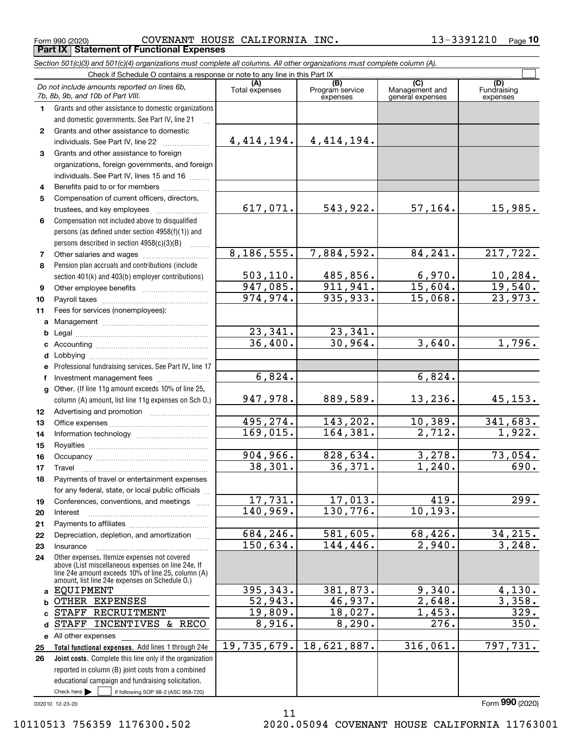Form 990 (2020) COVENANT HOUSE CALIFORNIA INC. 13-3391210 Page **Part IX Statement of Functional Expenses**

*Section 501(c)(3) and 501(c)(4) organizations must complete all columns. All other organizations must complete column (A).*

|              | Do not include amounts reported on lines 6b,<br>7b, 8b, 9b, and 10b of Part VIII.                                                                                                                          | (A)<br>Total expenses | (B)<br>Program service<br>expenses | (C)<br>Management and<br>general expenses | (D)<br>Fundraising<br>expenses |
|--------------|------------------------------------------------------------------------------------------------------------------------------------------------------------------------------------------------------------|-----------------------|------------------------------------|-------------------------------------------|--------------------------------|
| 1.           | Grants and other assistance to domestic organizations                                                                                                                                                      |                       |                                    |                                           |                                |
|              | and domestic governments. See Part IV, line 21                                                                                                                                                             |                       |                                    |                                           |                                |
| $\mathbf{2}$ | Grants and other assistance to domestic                                                                                                                                                                    |                       |                                    |                                           |                                |
|              | individuals. See Part IV, line 22                                                                                                                                                                          | 4, 414, 194.          | 4, 414, 194.                       |                                           |                                |
| 3            | Grants and other assistance to foreign                                                                                                                                                                     |                       |                                    |                                           |                                |
|              | organizations, foreign governments, and foreign                                                                                                                                                            |                       |                                    |                                           |                                |
|              | individuals. See Part IV, lines 15 and 16                                                                                                                                                                  |                       |                                    |                                           |                                |
| 4            | Benefits paid to or for members                                                                                                                                                                            |                       |                                    |                                           |                                |
| 5            | Compensation of current officers, directors,                                                                                                                                                               |                       |                                    |                                           |                                |
|              | trustees, and key employees                                                                                                                                                                                | 617,071.              | 543,922.                           | 57, 164.                                  | 15,985.                        |
| 6            | Compensation not included above to disqualified                                                                                                                                                            |                       |                                    |                                           |                                |
|              | persons (as defined under section 4958(f)(1)) and                                                                                                                                                          |                       |                                    |                                           |                                |
|              | persons described in section 4958(c)(3)(B)                                                                                                                                                                 |                       |                                    |                                           |                                |
| 7            | Other salaries and wages                                                                                                                                                                                   | 8, 186, 555.          | 7,884,592.                         | 84,241.                                   | 217,722.                       |
| 8            | Pension plan accruals and contributions (include                                                                                                                                                           |                       |                                    |                                           |                                |
|              | section 401(k) and 403(b) employer contributions)                                                                                                                                                          | 503, 110.             | 485,856.                           | 6,970.                                    | 10, 284.                       |
| 9            |                                                                                                                                                                                                            | 947,085.              | 911,941.                           | 15,604.                                   | 19,540.                        |
| 10           |                                                                                                                                                                                                            | 974,974.              | 935,933.                           | 15,068.                                   | 23,973.                        |
| 11           | Fees for services (nonemployees):                                                                                                                                                                          |                       |                                    |                                           |                                |
|              |                                                                                                                                                                                                            |                       |                                    |                                           |                                |
|              |                                                                                                                                                                                                            | 23,341.               | 23,341.                            |                                           |                                |
|              |                                                                                                                                                                                                            | 36,400.               | 30,964.                            | 3,640.                                    | $\overline{1,796}$ .           |
|              |                                                                                                                                                                                                            |                       |                                    |                                           |                                |
|              | e Professional fundraising services. See Part IV, line 17                                                                                                                                                  | 6,824.                |                                    | 6,824.                                    |                                |
| f            | Investment management fees                                                                                                                                                                                 |                       |                                    |                                           |                                |
|              | g Other. (If line 11g amount exceeds 10% of line 25,                                                                                                                                                       | 947,978.              | 889,589.                           | 13, 236.                                  |                                |
|              | column (A) amount, list line 11g expenses on Sch O.)                                                                                                                                                       |                       |                                    |                                           | 45, 153.                       |
| 12           |                                                                                                                                                                                                            | 495,274.              | 143,202.                           | 10,389.                                   | 341,683.                       |
| 13           |                                                                                                                                                                                                            | 169,015.              | 164,381.                           | 2,712.                                    | 1,922.                         |
| 14<br>15     |                                                                                                                                                                                                            |                       |                                    |                                           |                                |
| 16           |                                                                                                                                                                                                            | 904,966.              | 828,634.                           | 3,278.                                    | 73,054.                        |
| 17           |                                                                                                                                                                                                            | 38,301.               | 36,371.                            | 1,240.                                    | 690.                           |
| 18           | Payments of travel or entertainment expenses                                                                                                                                                               |                       |                                    |                                           |                                |
|              | for any federal, state, or local public officials                                                                                                                                                          |                       |                                    |                                           |                                |
| 19           | Conferences, conventions, and meetings                                                                                                                                                                     | 17,731.               | 17,013.                            | 419.                                      | $\overline{299}$ .             |
| 20           | Interest                                                                                                                                                                                                   | 140,969.              | 130,776.                           | 10, 193.                                  |                                |
| 21           |                                                                                                                                                                                                            |                       |                                    |                                           |                                |
| 22           | Depreciation, depletion, and amortization                                                                                                                                                                  | 684, 246.             | 581,605.                           | 68,426.                                   | 34,215.                        |
| 23           | Insurance                                                                                                                                                                                                  | 150,634.              | 144,446.                           | 2,940.                                    | 3,248.                         |
| 24           | Other expenses. Itemize expenses not covered<br>above (List miscellaneous expenses on line 24e. If<br>line 24e amount exceeds 10% of line 25, column (A)<br>amount, list line 24e expenses on Schedule 0.) |                       |                                    |                                           |                                |
|              | a EQUIPMENT                                                                                                                                                                                                | 395,343.              | 381,873.                           | 9,340.                                    | 4,130.                         |
| b            | OTHER EXPENSES                                                                                                                                                                                             | 52,943.               | 46,937.                            | 2,648.                                    | 3,358.                         |
| c            | <b>STAFF</b><br>RECRUITMENT                                                                                                                                                                                | 19,809.               | 18,027.                            | 1,453.                                    | 329.                           |
| d            | <b>STAFF</b><br>INCENTIVES & RECO                                                                                                                                                                          | 8,916.                | 8,290.                             | 276.                                      | 350.                           |
|              | e All other expenses                                                                                                                                                                                       |                       |                                    |                                           |                                |
| 25           | Total functional expenses. Add lines 1 through 24e                                                                                                                                                         | 19,735,679.           | 18,621,887.                        | 316,061.                                  | 797,731.                       |
| 26           | Joint costs. Complete this line only if the organization                                                                                                                                                   |                       |                                    |                                           |                                |
|              | reported in column (B) joint costs from a combined                                                                                                                                                         |                       |                                    |                                           |                                |
|              | educational campaign and fundraising solicitation.                                                                                                                                                         |                       |                                    |                                           |                                |
|              | Check here $\blacktriangleright$<br>if following SOP 98-2 (ASC 958-720)                                                                                                                                    |                       |                                    |                                           |                                |

11

032010 12-23-20

Form (2020) **990**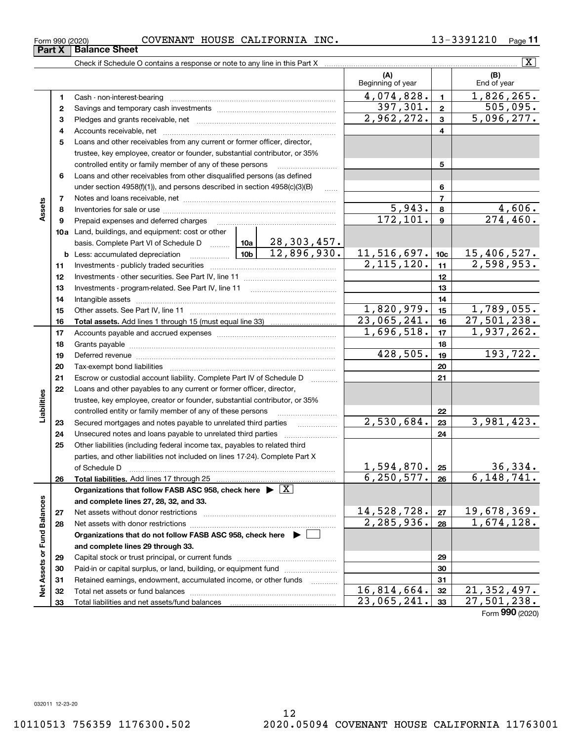| Form 990 (2020) | <b>COVENANT</b> | INC.<br>HOUSE CALIFORNIA | ີ ? 1 0<br>3391<br>∸⊿ → ' | Page |
|-----------------|-----------------|--------------------------|---------------------------|------|
|                 |                 |                          |                           |      |

**(A) (B) 1**Cash - non-interest-bearing ~~~~~~~~~~~~~~~~~~~~~~~~~ **3** Pledges and grants receivable, net  $\ldots$  **multimes contained and grants receivable**, net **multimes contained and grants receivable**, net **multimes contained and grants receivable 4**Accounts receivable, net ~~~~~~~~~~~~~~~~~~~~~~~~~~ **5**Loans and other receivables from any current or former officer, director, **6**Loans and other receivables from other disqualified persons (as defined **10a**Land, buildings, and equipment: cost or other **11**Investments - publicly traded securities ~~~~~~~~~~~~~~~~~~~**12** Investments - other securities. See Part IV, line 11 ~~~~~~~~~~~~~~ **13** Investments - program-related. See Part IV, line 11 \_\_\_\_\_\_\_\_\_\_\_\_\_\_\_\_\_\_\_\_\_\_\_\_ **12345678910c11121314151617181920b** Less: accumulated depreciation \_\_\_\_\_\_\_\_\_\_\_\_\_\_\_ Lub basis. Complete Part VI of Schedule D will aller Check if Schedule O contains a response or note to any line in this Part X Beginning of year | | End of year Savings and temporary cash investments ~~~~~~~~~~~~~~~~~~trustee, key employee, creator or founder, substantial contributor, or 35% controlled entity or family member of any of these persons ~~~~~~~~~ under section 4958(f)(1)), and persons described in section 4958(c)(3)(B) Notes and loans receivable, net ~~~~~~~~~~~~~~~~~~~~~~~ Inventories for sale or use ~~~~~~~~~~~~~~~~~~~~~~~~~~Prepaid expenses and deferred charges Intangible assets …………………………………………………………………………………… Add lines 1 through 15 (must equal line 33) .............................. **Part X** | Balance Sheet  $\boxed{\text{X}}$  $4,074,828.$  1, 1,826,265.  $2,962,272.$   $3 \mid 5,096,277.$  $5,943. | 8 | 4,606.$  $172, 101.$  9  $274, 460.$  $2,115,120.$  11  $\vert$  2,598,953. 28,303,457.  $12,896,930.$  11,516,697. 10c 15,406,527. 1,820,979.| <sub>15</sub> | 1,789,055. 23,065,241.|<sub>16</sub>| 27,501,238.  $397,301. | z | 505,095.$ 1,696,518. 1,937,262. 428,505. 193,722.

|                             | 15 |                                                                                            | 1,820,979.   | 15 | 1,789,055.                 |
|-----------------------------|----|--------------------------------------------------------------------------------------------|--------------|----|----------------------------|
|                             | 16 |                                                                                            | 23,065,241.  | 16 | 27,501,238.                |
|                             | 17 |                                                                                            | 1,696,518.   | 17 | 1,937,262.                 |
|                             | 18 |                                                                                            |              | 18 |                            |
|                             | 19 | Deferred revenue                                                                           | 428,505.     | 19 | 193,722.                   |
|                             | 20 |                                                                                            |              | 20 |                            |
|                             | 21 | Escrow or custodial account liability. Complete Part IV of Schedule D                      |              | 21 |                            |
|                             | 22 | Loans and other payables to any current or former officer, director,                       |              |    |                            |
|                             |    | trustee, key employee, creator or founder, substantial contributor, or 35%                 |              |    |                            |
| Liabilities                 |    | controlled entity or family member of any of these persons                                 |              | 22 |                            |
|                             | 23 | Secured mortgages and notes payable to unrelated third parties                             | 2,530,684.   | 23 | 3,981,423.                 |
|                             | 24 | Unsecured notes and loans payable to unrelated third parties                               |              | 24 |                            |
|                             | 25 | Other liabilities (including federal income tax, payables to related third                 |              |    |                            |
|                             |    | parties, and other liabilities not included on lines 17-24). Complete Part X               |              |    |                            |
|                             |    | of Schedule D                                                                              | 1,594,870.   | 25 | $\frac{36,334}{6,148,741}$ |
|                             | 26 |                                                                                            | 6, 250, 577. | 26 |                            |
|                             |    | Organizations that follow FASB ASC 958, check here $\blacktriangleright \lfloor X \rfloor$ |              |    |                            |
|                             |    | and complete lines 27, 28, 32, and 33.                                                     |              |    |                            |
|                             | 27 |                                                                                            | 14,528,728.  | 27 | 19,678,369.                |
|                             | 28 |                                                                                            | 2, 285, 936. | 28 | 1,674,128.                 |
|                             |    | Organizations that do not follow FASB ASC 958, check here ▶ │                              |              |    |                            |
|                             |    | and complete lines 29 through 33.                                                          |              |    |                            |
|                             | 29 |                                                                                            |              | 29 |                            |
|                             | 30 | Paid-in or capital surplus, or land, building, or equipment fund                           |              | 30 |                            |
|                             | 31 | Retained earnings, endowment, accumulated income, or other funds                           |              | 31 |                            |
| Net Assets or Fund Balances | 32 |                                                                                            | 16,814,664.  | 32 | $\overline{21, 352, 497.}$ |
|                             | 33 |                                                                                            | 23,065,241.  | 33 | 27,501,238.                |
|                             |    |                                                                                            |              |    | Form 990 (2020)            |

**2**

**789**

**Assets**

**14**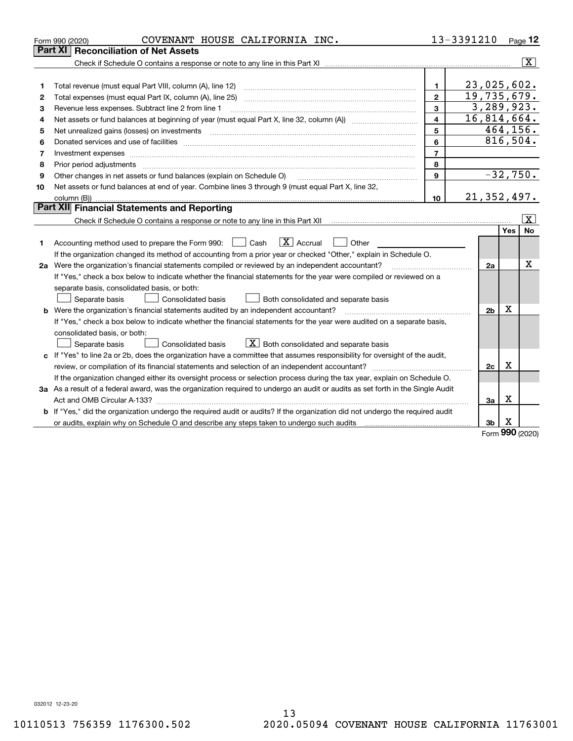|    | COVENANT HOUSE CALIFORNIA INC.<br>Form 990 (2020)                                                                               |                         | 13-3391210     |            | Page 12                 |
|----|---------------------------------------------------------------------------------------------------------------------------------|-------------------------|----------------|------------|-------------------------|
|    | Part XI<br><b>Reconciliation of Net Assets</b>                                                                                  |                         |                |            |                         |
|    |                                                                                                                                 |                         |                |            | $\overline{\mathbf{X}}$ |
|    |                                                                                                                                 |                         |                |            |                         |
| 1  |                                                                                                                                 | $\mathbf{1}$            | 23,025,602.    |            |                         |
| 2  |                                                                                                                                 | $\overline{2}$          | 19,735,679.    |            |                         |
| 3  | Revenue less expenses. Subtract line 2 from line 1                                                                              | 3                       | 3, 289, 923.   |            |                         |
| 4  |                                                                                                                                 | $\overline{\mathbf{4}}$ | 16,814,664.    |            |                         |
| 5  |                                                                                                                                 | 5                       |                | 464,156.   |                         |
| 6  |                                                                                                                                 | 6                       | 816,504.       |            |                         |
| 7  |                                                                                                                                 | $\overline{7}$          |                |            |                         |
| 8  | Prior period adjustments                                                                                                        | 8                       |                |            |                         |
| 9  | Other changes in net assets or fund balances (explain on Schedule O)                                                            | $\mathbf{9}$            |                | $-32,750.$ |                         |
| 10 | Net assets or fund balances at end of year. Combine lines 3 through 9 (must equal Part X, line 32,                              |                         |                |            |                         |
|    |                                                                                                                                 | 10 <sup>10</sup>        | 21, 352, 497.  |            |                         |
|    | <b>Part XII</b> Financial Statements and Reporting                                                                              |                         |                |            |                         |
|    |                                                                                                                                 |                         |                |            | $\mathbf{X}$            |
|    |                                                                                                                                 |                         |                | Yes        | <b>No</b>               |
| 1. | $\boxed{\mathbf{X}}$ Accrual<br>Accounting method used to prepare the Form 990: <u>[</u> Cash<br>Other                          |                         |                |            |                         |
|    | If the organization changed its method of accounting from a prior year or checked "Other," explain in Schedule O.               |                         |                |            |                         |
|    | 2a Were the organization's financial statements compiled or reviewed by an independent accountant?                              |                         | 2a             |            | Χ                       |
|    | If "Yes," check a box below to indicate whether the financial statements for the year were compiled or reviewed on a            |                         |                |            |                         |
|    | separate basis, consolidated basis, or both:                                                                                    |                         |                |            |                         |
|    | Separate basis<br>Consolidated basis<br>Both consolidated and separate basis                                                    |                         |                |            |                         |
|    | <b>b</b> Were the organization's financial statements audited by an independent accountant?                                     |                         | 2 <sub>b</sub> | X          |                         |
|    | If "Yes," check a box below to indicate whether the financial statements for the year were audited on a separate basis,         |                         |                |            |                         |
|    | consolidated basis, or both:                                                                                                    |                         |                |            |                         |
|    | $X$ Both consolidated and separate basis<br>Separate basis<br><b>Consolidated basis</b>                                         |                         |                |            |                         |
|    | c If "Yes" to line 2a or 2b, does the organization have a committee that assumes responsibility for oversight of the audit,     |                         |                |            |                         |
|    |                                                                                                                                 |                         | 2c             | X          |                         |
|    | If the organization changed either its oversight process or selection process during the tax year, explain on Schedule O.       |                         |                |            |                         |
|    | 3a As a result of a federal award, was the organization required to undergo an audit or audits as set forth in the Single Audit |                         |                |            |                         |
|    |                                                                                                                                 |                         | За             | X          |                         |
|    | b If "Yes," did the organization undergo the required audit or audits? If the organization did not undergo the required audit   |                         |                |            |                         |
|    | or audits, explain why on Schedule O and describe any steps taken to undergo such audits manufactured university                |                         | 3b             | х<br>nnn   |                         |

Form (2020) **990**

032012 12-23-20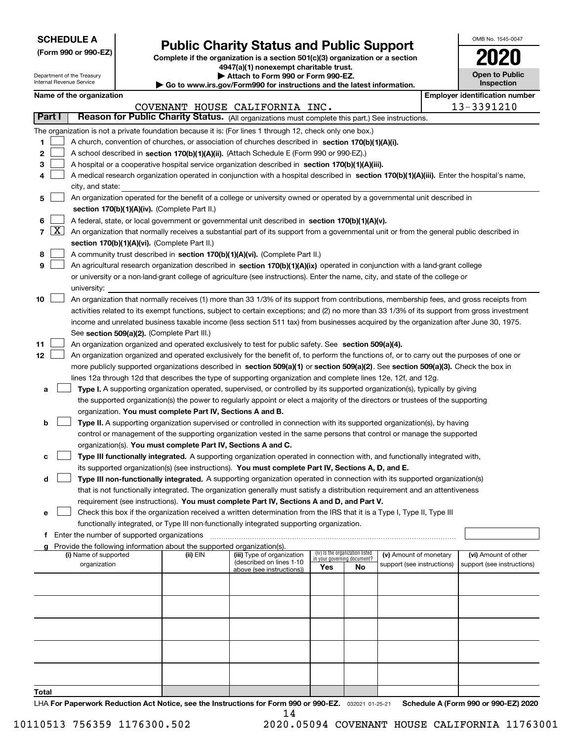| <b>SCHEDULE A</b> |
|-------------------|
|-------------------|

Department of the Treasury Internal Revenue Service

**Total**

| (Form 990 or 990-EZ) |  |  |  |  |
|----------------------|--|--|--|--|
|----------------------|--|--|--|--|

## **Public Charity Status and Public Support**

**Complete if the organization is a section 501(c)(3) organization or a section 4947(a)(1) nonexempt charitable trust.**

| Attach to Form 990 or Form 990-EZ.                            |
|---------------------------------------------------------------|
| uuw ire aay/Earm000 for instructions and the latest informati |

**| Go to www.irs.gov/Form990 for instructions and the latest information.**

| OMB No. 1545-0047                   |
|-------------------------------------|
| 2020                                |
| <b>Open to Public</b><br>Inspection |

**Name of the organization Employer identification number**

|                                                            |  | Name of the organization                       |  |  |  |
|------------------------------------------------------------|--|------------------------------------------------|--|--|--|
|                                                            |  | COVENANT HOUS                                  |  |  |  |
|                                                            |  | <b>Part I</b> Reason for Public Charity Status |  |  |  |
| The organization is not a private foundation because it is |  |                                                |  |  |  |

|                          |                                                                                                                         |                                                                                                                                                                                                                                                                                          |          | COVENANT HOUSE CALIFORNIA INC. |                                    |    |                            |  | 13-3391210                 |
|--------------------------|-------------------------------------------------------------------------------------------------------------------------|------------------------------------------------------------------------------------------------------------------------------------------------------------------------------------------------------------------------------------------------------------------------------------------|----------|--------------------------------|------------------------------------|----|----------------------------|--|----------------------------|
| Part I                   |                                                                                                                         | Reason for Public Charity Status. (All organizations must complete this part.) See instructions.                                                                                                                                                                                         |          |                                |                                    |    |                            |  |                            |
|                          |                                                                                                                         | The organization is not a private foundation because it is: (For lines 1 through 12, check only one box.)                                                                                                                                                                                |          |                                |                                    |    |                            |  |                            |
| 1                        | A church, convention of churches, or association of churches described in section 170(b)(1)(A)(i).                      |                                                                                                                                                                                                                                                                                          |          |                                |                                    |    |                            |  |                            |
| 2                        |                                                                                                                         | A school described in <b>section 170(b)(1)(A)(ii).</b> (Attach Schedule E (Form 990 or 990-EZ).)                                                                                                                                                                                         |          |                                |                                    |    |                            |  |                            |
| 3                        |                                                                                                                         | A hospital or a cooperative hospital service organization described in section $170(b)(1)(A)(iii)$ .                                                                                                                                                                                     |          |                                |                                    |    |                            |  |                            |
|                          |                                                                                                                         | A medical research organization operated in conjunction with a hospital described in section 170(b)(1)(A)(iii). Enter the hospital's name,                                                                                                                                               |          |                                |                                    |    |                            |  |                            |
|                          |                                                                                                                         | city, and state:                                                                                                                                                                                                                                                                         |          |                                |                                    |    |                            |  |                            |
| 5                        |                                                                                                                         | An organization operated for the benefit of a college or university owned or operated by a governmental unit described in                                                                                                                                                                |          |                                |                                    |    |                            |  |                            |
|                          |                                                                                                                         | section 170(b)(1)(A)(iv). (Complete Part II.)                                                                                                                                                                                                                                            |          |                                |                                    |    |                            |  |                            |
| 6                        |                                                                                                                         | A federal, state, or local government or governmental unit described in section 170(b)(1)(A)(v).                                                                                                                                                                                         |          |                                |                                    |    |                            |  |                            |
| $\lfloor x \rfloor$<br>7 |                                                                                                                         | An organization that normally receives a substantial part of its support from a governmental unit or from the general public described in                                                                                                                                                |          |                                |                                    |    |                            |  |                            |
|                          |                                                                                                                         | section 170(b)(1)(A)(vi). (Complete Part II.)                                                                                                                                                                                                                                            |          |                                |                                    |    |                            |  |                            |
| 8                        |                                                                                                                         | A community trust described in section 170(b)(1)(A)(vi). (Complete Part II.)                                                                                                                                                                                                             |          |                                |                                    |    |                            |  |                            |
| 9                        |                                                                                                                         | An agricultural research organization described in section $170(b)(1)(A)(ix)$ operated in conjunction with a land-grant college                                                                                                                                                          |          |                                |                                    |    |                            |  |                            |
|                          |                                                                                                                         | or university or a non-land-grant college of agriculture (see instructions). Enter the name, city, and state of the college or                                                                                                                                                           |          |                                |                                    |    |                            |  |                            |
|                          |                                                                                                                         | university:                                                                                                                                                                                                                                                                              |          |                                |                                    |    |                            |  |                            |
| 10                       |                                                                                                                         | An organization that normally receives (1) more than 33 1/3% of its support from contributions, membership fees, and gross receipts from<br>activities related to its exempt functions, subject to certain exceptions; and (2) no more than 33 1/3% of its support from gross investment |          |                                |                                    |    |                            |  |                            |
|                          |                                                                                                                         | income and unrelated business taxable income (less section 511 tax) from businesses acquired by the organization after June 30, 1975.                                                                                                                                                    |          |                                |                                    |    |                            |  |                            |
|                          |                                                                                                                         | See section 509(a)(2). (Complete Part III.)                                                                                                                                                                                                                                              |          |                                |                                    |    |                            |  |                            |
| 11                       |                                                                                                                         | An organization organized and operated exclusively to test for public safety. See section 509(a)(4).                                                                                                                                                                                     |          |                                |                                    |    |                            |  |                            |
| 12                       |                                                                                                                         | An organization organized and operated exclusively for the benefit of, to perform the functions of, or to carry out the purposes of one or                                                                                                                                               |          |                                |                                    |    |                            |  |                            |
|                          |                                                                                                                         | more publicly supported organizations described in section 509(a)(1) or section 509(a)(2). See section 509(a)(3). Check the box in                                                                                                                                                       |          |                                |                                    |    |                            |  |                            |
|                          |                                                                                                                         | lines 12a through 12d that describes the type of supporting organization and complete lines 12e, 12f, and 12g.                                                                                                                                                                           |          |                                |                                    |    |                            |  |                            |
| a                        |                                                                                                                         | Type I. A supporting organization operated, supervised, or controlled by its supported organization(s), typically by giving                                                                                                                                                              |          |                                |                                    |    |                            |  |                            |
|                          |                                                                                                                         | the supported organization(s) the power to regularly appoint or elect a majority of the directors or trustees of the supporting                                                                                                                                                          |          |                                |                                    |    |                            |  |                            |
|                          |                                                                                                                         | organization. You must complete Part IV, Sections A and B.                                                                                                                                                                                                                               |          |                                |                                    |    |                            |  |                            |
| b                        |                                                                                                                         | Type II. A supporting organization supervised or controlled in connection with its supported organization(s), by having                                                                                                                                                                  |          |                                |                                    |    |                            |  |                            |
|                          |                                                                                                                         | control or management of the supporting organization vested in the same persons that control or manage the supported                                                                                                                                                                     |          |                                |                                    |    |                            |  |                            |
|                          |                                                                                                                         | organization(s). You must complete Part IV, Sections A and C.                                                                                                                                                                                                                            |          |                                |                                    |    |                            |  |                            |
|                          |                                                                                                                         | Type III functionally integrated. A supporting organization operated in connection with, and functionally integrated with,                                                                                                                                                               |          |                                |                                    |    |                            |  |                            |
|                          |                                                                                                                         | its supported organization(s) (see instructions). You must complete Part IV, Sections A, D, and E.                                                                                                                                                                                       |          |                                |                                    |    |                            |  |                            |
| d                        |                                                                                                                         | Type III non-functionally integrated. A supporting organization operated in connection with its supported organization(s)                                                                                                                                                                |          |                                |                                    |    |                            |  |                            |
|                          |                                                                                                                         | that is not functionally integrated. The organization generally must satisfy a distribution requirement and an attentiveness                                                                                                                                                             |          |                                |                                    |    |                            |  |                            |
|                          |                                                                                                                         | requirement (see instructions). You must complete Part IV, Sections A and D, and Part V.                                                                                                                                                                                                 |          |                                |                                    |    |                            |  |                            |
| е                        | Check this box if the organization received a written determination from the IRS that it is a Type I, Type II, Type III |                                                                                                                                                                                                                                                                                          |          |                                |                                    |    |                            |  |                            |
|                          |                                                                                                                         | functionally integrated, or Type III non-functionally integrated supporting organization.                                                                                                                                                                                                |          |                                |                                    |    |                            |  |                            |
|                          |                                                                                                                         | Enter the number of supported organizations                                                                                                                                                                                                                                              |          |                                |                                    |    |                            |  |                            |
|                          |                                                                                                                         | Provide the following information about the supported organization(s).<br>(i) Name of supported                                                                                                                                                                                          | (ii) EIN | (iii) Type of organization     | (iv) Is the organization listed    |    | (v) Amount of monetary     |  | (vi) Amount of other       |
|                          |                                                                                                                         | organization                                                                                                                                                                                                                                                                             |          | (described on lines 1-10)      | in your governing document?<br>Yes | No | support (see instructions) |  | support (see instructions) |
|                          |                                                                                                                         |                                                                                                                                                                                                                                                                                          |          | above (see instructions))      |                                    |    |                            |  |                            |
|                          |                                                                                                                         |                                                                                                                                                                                                                                                                                          |          |                                |                                    |    |                            |  |                            |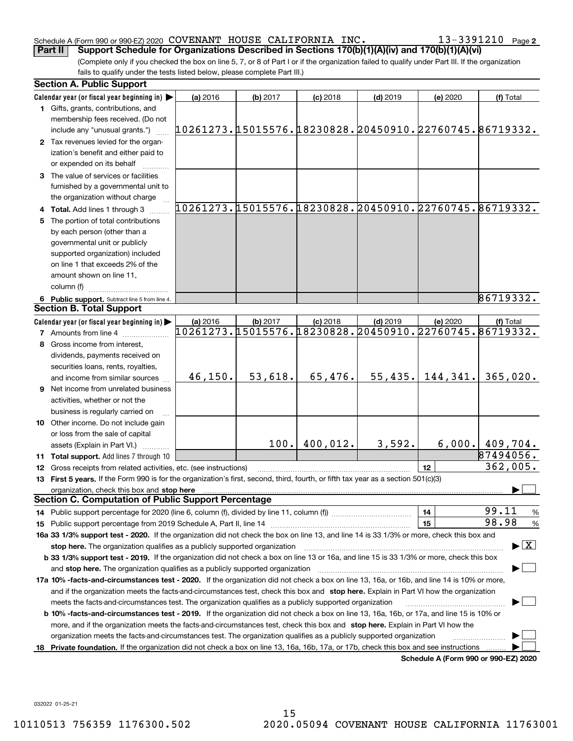#### Schedule A (Form 990 or 990-EZ) 2020 Page COVENANT HOUSE CALIFORNIA INC. 13-3391210

13-3391210 Page 2

(Complete only if you checked the box on line 5, 7, or 8 of Part I or if the organization failed to qualify under Part III. If the organization fails to qualify under the tests listed below, please complete Part III.) **Part II** Support Schedule for Organizations Described in Sections 170(b)(1)(A)(iv) and 170(b)(1)(A)(vi)

|    | <b>Section A. Public Support</b>                                                                                                               |                                                        |          |            |                                                        |                                      |                                         |
|----|------------------------------------------------------------------------------------------------------------------------------------------------|--------------------------------------------------------|----------|------------|--------------------------------------------------------|--------------------------------------|-----------------------------------------|
|    | Calendar year (or fiscal year beginning in)                                                                                                    | (a) 2016                                               | (b) 2017 | $(c)$ 2018 | $(d)$ 2019                                             | (e) 2020                             | (f) Total                               |
|    | 1 Gifts, grants, contributions, and                                                                                                            |                                                        |          |            |                                                        |                                      |                                         |
|    | membership fees received. (Do not                                                                                                              |                                                        |          |            |                                                        |                                      |                                         |
|    | include any "unusual grants.")                                                                                                                 | 10261273.15015576.18230828.20450910.22760745.86719332. |          |            |                                                        |                                      |                                         |
|    | 2 Tax revenues levied for the organ-                                                                                                           |                                                        |          |            |                                                        |                                      |                                         |
|    | ization's benefit and either paid to                                                                                                           |                                                        |          |            |                                                        |                                      |                                         |
|    | or expended on its behalf                                                                                                                      |                                                        |          |            |                                                        |                                      |                                         |
|    | 3 The value of services or facilities                                                                                                          |                                                        |          |            |                                                        |                                      |                                         |
|    | furnished by a governmental unit to                                                                                                            |                                                        |          |            |                                                        |                                      |                                         |
|    | the organization without charge                                                                                                                |                                                        |          |            |                                                        |                                      |                                         |
|    | 4 Total. Add lines 1 through 3                                                                                                                 | 10261273.15015576.18230828.20450910.22760745.86719332. |          |            |                                                        |                                      |                                         |
|    | 5 The portion of total contributions                                                                                                           |                                                        |          |            |                                                        |                                      |                                         |
|    | by each person (other than a                                                                                                                   |                                                        |          |            |                                                        |                                      |                                         |
|    | governmental unit or publicly                                                                                                                  |                                                        |          |            |                                                        |                                      |                                         |
|    | supported organization) included                                                                                                               |                                                        |          |            |                                                        |                                      |                                         |
|    | on line 1 that exceeds 2% of the                                                                                                               |                                                        |          |            |                                                        |                                      |                                         |
|    | amount shown on line 11,                                                                                                                       |                                                        |          |            |                                                        |                                      |                                         |
|    | column (f)                                                                                                                                     |                                                        |          |            |                                                        |                                      |                                         |
|    | 6 Public support. Subtract line 5 from line 4.                                                                                                 |                                                        |          |            |                                                        |                                      | 86719332.                               |
|    | <b>Section B. Total Support</b>                                                                                                                |                                                        |          |            |                                                        |                                      |                                         |
|    | Calendar year (or fiscal year beginning in)                                                                                                    | (a) 2016                                               | (b) 2017 | $(c)$ 2018 | $(d)$ 2019                                             | (e) 2020                             | (f) Total                               |
|    | <b>7</b> Amounts from line 4                                                                                                                   |                                                        |          |            | 10261273.15015576.18230828.20450910.22760745.86719332. |                                      |                                         |
|    | 8 Gross income from interest,                                                                                                                  |                                                        |          |            |                                                        |                                      |                                         |
|    | dividends, payments received on                                                                                                                |                                                        |          |            |                                                        |                                      |                                         |
|    | securities loans, rents, royalties,                                                                                                            |                                                        |          |            |                                                        |                                      |                                         |
|    | and income from similar sources                                                                                                                | 46, 150.                                               | 53,618.  | 65,476.    | 55,435.                                                | 144,341.                             | 365,020.                                |
|    | 9 Net income from unrelated business                                                                                                           |                                                        |          |            |                                                        |                                      |                                         |
|    | activities, whether or not the                                                                                                                 |                                                        |          |            |                                                        |                                      |                                         |
|    | business is regularly carried on                                                                                                               |                                                        |          |            |                                                        |                                      |                                         |
|    | 10 Other income. Do not include gain                                                                                                           |                                                        |          |            |                                                        |                                      |                                         |
|    | or loss from the sale of capital                                                                                                               |                                                        |          |            |                                                        |                                      |                                         |
|    | assets (Explain in Part VI.) <b>Constant</b>                                                                                                   |                                                        | 100.     | 400,012.   | 3,592.                                                 |                                      | $6,000.$ 409,704.                       |
|    | 11 Total support. Add lines 7 through 10                                                                                                       |                                                        |          |            |                                                        |                                      | 87494056.                               |
|    | 12 Gross receipts from related activities, etc. (see instructions)                                                                             |                                                        |          |            |                                                        | 12                                   | 362,005.                                |
|    | 13 First 5 years. If the Form 990 is for the organization's first, second, third, fourth, or fifth tax year as a section 501(c)(3)             |                                                        |          |            |                                                        |                                      |                                         |
|    | organization, check this box and stop here                                                                                                     |                                                        |          |            |                                                        |                                      |                                         |
|    | <b>Section C. Computation of Public Support Percentage</b>                                                                                     |                                                        |          |            |                                                        |                                      |                                         |
|    |                                                                                                                                                |                                                        |          |            |                                                        | 14                                   | 99.11<br>$\frac{9}{6}$                  |
|    |                                                                                                                                                |                                                        |          |            |                                                        | 15                                   | 98.98<br>%                              |
|    | 16a 33 1/3% support test - 2020. If the organization did not check the box on line 13, and line 14 is 33 1/3% or more, check this box and      |                                                        |          |            |                                                        |                                      |                                         |
|    | stop here. The organization qualifies as a publicly supported organization                                                                     |                                                        |          |            |                                                        |                                      | $\blacktriangleright$ $\vert$ X $\vert$ |
|    | b 33 1/3% support test - 2019. If the organization did not check a box on line 13 or 16a, and line 15 is 33 1/3% or more, check this box       |                                                        |          |            |                                                        |                                      |                                         |
|    | and stop here. The organization qualifies as a publicly supported organization                                                                 |                                                        |          |            |                                                        |                                      |                                         |
|    | 17a 10% -facts-and-circumstances test - 2020. If the organization did not check a box on line 13, 16a, or 16b, and line 14 is 10% or more,     |                                                        |          |            |                                                        |                                      |                                         |
|    | and if the organization meets the facts-and-circumstances test, check this box and stop here. Explain in Part VI how the organization          |                                                        |          |            |                                                        |                                      |                                         |
|    | meets the facts-and-circumstances test. The organization qualifies as a publicly supported organization                                        |                                                        |          |            |                                                        |                                      |                                         |
|    | <b>b 10% -facts-and-circumstances test - 2019.</b> If the organization did not check a box on line 13, 16a, 16b, or 17a, and line 15 is 10% or |                                                        |          |            |                                                        |                                      |                                         |
|    | more, and if the organization meets the facts-and-circumstances test, check this box and stop here. Explain in Part VI how the                 |                                                        |          |            |                                                        |                                      |                                         |
|    | organization meets the facts-and-circumstances test. The organization qualifies as a publicly supported organization                           |                                                        |          |            |                                                        |                                      |                                         |
| 18 | Private foundation. If the organization did not check a box on line 13, 16a, 16b, 17a, or 17b, check this box and see instructions             |                                                        |          |            |                                                        | Schedule A (Form 990 or 990-F7) 2020 |                                         |

**Schedule A (Form 990 or 990-EZ) 2020**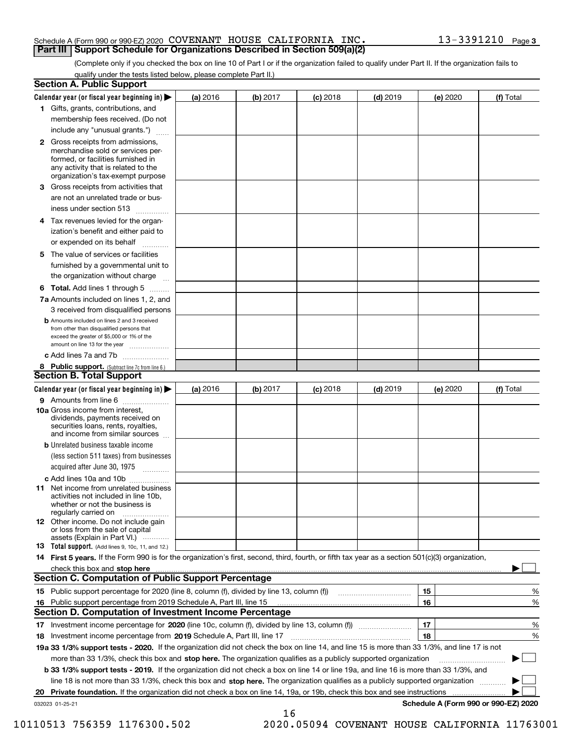#### Schedule A (Form 990 or 990-EZ) 2020 Page COVENANT HOUSE CALIFORNIA INC. 13-3391210 **Part III Support Schedule for Organizations Described in Section 509(a)(2)**

(Complete only if you checked the box on line 10 of Part I or if the organization failed to qualify under Part II. If the organization fails to qualify under the tests listed below, please complete Part II.)

|    | <b>Section A. Public Support</b>                                                                                                                                                                                              |          |          |            |            |          |                                      |
|----|-------------------------------------------------------------------------------------------------------------------------------------------------------------------------------------------------------------------------------|----------|----------|------------|------------|----------|--------------------------------------|
|    | Calendar year (or fiscal year beginning in) $\blacktriangleright$                                                                                                                                                             | (a) 2016 | (b) 2017 | $(c)$ 2018 | $(d)$ 2019 | (e) 2020 | (f) Total                            |
|    | 1 Gifts, grants, contributions, and                                                                                                                                                                                           |          |          |            |            |          |                                      |
|    | membership fees received. (Do not                                                                                                                                                                                             |          |          |            |            |          |                                      |
|    | include any "unusual grants.")                                                                                                                                                                                                |          |          |            |            |          |                                      |
|    | 2 Gross receipts from admissions,<br>merchandise sold or services per-<br>formed, or facilities furnished in<br>any activity that is related to the<br>organization's tax-exempt purpose                                      |          |          |            |            |          |                                      |
|    | 3 Gross receipts from activities that<br>are not an unrelated trade or bus-                                                                                                                                                   |          |          |            |            |          |                                      |
|    | iness under section 513                                                                                                                                                                                                       |          |          |            |            |          |                                      |
|    | 4 Tax revenues levied for the organ-                                                                                                                                                                                          |          |          |            |            |          |                                      |
|    | ization's benefit and either paid to<br>or expended on its behalf<br>.                                                                                                                                                        |          |          |            |            |          |                                      |
|    | 5 The value of services or facilities                                                                                                                                                                                         |          |          |            |            |          |                                      |
|    | furnished by a governmental unit to                                                                                                                                                                                           |          |          |            |            |          |                                      |
|    | the organization without charge                                                                                                                                                                                               |          |          |            |            |          |                                      |
|    | <b>6 Total.</b> Add lines 1 through 5                                                                                                                                                                                         |          |          |            |            |          |                                      |
|    | 7a Amounts included on lines 1, 2, and                                                                                                                                                                                        |          |          |            |            |          |                                      |
|    | 3 received from disqualified persons                                                                                                                                                                                          |          |          |            |            |          |                                      |
|    | <b>b</b> Amounts included on lines 2 and 3 received<br>from other than disqualified persons that<br>exceed the greater of \$5,000 or 1% of the<br>amount on line 13 for the year                                              |          |          |            |            |          |                                      |
|    | c Add lines 7a and 7b                                                                                                                                                                                                         |          |          |            |            |          |                                      |
|    | 8 Public support. (Subtract line 7c from line 6.)                                                                                                                                                                             |          |          |            |            |          |                                      |
|    | <b>Section B. Total Support</b>                                                                                                                                                                                               |          |          |            |            |          |                                      |
|    | Calendar year (or fiscal year beginning in) $\blacktriangleright$                                                                                                                                                             | (a) 2016 | (b) 2017 | $(c)$ 2018 | $(d)$ 2019 | (e) 2020 | (f) Total                            |
|    | 9 Amounts from line 6                                                                                                                                                                                                         |          |          |            |            |          |                                      |
|    | 10a Gross income from interest,<br>dividends, payments received on<br>securities loans, rents, royalties,<br>and income from similar sources                                                                                  |          |          |            |            |          |                                      |
|    | <b>b</b> Unrelated business taxable income<br>(less section 511 taxes) from businesses                                                                                                                                        |          |          |            |            |          |                                      |
|    | acquired after June 30, 1975                                                                                                                                                                                                  |          |          |            |            |          |                                      |
|    | c Add lines 10a and 10b<br>11 Net income from unrelated business<br>activities not included in line 10b,<br>whether or not the business is<br>regularly carried on                                                            |          |          |            |            |          |                                      |
|    | 12 Other income. Do not include gain<br>or loss from the sale of capital<br>assets (Explain in Part VI.)                                                                                                                      |          |          |            |            |          |                                      |
|    | <b>13</b> Total support. (Add lines 9, 10c, 11, and 12.)                                                                                                                                                                      |          |          |            |            |          |                                      |
|    | 14 First 5 years. If the Form 990 is for the organization's first, second, third, fourth, or fifth tax year as a section 501(c)(3) organization,                                                                              |          |          |            |            |          |                                      |
|    | check this box and stop here with the continuum control to the change of the state of the state of the change of the change of the change of the change of the change of the change of the change of the change of the change |          |          |            |            |          |                                      |
|    | <b>Section C. Computation of Public Support Percentage</b>                                                                                                                                                                    |          |          |            |            |          |                                      |
|    | 15 Public support percentage for 2020 (line 8, column (f), divided by line 13, column (f))                                                                                                                                    |          |          |            |            | 15       | %                                    |
|    | 16 Public support percentage from 2019 Schedule A, Part III, line 15                                                                                                                                                          |          |          |            |            | 16       | %                                    |
|    | <b>Section D. Computation of Investment Income Percentage</b>                                                                                                                                                                 |          |          |            |            |          |                                      |
|    | 17 Investment income percentage for 2020 (line 10c, column (f), divided by line 13, column (f))                                                                                                                               |          |          |            |            | 17       | %                                    |
|    | <b>18</b> Investment income percentage from <b>2019</b> Schedule A, Part III, line 17                                                                                                                                         |          |          |            |            | 18       | %                                    |
|    | 19a 33 1/3% support tests - 2020. If the organization did not check the box on line 14, and line 15 is more than 33 1/3%, and line 17 is not                                                                                  |          |          |            |            |          |                                      |
|    | more than 33 1/3%, check this box and stop here. The organization qualifies as a publicly supported organization                                                                                                              |          |          |            |            |          | ▶                                    |
|    | b 33 1/3% support tests - 2019. If the organization did not check a box on line 14 or line 19a, and line 16 is more than 33 1/3%, and                                                                                         |          |          |            |            |          |                                      |
|    | line 18 is not more than 33 1/3%, check this box and stop here. The organization qualifies as a publicly supported organization                                                                                               |          |          |            |            |          |                                      |
| 20 | <b>Private foundation.</b> If the organization did not check a box on line 14, 19a, or 19b, check this box and see instructions                                                                                               |          |          |            |            |          |                                      |
|    | 032023 01-25-21                                                                                                                                                                                                               |          | 16       |            |            |          | Schedule A (Form 990 or 990-EZ) 2020 |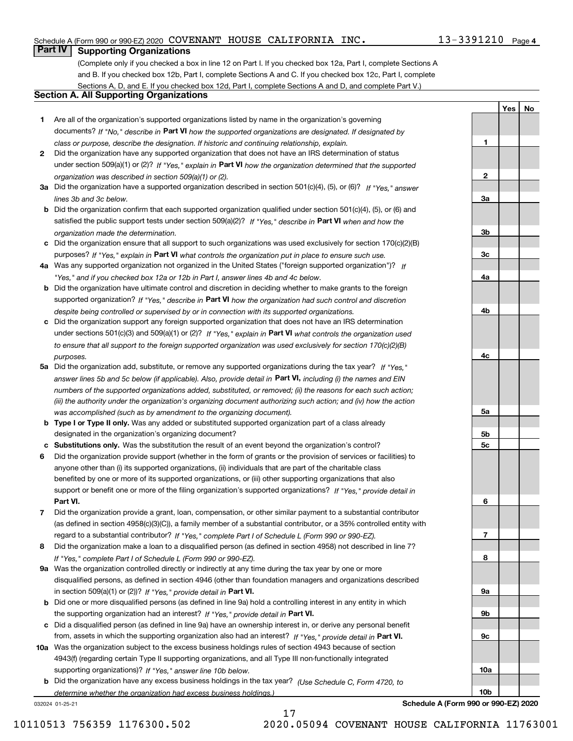#### Schedule A (Form 990 or 990-EZ) 2020 Page COVENANT HOUSE CALIFORNIA INC. 13-3391210

### **Part IV Supporting Organizations**

(Complete only if you checked a box in line 12 on Part I. If you checked box 12a, Part I, complete Sections A and B. If you checked box 12b, Part I, complete Sections A and C. If you checked box 12c, Part I, complete Sections A, D, and E. If you checked box 12d, Part I, complete Sections A and D, and complete Part V.)

#### **Section A. All Supporting Organizations**

- **1** Are all of the organization's supported organizations listed by name in the organization's governing documents? If "No," describe in **Part VI** how the supported organizations are designated. If designated by *class or purpose, describe the designation. If historic and continuing relationship, explain.*
- **2** Did the organization have any supported organization that does not have an IRS determination of status under section 509(a)(1) or (2)? If "Yes," explain in Part VI how the organization determined that the supported *organization was described in section 509(a)(1) or (2).*
- **3a** Did the organization have a supported organization described in section 501(c)(4), (5), or (6)? If "Yes," answer *lines 3b and 3c below.*
- **b** Did the organization confirm that each supported organization qualified under section 501(c)(4), (5), or (6) and satisfied the public support tests under section 509(a)(2)? If "Yes," describe in **Part VI** when and how the *organization made the determination.*
- **c**Did the organization ensure that all support to such organizations was used exclusively for section 170(c)(2)(B) purposes? If "Yes," explain in **Part VI** what controls the organization put in place to ensure such use.
- **4a***If* Was any supported organization not organized in the United States ("foreign supported organization")? *"Yes," and if you checked box 12a or 12b in Part I, answer lines 4b and 4c below.*
- **b** Did the organization have ultimate control and discretion in deciding whether to make grants to the foreign supported organization? If "Yes," describe in **Part VI** how the organization had such control and discretion *despite being controlled or supervised by or in connection with its supported organizations.*
- **c** Did the organization support any foreign supported organization that does not have an IRS determination under sections 501(c)(3) and 509(a)(1) or (2)? If "Yes," explain in **Part VI** what controls the organization used *to ensure that all support to the foreign supported organization was used exclusively for section 170(c)(2)(B) purposes.*
- **5a** Did the organization add, substitute, or remove any supported organizations during the tax year? If "Yes," answer lines 5b and 5c below (if applicable). Also, provide detail in **Part VI,** including (i) the names and EIN *numbers of the supported organizations added, substituted, or removed; (ii) the reasons for each such action; (iii) the authority under the organization's organizing document authorizing such action; and (iv) how the action was accomplished (such as by amendment to the organizing document).*
- **b** Type I or Type II only. Was any added or substituted supported organization part of a class already designated in the organization's organizing document?
- **cSubstitutions only.**  Was the substitution the result of an event beyond the organization's control?
- **6** Did the organization provide support (whether in the form of grants or the provision of services or facilities) to **Part VI.** *If "Yes," provide detail in* support or benefit one or more of the filing organization's supported organizations? anyone other than (i) its supported organizations, (ii) individuals that are part of the charitable class benefited by one or more of its supported organizations, or (iii) other supporting organizations that also
- **7**Did the organization provide a grant, loan, compensation, or other similar payment to a substantial contributor *If "Yes," complete Part I of Schedule L (Form 990 or 990-EZ).* regard to a substantial contributor? (as defined in section 4958(c)(3)(C)), a family member of a substantial contributor, or a 35% controlled entity with
- **8** Did the organization make a loan to a disqualified person (as defined in section 4958) not described in line 7? *If "Yes," complete Part I of Schedule L (Form 990 or 990-EZ).*
- **9a** Was the organization controlled directly or indirectly at any time during the tax year by one or more in section 509(a)(1) or (2))? If "Yes," *provide detail in* <code>Part VI.</code> disqualified persons, as defined in section 4946 (other than foundation managers and organizations described
- **b** Did one or more disqualified persons (as defined in line 9a) hold a controlling interest in any entity in which the supporting organization had an interest? If "Yes," provide detail in P**art VI**.
- **c**Did a disqualified person (as defined in line 9a) have an ownership interest in, or derive any personal benefit from, assets in which the supporting organization also had an interest? If "Yes," provide detail in P**art VI.**
- **10a** Was the organization subject to the excess business holdings rules of section 4943 because of section supporting organizations)? If "Yes," answer line 10b below. 4943(f) (regarding certain Type II supporting organizations, and all Type III non-functionally integrated
- **b** Did the organization have any excess business holdings in the tax year? (Use Schedule C, Form 4720, to *determine whether the organization had excess business holdings.)*

032024 01-25-21

**Schedule A (Form 990 or 990-EZ) 2020**

**1**

**2**

**3a**

**3b**

**3c**

**4a**

**4b**

**4c**

**5a**

**5b5c**

**6**

**7**

**8**

**9a**

**9b**

**9c**

**10a**

**10b**

**YesNo**

17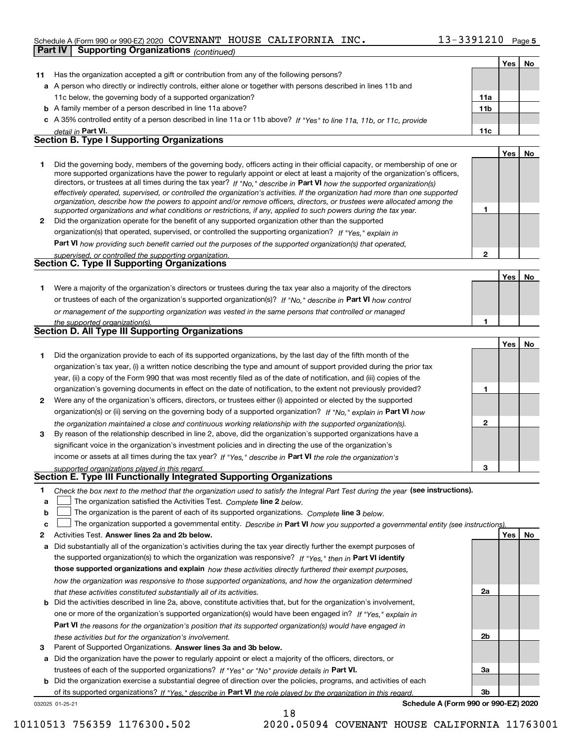#### Schedule A (Form 990 or 990-EZ) 2020 Page COVENANT HOUSE CALIFORNIA INC. 13-3391210

|              | <b>Supporting Organizations (continued)</b><br>Part IV                                                                                                                                                                                                    |                 |     |    |
|--------------|-----------------------------------------------------------------------------------------------------------------------------------------------------------------------------------------------------------------------------------------------------------|-----------------|-----|----|
|              |                                                                                                                                                                                                                                                           |                 | Yes | No |
| 11           | Has the organization accepted a gift or contribution from any of the following persons?                                                                                                                                                                   |                 |     |    |
|              | a A person who directly or indirectly controls, either alone or together with persons described in lines 11b and                                                                                                                                          |                 |     |    |
|              | 11c below, the governing body of a supported organization?                                                                                                                                                                                                | 11a             |     |    |
|              | <b>b</b> A family member of a person described in line 11a above?                                                                                                                                                                                         | 11 <sub>b</sub> |     |    |
|              | c A 35% controlled entity of a person described in line 11a or 11b above? If "Yes" to line 11a, 11b, or 11c, provide                                                                                                                                      |                 |     |    |
|              | detail in Part VI.                                                                                                                                                                                                                                        | 11c             |     |    |
|              | <b>Section B. Type I Supporting Organizations</b>                                                                                                                                                                                                         |                 |     |    |
|              |                                                                                                                                                                                                                                                           |                 | Yes | No |
| 1            | Did the governing body, members of the governing body, officers acting in their official capacity, or membership of one or                                                                                                                                |                 |     |    |
|              | more supported organizations have the power to regularly appoint or elect at least a majority of the organization's officers,                                                                                                                             |                 |     |    |
|              | directors, or trustees at all times during the tax year? If "No," describe in Part VI how the supported organization(s)<br>effectively operated, supervised, or controlled the organization's activities. If the organization had more than one supported |                 |     |    |
|              | organization, describe how the powers to appoint and/or remove officers, directors, or trustees were allocated among the                                                                                                                                  |                 |     |    |
|              | supported organizations and what conditions or restrictions, if any, applied to such powers during the tax year.                                                                                                                                          | 1               |     |    |
| $\mathbf{2}$ | Did the organization operate for the benefit of any supported organization other than the supported                                                                                                                                                       |                 |     |    |
|              | organization(s) that operated, supervised, or controlled the supporting organization? If "Yes," explain in                                                                                                                                                |                 |     |    |
|              | Part VI how providing such benefit carried out the purposes of the supported organization(s) that operated,                                                                                                                                               |                 |     |    |
|              | supervised, or controlled the supporting organization.                                                                                                                                                                                                    | $\mathbf{2}$    |     |    |
|              | <b>Section C. Type II Supporting Organizations</b>                                                                                                                                                                                                        |                 |     |    |
|              |                                                                                                                                                                                                                                                           |                 | Yes | No |
| 1.           | Were a majority of the organization's directors or trustees during the tax year also a majority of the directors                                                                                                                                          |                 |     |    |
|              | or trustees of each of the organization's supported organization(s)? If "No," describe in Part VI how control                                                                                                                                             |                 |     |    |
|              | or management of the supporting organization was vested in the same persons that controlled or managed                                                                                                                                                    | 1               |     |    |
|              | the supported organization(s).<br>Section D. All Type III Supporting Organizations                                                                                                                                                                        |                 |     |    |
|              |                                                                                                                                                                                                                                                           |                 | Yes | No |
| 1            | Did the organization provide to each of its supported organizations, by the last day of the fifth month of the                                                                                                                                            |                 |     |    |
|              | organization's tax year, (i) a written notice describing the type and amount of support provided during the prior tax                                                                                                                                     |                 |     |    |
|              | year, (ii) a copy of the Form 990 that was most recently filed as of the date of notification, and (iii) copies of the                                                                                                                                    |                 |     |    |
|              | organization's governing documents in effect on the date of notification, to the extent not previously provided?                                                                                                                                          | 1               |     |    |
| 2            | Were any of the organization's officers, directors, or trustees either (i) appointed or elected by the supported                                                                                                                                          |                 |     |    |
|              | organization(s) or (ii) serving on the governing body of a supported organization? If "No," explain in Part VI how                                                                                                                                        |                 |     |    |
|              | the organization maintained a close and continuous working relationship with the supported organization(s).                                                                                                                                               | $\mathbf{2}$    |     |    |
| 3            | By reason of the relationship described in line 2, above, did the organization's supported organizations have a                                                                                                                                           |                 |     |    |
|              | significant voice in the organization's investment policies and in directing the use of the organization's                                                                                                                                                |                 |     |    |
|              | income or assets at all times during the tax year? If "Yes," describe in Part VI the role the organization's                                                                                                                                              |                 |     |    |
|              | supported organizations played in this regard.                                                                                                                                                                                                            | з               |     |    |
|              | Section E. Type III Functionally Integrated Supporting Organizations                                                                                                                                                                                      |                 |     |    |
| 1            | Check the box next to the method that the organization used to satisfy the Integral Part Test during the year (see instructions).                                                                                                                         |                 |     |    |
| a            | The organization satisfied the Activities Test. Complete line 2 below.                                                                                                                                                                                    |                 |     |    |
| b            | The organization is the parent of each of its supported organizations. Complete line 3 below.                                                                                                                                                             |                 |     |    |
| c            | The organization supported a governmental entity. Describe in Part VI how you supported a governmental entity (see instructions).                                                                                                                         |                 |     |    |
| 2            | Activities Test. Answer lines 2a and 2b below.                                                                                                                                                                                                            |                 | Yes | No |
| а            | Did substantially all of the organization's activities during the tax year directly further the exempt purposes of                                                                                                                                        |                 |     |    |
|              | the supported organization(s) to which the organization was responsive? If "Yes," then in Part VI identify                                                                                                                                                |                 |     |    |
|              | those supported organizations and explain how these activities directly furthered their exempt purposes,                                                                                                                                                  |                 |     |    |
|              | how the organization was responsive to those supported organizations, and how the organization determined                                                                                                                                                 |                 |     |    |
|              | that these activities constituted substantially all of its activities.                                                                                                                                                                                    | 2a              |     |    |
|              | <b>b</b> Did the activities described in line 2a, above, constitute activities that, but for the organization's involvement,                                                                                                                              |                 |     |    |
|              | one or more of the organization's supported organization(s) would have been engaged in? If "Yes," explain in                                                                                                                                              |                 |     |    |
|              | <b>Part VI</b> the reasons for the organization's position that its supported organization(s) would have engaged in                                                                                                                                       |                 |     |    |
|              | these activities but for the organization's involvement.                                                                                                                                                                                                  | 2b              |     |    |
| з            | Parent of Supported Organizations. Answer lines 3a and 3b below.                                                                                                                                                                                          |                 |     |    |

- **a** Did the organization have the power to regularly appoint or elect a majority of the officers, directors, or **Answer lines 3a and 3b below.**
- **b** Did the organization exercise a substantial degree of direction over the policies, programs, and activities of each trustees of each of the supported organizations? If "Yes" or "No" provide details in **Part VI.** of its supported organizations? If "Yes," describe in Part VI the role played by the organization in this regard.

**Schedule A (Form 990 or 990-EZ) 2020**

**3a**

**3b**

10110513 756359 1176300.502 2020.05094 COVENANT HOUSE CALIFORNIA 11763001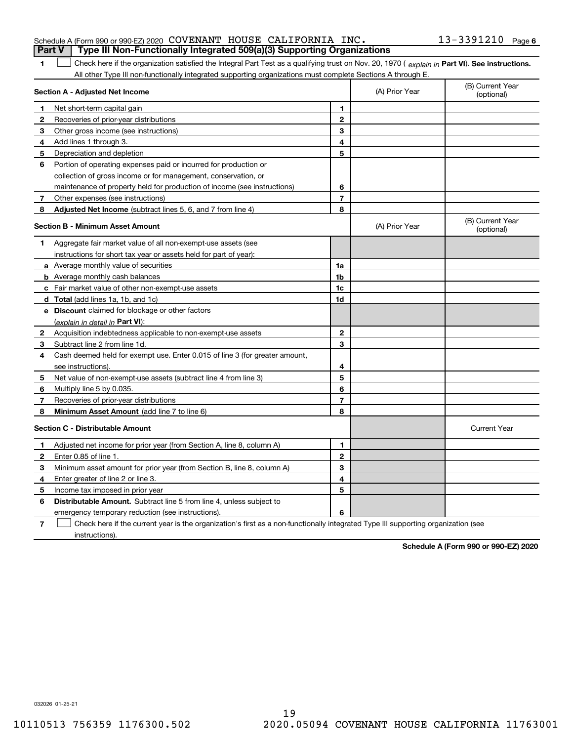|                                         | Schedule A (Form 990 or 990-EZ) 2020 COVENANT HOUSE CALIFORNIA INC.                                                                            |                |                | 13-3391210 Page 6              |
|-----------------------------------------|------------------------------------------------------------------------------------------------------------------------------------------------|----------------|----------------|--------------------------------|
|                                         | Type III Non-Functionally Integrated 509(a)(3) Supporting Organizations<br>Part V                                                              |                |                |                                |
| 1                                       | Check here if the organization satisfied the Integral Part Test as a qualifying trust on Nov. 20, 1970 (explain in Part VI). See instructions. |                |                |                                |
|                                         | All other Type III non-functionally integrated supporting organizations must complete Sections A through E.                                    |                |                |                                |
|                                         | Section A - Adjusted Net Income                                                                                                                |                | (A) Prior Year | (B) Current Year<br>(optional) |
| 1                                       | Net short-term capital gain                                                                                                                    | 1              |                |                                |
| 2                                       | Recoveries of prior-year distributions                                                                                                         | $\mathbf{2}$   |                |                                |
| 3                                       | Other gross income (see instructions)                                                                                                          | 3              |                |                                |
| 4                                       | Add lines 1 through 3.                                                                                                                         | 4              |                |                                |
| 5                                       | Depreciation and depletion                                                                                                                     | 5              |                |                                |
| 6                                       | Portion of operating expenses paid or incurred for production or                                                                               |                |                |                                |
|                                         | collection of gross income or for management, conservation, or                                                                                 |                |                |                                |
|                                         | maintenance of property held for production of income (see instructions)                                                                       | 6              |                |                                |
| 7                                       | Other expenses (see instructions)                                                                                                              | 7              |                |                                |
| 8                                       | Adjusted Net Income (subtract lines 5, 6, and 7 from line 4)                                                                                   | 8              |                |                                |
| <b>Section B - Minimum Asset Amount</b> |                                                                                                                                                |                | (A) Prior Year | (B) Current Year<br>(optional) |
| 1                                       | Aggregate fair market value of all non-exempt-use assets (see                                                                                  |                |                |                                |
|                                         | instructions for short tax year or assets held for part of year):                                                                              |                |                |                                |
|                                         | a Average monthly value of securities                                                                                                          | 1a             |                |                                |
|                                         | <b>b</b> Average monthly cash balances                                                                                                         | 1 <sub>b</sub> |                |                                |
|                                         | Fair market value of other non-exempt-use assets                                                                                               | 1c             |                |                                |
|                                         | d Total (add lines 1a, 1b, and 1c)                                                                                                             | 1d             |                |                                |
| е                                       | <b>Discount</b> claimed for blockage or other factors                                                                                          |                |                |                                |
|                                         | (explain in detail in Part VI):                                                                                                                |                |                |                                |
| $\mathbf{2}$                            | Acquisition indebtedness applicable to non-exempt-use assets                                                                                   | $\mathbf{2}$   |                |                                |
| 3                                       | Subtract line 2 from line 1d.                                                                                                                  | 3              |                |                                |
| 4                                       | Cash deemed held for exempt use. Enter 0.015 of line 3 (for greater amount,                                                                    |                |                |                                |
|                                         | see instructions).                                                                                                                             | 4              |                |                                |
| 5                                       | Net value of non-exempt-use assets (subtract line 4 from line 3)                                                                               | 5              |                |                                |
| 6                                       | Multiply line 5 by 0.035.                                                                                                                      | 6              |                |                                |
|                                         | Recoveries of prior-year distributions                                                                                                         | 7              |                |                                |
| 8                                       | Minimum Asset Amount (add line 7 to line 6)                                                                                                    | 8              |                |                                |

| <b>Section C - Distributable Amount</b> |                                                                                                                                   |   |  | <b>Current Year</b> |
|-----------------------------------------|-----------------------------------------------------------------------------------------------------------------------------------|---|--|---------------------|
|                                         | Adjusted net income for prior year (from Section A, line 8, column A)                                                             |   |  |                     |
|                                         | Enter 0.85 of line 1.                                                                                                             | 2 |  |                     |
| з                                       | Minimum asset amount for prior year (from Section B, line 8, column A)                                                            | э |  |                     |
| 4                                       | Enter greater of line 2 or line 3.                                                                                                | 4 |  |                     |
| 5                                       | Income tax imposed in prior year                                                                                                  |   |  |                     |
| 6                                       | <b>Distributable Amount.</b> Subtract line 5 from line 4, unless subject to                                                       |   |  |                     |
|                                         | emergency temporary reduction (see instructions).                                                                                 | 6 |  |                     |
|                                         | Check here if the current year is the organization's first as a non-functionally integrated Type III supporting organization (see |   |  |                     |

Ш

instructions).

**Schedule A (Form 990 or 990-EZ) 2020**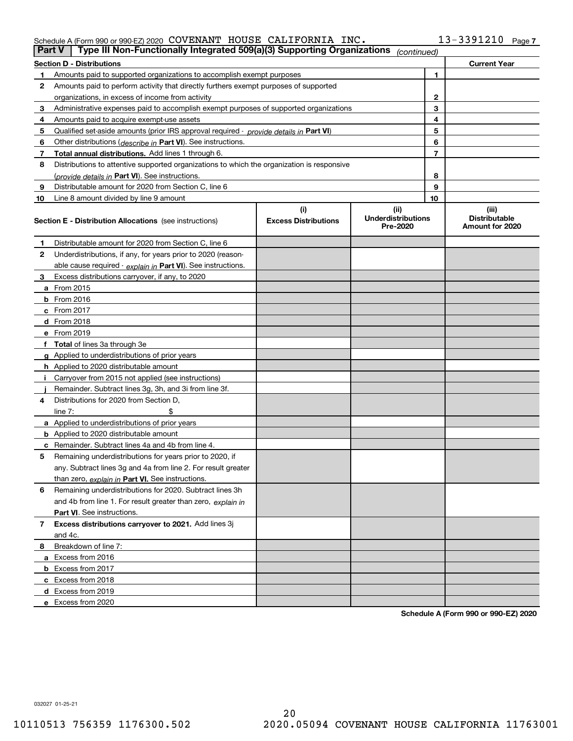#### Schedule A (Form 990 or 990-EZ) 2020 Page COVENANT HOUSE CALIFORNIA INC. 13-3391210

| <b>Part V</b> | Type III Non-Functionally Integrated 509(a)(3) Supporting Organizations                    |                                    | (continued)                       |              |                               |
|---------------|--------------------------------------------------------------------------------------------|------------------------------------|-----------------------------------|--------------|-------------------------------|
|               | <b>Section D - Distributions</b>                                                           |                                    |                                   |              | <b>Current Year</b>           |
| 1             | Amounts paid to supported organizations to accomplish exempt purposes                      |                                    |                                   | 1            |                               |
| 2             | Amounts paid to perform activity that directly furthers exempt purposes of supported       |                                    |                                   |              |                               |
|               | organizations, in excess of income from activity                                           |                                    |                                   | $\mathbf{2}$ |                               |
| 3             | Administrative expenses paid to accomplish exempt purposes of supported organizations      |                                    |                                   | 3            |                               |
| 4             | Amounts paid to acquire exempt-use assets                                                  |                                    |                                   | 4            |                               |
| 5             | Qualified set-aside amounts (prior IRS approval required - provide details in Part VI)     |                                    |                                   | 5            |                               |
| 6             | Other distributions ( <i>describe in</i> Part VI). See instructions.                       |                                    |                                   | 6            |                               |
| 7             | Total annual distributions. Add lines 1 through 6.                                         |                                    |                                   | 7            |                               |
| 8             | Distributions to attentive supported organizations to which the organization is responsive |                                    |                                   |              |                               |
|               | (provide details in Part VI). See instructions.                                            |                                    |                                   | 8            |                               |
| 9             | Distributable amount for 2020 from Section C, line 6                                       |                                    |                                   | 9            |                               |
| 10            | Line 8 amount divided by line 9 amount                                                     |                                    |                                   | 10           |                               |
|               | Section E - Distribution Allocations (see instructions)                                    | (i)<br><b>Excess Distributions</b> | (ii)<br><b>Underdistributions</b> |              | (iii)<br><b>Distributable</b> |
|               |                                                                                            |                                    | Pre-2020                          |              | Amount for 2020               |
| 1             | Distributable amount for 2020 from Section C, line 6                                       |                                    |                                   |              |                               |
| 2             | Underdistributions, if any, for years prior to 2020 (reason-                               |                                    |                                   |              |                               |
|               | able cause required - explain in Part VI). See instructions.                               |                                    |                                   |              |                               |
| 3             | Excess distributions carryover, if any, to 2020                                            |                                    |                                   |              |                               |
|               | <b>a</b> From 2015                                                                         |                                    |                                   |              |                               |
|               | <b>b</b> From 2016                                                                         |                                    |                                   |              |                               |
|               | c From 2017                                                                                |                                    |                                   |              |                               |
|               | <b>d</b> From 2018                                                                         |                                    |                                   |              |                               |
|               | e From 2019                                                                                |                                    |                                   |              |                               |
|               | f Total of lines 3a through 3e                                                             |                                    |                                   |              |                               |
|               | g Applied to underdistributions of prior years                                             |                                    |                                   |              |                               |
|               | <b>h</b> Applied to 2020 distributable amount                                              |                                    |                                   |              |                               |
|               | Carryover from 2015 not applied (see instructions)                                         |                                    |                                   |              |                               |
|               | Remainder. Subtract lines 3g, 3h, and 3i from line 3f.                                     |                                    |                                   |              |                               |
| 4             | Distributions for 2020 from Section D,                                                     |                                    |                                   |              |                               |
|               | line $7:$                                                                                  |                                    |                                   |              |                               |
|               | a Applied to underdistributions of prior years                                             |                                    |                                   |              |                               |
|               | <b>b</b> Applied to 2020 distributable amount                                              |                                    |                                   |              |                               |
|               | c Remainder. Subtract lines 4a and 4b from line 4.                                         |                                    |                                   |              |                               |
| 5             | Remaining underdistributions for years prior to 2020, if                                   |                                    |                                   |              |                               |
|               | any. Subtract lines 3g and 4a from line 2. For result greater                              |                                    |                                   |              |                               |
|               | than zero, explain in Part VI. See instructions.                                           |                                    |                                   |              |                               |
| 6             | Remaining underdistributions for 2020. Subtract lines 3h                                   |                                    |                                   |              |                               |
|               | and 4b from line 1. For result greater than zero, explain in                               |                                    |                                   |              |                               |
|               | Part VI. See instructions.                                                                 |                                    |                                   |              |                               |
| 7             | Excess distributions carryover to 2021. Add lines 3j                                       |                                    |                                   |              |                               |
|               | and 4c.                                                                                    |                                    |                                   |              |                               |
| 8             | Breakdown of line 7:                                                                       |                                    |                                   |              |                               |
|               | a Excess from 2016                                                                         |                                    |                                   |              |                               |
|               | <b>b</b> Excess from 2017                                                                  |                                    |                                   |              |                               |
|               | c Excess from 2018                                                                         |                                    |                                   |              |                               |
|               | d Excess from 2019                                                                         |                                    |                                   |              |                               |
|               | e Excess from 2020                                                                         |                                    |                                   |              |                               |

**Schedule A (Form 990 or 990-EZ) 2020**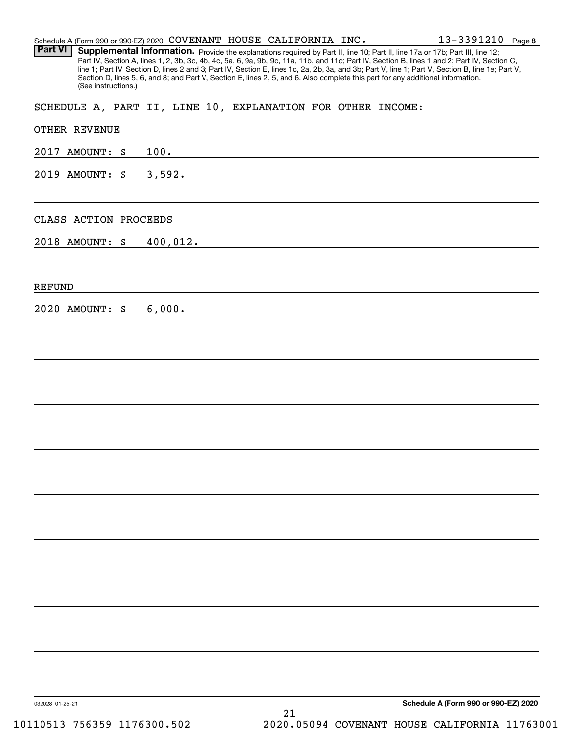| Schedule A (Form 990 or 990-EZ) 2020 COVENANT HOUSE CALIFORNIA INC.<br><b>Part VI</b><br>Supplemental Information. Provide the explanations required by Part II, line 10; Part II, line 17a or 17b; Part III, line 12;<br>Part IV, Section A, lines 1, 2, 3b, 3c, 4b, 4c, 5a, 6, 9a, 9b, 9c, 11a, 11b, and 11c; Part IV, Section B, lines 1 and 2; Part IV, Section C, |                                                             | $13 - 3391210$ Page 8                |
|------------------------------------------------------------------------------------------------------------------------------------------------------------------------------------------------------------------------------------------------------------------------------------------------------------------------------------------------------------------------|-------------------------------------------------------------|--------------------------------------|
| line 1; Part IV, Section D, lines 2 and 3; Part IV, Section E, lines 1c, 2a, 2b, 3a, and 3b; Part V, line 1; Part V, Section B, line 1e; Part V,<br>Section D, lines 5, 6, and 8; and Part V, Section E, lines 2, 5, and 6. Also complete this part for any additional information.<br>(See instructions.)                                                             |                                                             |                                      |
| SCHEDULE A, PART II, LINE 10, EXPLANATION FOR OTHER INCOME:                                                                                                                                                                                                                                                                                                            |                                                             |                                      |
| <b>OTHER REVENUE</b>                                                                                                                                                                                                                                                                                                                                                   |                                                             |                                      |
| 100.<br>2017 AMOUNT: \$                                                                                                                                                                                                                                                                                                                                                |                                                             |                                      |
| 2019 AMOUNT: \$                                                                                                                                                                                                                                                                                                                                                        | 3,592.                                                      |                                      |
| CLASS ACTION PROCEEDS                                                                                                                                                                                                                                                                                                                                                  |                                                             |                                      |
| 2018 AMOUNT: \$<br>400,012.                                                                                                                                                                                                                                                                                                                                            |                                                             |                                      |
| <b>REFUND</b>                                                                                                                                                                                                                                                                                                                                                          |                                                             |                                      |
| 6,000.<br>2020 AMOUNT: \$                                                                                                                                                                                                                                                                                                                                              | <u> 1980 - Johann Stein, Amerikaansk politiker († 1908)</u> |                                      |
|                                                                                                                                                                                                                                                                                                                                                                        |                                                             |                                      |
|                                                                                                                                                                                                                                                                                                                                                                        |                                                             |                                      |
|                                                                                                                                                                                                                                                                                                                                                                        |                                                             |                                      |
|                                                                                                                                                                                                                                                                                                                                                                        |                                                             |                                      |
|                                                                                                                                                                                                                                                                                                                                                                        |                                                             |                                      |
|                                                                                                                                                                                                                                                                                                                                                                        |                                                             |                                      |
|                                                                                                                                                                                                                                                                                                                                                                        |                                                             |                                      |
|                                                                                                                                                                                                                                                                                                                                                                        |                                                             |                                      |
|                                                                                                                                                                                                                                                                                                                                                                        |                                                             |                                      |
|                                                                                                                                                                                                                                                                                                                                                                        |                                                             |                                      |
|                                                                                                                                                                                                                                                                                                                                                                        |                                                             |                                      |
|                                                                                                                                                                                                                                                                                                                                                                        |                                                             |                                      |
|                                                                                                                                                                                                                                                                                                                                                                        |                                                             |                                      |
|                                                                                                                                                                                                                                                                                                                                                                        |                                                             |                                      |
|                                                                                                                                                                                                                                                                                                                                                                        |                                                             |                                      |
| 032028 01-25-21                                                                                                                                                                                                                                                                                                                                                        | 21                                                          | Schedule A (Form 990 or 990-EZ) 2020 |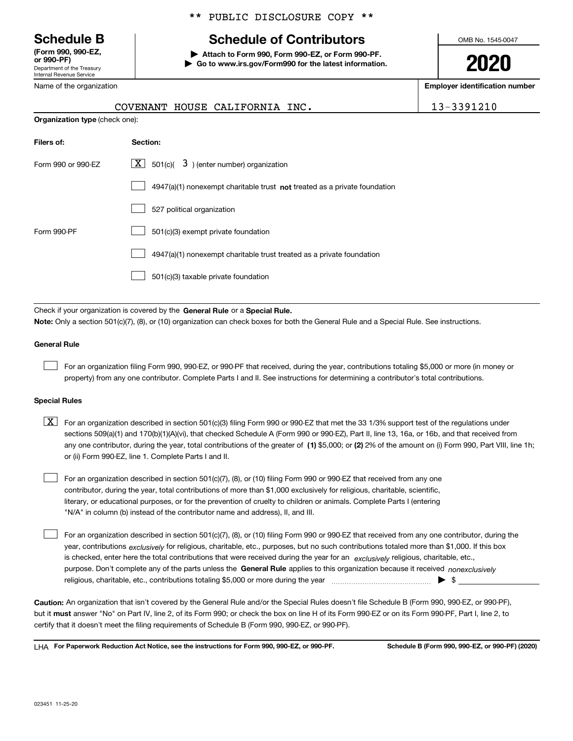Department of the Treasury Internal Revenue Service **(Form 990, 990-EZ, or 990-PF)**

Name of the organization

**Organization type** (check one):

#### \*\* PUBLIC DISCLOSURE COPY \*\*

# **Schedule B Schedule of Contributors**

**| Attach to Form 990, Form 990-EZ, or Form 990-PF. | Go to www.irs.gov/Form990 for the latest information.** OMB No. 1545-0047

**2020**

**Employer identification number**

|  | COVENANT HOUSE CALIFORNIA INC. | 13-3391210 |
|--|--------------------------------|------------|

| Filers of:         | Section:                                                                    |
|--------------------|-----------------------------------------------------------------------------|
| Form 990 or 990-EZ | $\lfloor x \rfloor$ 501(c)( 3) (enter number) organization                  |
|                    | $4947(a)(1)$ nonexempt charitable trust not treated as a private foundation |
|                    | 527 political organization                                                  |
| Form 990-PF        | 501(c)(3) exempt private foundation                                         |
|                    | 4947(a)(1) nonexempt charitable trust treated as a private foundation       |
|                    | 501(c)(3) taxable private foundation                                        |

Check if your organization is covered by the **General Rule** or a **Special Rule. Note:**  Only a section 501(c)(7), (8), or (10) organization can check boxes for both the General Rule and a Special Rule. See instructions.

#### **General Rule**

 $\mathcal{L}^{\text{max}}$ 

For an organization filing Form 990, 990-EZ, or 990-PF that received, during the year, contributions totaling \$5,000 or more (in money or property) from any one contributor. Complete Parts I and II. See instructions for determining a contributor's total contributions.

#### **Special Rules**

any one contributor, during the year, total contributions of the greater of  $\,$  (1) \$5,000; or **(2)** 2% of the amount on (i) Form 990, Part VIII, line 1h;  $\boxed{\textbf{X}}$  For an organization described in section 501(c)(3) filing Form 990 or 990-EZ that met the 33 1/3% support test of the regulations under sections 509(a)(1) and 170(b)(1)(A)(vi), that checked Schedule A (Form 990 or 990-EZ), Part II, line 13, 16a, or 16b, and that received from or (ii) Form 990-EZ, line 1. Complete Parts I and II.

For an organization described in section 501(c)(7), (8), or (10) filing Form 990 or 990-EZ that received from any one contributor, during the year, total contributions of more than \$1,000 exclusively for religious, charitable, scientific, literary, or educational purposes, or for the prevention of cruelty to children or animals. Complete Parts I (entering "N/A" in column (b) instead of the contributor name and address), II, and III.  $\mathcal{L}^{\text{max}}$ 

purpose. Don't complete any of the parts unless the **General Rule** applies to this organization because it received *nonexclusively* year, contributions <sub>exclusively</sub> for religious, charitable, etc., purposes, but no such contributions totaled more than \$1,000. If this box is checked, enter here the total contributions that were received during the year for an  $\;$ exclusively religious, charitable, etc., For an organization described in section 501(c)(7), (8), or (10) filing Form 990 or 990-EZ that received from any one contributor, during the religious, charitable, etc., contributions totaling \$5,000 or more during the year  $\Box$ — $\Box$   $\Box$  $\mathcal{L}^{\text{max}}$ 

**Caution:**  An organization that isn't covered by the General Rule and/or the Special Rules doesn't file Schedule B (Form 990, 990-EZ, or 990-PF),  **must** but it answer "No" on Part IV, line 2, of its Form 990; or check the box on line H of its Form 990-EZ or on its Form 990-PF, Part I, line 2, to certify that it doesn't meet the filing requirements of Schedule B (Form 990, 990-EZ, or 990-PF).

**For Paperwork Reduction Act Notice, see the instructions for Form 990, 990-EZ, or 990-PF. Schedule B (Form 990, 990-EZ, or 990-PF) (2020)** LHA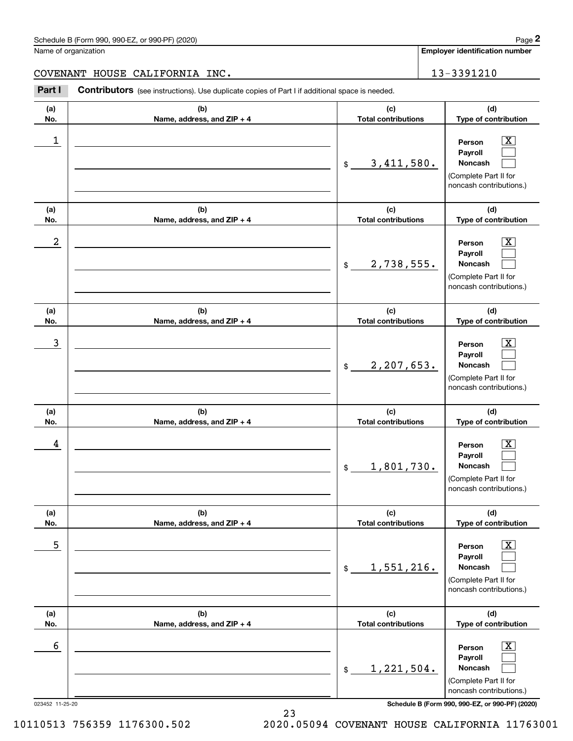Name of organization

**Employer identification number**

COVENANT HOUSE CALIFORNIA INC. 13-3391210

Contributors (see instructions). Use duplicate copies of Part I if additional space is needed. Chedule B (Form 990, 990-EZ, or 990-PF) (2020)<br> **2Part I 2Part I Contributors** (see instructions). Use duplicate copies of Part I if additional space is needed.<br>
2Part I **Contributors** (see instructions). Use duplicate

| (a)              | (b)                        | (c)                          | (d)                                                                                                         |
|------------------|----------------------------|------------------------------|-------------------------------------------------------------------------------------------------------------|
| No.              | Name, address, and ZIP + 4 | <b>Total contributions</b>   | Type of contribution                                                                                        |
| $\mathbf 1$      |                            | 3,411,580.<br>$$\mathbb{S}$$ | $\overline{\text{X}}$<br>Person<br>Payroll<br>Noncash<br>(Complete Part II for<br>noncash contributions.)   |
| (a)              | (b)                        | (c)                          | (d)                                                                                                         |
| No.              | Name, address, and ZIP + 4 | <b>Total contributions</b>   | Type of contribution                                                                                        |
| $\boldsymbol{2}$ |                            | 2,738,555.<br>$$\mathbb{S}$$ | $\overline{\text{X}}$<br>Person<br>Payroll<br>Noncash<br>(Complete Part II for<br>noncash contributions.)   |
| (a)              | (b)                        | (c)                          | (d)                                                                                                         |
| No.              | Name, address, and ZIP + 4 | <b>Total contributions</b>   | Type of contribution                                                                                        |
| 3                |                            | 2,207,653.<br>$$\mathbb{S}$$ | $\overline{\texttt{X}}$<br>Person<br>Payroll<br>Noncash<br>(Complete Part II for<br>noncash contributions.) |
| (a)              | (b)                        | (c)                          | (d)                                                                                                         |
| No.              | Name, address, and ZIP + 4 | <b>Total contributions</b>   | Type of contribution                                                                                        |
| 4                |                            | 1,801,730.<br>\$             | $\overline{\mathbf{X}}$<br>Person<br>Payroll<br>Noncash<br>(Complete Part II for<br>noncash contributions.) |
| (a)              | (b)                        | (c)                          | (d)                                                                                                         |
| No.              | Name, address, and ZIP + 4 | <b>Total contributions</b>   | Type of contribution                                                                                        |
| 5                |                            | 1,551,216.<br>$$\mathbb{S}$$ | $\boxed{\text{X}}$<br>Person<br>Payroll<br>Noncash<br>(Complete Part II for<br>noncash contributions.)      |
| (a)              | (b)                        | (c)                          | (d)                                                                                                         |
| No.              | Name, address, and ZIP + 4 | <b>Total contributions</b>   | Type of contribution                                                                                        |
| 6                |                            | 1,221,504.<br>\$             | $\boxed{\text{X}}$<br>Person<br>Payroll<br>Noncash<br>(Complete Part II for<br>noncash contributions.)      |

023452 11-25-20 **Schedule B (Form 990, 990-EZ, or 990-PF) (2020)**

10110513 756359 1176300.502 2020.05094 COVENANT HOUSE CALIFORNIA 11763001

23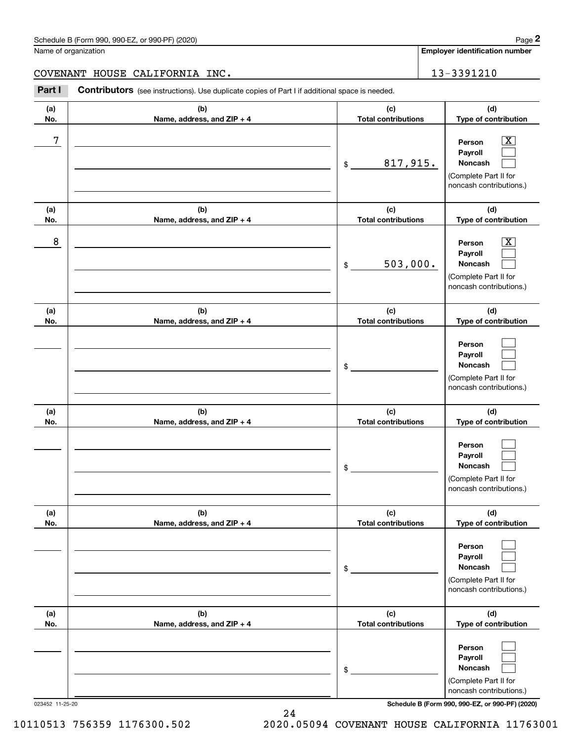|            | Schedule B (Form 990, 990-EZ, or 990-PF) (2020)                                                       |                                   | Page 2                                                                                                      |
|------------|-------------------------------------------------------------------------------------------------------|-----------------------------------|-------------------------------------------------------------------------------------------------------------|
|            | Name of organization                                                                                  |                                   | <b>Employer identification number</b>                                                                       |
|            | COVENANT HOUSE CALIFORNIA INC.                                                                        |                                   | 13-3391210                                                                                                  |
| Part I     | <b>Contributors</b> (see instructions). Use duplicate copies of Part I if additional space is needed. |                                   |                                                                                                             |
| (a)<br>No. | (b)<br>Name, address, and ZIP + 4                                                                     | (c)<br><b>Total contributions</b> | (d)<br>Type of contribution                                                                                 |
| 7          |                                                                                                       | 817,915.<br>$\$$                  | $\mathbf{X}$<br>Person<br>Payroll<br>Noncash<br>(Complete Part II for<br>noncash contributions.)            |
| (a)<br>No. | (b)<br>Name, address, and ZIP + 4                                                                     | (c)<br><b>Total contributions</b> | (d)<br>Type of contribution                                                                                 |
| 8          |                                                                                                       | 503,000.<br>$$\mathbb{S}$$        | $\overline{\mathbf{X}}$<br>Person<br>Payroll<br>Noncash<br>(Complete Part II for<br>noncash contributions.) |
| (a)<br>No. | (b)<br>Name, address, and ZIP + 4                                                                     | (c)<br><b>Total contributions</b> | (d)<br>Type of contribution                                                                                 |
|            |                                                                                                       | \$                                | Person<br>Payroll<br>Noncash<br>(Complete Part II for<br>noncash contributions.)                            |
| (a)<br>No. | (b)<br>Name, address, and ZIP + 4                                                                     | (c)<br><b>Total contributions</b> | (d)<br>Type of contribution                                                                                 |
|            |                                                                                                       | \$                                | Person<br>Payroll<br>Noncash<br>(Complete Part II for<br>noncash contributions.)                            |
| (a)<br>No. | (b)<br>Name, address, and ZIP + 4                                                                     | (c)<br><b>Total contributions</b> | (d)<br>Type of contribution                                                                                 |
|            |                                                                                                       | \$                                | Person<br>Payroll<br>Noncash<br>(Complete Part II for<br>noncash contributions.)                            |
| (a)<br>No. | (b)<br>Name, address, and ZIP + 4                                                                     | (c)<br><b>Total contributions</b> | (d)<br>Type of contribution                                                                                 |
|            |                                                                                                       | \$                                | Person<br>Payroll<br>Noncash                                                                                |

023452 11-25-20 **Schedule B (Form 990, 990-EZ, or 990-PF) (2020)**

(Complete Part II for noncash contributions.)

10110513 756359 1176300.502 2020.05094 COVENANT HOUSE CALIFORNIA 11763001

24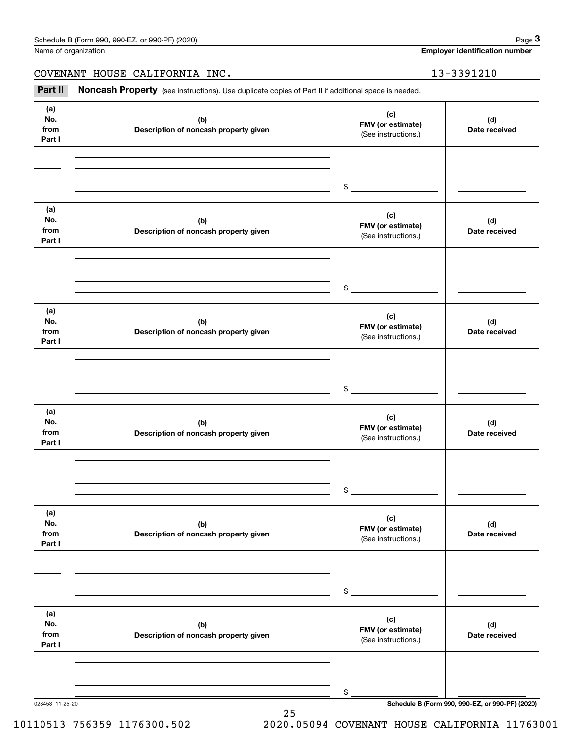Name of organization

**Employer identification number**

COVENANT HOUSE CALIFORNIA INC. | 13-3391210

Chedule B (Form 990, 990-EZ, or 990-PF) (2020)<br>
lame of organization<br> **20VENANT HOUSE CALIFORNIA INC.**<br> **Part II Noncash Property** (see instructions). Use duplicate copies of Part II if additional space is needed.

| (a)<br>No.<br>from<br>Part I | (b)<br>Description of noncash property given | (c)<br>FMV (or estimate)<br>(See instructions.) | (d)<br>Date received |
|------------------------------|----------------------------------------------|-------------------------------------------------|----------------------|
|                              |                                              | $$\overbrace{\hspace{2.5cm}}$                   |                      |
| (a)<br>No.<br>from<br>Part I | (b)<br>Description of noncash property given | (c)<br>FMV (or estimate)<br>(See instructions.) | (d)<br>Date received |
|                              |                                              | $\frac{1}{2}$                                   |                      |
| (a)<br>No.<br>from<br>Part I | (b)<br>Description of noncash property given | (c)<br>FMV (or estimate)<br>(See instructions.) | (d)<br>Date received |
|                              |                                              | $\frac{1}{2}$                                   |                      |
| (a)<br>No.<br>from<br>Part I | (b)<br>Description of noncash property given | (c)<br>FMV (or estimate)<br>(See instructions.) | (d)<br>Date received |
|                              |                                              | $\mathsf{\$}$                                   |                      |
| (a)<br>No.<br>from<br>Part I | (b)<br>Description of noncash property given | (c)<br>FMV (or estimate)<br>(See instructions.) | (d)<br>Date received |
|                              |                                              | \$                                              |                      |
| (a)<br>No.<br>from<br>Part I | (b)<br>Description of noncash property given | (c)<br>FMV (or estimate)<br>(See instructions.) | (d)<br>Date received |
|                              |                                              | \$                                              |                      |

25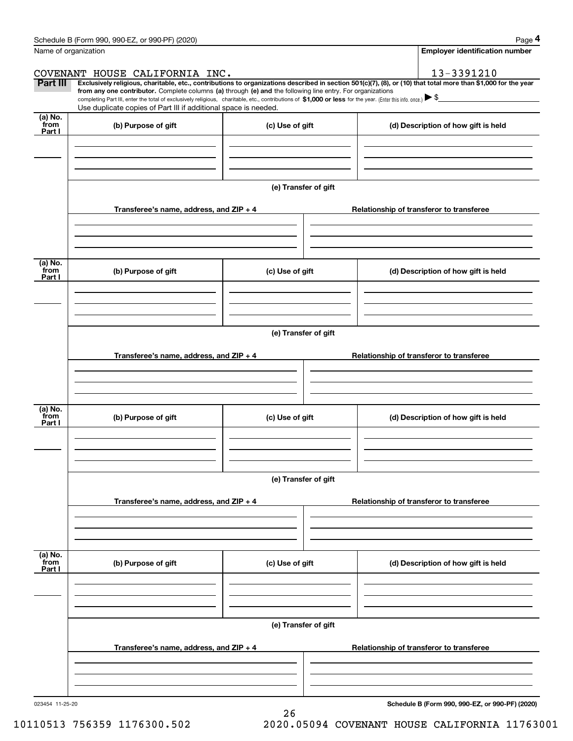|                           | Schedule B (Form 990, 990-EZ, or 990-PF) (2020)                                                                                                                                                                                                                                                 |                      | Page 4                                                                                                                                                         |  |  |  |
|---------------------------|-------------------------------------------------------------------------------------------------------------------------------------------------------------------------------------------------------------------------------------------------------------------------------------------------|----------------------|----------------------------------------------------------------------------------------------------------------------------------------------------------------|--|--|--|
|                           | Name of organization                                                                                                                                                                                                                                                                            |                      | Employer identification number                                                                                                                                 |  |  |  |
|                           | COVENANT HOUSE CALIFORNIA INC.                                                                                                                                                                                                                                                                  |                      | 13-3391210                                                                                                                                                     |  |  |  |
| Part III                  | from any one contributor. Complete columns (a) through (e) and the following line entry. For organizations<br>completing Part III, enter the total of exclusively religious, charitable, etc., contributions of \$1,000 or less for the year. (Enter this info. once.) $\blacktriangleright$ \$ |                      | Exclusively religious, charitable, etc., contributions to organizations described in section 501(c)(7), (8), or (10) that total more than \$1,000 for the year |  |  |  |
|                           | Use duplicate copies of Part III if additional space is needed.                                                                                                                                                                                                                                 |                      |                                                                                                                                                                |  |  |  |
| (a) No.<br>from<br>Part I | (b) Purpose of gift                                                                                                                                                                                                                                                                             | (c) Use of gift      | (d) Description of how gift is held                                                                                                                            |  |  |  |
|                           |                                                                                                                                                                                                                                                                                                 |                      |                                                                                                                                                                |  |  |  |
|                           |                                                                                                                                                                                                                                                                                                 | (e) Transfer of gift |                                                                                                                                                                |  |  |  |
|                           | Transferee's name, address, and ZIP + 4                                                                                                                                                                                                                                                         |                      | Relationship of transferor to transferee                                                                                                                       |  |  |  |
| (a) No.<br>from           | (b) Purpose of gift                                                                                                                                                                                                                                                                             | (c) Use of gift      | (d) Description of how gift is held                                                                                                                            |  |  |  |
| Part I                    |                                                                                                                                                                                                                                                                                                 |                      |                                                                                                                                                                |  |  |  |
|                           |                                                                                                                                                                                                                                                                                                 | (e) Transfer of gift |                                                                                                                                                                |  |  |  |
|                           | Transferee's name, address, and $ZIP + 4$                                                                                                                                                                                                                                                       |                      | Relationship of transferor to transferee                                                                                                                       |  |  |  |
| (a) No.                   |                                                                                                                                                                                                                                                                                                 |                      |                                                                                                                                                                |  |  |  |
| from<br>Part I            | (b) Purpose of gift                                                                                                                                                                                                                                                                             | (c) Use of gift      | (d) Description of how gift is held                                                                                                                            |  |  |  |
|                           |                                                                                                                                                                                                                                                                                                 |                      |                                                                                                                                                                |  |  |  |
|                           |                                                                                                                                                                                                                                                                                                 | (e) Transfer of gift |                                                                                                                                                                |  |  |  |
|                           | Transferee's name, address, and $ZIP + 4$                                                                                                                                                                                                                                                       |                      | Relationship of transferor to transferee                                                                                                                       |  |  |  |
| (a) No.<br>from           | (b) Purpose of gift                                                                                                                                                                                                                                                                             | (c) Use of gift      | (d) Description of how gift is held                                                                                                                            |  |  |  |
| Part I                    |                                                                                                                                                                                                                                                                                                 |                      |                                                                                                                                                                |  |  |  |
|                           |                                                                                                                                                                                                                                                                                                 | (e) Transfer of gift |                                                                                                                                                                |  |  |  |
|                           | Transferee's name, address, and ZIP + 4                                                                                                                                                                                                                                                         |                      | Relationship of transferor to transferee                                                                                                                       |  |  |  |
|                           |                                                                                                                                                                                                                                                                                                 |                      |                                                                                                                                                                |  |  |  |
|                           |                                                                                                                                                                                                                                                                                                 |                      |                                                                                                                                                                |  |  |  |

26

023454 11-25-20

**Schedule B (Form 990, 990-EZ, or 990-PF) (2020)**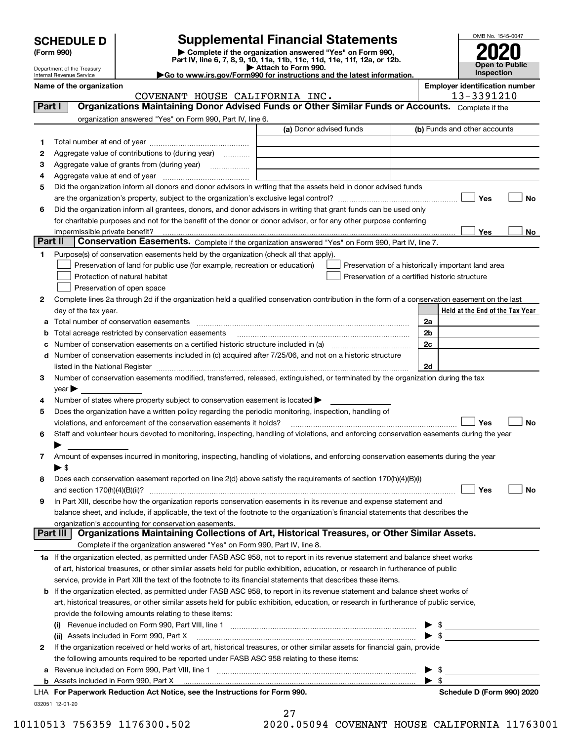| <b>SCHEDULE D</b> |  |
|-------------------|--|
|-------------------|--|

| (Form 990) |  |  |
|------------|--|--|
|------------|--|--|

## **SCHEDULE D Supplemental Financial Statements**

(Form 990)<br>
Pepartment of the Treasury<br>
Department of the Treasury<br>
Department of the Treasury<br>
Department of the Treasury<br> **Co to www.irs.gov/Form990 for instructions and the latest information.**<br> **Co to www.irs.gov/Form9** 



Department of the Treasury Internal Revenue Service

|  |  |  | Go to www.irs.gov/Form990 for instructions and the latest informa |  |  |  |  |  |  |
|--|--|--|-------------------------------------------------------------------|--|--|--|--|--|--|

|         | Name of the organization<br>COVENANT HOUSE CALIFORNIA INC.                                                                                     |     |                                                |                         | <b>Employer identification number</b><br>13-3391210 |    |  |  |
|---------|------------------------------------------------------------------------------------------------------------------------------------------------|-----|------------------------------------------------|-------------------------|-----------------------------------------------------|----|--|--|
| Part I  | Organizations Maintaining Donor Advised Funds or Other Similar Funds or Accounts. Complete if the                                              |     |                                                |                         |                                                     |    |  |  |
|         | organization answered "Yes" on Form 990, Part IV, line 6.                                                                                      |     |                                                |                         |                                                     |    |  |  |
|         |                                                                                                                                                |     | (a) Donor advised funds                        |                         | (b) Funds and other accounts                        |    |  |  |
| 1       |                                                                                                                                                |     |                                                |                         |                                                     |    |  |  |
| 2       | Aggregate value of contributions to (during year)                                                                                              |     |                                                |                         |                                                     |    |  |  |
| з       | Aggregate value of grants from (during year)                                                                                                   |     |                                                |                         |                                                     |    |  |  |
| 4       |                                                                                                                                                |     |                                                |                         |                                                     |    |  |  |
| 5       | Did the organization inform all donors and donor advisors in writing that the assets held in donor advised funds                               |     |                                                |                         |                                                     |    |  |  |
|         |                                                                                                                                                |     |                                                |                         | Yes                                                 | No |  |  |
| 6       | Did the organization inform all grantees, donors, and donor advisors in writing that grant funds can be used only                              |     |                                                |                         |                                                     |    |  |  |
|         | for charitable purposes and not for the benefit of the donor or donor advisor, or for any other purpose conferring                             |     |                                                |                         |                                                     |    |  |  |
|         |                                                                                                                                                |     |                                                |                         | Yes                                                 | No |  |  |
| Part II | Conservation Easements. Complete if the organization answered "Yes" on Form 990, Part IV, line 7.                                              |     |                                                |                         |                                                     |    |  |  |
| 1.      | Purpose(s) of conservation easements held by the organization (check all that apply).                                                          |     |                                                |                         |                                                     |    |  |  |
|         | Preservation of land for public use (for example, recreation or education)                                                                     |     |                                                |                         | Preservation of a historically important land area  |    |  |  |
|         | Protection of natural habitat                                                                                                                  |     | Preservation of a certified historic structure |                         |                                                     |    |  |  |
|         | Preservation of open space                                                                                                                     |     |                                                |                         |                                                     |    |  |  |
| 2       | Complete lines 2a through 2d if the organization held a qualified conservation contribution in the form of a conservation easement on the last |     |                                                |                         |                                                     |    |  |  |
|         | day of the tax year.                                                                                                                           |     |                                                |                         | Held at the End of the Tax Year                     |    |  |  |
| a       |                                                                                                                                                |     |                                                | 2a                      |                                                     |    |  |  |
| b       | Total acreage restricted by conservation easements                                                                                             |     |                                                | 2b                      |                                                     |    |  |  |
| с       |                                                                                                                                                |     |                                                | 2c                      |                                                     |    |  |  |
|         | d Number of conservation easements included in (c) acquired after 7/25/06, and not on a historic structure                                     |     |                                                |                         |                                                     |    |  |  |
|         |                                                                                                                                                |     |                                                | 2d                      |                                                     |    |  |  |
| 3       | Number of conservation easements modified, transferred, released, extinguished, or terminated by the organization during the tax               |     |                                                |                         |                                                     |    |  |  |
|         | $year \blacktriangleright$                                                                                                                     |     |                                                |                         |                                                     |    |  |  |
| 4       | Number of states where property subject to conservation easement is located >                                                                  |     |                                                |                         |                                                     |    |  |  |
| 5       | Does the organization have a written policy regarding the periodic monitoring, inspection, handling of                                         |     |                                                |                         |                                                     |    |  |  |
|         | violations, and enforcement of the conservation easements it holds?                                                                            |     |                                                |                         | Yes                                                 | No |  |  |
| 6       | Staff and volunteer hours devoted to monitoring, inspecting, handling of violations, and enforcing conservation easements during the year      |     |                                                |                         |                                                     |    |  |  |
|         |                                                                                                                                                |     |                                                |                         |                                                     |    |  |  |
| 7       | Amount of expenses incurred in monitoring, inspecting, handling of violations, and enforcing conservation easements during the year            |     |                                                |                         |                                                     |    |  |  |
|         | $\blacktriangleright$ \$                                                                                                                       |     |                                                |                         |                                                     |    |  |  |
| 8       | Does each conservation easement reported on line 2(d) above satisfy the requirements of section 170(h)(4)(B)(i)                                |     |                                                |                         |                                                     |    |  |  |
|         |                                                                                                                                                |     |                                                |                         | Yes                                                 | No |  |  |
|         | In Part XIII, describe how the organization reports conservation easements in its revenue and expense statement and                            |     |                                                |                         |                                                     |    |  |  |
|         | balance sheet, and include, if applicable, the text of the footnote to the organization's financial statements that describes the              |     |                                                |                         |                                                     |    |  |  |
|         | organization's accounting for conservation easements.                                                                                          |     |                                                |                         |                                                     |    |  |  |
|         | Organizations Maintaining Collections of Art, Historical Treasures, or Other Similar Assets.<br>Part III                                       |     |                                                |                         |                                                     |    |  |  |
|         | Complete if the organization answered "Yes" on Form 990, Part IV, line 8.                                                                      |     |                                                |                         |                                                     |    |  |  |
|         | 1a If the organization elected, as permitted under FASB ASC 958, not to report in its revenue statement and balance sheet works                |     |                                                |                         |                                                     |    |  |  |
|         | of art, historical treasures, or other similar assets held for public exhibition, education, or research in furtherance of public              |     |                                                |                         |                                                     |    |  |  |
|         | service, provide in Part XIII the text of the footnote to its financial statements that describes these items.                                 |     |                                                |                         |                                                     |    |  |  |
|         | <b>b</b> If the organization elected, as permitted under FASB ASC 958, to report in its revenue statement and balance sheet works of           |     |                                                |                         |                                                     |    |  |  |
|         | art, historical treasures, or other similar assets held for public exhibition, education, or research in furtherance of public service,        |     |                                                |                         |                                                     |    |  |  |
|         | provide the following amounts relating to these items:                                                                                         |     |                                                |                         |                                                     |    |  |  |
|         |                                                                                                                                                |     |                                                |                         |                                                     |    |  |  |
|         | (ii) Assets included in Form 990, Part X                                                                                                       |     |                                                | $\frac{1}{2}$           |                                                     |    |  |  |
| 2       | If the organization received or held works of art, historical treasures, or other similar assets for financial gain, provide                   |     |                                                |                         |                                                     |    |  |  |
|         | the following amounts required to be reported under FASB ASC 958 relating to these items:                                                      |     |                                                |                         |                                                     |    |  |  |
|         |                                                                                                                                                |     |                                                |                         | \$                                                  |    |  |  |
|         | <b>b</b> Assets included in Form 990, Part X                                                                                                   |     |                                                | $\blacktriangleright$ s |                                                     |    |  |  |
|         | LHA For Paperwork Reduction Act Notice, see the Instructions for Form 990.                                                                     |     |                                                |                         | Schedule D (Form 990) 2020                          |    |  |  |
|         | 032051 12-01-20                                                                                                                                | ר ה |                                                |                         |                                                     |    |  |  |

27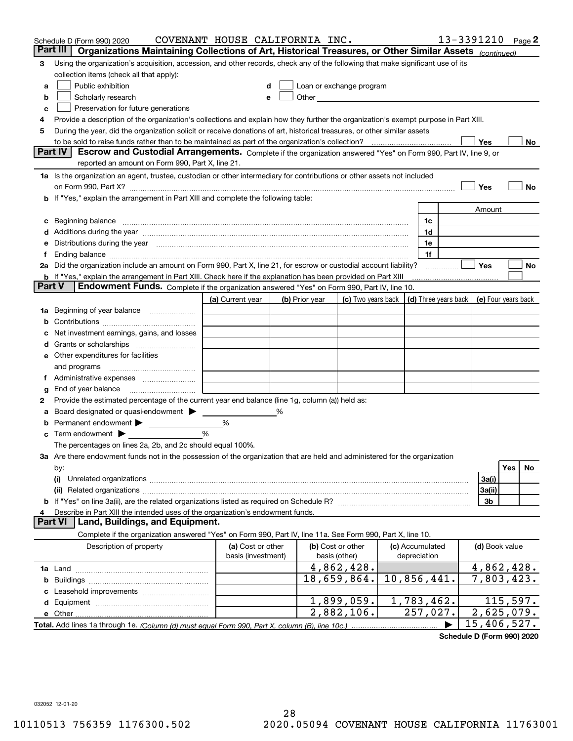| Part III<br>Organizations Maintaining Collections of Art, Historical Treasures, or Other Similar Assets (continued)<br>Using the organization's acquisition, accession, and other records, check any of the following that make significant use of its<br>3<br>collection items (check all that apply):<br>Public exhibition<br>Loan or exchange program<br>a<br>Other <b>Committee Committee Committee Committee</b><br>Scholarly research<br>b<br>е<br>Preservation for future generations<br>с<br>Provide a description of the organization's collections and explain how they further the organization's exempt purpose in Part XIII.<br>4<br>During the year, did the organization solicit or receive donations of art, historical treasures, or other similar assets<br>5<br>Yes<br>to be sold to raise funds rather than to be maintained as part of the organization's collection?<br>No<br><b>Part IV</b><br>Escrow and Custodial Arrangements. Complete if the organization answered "Yes" on Form 990, Part IV, line 9, or<br>reported an amount on Form 990, Part X, line 21.<br>1a Is the organization an agent, trustee, custodian or other intermediary for contributions or other assets not included<br>Yes<br>No<br>on Form 990, Part X? [11] matter contracts and contracts and contracts are contracted as a form 990, Part X?<br>b If "Yes," explain the arrangement in Part XIII and complete the following table:<br>Amount<br>Beginning balance measurements and contain a series of the series of the series of the series of the series of<br>1c<br>c<br>Additions during the year manufactured and an annual contract of the year manufactured and all the year manufactured and all the year manufactured and all the year manufactured and all the year manufactured and all the yea<br>1d<br>Distributions during the year manufactured and continuum and continuum and continuum and continuum and continuum<br>1e<br>1f<br>Ť.<br>2a Did the organization include an amount on Form 990, Part X, line 21, for escrow or custodial account liability?<br>Yes<br>No<br>.<br><b>b</b> If "Yes," explain the arrangement in Part XIII. Check here if the explanation has been provided on Part XIII<br>Part V<br>Endowment Funds. Complete if the organization answered "Yes" on Form 990, Part IV, line 10.<br>(d) Three years back<br>(a) Current year<br>(c) Two years back<br>(e) Four years back<br>(b) Prior year<br>Beginning of year balance<br>1a<br>Net investment earnings, gains, and losses<br>d<br>e Other expenditures for facilities<br>and programs<br>g<br>Provide the estimated percentage of the current year end balance (line 1g, column (a)) held as:<br>2<br>Board designated or quasi-endowment<br>℅<br>а<br>Permanent endowment > <u>example</u><br>%<br>%<br>Term endowment $\blacktriangleright$<br>The percentages on lines 2a, 2b, and 2c should equal 100%.<br>3a Are there endowment funds not in the possession of the organization that are held and administered for the organization<br>Yes<br>No.<br>by:<br>3a(i)<br>(i)<br>3a(ii)<br>3b<br>Describe in Part XIII the intended uses of the organization's endowment funds.<br>Land, Buildings, and Equipment.<br>Part VI<br>Complete if the organization answered "Yes" on Form 990, Part IV, line 11a. See Form 990, Part X, line 10.<br>Description of property<br>(a) Cost or other<br>(b) Cost or other<br>(c) Accumulated<br>(d) Book value<br>basis (investment)<br>basis (other)<br>depreciation<br>4,862,428.<br>4,862,428.<br>10,856,441.<br>7,803,423.<br>18,659,864.<br>b<br>1,899,059.<br>1,783,462.<br>115,597. | Schedule D (Form 990) 2020 | COVENANT HOUSE CALIFORNIA INC. |  |  |  | 13-3391210 | Page $2$ |
|----------------------------------------------------------------------------------------------------------------------------------------------------------------------------------------------------------------------------------------------------------------------------------------------------------------------------------------------------------------------------------------------------------------------------------------------------------------------------------------------------------------------------------------------------------------------------------------------------------------------------------------------------------------------------------------------------------------------------------------------------------------------------------------------------------------------------------------------------------------------------------------------------------------------------------------------------------------------------------------------------------------------------------------------------------------------------------------------------------------------------------------------------------------------------------------------------------------------------------------------------------------------------------------------------------------------------------------------------------------------------------------------------------------------------------------------------------------------------------------------------------------------------------------------------------------------------------------------------------------------------------------------------------------------------------------------------------------------------------------------------------------------------------------------------------------------------------------------------------------------------------------------------------------------------------------------------------------------------------------------------------------------------------------------------------------------------------------------------------------------------------------------------------------------------------------------------------------------------------------------------------------------------------------------------------------------------------------------------------------------------------------------------------------------------------------------------------------------------------------------------------------------------------------------------------------------------------------------------------------------------------------------------------------------------------------------------------------------------------------------------------------------------------------------------------------------------------------------------------------------------------------------------------------------------------------------------------------------------------------------------------------------------------------------------------------------------------------------------------------------------------------------------------------------------------------------------------------------------------------------------------------------------------------------------------------------------------------------------------------------------------------------------------------------------------------------------------------------------------------------------------------------------------------------------------------------------------------------------------------------------------------------|----------------------------|--------------------------------|--|--|--|------------|----------|
|                                                                                                                                                                                                                                                                                                                                                                                                                                                                                                                                                                                                                                                                                                                                                                                                                                                                                                                                                                                                                                                                                                                                                                                                                                                                                                                                                                                                                                                                                                                                                                                                                                                                                                                                                                                                                                                                                                                                                                                                                                                                                                                                                                                                                                                                                                                                                                                                                                                                                                                                                                                                                                                                                                                                                                                                                                                                                                                                                                                                                                                                                                                                                                                                                                                                                                                                                                                                                                                                                                                                                                                                                                              |                            |                                |  |  |  |            |          |
|                                                                                                                                                                                                                                                                                                                                                                                                                                                                                                                                                                                                                                                                                                                                                                                                                                                                                                                                                                                                                                                                                                                                                                                                                                                                                                                                                                                                                                                                                                                                                                                                                                                                                                                                                                                                                                                                                                                                                                                                                                                                                                                                                                                                                                                                                                                                                                                                                                                                                                                                                                                                                                                                                                                                                                                                                                                                                                                                                                                                                                                                                                                                                                                                                                                                                                                                                                                                                                                                                                                                                                                                                                              |                            |                                |  |  |  |            |          |
|                                                                                                                                                                                                                                                                                                                                                                                                                                                                                                                                                                                                                                                                                                                                                                                                                                                                                                                                                                                                                                                                                                                                                                                                                                                                                                                                                                                                                                                                                                                                                                                                                                                                                                                                                                                                                                                                                                                                                                                                                                                                                                                                                                                                                                                                                                                                                                                                                                                                                                                                                                                                                                                                                                                                                                                                                                                                                                                                                                                                                                                                                                                                                                                                                                                                                                                                                                                                                                                                                                                                                                                                                                              |                            |                                |  |  |  |            |          |
|                                                                                                                                                                                                                                                                                                                                                                                                                                                                                                                                                                                                                                                                                                                                                                                                                                                                                                                                                                                                                                                                                                                                                                                                                                                                                                                                                                                                                                                                                                                                                                                                                                                                                                                                                                                                                                                                                                                                                                                                                                                                                                                                                                                                                                                                                                                                                                                                                                                                                                                                                                                                                                                                                                                                                                                                                                                                                                                                                                                                                                                                                                                                                                                                                                                                                                                                                                                                                                                                                                                                                                                                                                              |                            |                                |  |  |  |            |          |
|                                                                                                                                                                                                                                                                                                                                                                                                                                                                                                                                                                                                                                                                                                                                                                                                                                                                                                                                                                                                                                                                                                                                                                                                                                                                                                                                                                                                                                                                                                                                                                                                                                                                                                                                                                                                                                                                                                                                                                                                                                                                                                                                                                                                                                                                                                                                                                                                                                                                                                                                                                                                                                                                                                                                                                                                                                                                                                                                                                                                                                                                                                                                                                                                                                                                                                                                                                                                                                                                                                                                                                                                                                              |                            |                                |  |  |  |            |          |
|                                                                                                                                                                                                                                                                                                                                                                                                                                                                                                                                                                                                                                                                                                                                                                                                                                                                                                                                                                                                                                                                                                                                                                                                                                                                                                                                                                                                                                                                                                                                                                                                                                                                                                                                                                                                                                                                                                                                                                                                                                                                                                                                                                                                                                                                                                                                                                                                                                                                                                                                                                                                                                                                                                                                                                                                                                                                                                                                                                                                                                                                                                                                                                                                                                                                                                                                                                                                                                                                                                                                                                                                                                              |                            |                                |  |  |  |            |          |
|                                                                                                                                                                                                                                                                                                                                                                                                                                                                                                                                                                                                                                                                                                                                                                                                                                                                                                                                                                                                                                                                                                                                                                                                                                                                                                                                                                                                                                                                                                                                                                                                                                                                                                                                                                                                                                                                                                                                                                                                                                                                                                                                                                                                                                                                                                                                                                                                                                                                                                                                                                                                                                                                                                                                                                                                                                                                                                                                                                                                                                                                                                                                                                                                                                                                                                                                                                                                                                                                                                                                                                                                                                              |                            |                                |  |  |  |            |          |
|                                                                                                                                                                                                                                                                                                                                                                                                                                                                                                                                                                                                                                                                                                                                                                                                                                                                                                                                                                                                                                                                                                                                                                                                                                                                                                                                                                                                                                                                                                                                                                                                                                                                                                                                                                                                                                                                                                                                                                                                                                                                                                                                                                                                                                                                                                                                                                                                                                                                                                                                                                                                                                                                                                                                                                                                                                                                                                                                                                                                                                                                                                                                                                                                                                                                                                                                                                                                                                                                                                                                                                                                                                              |                            |                                |  |  |  |            |          |
|                                                                                                                                                                                                                                                                                                                                                                                                                                                                                                                                                                                                                                                                                                                                                                                                                                                                                                                                                                                                                                                                                                                                                                                                                                                                                                                                                                                                                                                                                                                                                                                                                                                                                                                                                                                                                                                                                                                                                                                                                                                                                                                                                                                                                                                                                                                                                                                                                                                                                                                                                                                                                                                                                                                                                                                                                                                                                                                                                                                                                                                                                                                                                                                                                                                                                                                                                                                                                                                                                                                                                                                                                                              |                            |                                |  |  |  |            |          |
|                                                                                                                                                                                                                                                                                                                                                                                                                                                                                                                                                                                                                                                                                                                                                                                                                                                                                                                                                                                                                                                                                                                                                                                                                                                                                                                                                                                                                                                                                                                                                                                                                                                                                                                                                                                                                                                                                                                                                                                                                                                                                                                                                                                                                                                                                                                                                                                                                                                                                                                                                                                                                                                                                                                                                                                                                                                                                                                                                                                                                                                                                                                                                                                                                                                                                                                                                                                                                                                                                                                                                                                                                                              |                            |                                |  |  |  |            |          |
|                                                                                                                                                                                                                                                                                                                                                                                                                                                                                                                                                                                                                                                                                                                                                                                                                                                                                                                                                                                                                                                                                                                                                                                                                                                                                                                                                                                                                                                                                                                                                                                                                                                                                                                                                                                                                                                                                                                                                                                                                                                                                                                                                                                                                                                                                                                                                                                                                                                                                                                                                                                                                                                                                                                                                                                                                                                                                                                                                                                                                                                                                                                                                                                                                                                                                                                                                                                                                                                                                                                                                                                                                                              |                            |                                |  |  |  |            |          |
|                                                                                                                                                                                                                                                                                                                                                                                                                                                                                                                                                                                                                                                                                                                                                                                                                                                                                                                                                                                                                                                                                                                                                                                                                                                                                                                                                                                                                                                                                                                                                                                                                                                                                                                                                                                                                                                                                                                                                                                                                                                                                                                                                                                                                                                                                                                                                                                                                                                                                                                                                                                                                                                                                                                                                                                                                                                                                                                                                                                                                                                                                                                                                                                                                                                                                                                                                                                                                                                                                                                                                                                                                                              |                            |                                |  |  |  |            |          |
|                                                                                                                                                                                                                                                                                                                                                                                                                                                                                                                                                                                                                                                                                                                                                                                                                                                                                                                                                                                                                                                                                                                                                                                                                                                                                                                                                                                                                                                                                                                                                                                                                                                                                                                                                                                                                                                                                                                                                                                                                                                                                                                                                                                                                                                                                                                                                                                                                                                                                                                                                                                                                                                                                                                                                                                                                                                                                                                                                                                                                                                                                                                                                                                                                                                                                                                                                                                                                                                                                                                                                                                                                                              |                            |                                |  |  |  |            |          |
|                                                                                                                                                                                                                                                                                                                                                                                                                                                                                                                                                                                                                                                                                                                                                                                                                                                                                                                                                                                                                                                                                                                                                                                                                                                                                                                                                                                                                                                                                                                                                                                                                                                                                                                                                                                                                                                                                                                                                                                                                                                                                                                                                                                                                                                                                                                                                                                                                                                                                                                                                                                                                                                                                                                                                                                                                                                                                                                                                                                                                                                                                                                                                                                                                                                                                                                                                                                                                                                                                                                                                                                                                                              |                            |                                |  |  |  |            |          |
|                                                                                                                                                                                                                                                                                                                                                                                                                                                                                                                                                                                                                                                                                                                                                                                                                                                                                                                                                                                                                                                                                                                                                                                                                                                                                                                                                                                                                                                                                                                                                                                                                                                                                                                                                                                                                                                                                                                                                                                                                                                                                                                                                                                                                                                                                                                                                                                                                                                                                                                                                                                                                                                                                                                                                                                                                                                                                                                                                                                                                                                                                                                                                                                                                                                                                                                                                                                                                                                                                                                                                                                                                                              |                            |                                |  |  |  |            |          |
|                                                                                                                                                                                                                                                                                                                                                                                                                                                                                                                                                                                                                                                                                                                                                                                                                                                                                                                                                                                                                                                                                                                                                                                                                                                                                                                                                                                                                                                                                                                                                                                                                                                                                                                                                                                                                                                                                                                                                                                                                                                                                                                                                                                                                                                                                                                                                                                                                                                                                                                                                                                                                                                                                                                                                                                                                                                                                                                                                                                                                                                                                                                                                                                                                                                                                                                                                                                                                                                                                                                                                                                                                                              |                            |                                |  |  |  |            |          |
|                                                                                                                                                                                                                                                                                                                                                                                                                                                                                                                                                                                                                                                                                                                                                                                                                                                                                                                                                                                                                                                                                                                                                                                                                                                                                                                                                                                                                                                                                                                                                                                                                                                                                                                                                                                                                                                                                                                                                                                                                                                                                                                                                                                                                                                                                                                                                                                                                                                                                                                                                                                                                                                                                                                                                                                                                                                                                                                                                                                                                                                                                                                                                                                                                                                                                                                                                                                                                                                                                                                                                                                                                                              |                            |                                |  |  |  |            |          |
|                                                                                                                                                                                                                                                                                                                                                                                                                                                                                                                                                                                                                                                                                                                                                                                                                                                                                                                                                                                                                                                                                                                                                                                                                                                                                                                                                                                                                                                                                                                                                                                                                                                                                                                                                                                                                                                                                                                                                                                                                                                                                                                                                                                                                                                                                                                                                                                                                                                                                                                                                                                                                                                                                                                                                                                                                                                                                                                                                                                                                                                                                                                                                                                                                                                                                                                                                                                                                                                                                                                                                                                                                                              |                            |                                |  |  |  |            |          |
|                                                                                                                                                                                                                                                                                                                                                                                                                                                                                                                                                                                                                                                                                                                                                                                                                                                                                                                                                                                                                                                                                                                                                                                                                                                                                                                                                                                                                                                                                                                                                                                                                                                                                                                                                                                                                                                                                                                                                                                                                                                                                                                                                                                                                                                                                                                                                                                                                                                                                                                                                                                                                                                                                                                                                                                                                                                                                                                                                                                                                                                                                                                                                                                                                                                                                                                                                                                                                                                                                                                                                                                                                                              |                            |                                |  |  |  |            |          |
|                                                                                                                                                                                                                                                                                                                                                                                                                                                                                                                                                                                                                                                                                                                                                                                                                                                                                                                                                                                                                                                                                                                                                                                                                                                                                                                                                                                                                                                                                                                                                                                                                                                                                                                                                                                                                                                                                                                                                                                                                                                                                                                                                                                                                                                                                                                                                                                                                                                                                                                                                                                                                                                                                                                                                                                                                                                                                                                                                                                                                                                                                                                                                                                                                                                                                                                                                                                                                                                                                                                                                                                                                                              |                            |                                |  |  |  |            |          |
|                                                                                                                                                                                                                                                                                                                                                                                                                                                                                                                                                                                                                                                                                                                                                                                                                                                                                                                                                                                                                                                                                                                                                                                                                                                                                                                                                                                                                                                                                                                                                                                                                                                                                                                                                                                                                                                                                                                                                                                                                                                                                                                                                                                                                                                                                                                                                                                                                                                                                                                                                                                                                                                                                                                                                                                                                                                                                                                                                                                                                                                                                                                                                                                                                                                                                                                                                                                                                                                                                                                                                                                                                                              |                            |                                |  |  |  |            |          |
|                                                                                                                                                                                                                                                                                                                                                                                                                                                                                                                                                                                                                                                                                                                                                                                                                                                                                                                                                                                                                                                                                                                                                                                                                                                                                                                                                                                                                                                                                                                                                                                                                                                                                                                                                                                                                                                                                                                                                                                                                                                                                                                                                                                                                                                                                                                                                                                                                                                                                                                                                                                                                                                                                                                                                                                                                                                                                                                                                                                                                                                                                                                                                                                                                                                                                                                                                                                                                                                                                                                                                                                                                                              |                            |                                |  |  |  |            |          |
|                                                                                                                                                                                                                                                                                                                                                                                                                                                                                                                                                                                                                                                                                                                                                                                                                                                                                                                                                                                                                                                                                                                                                                                                                                                                                                                                                                                                                                                                                                                                                                                                                                                                                                                                                                                                                                                                                                                                                                                                                                                                                                                                                                                                                                                                                                                                                                                                                                                                                                                                                                                                                                                                                                                                                                                                                                                                                                                                                                                                                                                                                                                                                                                                                                                                                                                                                                                                                                                                                                                                                                                                                                              |                            |                                |  |  |  |            |          |
|                                                                                                                                                                                                                                                                                                                                                                                                                                                                                                                                                                                                                                                                                                                                                                                                                                                                                                                                                                                                                                                                                                                                                                                                                                                                                                                                                                                                                                                                                                                                                                                                                                                                                                                                                                                                                                                                                                                                                                                                                                                                                                                                                                                                                                                                                                                                                                                                                                                                                                                                                                                                                                                                                                                                                                                                                                                                                                                                                                                                                                                                                                                                                                                                                                                                                                                                                                                                                                                                                                                                                                                                                                              |                            |                                |  |  |  |            |          |
|                                                                                                                                                                                                                                                                                                                                                                                                                                                                                                                                                                                                                                                                                                                                                                                                                                                                                                                                                                                                                                                                                                                                                                                                                                                                                                                                                                                                                                                                                                                                                                                                                                                                                                                                                                                                                                                                                                                                                                                                                                                                                                                                                                                                                                                                                                                                                                                                                                                                                                                                                                                                                                                                                                                                                                                                                                                                                                                                                                                                                                                                                                                                                                                                                                                                                                                                                                                                                                                                                                                                                                                                                                              |                            |                                |  |  |  |            |          |
|                                                                                                                                                                                                                                                                                                                                                                                                                                                                                                                                                                                                                                                                                                                                                                                                                                                                                                                                                                                                                                                                                                                                                                                                                                                                                                                                                                                                                                                                                                                                                                                                                                                                                                                                                                                                                                                                                                                                                                                                                                                                                                                                                                                                                                                                                                                                                                                                                                                                                                                                                                                                                                                                                                                                                                                                                                                                                                                                                                                                                                                                                                                                                                                                                                                                                                                                                                                                                                                                                                                                                                                                                                              |                            |                                |  |  |  |            |          |
|                                                                                                                                                                                                                                                                                                                                                                                                                                                                                                                                                                                                                                                                                                                                                                                                                                                                                                                                                                                                                                                                                                                                                                                                                                                                                                                                                                                                                                                                                                                                                                                                                                                                                                                                                                                                                                                                                                                                                                                                                                                                                                                                                                                                                                                                                                                                                                                                                                                                                                                                                                                                                                                                                                                                                                                                                                                                                                                                                                                                                                                                                                                                                                                                                                                                                                                                                                                                                                                                                                                                                                                                                                              |                            |                                |  |  |  |            |          |
|                                                                                                                                                                                                                                                                                                                                                                                                                                                                                                                                                                                                                                                                                                                                                                                                                                                                                                                                                                                                                                                                                                                                                                                                                                                                                                                                                                                                                                                                                                                                                                                                                                                                                                                                                                                                                                                                                                                                                                                                                                                                                                                                                                                                                                                                                                                                                                                                                                                                                                                                                                                                                                                                                                                                                                                                                                                                                                                                                                                                                                                                                                                                                                                                                                                                                                                                                                                                                                                                                                                                                                                                                                              |                            |                                |  |  |  |            |          |
|                                                                                                                                                                                                                                                                                                                                                                                                                                                                                                                                                                                                                                                                                                                                                                                                                                                                                                                                                                                                                                                                                                                                                                                                                                                                                                                                                                                                                                                                                                                                                                                                                                                                                                                                                                                                                                                                                                                                                                                                                                                                                                                                                                                                                                                                                                                                                                                                                                                                                                                                                                                                                                                                                                                                                                                                                                                                                                                                                                                                                                                                                                                                                                                                                                                                                                                                                                                                                                                                                                                                                                                                                                              |                            |                                |  |  |  |            |          |
|                                                                                                                                                                                                                                                                                                                                                                                                                                                                                                                                                                                                                                                                                                                                                                                                                                                                                                                                                                                                                                                                                                                                                                                                                                                                                                                                                                                                                                                                                                                                                                                                                                                                                                                                                                                                                                                                                                                                                                                                                                                                                                                                                                                                                                                                                                                                                                                                                                                                                                                                                                                                                                                                                                                                                                                                                                                                                                                                                                                                                                                                                                                                                                                                                                                                                                                                                                                                                                                                                                                                                                                                                                              |                            |                                |  |  |  |            |          |
|                                                                                                                                                                                                                                                                                                                                                                                                                                                                                                                                                                                                                                                                                                                                                                                                                                                                                                                                                                                                                                                                                                                                                                                                                                                                                                                                                                                                                                                                                                                                                                                                                                                                                                                                                                                                                                                                                                                                                                                                                                                                                                                                                                                                                                                                                                                                                                                                                                                                                                                                                                                                                                                                                                                                                                                                                                                                                                                                                                                                                                                                                                                                                                                                                                                                                                                                                                                                                                                                                                                                                                                                                                              |                            |                                |  |  |  |            |          |
|                                                                                                                                                                                                                                                                                                                                                                                                                                                                                                                                                                                                                                                                                                                                                                                                                                                                                                                                                                                                                                                                                                                                                                                                                                                                                                                                                                                                                                                                                                                                                                                                                                                                                                                                                                                                                                                                                                                                                                                                                                                                                                                                                                                                                                                                                                                                                                                                                                                                                                                                                                                                                                                                                                                                                                                                                                                                                                                                                                                                                                                                                                                                                                                                                                                                                                                                                                                                                                                                                                                                                                                                                                              |                            |                                |  |  |  |            |          |
|                                                                                                                                                                                                                                                                                                                                                                                                                                                                                                                                                                                                                                                                                                                                                                                                                                                                                                                                                                                                                                                                                                                                                                                                                                                                                                                                                                                                                                                                                                                                                                                                                                                                                                                                                                                                                                                                                                                                                                                                                                                                                                                                                                                                                                                                                                                                                                                                                                                                                                                                                                                                                                                                                                                                                                                                                                                                                                                                                                                                                                                                                                                                                                                                                                                                                                                                                                                                                                                                                                                                                                                                                                              |                            |                                |  |  |  |            |          |
|                                                                                                                                                                                                                                                                                                                                                                                                                                                                                                                                                                                                                                                                                                                                                                                                                                                                                                                                                                                                                                                                                                                                                                                                                                                                                                                                                                                                                                                                                                                                                                                                                                                                                                                                                                                                                                                                                                                                                                                                                                                                                                                                                                                                                                                                                                                                                                                                                                                                                                                                                                                                                                                                                                                                                                                                                                                                                                                                                                                                                                                                                                                                                                                                                                                                                                                                                                                                                                                                                                                                                                                                                                              |                            |                                |  |  |  |            |          |
|                                                                                                                                                                                                                                                                                                                                                                                                                                                                                                                                                                                                                                                                                                                                                                                                                                                                                                                                                                                                                                                                                                                                                                                                                                                                                                                                                                                                                                                                                                                                                                                                                                                                                                                                                                                                                                                                                                                                                                                                                                                                                                                                                                                                                                                                                                                                                                                                                                                                                                                                                                                                                                                                                                                                                                                                                                                                                                                                                                                                                                                                                                                                                                                                                                                                                                                                                                                                                                                                                                                                                                                                                                              |                            |                                |  |  |  |            |          |
|                                                                                                                                                                                                                                                                                                                                                                                                                                                                                                                                                                                                                                                                                                                                                                                                                                                                                                                                                                                                                                                                                                                                                                                                                                                                                                                                                                                                                                                                                                                                                                                                                                                                                                                                                                                                                                                                                                                                                                                                                                                                                                                                                                                                                                                                                                                                                                                                                                                                                                                                                                                                                                                                                                                                                                                                                                                                                                                                                                                                                                                                                                                                                                                                                                                                                                                                                                                                                                                                                                                                                                                                                                              |                            |                                |  |  |  |            |          |
|                                                                                                                                                                                                                                                                                                                                                                                                                                                                                                                                                                                                                                                                                                                                                                                                                                                                                                                                                                                                                                                                                                                                                                                                                                                                                                                                                                                                                                                                                                                                                                                                                                                                                                                                                                                                                                                                                                                                                                                                                                                                                                                                                                                                                                                                                                                                                                                                                                                                                                                                                                                                                                                                                                                                                                                                                                                                                                                                                                                                                                                                                                                                                                                                                                                                                                                                                                                                                                                                                                                                                                                                                                              |                            |                                |  |  |  |            |          |
|                                                                                                                                                                                                                                                                                                                                                                                                                                                                                                                                                                                                                                                                                                                                                                                                                                                                                                                                                                                                                                                                                                                                                                                                                                                                                                                                                                                                                                                                                                                                                                                                                                                                                                                                                                                                                                                                                                                                                                                                                                                                                                                                                                                                                                                                                                                                                                                                                                                                                                                                                                                                                                                                                                                                                                                                                                                                                                                                                                                                                                                                                                                                                                                                                                                                                                                                                                                                                                                                                                                                                                                                                                              |                            |                                |  |  |  |            |          |
|                                                                                                                                                                                                                                                                                                                                                                                                                                                                                                                                                                                                                                                                                                                                                                                                                                                                                                                                                                                                                                                                                                                                                                                                                                                                                                                                                                                                                                                                                                                                                                                                                                                                                                                                                                                                                                                                                                                                                                                                                                                                                                                                                                                                                                                                                                                                                                                                                                                                                                                                                                                                                                                                                                                                                                                                                                                                                                                                                                                                                                                                                                                                                                                                                                                                                                                                                                                                                                                                                                                                                                                                                                              |                            |                                |  |  |  |            |          |
|                                                                                                                                                                                                                                                                                                                                                                                                                                                                                                                                                                                                                                                                                                                                                                                                                                                                                                                                                                                                                                                                                                                                                                                                                                                                                                                                                                                                                                                                                                                                                                                                                                                                                                                                                                                                                                                                                                                                                                                                                                                                                                                                                                                                                                                                                                                                                                                                                                                                                                                                                                                                                                                                                                                                                                                                                                                                                                                                                                                                                                                                                                                                                                                                                                                                                                                                                                                                                                                                                                                                                                                                                                              |                            |                                |  |  |  |            |          |
|                                                                                                                                                                                                                                                                                                                                                                                                                                                                                                                                                                                                                                                                                                                                                                                                                                                                                                                                                                                                                                                                                                                                                                                                                                                                                                                                                                                                                                                                                                                                                                                                                                                                                                                                                                                                                                                                                                                                                                                                                                                                                                                                                                                                                                                                                                                                                                                                                                                                                                                                                                                                                                                                                                                                                                                                                                                                                                                                                                                                                                                                                                                                                                                                                                                                                                                                                                                                                                                                                                                                                                                                                                              |                            |                                |  |  |  |            |          |
|                                                                                                                                                                                                                                                                                                                                                                                                                                                                                                                                                                                                                                                                                                                                                                                                                                                                                                                                                                                                                                                                                                                                                                                                                                                                                                                                                                                                                                                                                                                                                                                                                                                                                                                                                                                                                                                                                                                                                                                                                                                                                                                                                                                                                                                                                                                                                                                                                                                                                                                                                                                                                                                                                                                                                                                                                                                                                                                                                                                                                                                                                                                                                                                                                                                                                                                                                                                                                                                                                                                                                                                                                                              |                            |                                |  |  |  |            |          |
|                                                                                                                                                                                                                                                                                                                                                                                                                                                                                                                                                                                                                                                                                                                                                                                                                                                                                                                                                                                                                                                                                                                                                                                                                                                                                                                                                                                                                                                                                                                                                                                                                                                                                                                                                                                                                                                                                                                                                                                                                                                                                                                                                                                                                                                                                                                                                                                                                                                                                                                                                                                                                                                                                                                                                                                                                                                                                                                                                                                                                                                                                                                                                                                                                                                                                                                                                                                                                                                                                                                                                                                                                                              |                            |                                |  |  |  |            |          |
|                                                                                                                                                                                                                                                                                                                                                                                                                                                                                                                                                                                                                                                                                                                                                                                                                                                                                                                                                                                                                                                                                                                                                                                                                                                                                                                                                                                                                                                                                                                                                                                                                                                                                                                                                                                                                                                                                                                                                                                                                                                                                                                                                                                                                                                                                                                                                                                                                                                                                                                                                                                                                                                                                                                                                                                                                                                                                                                                                                                                                                                                                                                                                                                                                                                                                                                                                                                                                                                                                                                                                                                                                                              |                            |                                |  |  |  |            |          |
|                                                                                                                                                                                                                                                                                                                                                                                                                                                                                                                                                                                                                                                                                                                                                                                                                                                                                                                                                                                                                                                                                                                                                                                                                                                                                                                                                                                                                                                                                                                                                                                                                                                                                                                                                                                                                                                                                                                                                                                                                                                                                                                                                                                                                                                                                                                                                                                                                                                                                                                                                                                                                                                                                                                                                                                                                                                                                                                                                                                                                                                                                                                                                                                                                                                                                                                                                                                                                                                                                                                                                                                                                                              |                            |                                |  |  |  |            |          |
|                                                                                                                                                                                                                                                                                                                                                                                                                                                                                                                                                                                                                                                                                                                                                                                                                                                                                                                                                                                                                                                                                                                                                                                                                                                                                                                                                                                                                                                                                                                                                                                                                                                                                                                                                                                                                                                                                                                                                                                                                                                                                                                                                                                                                                                                                                                                                                                                                                                                                                                                                                                                                                                                                                                                                                                                                                                                                                                                                                                                                                                                                                                                                                                                                                                                                                                                                                                                                                                                                                                                                                                                                                              |                            |                                |  |  |  |            |          |
|                                                                                                                                                                                                                                                                                                                                                                                                                                                                                                                                                                                                                                                                                                                                                                                                                                                                                                                                                                                                                                                                                                                                                                                                                                                                                                                                                                                                                                                                                                                                                                                                                                                                                                                                                                                                                                                                                                                                                                                                                                                                                                                                                                                                                                                                                                                                                                                                                                                                                                                                                                                                                                                                                                                                                                                                                                                                                                                                                                                                                                                                                                                                                                                                                                                                                                                                                                                                                                                                                                                                                                                                                                              |                            |                                |  |  |  |            |          |
|                                                                                                                                                                                                                                                                                                                                                                                                                                                                                                                                                                                                                                                                                                                                                                                                                                                                                                                                                                                                                                                                                                                                                                                                                                                                                                                                                                                                                                                                                                                                                                                                                                                                                                                                                                                                                                                                                                                                                                                                                                                                                                                                                                                                                                                                                                                                                                                                                                                                                                                                                                                                                                                                                                                                                                                                                                                                                                                                                                                                                                                                                                                                                                                                                                                                                                                                                                                                                                                                                                                                                                                                                                              |                            |                                |  |  |  |            |          |
|                                                                                                                                                                                                                                                                                                                                                                                                                                                                                                                                                                                                                                                                                                                                                                                                                                                                                                                                                                                                                                                                                                                                                                                                                                                                                                                                                                                                                                                                                                                                                                                                                                                                                                                                                                                                                                                                                                                                                                                                                                                                                                                                                                                                                                                                                                                                                                                                                                                                                                                                                                                                                                                                                                                                                                                                                                                                                                                                                                                                                                                                                                                                                                                                                                                                                                                                                                                                                                                                                                                                                                                                                                              |                            |                                |  |  |  |            |          |
| 2,625,079.<br>2,882,106.<br>257,027.<br>e Other                                                                                                                                                                                                                                                                                                                                                                                                                                                                                                                                                                                                                                                                                                                                                                                                                                                                                                                                                                                                                                                                                                                                                                                                                                                                                                                                                                                                                                                                                                                                                                                                                                                                                                                                                                                                                                                                                                                                                                                                                                                                                                                                                                                                                                                                                                                                                                                                                                                                                                                                                                                                                                                                                                                                                                                                                                                                                                                                                                                                                                                                                                                                                                                                                                                                                                                                                                                                                                                                                                                                                                                              |                            |                                |  |  |  |            |          |
| 15,406,527.<br>Total. Add lines 1a through 1e. (Column (d) must equal Form 990. Part X, column (B), line 10c.)                                                                                                                                                                                                                                                                                                                                                                                                                                                                                                                                                                                                                                                                                                                                                                                                                                                                                                                                                                                                                                                                                                                                                                                                                                                                                                                                                                                                                                                                                                                                                                                                                                                                                                                                                                                                                                                                                                                                                                                                                                                                                                                                                                                                                                                                                                                                                                                                                                                                                                                                                                                                                                                                                                                                                                                                                                                                                                                                                                                                                                                                                                                                                                                                                                                                                                                                                                                                                                                                                                                               |                            |                                |  |  |  |            |          |

**Schedule D (Form 990) 2020**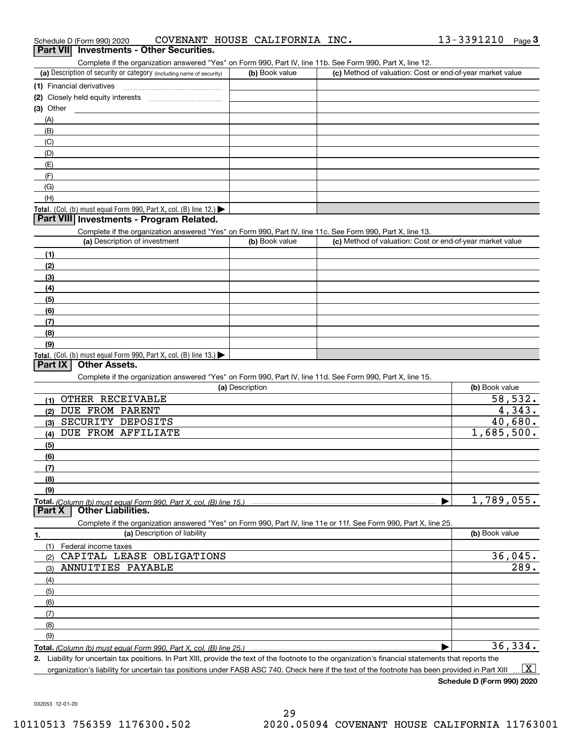| Schedule D (Form 990) 2020 |  | COVENANT HOUSE CALIFORNIA INC. |  |
|----------------------------|--|--------------------------------|--|
|                            |  |                                |  |

| Schedule D (Form 990) 2020                                                                                        | COVENANT HOUSE CALIFORNIA INC. | 13-3391210<br>Page $3$                                    |
|-------------------------------------------------------------------------------------------------------------------|--------------------------------|-----------------------------------------------------------|
| <b>Investments - Other Securities.</b><br><b>Part VII</b>                                                         |                                |                                                           |
| Complete if the organization answered "Yes" on Form 990, Part IV, line 11b. See Form 990, Part X, line 12.        |                                |                                                           |
| (a) Description of security or category (including name of security)                                              | (b) Book value                 | (c) Method of valuation: Cost or end-of-year market value |
| (1) Financial derivatives                                                                                         |                                |                                                           |
|                                                                                                                   |                                |                                                           |
| (3) Other                                                                                                         |                                |                                                           |
| (A)                                                                                                               |                                |                                                           |
| (B)                                                                                                               |                                |                                                           |
| (C)                                                                                                               |                                |                                                           |
| (D)                                                                                                               |                                |                                                           |
| (E)                                                                                                               |                                |                                                           |
| (F)                                                                                                               |                                |                                                           |
| (G)                                                                                                               |                                |                                                           |
| (H)                                                                                                               |                                |                                                           |
| Total. (Col. (b) must equal Form 990, Part X, col. (B) line 12.) $\blacktriangleright$                            |                                |                                                           |
| Part VIII Investments - Program Related.                                                                          |                                |                                                           |
| Complete if the organization answered "Yes" on Form 990, Part IV, line 11c. See Form 990, Part X, line 13.        |                                |                                                           |
| (a) Description of investment                                                                                     | (b) Book value                 | (c) Method of valuation: Cost or end-of-year market value |
| (1)                                                                                                               |                                |                                                           |
| (2)                                                                                                               |                                |                                                           |
| (3)                                                                                                               |                                |                                                           |
| (4)                                                                                                               |                                |                                                           |
| (5)                                                                                                               |                                |                                                           |
| (6)                                                                                                               |                                |                                                           |
| (7)                                                                                                               |                                |                                                           |
| (8)                                                                                                               |                                |                                                           |
| (9)                                                                                                               |                                |                                                           |
| Total. (Col. (b) must equal Form 990, Part X, col. (B) line 13.)                                                  |                                |                                                           |
| <b>Part IX</b><br><b>Other Assets.</b>                                                                            |                                |                                                           |
| Complete if the organization answered "Yes" on Form 990, Part IV, line 11d. See Form 990, Part X, line 15.        |                                |                                                           |
|                                                                                                                   | (a) Description                | (b) Book value                                            |
| OTHER RECEIVABLE<br>(1)                                                                                           |                                | 58,532.                                                   |
| DUE FROM PARENT<br>(2)                                                                                            |                                | 4,343.                                                    |
| SECURITY DEPOSITS<br>(3)                                                                                          |                                | 40,680.                                                   |
| DUE FROM AFFILIATE<br>(4)                                                                                         |                                | 1,685,500.                                                |
| (5)                                                                                                               |                                |                                                           |
| (6)                                                                                                               |                                |                                                           |
| (7)                                                                                                               |                                |                                                           |
| (8)                                                                                                               |                                |                                                           |
| (9)                                                                                                               |                                |                                                           |
| Total. (Column (b) must equal Form 990. Part X. col. (B) line 15.)                                                |                                | 1,789,055.                                                |
| <b>Part X</b><br><b>Other Liabilities.</b>                                                                        |                                |                                                           |
| Complete if the organization answered "Yes" on Form 990, Part IV, line 11e or 11f. See Form 990, Part X, line 25. |                                |                                                           |
| (a) Description of liability<br>1.                                                                                |                                | (b) Book value                                            |
| (1)<br>Federal income taxes                                                                                       |                                |                                                           |
| CAPITAL LEASE OBLIGATIONS<br>(2)                                                                                  |                                | 36,045.                                                   |
| ANNUITIES PAYABLE<br>(3)                                                                                          |                                | 289.                                                      |
| (4)                                                                                                               |                                |                                                           |
| (5)                                                                                                               |                                |                                                           |
| (6)                                                                                                               |                                |                                                           |
| (7)                                                                                                               |                                |                                                           |
| (8)                                                                                                               |                                |                                                           |
| (9)                                                                                                               |                                |                                                           |
|                                                                                                                   |                                | 36,334.                                                   |
| Total. (Column (b) must equal Form 990, Part X, col. (B) line 25.)                                                |                                |                                                           |

**2.** Liability for uncertain tax positions. In Part XIII, provide the text of the footnote to the organization's financial statements that reports the organization's liability for uncertain tax positions under FASB ASC 740. Check here if the text of the footnote has been provided in Part XIII  $\boxed{\text{X}}$ 

**Schedule D (Form 990) 2020**

032053 12-01-20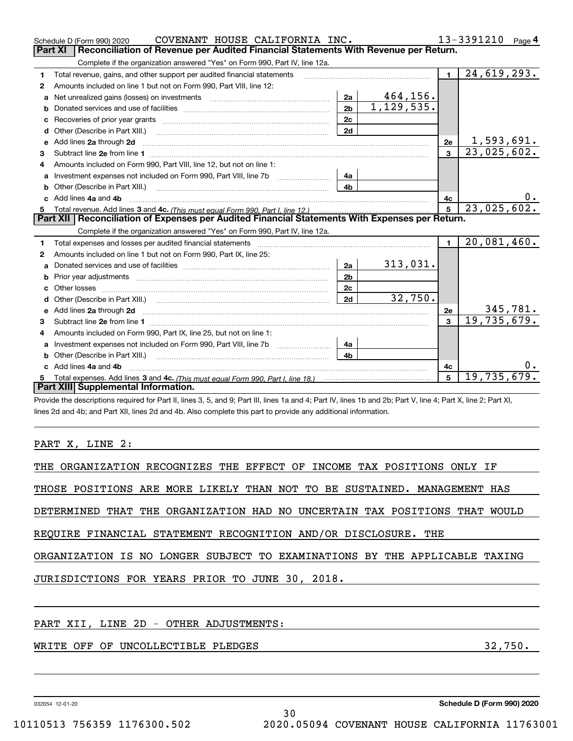|    | COVENANT HOUSE CALIFORNIA INC.<br>Schedule D (Form 990) 2020                                                                                                   |                |              |                | 13-3391210<br>Page 4        |
|----|----------------------------------------------------------------------------------------------------------------------------------------------------------------|----------------|--------------|----------------|-----------------------------|
|    | Reconciliation of Revenue per Audited Financial Statements With Revenue per Return.<br><b>Part XI</b>                                                          |                |              |                |                             |
|    | Complete if the organization answered "Yes" on Form 990, Part IV, line 12a.                                                                                    |                |              |                |                             |
| 1  | Total revenue, gains, and other support per audited financial statements                                                                                       |                |              | $\blacksquare$ | 24,619,293.                 |
| 2  | Amounts included on line 1 but not on Form 990, Part VIII, line 12:                                                                                            |                |              |                |                             |
| a  | Net unrealized gains (losses) on investments [11] matter than the unrealized gains (losses) on investments [11                                                 | 2a             | 464,156.     |                |                             |
| b  |                                                                                                                                                                | 2 <sub>b</sub> | 1, 129, 535. |                |                             |
| с  | Recoveries of prior year grants [111] Recoveries of prior year grants [11] Masseum Marchantel Marchantel March                                                 | 2c             |              |                |                             |
| d  |                                                                                                                                                                | 2d             |              |                |                             |
| е  | Add lines 2a through 2d                                                                                                                                        |                |              | 2е             | 1,593,691.                  |
| 3  |                                                                                                                                                                |                |              | $\mathbf{a}$   | $\overline{23}$ , 025, 602. |
| 4  | Amounts included on Form 990, Part VIII, line 12, but not on line 1:                                                                                           |                |              |                |                             |
|    |                                                                                                                                                                | 4a             |              |                |                             |
| b  | Other (Describe in Part XIII.) <b>Construction Contract Construction</b> Chemistry Chemistry Chemistry Chemistry Chemistry                                     | 4b             |              |                |                             |
|    | c Add lines 4a and 4b                                                                                                                                          |                |              | 4c             |                             |
| 5  |                                                                                                                                                                |                |              | 5              | 23,025,602.                 |
|    | Part XII   Reconciliation of Expenses per Audited Financial Statements With Expenses per Return.                                                               |                |              |                |                             |
|    | Complete if the organization answered "Yes" on Form 990, Part IV, line 12a.                                                                                    |                |              |                |                             |
| 1  |                                                                                                                                                                |                |              | $\blacksquare$ | 20,081,460.                 |
| 2  | Amounts included on line 1 but not on Form 990, Part IX, line 25:                                                                                              |                |              |                |                             |
| a  |                                                                                                                                                                | 2a             | 313,031.     |                |                             |
| b  |                                                                                                                                                                | 2 <sub>b</sub> |              |                |                             |
| c. |                                                                                                                                                                | 2c             |              |                |                             |
| d  |                                                                                                                                                                | 2d             | 32,750.      |                |                             |
|    |                                                                                                                                                                |                |              | 2e             | 345, 781.                   |
| 3  |                                                                                                                                                                |                |              | $\mathbf{a}$   | 19,735,679.                 |
| 4  | Amounts included on Form 990, Part IX, line 25, but not on line 1:                                                                                             |                |              |                |                             |
| a  | Investment expenses not included on Form 990, Part VIII, line 7b [1000000000000000000000000000000000                                                           | 4a             |              |                |                             |
|    |                                                                                                                                                                | 4b             |              |                |                             |
|    | c Add lines 4a and 4b                                                                                                                                          |                |              | 4c             |                             |
|    |                                                                                                                                                                |                |              | 5              | 19,735,679.                 |
|    | Part XIII Supplemental Information.                                                                                                                            |                |              |                |                             |
|    | Provide the descriptions required for Part II, lines 3, 5, and 9; Part III, lines 1a and 4; Part IV, lines 1b and 2b; Part V, line 4; Part X, line 2; Part XI, |                |              |                |                             |
|    | lines 2d and 4b; and Part XII, lines 2d and 4b. Also complete this part to provide any additional information.                                                 |                |              |                |                             |
|    |                                                                                                                                                                |                |              |                |                             |
|    |                                                                                                                                                                |                |              |                |                             |

#### PART X, LINE 2:

|  | THE ORGANIZATION RECOGNIZES THE EFFECT OF INCOME TAX POSITIONS ONLY IF |  |  |  |  |  |  |  |  |  |  |
|--|------------------------------------------------------------------------|--|--|--|--|--|--|--|--|--|--|
|--|------------------------------------------------------------------------|--|--|--|--|--|--|--|--|--|--|

THOSE POSITIONS ARE MORE LIKELY THAN NOT TO BE SUSTAINED. MANAGEMENT HAS

DETERMINED THAT THE ORGANIZATION HAD NO UNCERTAIN TAX POSITIONS THAT WOULD

REQUIRE FINANCIAL STATEMENT RECOGNITION AND/OR DISCLOSURE. THE

ORGANIZATION IS NO LONGER SUBJECT TO EXAMINATIONS BY THE APPLICABLE TAXING

JURISDICTIONS FOR YEARS PRIOR TO JUNE 30, 2018.

#### PART XII, LINE 2D - OTHER ADJUSTMENTS:

### WRITE OFF OF UNCOLLECTIBLE PLEDGES **ALL 20 YOU CONTROLLY SET ALL 32,750.**

032054 12-01-20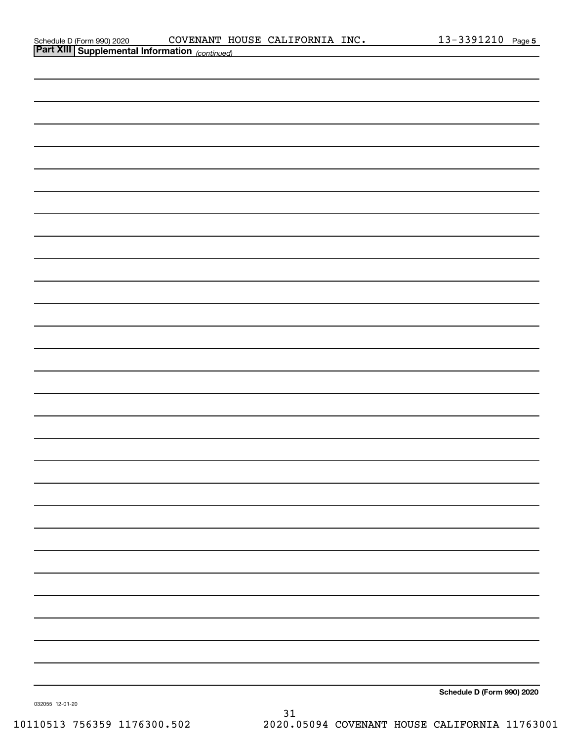| Schedule D (Form 990) 2020 |  |
|----------------------------|--|
|                            |  |

| <b>Part XIII Supplemental Information</b> (continued) |                            |
|-------------------------------------------------------|----------------------------|
|                                                       |                            |
|                                                       |                            |
|                                                       |                            |
|                                                       |                            |
|                                                       |                            |
|                                                       |                            |
|                                                       |                            |
|                                                       |                            |
|                                                       |                            |
|                                                       |                            |
|                                                       |                            |
|                                                       |                            |
|                                                       |                            |
|                                                       |                            |
|                                                       |                            |
|                                                       |                            |
|                                                       |                            |
|                                                       |                            |
|                                                       |                            |
|                                                       |                            |
|                                                       |                            |
|                                                       |                            |
|                                                       |                            |
|                                                       |                            |
|                                                       |                            |
|                                                       |                            |
|                                                       |                            |
|                                                       |                            |
|                                                       | Schedule D (Form 990) 2020 |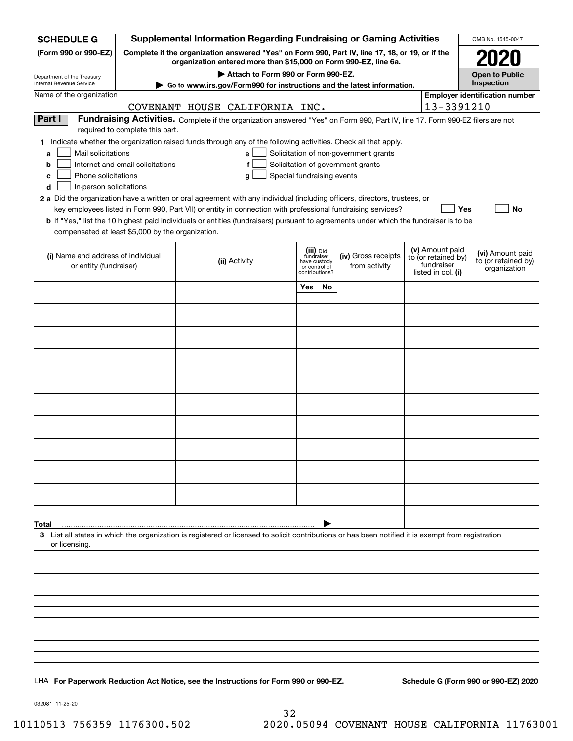| <b>SCHEDULE G</b>                                                                                                                                  |                                                                                                                                                                     | <b>Supplemental Information Regarding Fundraising or Gaming Activities</b>                                                                         |                         |                                                 |                                       |  |                                        | OMB No. 1545-0047                       |  |  |  |  |  |
|----------------------------------------------------------------------------------------------------------------------------------------------------|---------------------------------------------------------------------------------------------------------------------------------------------------------------------|----------------------------------------------------------------------------------------------------------------------------------------------------|-------------------------|-------------------------------------------------|---------------------------------------|--|----------------------------------------|-----------------------------------------|--|--|--|--|--|
| (Form 990 or 990-EZ)                                                                                                                               | Complete if the organization answered "Yes" on Form 990, Part IV, line 17, 18, or 19, or if the<br>organization entered more than \$15,000 on Form 990-EZ, line 6a. |                                                                                                                                                    |                         |                                                 |                                       |  |                                        |                                         |  |  |  |  |  |
| Department of the Treasury                                                                                                                         |                                                                                                                                                                     | Attach to Form 990 or Form 990-EZ.                                                                                                                 |                         |                                                 |                                       |  |                                        | <b>Open to Public</b>                   |  |  |  |  |  |
| Internal Revenue Service                                                                                                                           |                                                                                                                                                                     | Go to www.irs.gov/Form990 for instructions and the latest information.                                                                             |                         |                                                 |                                       |  |                                        | Inspection                              |  |  |  |  |  |
| Name of the organization                                                                                                                           | <b>Employer identification number</b><br>13-3391210<br>COVENANT HOUSE CALIFORNIA INC.                                                                               |                                                                                                                                                    |                         |                                                 |                                       |  |                                        |                                         |  |  |  |  |  |
| Part I<br>Fundraising Activities. Complete if the organization answered "Yes" on Form 990, Part IV, line 17. Form 990-EZ filers are not            |                                                                                                                                                                     |                                                                                                                                                    |                         |                                                 |                                       |  |                                        |                                         |  |  |  |  |  |
| required to complete this part.<br>1 Indicate whether the organization raised funds through any of the following activities. Check all that apply. |                                                                                                                                                                     |                                                                                                                                                    |                         |                                                 |                                       |  |                                        |                                         |  |  |  |  |  |
| Mail solicitations<br>a                                                                                                                            |                                                                                                                                                                     | e                                                                                                                                                  |                         |                                                 | Solicitation of non-government grants |  |                                        |                                         |  |  |  |  |  |
| Internet and email solicitations<br>Solicitation of government grants<br>b<br>f                                                                    |                                                                                                                                                                     |                                                                                                                                                    |                         |                                                 |                                       |  |                                        |                                         |  |  |  |  |  |
| Phone solicitations<br>Special fundraising events<br>c<br>g                                                                                        |                                                                                                                                                                     |                                                                                                                                                    |                         |                                                 |                                       |  |                                        |                                         |  |  |  |  |  |
|                                                                                                                                                    | In-person solicitations<br>d<br>2 a Did the organization have a written or oral agreement with any individual (including officers, directors, trustees, or          |                                                                                                                                                    |                         |                                                 |                                       |  |                                        |                                         |  |  |  |  |  |
|                                                                                                                                                    |                                                                                                                                                                     | key employees listed in Form 990, Part VII) or entity in connection with professional fundraising services?                                        |                         |                                                 |                                       |  | Yes                                    | No                                      |  |  |  |  |  |
|                                                                                                                                                    |                                                                                                                                                                     | <b>b</b> If "Yes," list the 10 highest paid individuals or entities (fundraisers) pursuant to agreements under which the fundraiser is to be       |                         |                                                 |                                       |  |                                        |                                         |  |  |  |  |  |
| compensated at least \$5,000 by the organization.                                                                                                  |                                                                                                                                                                     |                                                                                                                                                    |                         |                                                 |                                       |  |                                        |                                         |  |  |  |  |  |
| (i) Name and address of individual                                                                                                                 |                                                                                                                                                                     | (ii) Activity                                                                                                                                      | (iii) Did<br>fundraiser |                                                 | (iv) Gross receipts                   |  | (v) Amount paid<br>to (or retained by) | (vi) Amount paid<br>to (or retained by) |  |  |  |  |  |
| or entity (fundraiser)                                                                                                                             |                                                                                                                                                                     |                                                                                                                                                    |                         | have custody<br>or control of<br>contributions? | from activity                         |  | fundraiser<br>listed in col. (i)       | organization                            |  |  |  |  |  |
|                                                                                                                                                    |                                                                                                                                                                     |                                                                                                                                                    | Yes                     | No                                              |                                       |  |                                        |                                         |  |  |  |  |  |
|                                                                                                                                                    |                                                                                                                                                                     |                                                                                                                                                    |                         |                                                 |                                       |  |                                        |                                         |  |  |  |  |  |
|                                                                                                                                                    |                                                                                                                                                                     |                                                                                                                                                    |                         |                                                 |                                       |  |                                        |                                         |  |  |  |  |  |
|                                                                                                                                                    |                                                                                                                                                                     |                                                                                                                                                    |                         |                                                 |                                       |  |                                        |                                         |  |  |  |  |  |
|                                                                                                                                                    |                                                                                                                                                                     |                                                                                                                                                    |                         |                                                 |                                       |  |                                        |                                         |  |  |  |  |  |
|                                                                                                                                                    |                                                                                                                                                                     |                                                                                                                                                    |                         |                                                 |                                       |  |                                        |                                         |  |  |  |  |  |
|                                                                                                                                                    |                                                                                                                                                                     |                                                                                                                                                    |                         |                                                 |                                       |  |                                        |                                         |  |  |  |  |  |
|                                                                                                                                                    |                                                                                                                                                                     |                                                                                                                                                    |                         |                                                 |                                       |  |                                        |                                         |  |  |  |  |  |
|                                                                                                                                                    |                                                                                                                                                                     |                                                                                                                                                    |                         |                                                 |                                       |  |                                        |                                         |  |  |  |  |  |
|                                                                                                                                                    |                                                                                                                                                                     |                                                                                                                                                    |                         |                                                 |                                       |  |                                        |                                         |  |  |  |  |  |
|                                                                                                                                                    |                                                                                                                                                                     |                                                                                                                                                    |                         |                                                 |                                       |  |                                        |                                         |  |  |  |  |  |
|                                                                                                                                                    |                                                                                                                                                                     |                                                                                                                                                    |                         |                                                 |                                       |  |                                        |                                         |  |  |  |  |  |
|                                                                                                                                                    |                                                                                                                                                                     |                                                                                                                                                    |                         |                                                 |                                       |  |                                        |                                         |  |  |  |  |  |
|                                                                                                                                                    |                                                                                                                                                                     |                                                                                                                                                    |                         |                                                 |                                       |  |                                        |                                         |  |  |  |  |  |
| Total                                                                                                                                              |                                                                                                                                                                     | 3 List all states in which the organization is registered or licensed to solicit contributions or has been notified it is exempt from registration |                         |                                                 |                                       |  |                                        |                                         |  |  |  |  |  |
| or licensing.                                                                                                                                      |                                                                                                                                                                     |                                                                                                                                                    |                         |                                                 |                                       |  |                                        |                                         |  |  |  |  |  |
|                                                                                                                                                    |                                                                                                                                                                     |                                                                                                                                                    |                         |                                                 |                                       |  |                                        |                                         |  |  |  |  |  |
|                                                                                                                                                    |                                                                                                                                                                     |                                                                                                                                                    |                         |                                                 |                                       |  |                                        |                                         |  |  |  |  |  |
|                                                                                                                                                    |                                                                                                                                                                     |                                                                                                                                                    |                         |                                                 |                                       |  |                                        |                                         |  |  |  |  |  |
|                                                                                                                                                    |                                                                                                                                                                     |                                                                                                                                                    |                         |                                                 |                                       |  |                                        |                                         |  |  |  |  |  |
|                                                                                                                                                    |                                                                                                                                                                     |                                                                                                                                                    |                         |                                                 |                                       |  |                                        |                                         |  |  |  |  |  |
|                                                                                                                                                    |                                                                                                                                                                     |                                                                                                                                                    |                         |                                                 |                                       |  |                                        |                                         |  |  |  |  |  |
|                                                                                                                                                    |                                                                                                                                                                     |                                                                                                                                                    |                         |                                                 |                                       |  |                                        |                                         |  |  |  |  |  |
|                                                                                                                                                    |                                                                                                                                                                     |                                                                                                                                                    |                         |                                                 |                                       |  |                                        |                                         |  |  |  |  |  |
|                                                                                                                                                    |                                                                                                                                                                     | LHA For Paperwork Reduction Act Notice, see the Instructions for Form 990 or 990-EZ.                                                               |                         |                                                 |                                       |  |                                        | Schedule G (Form 990 or 990-EZ) 2020    |  |  |  |  |  |

032081 11-25-20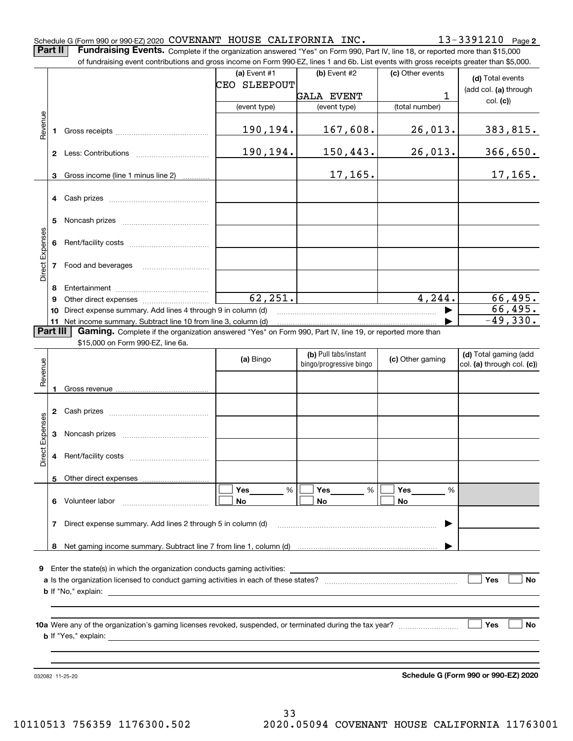|                 |                                                                                                                                                                                                                                                                                       | Schedule G (Form 990 or 990-EZ) 2020 COVENANT HOUSE CALIFORNIA INC.                                                                                                                                                                       |                |                         |                  | $13 - 3391210$ Page 2                     |  |  |  |  |  |
|-----------------|---------------------------------------------------------------------------------------------------------------------------------------------------------------------------------------------------------------------------------------------------------------------------------------|-------------------------------------------------------------------------------------------------------------------------------------------------------------------------------------------------------------------------------------------|----------------|-------------------------|------------------|-------------------------------------------|--|--|--|--|--|
|                 | Part II<br>Fundraising Events. Complete if the organization answered "Yes" on Form 990, Part IV, line 18, or reported more than \$15,000<br>of fundraising event contributions and gross income on Form 990-EZ, lines 1 and 6b. List events with gross receipts greater than \$5,000. |                                                                                                                                                                                                                                           |                |                         |                  |                                           |  |  |  |  |  |
|                 |                                                                                                                                                                                                                                                                                       |                                                                                                                                                                                                                                           | (a) Event $#1$ | $(b)$ Event #2          | (c) Other events |                                           |  |  |  |  |  |
|                 |                                                                                                                                                                                                                                                                                       |                                                                                                                                                                                                                                           | CEO SLEEPOUT   |                         |                  | (d) Total events<br>(add col. (a) through |  |  |  |  |  |
|                 |                                                                                                                                                                                                                                                                                       |                                                                                                                                                                                                                                           |                | <b>GALA EVENT</b>       | 1                | col. (c)                                  |  |  |  |  |  |
|                 |                                                                                                                                                                                                                                                                                       |                                                                                                                                                                                                                                           | (event type)   | (event type)            | (total number)   |                                           |  |  |  |  |  |
| Revenue         | 1                                                                                                                                                                                                                                                                                     |                                                                                                                                                                                                                                           | 190,194.       | 167,608.                | 26,013.          | 383,815.                                  |  |  |  |  |  |
|                 | $\mathbf{2}$                                                                                                                                                                                                                                                                          |                                                                                                                                                                                                                                           | 190,194.       | 150,443.                | 26,013.          | 366,650.                                  |  |  |  |  |  |
|                 | 3                                                                                                                                                                                                                                                                                     | Gross income (line 1 minus line 2)                                                                                                                                                                                                        |                | 17, 165.                |                  | 17, 165.                                  |  |  |  |  |  |
|                 |                                                                                                                                                                                                                                                                                       |                                                                                                                                                                                                                                           |                |                         |                  |                                           |  |  |  |  |  |
|                 | 5                                                                                                                                                                                                                                                                                     |                                                                                                                                                                                                                                           |                |                         |                  |                                           |  |  |  |  |  |
| Direct Expenses | 6                                                                                                                                                                                                                                                                                     |                                                                                                                                                                                                                                           |                |                         |                  |                                           |  |  |  |  |  |
|                 | 7                                                                                                                                                                                                                                                                                     | Food and beverages                                                                                                                                                                                                                        |                |                         |                  |                                           |  |  |  |  |  |
|                 | 8                                                                                                                                                                                                                                                                                     |                                                                                                                                                                                                                                           |                |                         |                  |                                           |  |  |  |  |  |
|                 | 9                                                                                                                                                                                                                                                                                     |                                                                                                                                                                                                                                           | 62, 251.       |                         | 4, 244.          | 66,495.                                   |  |  |  |  |  |
|                 | 10                                                                                                                                                                                                                                                                                    | Direct expense summary. Add lines 4 through 9 in column (d)                                                                                                                                                                               |                |                         |                  | 66,495.                                   |  |  |  |  |  |
|                 | Part III                                                                                                                                                                                                                                                                              | Gaming. Complete if the organization answered "Yes" on Form 990, Part IV, line 19, or reported more than                                                                                                                                  |                |                         |                  | $-49,330.$                                |  |  |  |  |  |
|                 |                                                                                                                                                                                                                                                                                       | \$15,000 on Form 990-EZ, line 6a.                                                                                                                                                                                                         |                |                         |                  |                                           |  |  |  |  |  |
|                 |                                                                                                                                                                                                                                                                                       |                                                                                                                                                                                                                                           | (a) Bingo      | (b) Pull tabs/instant   | (c) Other gaming | (d) Total gaming (add                     |  |  |  |  |  |
| Revenue         |                                                                                                                                                                                                                                                                                       |                                                                                                                                                                                                                                           |                | bingo/progressive bingo |                  | col. (a) through col. (c))                |  |  |  |  |  |
|                 |                                                                                                                                                                                                                                                                                       |                                                                                                                                                                                                                                           |                |                         |                  |                                           |  |  |  |  |  |
|                 | 1.                                                                                                                                                                                                                                                                                    |                                                                                                                                                                                                                                           |                |                         |                  |                                           |  |  |  |  |  |
|                 | 2                                                                                                                                                                                                                                                                                     |                                                                                                                                                                                                                                           |                |                         |                  |                                           |  |  |  |  |  |
| Expenses        | 3                                                                                                                                                                                                                                                                                     |                                                                                                                                                                                                                                           |                |                         |                  |                                           |  |  |  |  |  |
| $\pm$<br>Dire   | 4                                                                                                                                                                                                                                                                                     |                                                                                                                                                                                                                                           |                |                         |                  |                                           |  |  |  |  |  |
|                 | 5                                                                                                                                                                                                                                                                                     |                                                                                                                                                                                                                                           |                |                         |                  |                                           |  |  |  |  |  |
|                 |                                                                                                                                                                                                                                                                                       |                                                                                                                                                                                                                                           | %<br>Yes       | %<br>Yes                | <b>Yes</b><br>%  |                                           |  |  |  |  |  |
|                 | 6                                                                                                                                                                                                                                                                                     | Volunteer labor                                                                                                                                                                                                                           | No.            | No                      | No               |                                           |  |  |  |  |  |
|                 | 7                                                                                                                                                                                                                                                                                     | Direct expense summary. Add lines 2 through 5 in column (d)                                                                                                                                                                               |                |                         |                  |                                           |  |  |  |  |  |
|                 | 8                                                                                                                                                                                                                                                                                     |                                                                                                                                                                                                                                           |                |                         |                  |                                           |  |  |  |  |  |
|                 |                                                                                                                                                                                                                                                                                       |                                                                                                                                                                                                                                           |                |                         |                  |                                           |  |  |  |  |  |
| 9               |                                                                                                                                                                                                                                                                                       | Enter the state(s) in which the organization conducts gaming activities:                                                                                                                                                                  |                |                         |                  |                                           |  |  |  |  |  |
|                 | Yes<br><b>No</b><br><b>b</b> If "No," explain: <u>example and the set of the set of the set of the set of the set of the set of the set of the set of the set of the set of the set of the set of the set of the set of the set of the set of the set of </u>                         |                                                                                                                                                                                                                                           |                |                         |                  |                                           |  |  |  |  |  |
|                 |                                                                                                                                                                                                                                                                                       |                                                                                                                                                                                                                                           |                |                         |                  |                                           |  |  |  |  |  |
|                 |                                                                                                                                                                                                                                                                                       | <b>b</b> If "Yes," explain: <u>example and the set of the set of the set of the set of the set of the set of the set of the set of the set of the set of the set of the set of the set of the set of the set of the set of the set of</u> |                |                         |                  | Yes<br>No                                 |  |  |  |  |  |
|                 |                                                                                                                                                                                                                                                                                       |                                                                                                                                                                                                                                           |                |                         |                  |                                           |  |  |  |  |  |
|                 |                                                                                                                                                                                                                                                                                       |                                                                                                                                                                                                                                           |                |                         |                  |                                           |  |  |  |  |  |
|                 |                                                                                                                                                                                                                                                                                       | 032082 11-25-20                                                                                                                                                                                                                           |                |                         |                  | Schedule G (Form 990 or 990-EZ) 2020      |  |  |  |  |  |

**Schedule G (Form 990 or 990-EZ) 2020**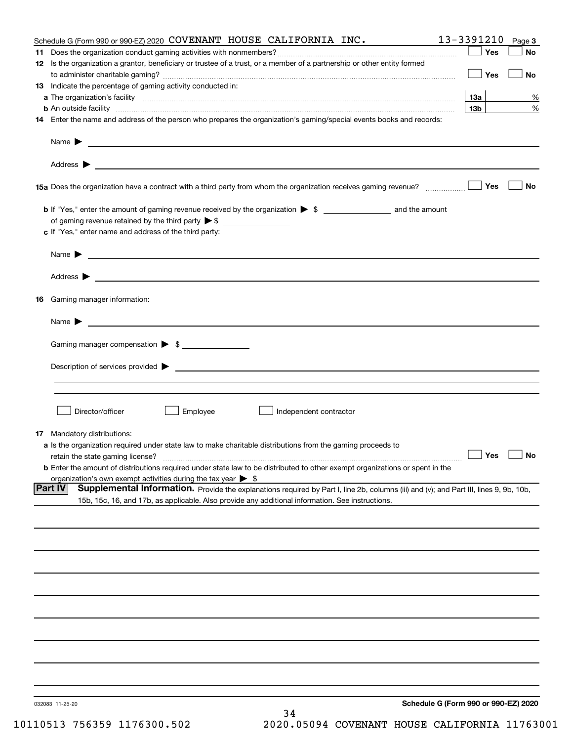| Schedule G (Form 990 or 990-EZ) 2020 COVENANT HOUSE CALIFORNIA INC.                                                                                           | 13-3391210      | Page 3    |
|---------------------------------------------------------------------------------------------------------------------------------------------------------------|-----------------|-----------|
|                                                                                                                                                               | Yes             | No        |
| 12 Is the organization a grantor, beneficiary or trustee of a trust, or a member of a partnership or other entity formed                                      |                 |           |
|                                                                                                                                                               | Yes             | <b>No</b> |
| 13 Indicate the percentage of gaming activity conducted in:                                                                                                   |                 |           |
|                                                                                                                                                               | <u>13a</u>      | %         |
| <b>b</b> An outside facility <i>www.communicality www.communicality.communicality www.communicality www.communicality.communicality www.communicality.com</i> | 13 <sub>b</sub> | %         |
| 14 Enter the name and address of the person who prepares the organization's gaming/special events books and records:                                          |                 |           |
|                                                                                                                                                               |                 |           |
|                                                                                                                                                               |                 |           |
| 15a Does the organization have a contract with a third party from whom the organization receives gaming revenue?                                              | Yes             | No        |
| <b>b</b> If "Yes," enter the amount of gaming revenue received by the organization $\triangleright$ \$ ____________________ and the amount                    |                 |           |
|                                                                                                                                                               |                 |           |
| c If "Yes," enter name and address of the third party:                                                                                                        |                 |           |
|                                                                                                                                                               |                 |           |
| Name $\blacktriangleright$ $\_\_\_\_\_\_\_\_\_\$                                                                                                              |                 |           |
|                                                                                                                                                               |                 |           |
|                                                                                                                                                               |                 |           |
|                                                                                                                                                               |                 |           |
| 16 Gaming manager information:                                                                                                                                |                 |           |
| Name $\blacktriangleright$ $\frac{1}{\sqrt{1-\frac{1}{2}}\left(1-\frac{1}{2}\right)}$                                                                         |                 |           |
|                                                                                                                                                               |                 |           |
| Gaming manager compensation > \$                                                                                                                              |                 |           |
|                                                                                                                                                               |                 |           |
|                                                                                                                                                               |                 |           |
|                                                                                                                                                               |                 |           |
|                                                                                                                                                               |                 |           |
|                                                                                                                                                               |                 |           |
| Director/officer<br>Employee<br>∫ Independent contractor                                                                                                      |                 |           |
| 17 Mandatory distributions:                                                                                                                                   |                 |           |
| a Is the organization required under state law to make charitable distributions from the gaming proceeds to                                                   |                 |           |
| $\Box$ Yes $\Box$ No<br>retain the state gaming license?                                                                                                      |                 |           |
| <b>b</b> Enter the amount of distributions required under state law to be distributed to other exempt organizations or spent in the                           |                 |           |
| organization's own exempt activities during the tax year $\triangleright$ \$                                                                                  |                 |           |
| <b>Part IV</b><br>Supplemental Information. Provide the explanations required by Part I, line 2b, columns (iii) and (v); and Part III, lines 9, 9b, 10b,      |                 |           |
| 15b, 15c, 16, and 17b, as applicable. Also provide any additional information. See instructions.                                                              |                 |           |
|                                                                                                                                                               |                 |           |
|                                                                                                                                                               |                 |           |
|                                                                                                                                                               |                 |           |
|                                                                                                                                                               |                 |           |
|                                                                                                                                                               |                 |           |
|                                                                                                                                                               |                 |           |
|                                                                                                                                                               |                 |           |
|                                                                                                                                                               |                 |           |
|                                                                                                                                                               |                 |           |
|                                                                                                                                                               |                 |           |
|                                                                                                                                                               |                 |           |
|                                                                                                                                                               |                 |           |
|                                                                                                                                                               |                 |           |
|                                                                                                                                                               |                 |           |
|                                                                                                                                                               |                 |           |
| Schedule G (Form 990 or 990-EZ) 2020<br>032083 11-25-20                                                                                                       |                 |           |
| 34                                                                                                                                                            |                 |           |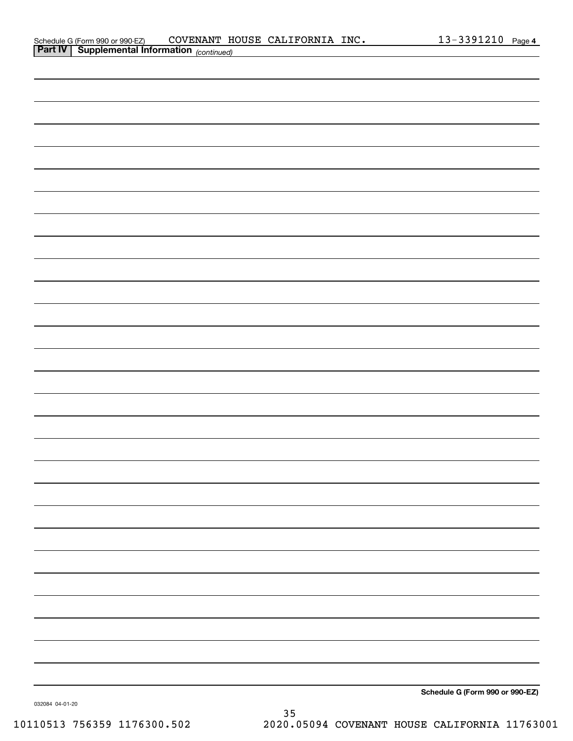| Schedule G (Form 990 or 990-EZ)                       |  | COVENANT HOUSE CALIFORNIA INC. | $13 - 3391210$ Page 4 |  |
|-------------------------------------------------------|--|--------------------------------|-----------------------|--|
| <b>Part IV   Supplemental Information</b> (continued) |  |                                |                       |  |

| <b>Part IV   Supplemental Information</b> (continued) |  |                                 |  |
|-------------------------------------------------------|--|---------------------------------|--|
|                                                       |  |                                 |  |
|                                                       |  |                                 |  |
|                                                       |  |                                 |  |
|                                                       |  |                                 |  |
|                                                       |  |                                 |  |
|                                                       |  |                                 |  |
|                                                       |  |                                 |  |
|                                                       |  |                                 |  |
|                                                       |  |                                 |  |
|                                                       |  |                                 |  |
|                                                       |  |                                 |  |
|                                                       |  |                                 |  |
|                                                       |  |                                 |  |
|                                                       |  |                                 |  |
|                                                       |  |                                 |  |
|                                                       |  |                                 |  |
|                                                       |  |                                 |  |
|                                                       |  |                                 |  |
|                                                       |  |                                 |  |
|                                                       |  |                                 |  |
|                                                       |  |                                 |  |
|                                                       |  |                                 |  |
|                                                       |  |                                 |  |
|                                                       |  |                                 |  |
|                                                       |  |                                 |  |
|                                                       |  |                                 |  |
|                                                       |  |                                 |  |
|                                                       |  |                                 |  |
|                                                       |  |                                 |  |
|                                                       |  | Schedule G (Form 990 or 990-F7) |  |

**Schedule G (Form 990 or 990-EZ)**

032084 04-01-20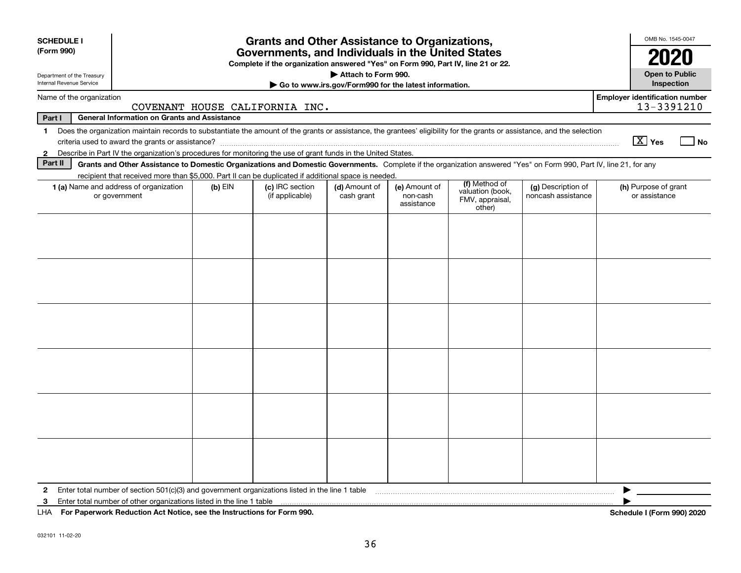| Attach to Form 990.<br><b>Open to Public</b><br>Department of the Treasury<br>Internal Revenue Service<br><b>Inspection</b><br>Go to www.irs.gov/Form990 for the latest information.<br><b>Employer identification number</b><br>Name of the organization<br>13-3391210<br>COVENANT HOUSE CALIFORNIA INC.<br><b>General Information on Grants and Assistance</b><br>Part I<br>Does the organization maintain records to substantiate the amount of the grants or assistance, the grantees' eligibility for the grants or assistance, and the selection<br>$\mathbf{1}$<br>$\boxed{\text{X}}$ Yes<br>No<br>Describe in Part IV the organization's procedures for monitoring the use of grant funds in the United States.<br>$\mathbf{2}$<br>Part II<br>Grants and Other Assistance to Domestic Organizations and Domestic Governments. Complete if the organization answered "Yes" on Form 990, Part IV, line 21, for any<br>recipient that received more than \$5,000. Part II can be duplicated if additional space is needed.<br>(f) Method of<br>(c) IRC section<br>1 (a) Name and address of organization<br>$(b)$ EIN<br>(d) Amount of<br>(e) Amount of<br>(g) Description of<br>(h) Purpose of grant<br>valuation (book,<br>noncash assistance<br>or government<br>(if applicable)<br>cash grant<br>non-cash<br>or assistance<br>FMV, appraisal,<br>assistance<br>other) | <b>SCHEDULE I</b><br>(Form 990) | <b>Grants and Other Assistance to Organizations,</b><br>Governments, and Individuals in the United States<br>Complete if the organization answered "Yes" on Form 990, Part IV, line 21 or 22. |  |  |  |  |  |  |  |  |  |  |
|--------------------------------------------------------------------------------------------------------------------------------------------------------------------------------------------------------------------------------------------------------------------------------------------------------------------------------------------------------------------------------------------------------------------------------------------------------------------------------------------------------------------------------------------------------------------------------------------------------------------------------------------------------------------------------------------------------------------------------------------------------------------------------------------------------------------------------------------------------------------------------------------------------------------------------------------------------------------------------------------------------------------------------------------------------------------------------------------------------------------------------------------------------------------------------------------------------------------------------------------------------------------------------------------------------------------------------------------------------------------------------|---------------------------------|-----------------------------------------------------------------------------------------------------------------------------------------------------------------------------------------------|--|--|--|--|--|--|--|--|--|--|
|                                                                                                                                                                                                                                                                                                                                                                                                                                                                                                                                                                                                                                                                                                                                                                                                                                                                                                                                                                                                                                                                                                                                                                                                                                                                                                                                                                                |                                 |                                                                                                                                                                                               |  |  |  |  |  |  |  |  |  |  |
|                                                                                                                                                                                                                                                                                                                                                                                                                                                                                                                                                                                                                                                                                                                                                                                                                                                                                                                                                                                                                                                                                                                                                                                                                                                                                                                                                                                |                                 |                                                                                                                                                                                               |  |  |  |  |  |  |  |  |  |  |
|                                                                                                                                                                                                                                                                                                                                                                                                                                                                                                                                                                                                                                                                                                                                                                                                                                                                                                                                                                                                                                                                                                                                                                                                                                                                                                                                                                                |                                 |                                                                                                                                                                                               |  |  |  |  |  |  |  |  |  |  |
|                                                                                                                                                                                                                                                                                                                                                                                                                                                                                                                                                                                                                                                                                                                                                                                                                                                                                                                                                                                                                                                                                                                                                                                                                                                                                                                                                                                |                                 |                                                                                                                                                                                               |  |  |  |  |  |  |  |  |  |  |
|                                                                                                                                                                                                                                                                                                                                                                                                                                                                                                                                                                                                                                                                                                                                                                                                                                                                                                                                                                                                                                                                                                                                                                                                                                                                                                                                                                                |                                 |                                                                                                                                                                                               |  |  |  |  |  |  |  |  |  |  |
|                                                                                                                                                                                                                                                                                                                                                                                                                                                                                                                                                                                                                                                                                                                                                                                                                                                                                                                                                                                                                                                                                                                                                                                                                                                                                                                                                                                |                                 |                                                                                                                                                                                               |  |  |  |  |  |  |  |  |  |  |
|                                                                                                                                                                                                                                                                                                                                                                                                                                                                                                                                                                                                                                                                                                                                                                                                                                                                                                                                                                                                                                                                                                                                                                                                                                                                                                                                                                                |                                 |                                                                                                                                                                                               |  |  |  |  |  |  |  |  |  |  |
|                                                                                                                                                                                                                                                                                                                                                                                                                                                                                                                                                                                                                                                                                                                                                                                                                                                                                                                                                                                                                                                                                                                                                                                                                                                                                                                                                                                |                                 |                                                                                                                                                                                               |  |  |  |  |  |  |  |  |  |  |
|                                                                                                                                                                                                                                                                                                                                                                                                                                                                                                                                                                                                                                                                                                                                                                                                                                                                                                                                                                                                                                                                                                                                                                                                                                                                                                                                                                                |                                 |                                                                                                                                                                                               |  |  |  |  |  |  |  |  |  |  |
| Enter total number of section 501(c)(3) and government organizations listed in the line 1 table<br>$\mathbf{2}$                                                                                                                                                                                                                                                                                                                                                                                                                                                                                                                                                                                                                                                                                                                                                                                                                                                                                                                                                                                                                                                                                                                                                                                                                                                                |                                 |                                                                                                                                                                                               |  |  |  |  |  |  |  |  |  |  |
| Enter total number of other organizations listed in the line 1 table<br>3<br>Schedule I (Form 990) 2020<br>LHA For Paperwork Reduction Act Notice, see the Instructions for Form 990.                                                                                                                                                                                                                                                                                                                                                                                                                                                                                                                                                                                                                                                                                                                                                                                                                                                                                                                                                                                                                                                                                                                                                                                          |                                 |                                                                                                                                                                                               |  |  |  |  |  |  |  |  |  |  |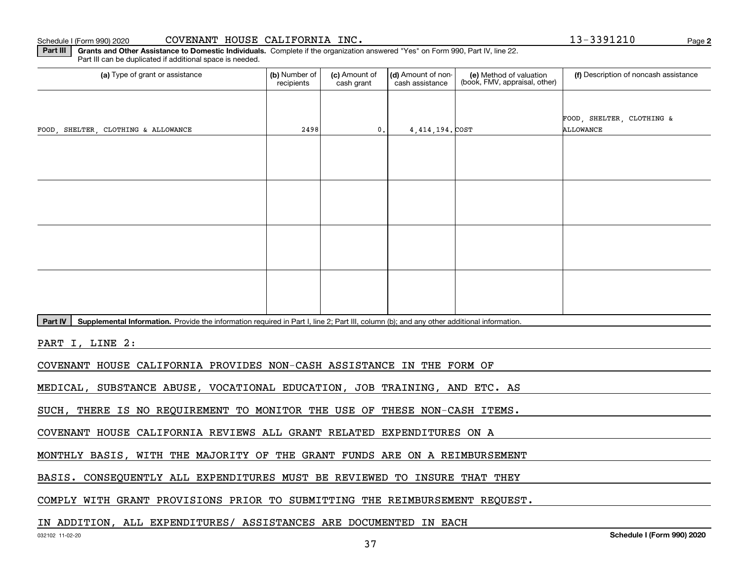**2**

**Part III | Grants and Other Assistance to Domestic Individuals. Complete if the organization answered "Yes" on Form 990, Part IV, line 22.** Part III can be duplicated if additional space is needed.

| (a) Type of grant or assistance                                                                                                                      | (b) Number of<br>recipients | (c) Amount of<br>cash grant | (d) Amount of non-<br>cash assistance | (e) Method of valuation<br>(book, FMV, appraisal, other) | (f) Description of noncash assistance  |  |  |  |  |  |  |  |
|------------------------------------------------------------------------------------------------------------------------------------------------------|-----------------------------|-----------------------------|---------------------------------------|----------------------------------------------------------|----------------------------------------|--|--|--|--|--|--|--|
|                                                                                                                                                      |                             |                             |                                       |                                                          |                                        |  |  |  |  |  |  |  |
| FOOD, SHELTER, CLOTHING & ALLOWANCE                                                                                                                  | 2498                        | $\mathbf{0}$ .              | 4,414,194. COST                       |                                                          | FOOD, SHELTER, CLOTHING &<br>ALLOWANCE |  |  |  |  |  |  |  |
|                                                                                                                                                      |                             |                             |                                       |                                                          |                                        |  |  |  |  |  |  |  |
|                                                                                                                                                      |                             |                             |                                       |                                                          |                                        |  |  |  |  |  |  |  |
|                                                                                                                                                      |                             |                             |                                       |                                                          |                                        |  |  |  |  |  |  |  |
|                                                                                                                                                      |                             |                             |                                       |                                                          |                                        |  |  |  |  |  |  |  |
|                                                                                                                                                      |                             |                             |                                       |                                                          |                                        |  |  |  |  |  |  |  |
|                                                                                                                                                      |                             |                             |                                       |                                                          |                                        |  |  |  |  |  |  |  |
|                                                                                                                                                      |                             |                             |                                       |                                                          |                                        |  |  |  |  |  |  |  |
|                                                                                                                                                      |                             |                             |                                       |                                                          |                                        |  |  |  |  |  |  |  |
| Part IV<br>Supplemental Information. Provide the information required in Part I, line 2; Part III, column (b); and any other additional information. |                             |                             |                                       |                                                          |                                        |  |  |  |  |  |  |  |
| PART I, LINE 2:                                                                                                                                      |                             |                             |                                       |                                                          |                                        |  |  |  |  |  |  |  |
| COVENANT HOUSE CALIFORNIA PROVIDES NON-CASH ASSISTANCE IN THE FORM OF                                                                                |                             |                             |                                       |                                                          |                                        |  |  |  |  |  |  |  |
| MEDICAL, SUBSTANCE ABUSE, VOCATIONAL EDUCATION, JOB TRAINING, AND ETC. AS                                                                            |                             |                             |                                       |                                                          |                                        |  |  |  |  |  |  |  |

SUCH, THERE IS NO REQUIREMENT TO MONITOR THE USE OF THESE NON-CASH ITEMS.

COVENANT HOUSE CALIFORNIA REVIEWS ALL GRANT RELATED EXPENDITURES ON A

MONTHLY BASIS, WITH THE MAJORITY OF THE GRANT FUNDS ARE ON A REIMBURSEMENT

BASIS. CONSEQUENTLY ALL EXPENDITURES MUST BE REVIEWED TO INSURE THAT THEY

COMPLY WITH GRANT PROVISIONS PRIOR TO SUBMITTING THE REIMBURSEMENT REQUEST.

#### IN ADDITION, ALL EXPENDITURES/ ASSISTANCES ARE DOCUMENTED IN EACH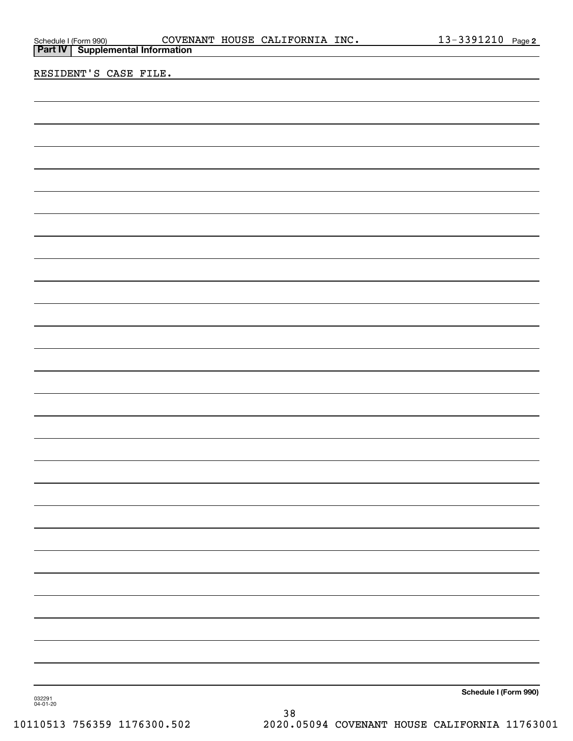| Schedule I (Form 990) | <b>COVEN</b>                              |
|-----------------------|-------------------------------------------|
|                       | <b>Part IV   Supplemental Information</b> |

RESIDENT'S CASE FILE.

**Schedule I (Form 990)**

032291 04-01-20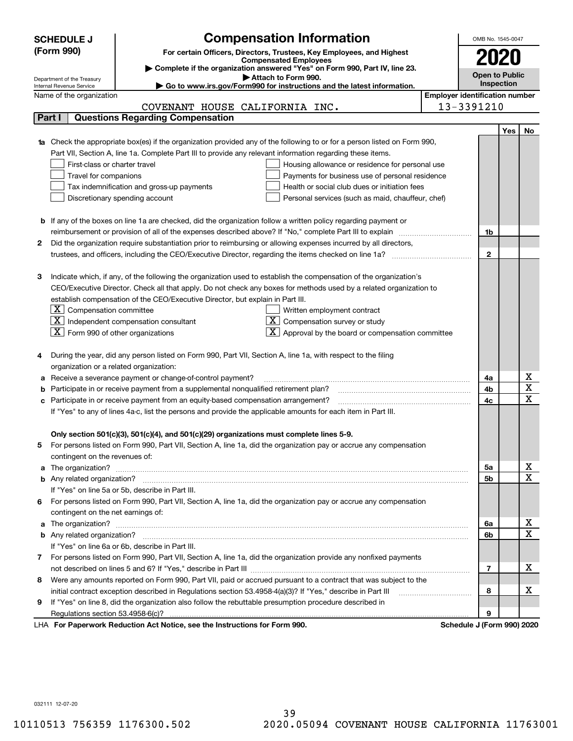|   | <b>SCHEDULE J</b>                                                 | <b>Compensation Information</b>                                                                                                                                                                               |  | OMB No. 1545-0047          |     |                              |  |  |  |
|---|-------------------------------------------------------------------|---------------------------------------------------------------------------------------------------------------------------------------------------------------------------------------------------------------|--|----------------------------|-----|------------------------------|--|--|--|
|   | (Form 990)                                                        | For certain Officers, Directors, Trustees, Key Employees, and Highest                                                                                                                                         |  |                            |     |                              |  |  |  |
|   |                                                                   | <b>Compensated Employees</b>                                                                                                                                                                                  |  |                            |     |                              |  |  |  |
|   |                                                                   | Complete if the organization answered "Yes" on Form 990, Part IV, line 23.                                                                                                                                    |  | <b>Open to Public</b>      |     |                              |  |  |  |
|   | Department of the Treasury<br>Internal Revenue Service            | Attach to Form 990.<br>Go to www.irs.gov/Form990 for instructions and the latest information.                                                                                                                 |  | Inspection                 |     |                              |  |  |  |
|   | <b>Employer identification number</b><br>Name of the organization |                                                                                                                                                                                                               |  |                            |     |                              |  |  |  |
|   |                                                                   | COVENANT HOUSE CALIFORNIA INC.                                                                                                                                                                                |  | 13-3391210                 |     |                              |  |  |  |
|   | Part I                                                            | <b>Questions Regarding Compensation</b>                                                                                                                                                                       |  |                            |     |                              |  |  |  |
|   |                                                                   |                                                                                                                                                                                                               |  |                            | Yes | No                           |  |  |  |
|   |                                                                   | <b>1a</b> Check the appropriate box(es) if the organization provided any of the following to or for a person listed on Form 990,                                                                              |  |                            |     |                              |  |  |  |
|   |                                                                   | Part VII, Section A, line 1a. Complete Part III to provide any relevant information regarding these items.                                                                                                    |  |                            |     |                              |  |  |  |
|   | First-class or charter travel                                     | Housing allowance or residence for personal use                                                                                                                                                               |  |                            |     |                              |  |  |  |
|   | Travel for companions                                             | Payments for business use of personal residence                                                                                                                                                               |  |                            |     |                              |  |  |  |
|   |                                                                   | Tax indemnification and gross-up payments<br>Health or social club dues or initiation fees                                                                                                                    |  |                            |     |                              |  |  |  |
|   |                                                                   | Discretionary spending account<br>Personal services (such as maid, chauffeur, chef)                                                                                                                           |  |                            |     |                              |  |  |  |
|   |                                                                   |                                                                                                                                                                                                               |  |                            |     |                              |  |  |  |
|   |                                                                   | <b>b</b> If any of the boxes on line 1a are checked, did the organization follow a written policy regarding payment or                                                                                        |  |                            |     |                              |  |  |  |
|   |                                                                   |                                                                                                                                                                                                               |  | 1b                         |     |                              |  |  |  |
| 2 |                                                                   | Did the organization require substantiation prior to reimbursing or allowing expenses incurred by all directors,                                                                                              |  |                            |     |                              |  |  |  |
|   |                                                                   |                                                                                                                                                                                                               |  | $\mathbf{2}$               |     |                              |  |  |  |
|   |                                                                   |                                                                                                                                                                                                               |  |                            |     |                              |  |  |  |
| з |                                                                   | Indicate which, if any, of the following the organization used to establish the compensation of the organization's                                                                                            |  |                            |     |                              |  |  |  |
|   |                                                                   | CEO/Executive Director. Check all that apply. Do not check any boxes for methods used by a related organization to                                                                                            |  |                            |     |                              |  |  |  |
|   |                                                                   | establish compensation of the CEO/Executive Director, but explain in Part III.                                                                                                                                |  |                            |     |                              |  |  |  |
|   | $ \mathbf{X} $ Compensation committee                             | Written employment contract                                                                                                                                                                                   |  |                            |     |                              |  |  |  |
|   |                                                                   | $X$ Independent compensation consultant<br>Compensation survey or study                                                                                                                                       |  |                            |     |                              |  |  |  |
|   | $ \mathbf{X} $ Form 990 of other organizations                    | Approval by the board or compensation committee                                                                                                                                                               |  |                            |     |                              |  |  |  |
|   |                                                                   |                                                                                                                                                                                                               |  |                            |     |                              |  |  |  |
|   |                                                                   | During the year, did any person listed on Form 990, Part VII, Section A, line 1a, with respect to the filing                                                                                                  |  |                            |     |                              |  |  |  |
|   | organization or a related organization:                           |                                                                                                                                                                                                               |  |                            |     |                              |  |  |  |
| а |                                                                   | Receive a severance payment or change-of-control payment?                                                                                                                                                     |  | 4a                         |     | x<br>$\overline{\textbf{X}}$ |  |  |  |
|   |                                                                   | Participate in or receive payment from a supplemental nonqualified retirement plan?                                                                                                                           |  | 4b                         |     | $\overline{\mathbf{x}}$      |  |  |  |
|   |                                                                   | c Participate in or receive payment from an equity-based compensation arrangement?                                                                                                                            |  | 4c                         |     |                              |  |  |  |
|   |                                                                   | If "Yes" to any of lines 4a-c, list the persons and provide the applicable amounts for each item in Part III.                                                                                                 |  |                            |     |                              |  |  |  |
|   |                                                                   |                                                                                                                                                                                                               |  |                            |     |                              |  |  |  |
|   |                                                                   | Only section 501(c)(3), 501(c)(4), and 501(c)(29) organizations must complete lines 5-9.<br>For persons listed on Form 990, Part VII, Section A, line 1a, did the organization pay or accrue any compensation |  |                            |     |                              |  |  |  |
| 5 |                                                                   |                                                                                                                                                                                                               |  |                            |     |                              |  |  |  |
|   | contingent on the revenues of:                                    |                                                                                                                                                                                                               |  | 5a                         |     | x                            |  |  |  |
|   |                                                                   |                                                                                                                                                                                                               |  | 5b                         |     | $\overline{\mathbf{x}}$      |  |  |  |
|   |                                                                   | If "Yes" on line 5a or 5b, describe in Part III.                                                                                                                                                              |  |                            |     |                              |  |  |  |
|   |                                                                   | 6 For persons listed on Form 990, Part VII, Section A, line 1a, did the organization pay or accrue any compensation                                                                                           |  |                            |     |                              |  |  |  |
|   | contingent on the net earnings of:                                |                                                                                                                                                                                                               |  |                            |     |                              |  |  |  |
|   |                                                                   |                                                                                                                                                                                                               |  | 6a                         |     | x                            |  |  |  |
|   |                                                                   |                                                                                                                                                                                                               |  | 6b                         |     | $\overline{\mathbf{x}}$      |  |  |  |
|   |                                                                   | If "Yes" on line 6a or 6b, describe in Part III.                                                                                                                                                              |  |                            |     |                              |  |  |  |
|   |                                                                   | 7 For persons listed on Form 990, Part VII, Section A, line 1a, did the organization provide any nonfixed payments                                                                                            |  |                            |     |                              |  |  |  |
|   |                                                                   |                                                                                                                                                                                                               |  | 7                          |     | х                            |  |  |  |
| 8 |                                                                   | Were any amounts reported on Form 990, Part VII, paid or accrued pursuant to a contract that was subject to the                                                                                               |  |                            |     |                              |  |  |  |
|   |                                                                   |                                                                                                                                                                                                               |  | 8                          |     | х                            |  |  |  |
| 9 |                                                                   | If "Yes" on line 8, did the organization also follow the rebuttable presumption procedure described in                                                                                                        |  |                            |     |                              |  |  |  |
|   |                                                                   |                                                                                                                                                                                                               |  | 9                          |     |                              |  |  |  |
|   |                                                                   | LHA For Paperwork Reduction Act Notice, see the Instructions for Form 990.                                                                                                                                    |  | Schedule J (Form 990) 2020 |     |                              |  |  |  |

032111 12-07-20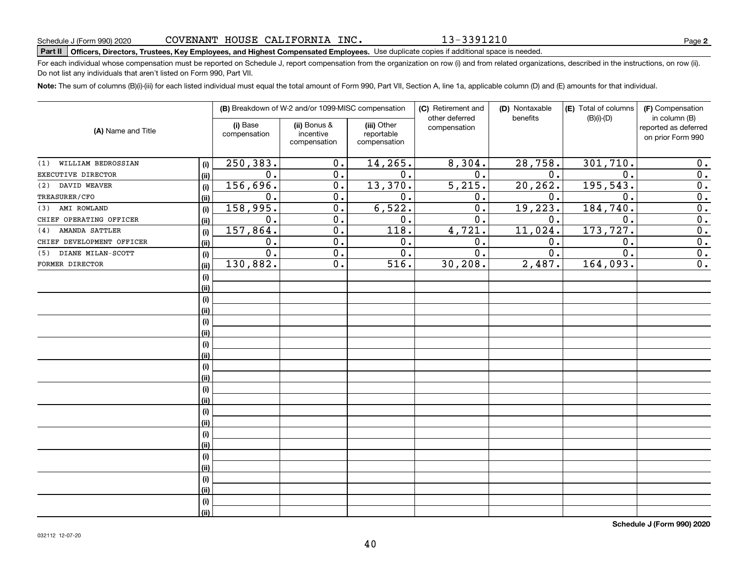13-3391210

**2**

# **Part II Officers, Directors, Trustees, Key Employees, and Highest Compensated Employees.**  Schedule J (Form 990) 2020 Page Use duplicate copies if additional space is needed.

For each individual whose compensation must be reported on Schedule J, report compensation from the organization on row (i) and from related organizations, described in the instructions, on row (ii). Do not list any individuals that aren't listed on Form 990, Part VII.

**Note:**  The sum of columns (B)(i)-(iii) for each listed individual must equal the total amount of Form 990, Part VII, Section A, line 1a, applicable column (D) and (E) amounts for that individual.

| (A) Name and Title           |      |                          | (B) Breakdown of W-2 and/or 1099-MISC compensation |                                           | (C) Retirement and<br>other deferred | (D) Nontaxable<br>benefits | (E) Total of columns<br>$(B)(i)-(D)$ | (F) Compensation<br>in column (B)         |
|------------------------------|------|--------------------------|----------------------------------------------------|-------------------------------------------|--------------------------------------|----------------------------|--------------------------------------|-------------------------------------------|
|                              |      | (i) Base<br>compensation | (ii) Bonus &<br>incentive<br>compensation          | (iii) Other<br>reportable<br>compensation | compensation                         |                            |                                      | reported as deferred<br>on prior Form 990 |
| WILLIAM BEDROSSIAN<br>(1)    | (i)  | 250,383.                 | 0.                                                 | 14, 265.                                  | 8,304.                               | 28,758.                    | 301,710.                             | 0.                                        |
| EXECUTIVE DIRECTOR           | (ii) | 0.                       | 0.                                                 | 0.                                        | 0.                                   | 0.                         | $\mathbf 0$ .                        | 0.                                        |
| DAVID WEAVER<br>(2)          | (i)  | 156,696.                 | 0.                                                 | 13,370.                                   | 5,215.                               | 20, 262.                   | 195,543.                             | 0.                                        |
| TREASURER/CFO                | (ii) | 0.                       | 0.                                                 | 0.                                        | 0.                                   | 0.                         | $\mathbf 0$ .                        | $\overline{0}$ .                          |
| AMI ROWLAND<br>(3)           | (i)  | 158,995.                 | 0.                                                 | 6,522.                                    | 0.                                   | 19,223.                    | 184, 740.                            | 0.                                        |
| CHIEF OPERATING OFFICER      | (ii) | 0.                       | 0.                                                 | 0.                                        | 0.                                   | 0.                         | $\mathbf 0$ .                        | 0.                                        |
| <b>AMANDA SATTLER</b><br>(4) | (i)  | 157,864.                 | 0.                                                 | 118.                                      | 4,721.                               | $11,024$ .                 | 173, 727.                            | 0.                                        |
| CHIEF DEVELOPMENT OFFICER    | (ii) | 0.                       | 0.                                                 | 0.                                        | 0.                                   | 0.                         | $\mathbf 0$ .                        | 0.                                        |
| DIANE MILAN-SCOTT<br>(5)     | (i)  | 0.                       | 0.                                                 | 0.                                        | 0.                                   | 0.                         | 0.                                   | 0.                                        |
| FORMER DIRECTOR              | (ii) | 130,882.                 | $0$ .                                              | 516.                                      | 30, 208.                             | 2,487.                     | 164,093.                             | 0.                                        |
|                              | (i)  |                          |                                                    |                                           |                                      |                            |                                      |                                           |
|                              | (ii) |                          |                                                    |                                           |                                      |                            |                                      |                                           |
|                              | (i)  |                          |                                                    |                                           |                                      |                            |                                      |                                           |
|                              | (ii) |                          |                                                    |                                           |                                      |                            |                                      |                                           |
|                              | (i)  |                          |                                                    |                                           |                                      |                            |                                      |                                           |
|                              | (ii) |                          |                                                    |                                           |                                      |                            |                                      |                                           |
|                              | (i)  |                          |                                                    |                                           |                                      |                            |                                      |                                           |
|                              | (ii) |                          |                                                    |                                           |                                      |                            |                                      |                                           |
|                              | (i)  |                          |                                                    |                                           |                                      |                            |                                      |                                           |
|                              | (ii) |                          |                                                    |                                           |                                      |                            |                                      |                                           |
|                              | (i)  |                          |                                                    |                                           |                                      |                            |                                      |                                           |
|                              | (ii) |                          |                                                    |                                           |                                      |                            |                                      |                                           |
|                              | (i)  |                          |                                                    |                                           |                                      |                            |                                      |                                           |
|                              | (ii) |                          |                                                    |                                           |                                      |                            |                                      |                                           |
|                              | (i)  |                          |                                                    |                                           |                                      |                            |                                      |                                           |
|                              | (ii) |                          |                                                    |                                           |                                      |                            |                                      |                                           |
|                              | (i)  |                          |                                                    |                                           |                                      |                            |                                      |                                           |
|                              | (ii) |                          |                                                    |                                           |                                      |                            |                                      |                                           |
|                              | (i)  |                          |                                                    |                                           |                                      |                            |                                      |                                           |
|                              | (ii) |                          |                                                    |                                           |                                      |                            |                                      |                                           |
|                              | (i)  |                          |                                                    |                                           |                                      |                            |                                      |                                           |
|                              | (ii) |                          |                                                    |                                           |                                      |                            |                                      |                                           |

**Schedule J (Form 990) 2020**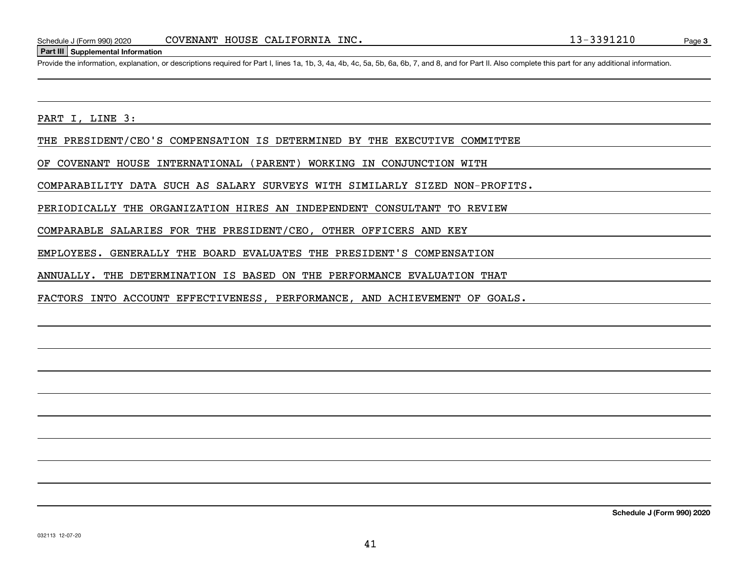#### **Part III Supplemental Information**

Schedule J (Form 990) 2020 COVENANT HOUSE CALIFORNIA INC.<br>Part III Supplemental Information<br>Provide the information, explanation, or descriptions required for Part I, lines 1a, 1b, 3, 4a, 4b, 4c, 5a, 5b, 6a, 6b, 7, and 8,

PART I, LINE 3:

THE PRESIDENT/CEO'S COMPENSATION IS DETERMINED BY THE EXECUTIVE COMMITTEE

OF COVENANT HOUSE INTERNATIONAL (PARENT) WORKING IN CONJUNCTION WITH

COMPARABILITY DATA SUCH AS SALARY SURVEYS WITH SIMILARLY SIZED NON-PROFITS.

PERIODICALLY THE ORGANIZATION HIRES AN INDEPENDENT CONSULTANT TO REVIEW

COMPARABLE SALARIES FOR THE PRESIDENT/CEO, OTHER OFFICERS AND KEY

EMPLOYEES. GENERALLY THE BOARD EVALUATES THE PRESIDENT'S COMPENSATION

ANNUALLY. THE DETERMINATION IS BASED ON THE PERFORMANCE EVALUATION THAT

FACTORS INTO ACCOUNT EFFECTIVENESS, PERFORMANCE, AND ACHIEVEMENT OF GOALS.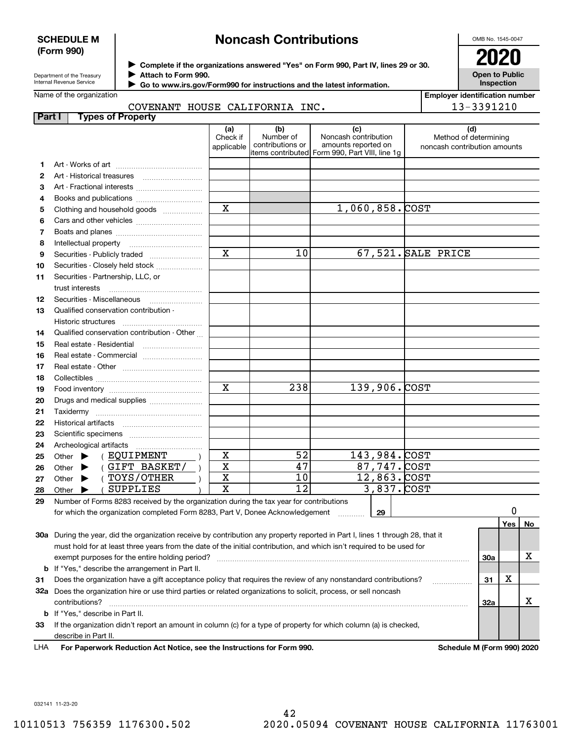#### **SCHEDULE M (Form 990)**

# **Noncash Contributions**

OMB No. 1545-0047

**Open to Public Inspection**

**Employer identification number**

13-3391210

Department of the Treasury Internal Revenue Service

**Complete if the organizations answered "Yes" on Form 990, Part IV, lines 29 or 30.** <sup>J</sup>**2020 Attach to Form 990.** J

 **Go to www.irs.gov/Form990 for instructions and the latest information.** J

### Name of the organization

|  | COVENANT HOUSE CALIFORNIA INC. |  |
|--|--------------------------------|--|
|  |                                |  |

| Part I | <b>Types of Property</b>                                                                                                       |                               |                                      |                                                                                                      |                                                              |     |     |    |
|--------|--------------------------------------------------------------------------------------------------------------------------------|-------------------------------|--------------------------------------|------------------------------------------------------------------------------------------------------|--------------------------------------------------------------|-----|-----|----|
|        |                                                                                                                                | (a)<br>Check if<br>applicable | (b)<br>Number of<br>contributions or | (c)<br>Noncash contribution<br>amounts reported on<br>items contributed Form 990, Part VIII, line 1g | (d)<br>Method of determining<br>noncash contribution amounts |     |     |    |
| 1      |                                                                                                                                |                               |                                      |                                                                                                      |                                                              |     |     |    |
| 2      |                                                                                                                                |                               |                                      |                                                                                                      |                                                              |     |     |    |
| З      | Art - Fractional interests                                                                                                     |                               |                                      |                                                                                                      |                                                              |     |     |    |
| 4      | Books and publications                                                                                                         |                               |                                      |                                                                                                      |                                                              |     |     |    |
| 5      | Clothing and household goods                                                                                                   | $\mathbf x$                   |                                      | $1,060,858.$ COST                                                                                    |                                                              |     |     |    |
| 6      |                                                                                                                                |                               |                                      |                                                                                                      |                                                              |     |     |    |
| 7      |                                                                                                                                |                               |                                      |                                                                                                      |                                                              |     |     |    |
| 8      | Intellectual property                                                                                                          |                               |                                      |                                                                                                      |                                                              |     |     |    |
| 9      | Securities - Publicly traded                                                                                                   | $\overline{\mathbf{x}}$       | 10                                   |                                                                                                      | 67,521. SALE PRICE                                           |     |     |    |
| 10     | Securities - Closely held stock                                                                                                |                               |                                      |                                                                                                      |                                                              |     |     |    |
| 11     | Securities - Partnership, LLC, or                                                                                              |                               |                                      |                                                                                                      |                                                              |     |     |    |
|        | trust interests                                                                                                                |                               |                                      |                                                                                                      |                                                              |     |     |    |
| 12     |                                                                                                                                |                               |                                      |                                                                                                      |                                                              |     |     |    |
| 13     | Qualified conservation contribution -                                                                                          |                               |                                      |                                                                                                      |                                                              |     |     |    |
|        | Historic structures                                                                                                            |                               |                                      |                                                                                                      |                                                              |     |     |    |
| 14     | Qualified conservation contribution - Other                                                                                    |                               |                                      |                                                                                                      |                                                              |     |     |    |
| 15     | Real estate - Residential                                                                                                      |                               |                                      |                                                                                                      |                                                              |     |     |    |
| 16     | Real estate - Commercial                                                                                                       |                               |                                      |                                                                                                      |                                                              |     |     |    |
| 17     |                                                                                                                                |                               |                                      |                                                                                                      |                                                              |     |     |    |
| 18     |                                                                                                                                |                               |                                      |                                                                                                      |                                                              |     |     |    |
| 19     |                                                                                                                                | X                             | 238                                  | 139,906.COST                                                                                         |                                                              |     |     |    |
| 20     | Drugs and medical supplies                                                                                                     |                               |                                      |                                                                                                      |                                                              |     |     |    |
| 21     |                                                                                                                                |                               |                                      |                                                                                                      |                                                              |     |     |    |
| 22     |                                                                                                                                |                               |                                      |                                                                                                      |                                                              |     |     |    |
| 23     |                                                                                                                                |                               |                                      |                                                                                                      |                                                              |     |     |    |
| 24     |                                                                                                                                |                               |                                      |                                                                                                      |                                                              |     |     |    |
| 25     | ( EQUIPMENT<br>Other $\blacktriangleright$                                                                                     | X                             | 52                                   | $143,984.$ COST                                                                                      |                                                              |     |     |    |
| 26     | (GIFT BASKET/<br>Other $\blacktriangleright$                                                                                   | $\mathbf x$                   | 47                                   | 87,747. COST                                                                                         |                                                              |     |     |    |
| 27     | TOYS/OTHER<br>Other $\blacktriangleright$                                                                                      | X                             | 10                                   | 12,863.COST                                                                                          |                                                              |     |     |    |
| 28     | <b>SUPPLIES</b><br>Other $\blacktriangleright$                                                                                 | $\mathbf x$                   | 12                                   | 3,837. COST                                                                                          |                                                              |     |     |    |
| 29     | Number of Forms 8283 received by the organization during the tax year for contributions                                        |                               |                                      |                                                                                                      |                                                              |     |     |    |
|        | for which the organization completed Form 8283, Part V, Donee Acknowledgement                                                  |                               |                                      | 29                                                                                                   |                                                              |     | 0   |    |
|        |                                                                                                                                |                               |                                      |                                                                                                      |                                                              |     | Yes | No |
|        | 30a During the year, did the organization receive by contribution any property reported in Part I, lines 1 through 28, that it |                               |                                      |                                                                                                      |                                                              |     |     |    |
|        | must hold for at least three years from the date of the initial contribution, and which isn't required to be used for          |                               |                                      |                                                                                                      |                                                              |     |     |    |
|        | exempt purposes for the entire holding period?                                                                                 |                               |                                      |                                                                                                      |                                                              | 30a |     | x  |
|        | <b>b</b> If "Yes," describe the arrangement in Part II.                                                                        |                               |                                      |                                                                                                      |                                                              |     |     |    |
| 31     | Does the organization have a gift acceptance policy that requires the review of any nonstandard contributions?                 |                               |                                      |                                                                                                      |                                                              | 31  | х   |    |
|        | 32a Does the organization hire or use third parties or related organizations to solicit, process, or sell noncash              |                               |                                      |                                                                                                      |                                                              |     |     |    |
|        | contributions?                                                                                                                 |                               |                                      |                                                                                                      |                                                              | 32a |     | х  |
|        | <b>b</b> If "Yes," describe in Part II.                                                                                        |                               |                                      |                                                                                                      |                                                              |     |     |    |
| 33     | If the organization didn't report an amount in column (c) for a type of property for which column (a) is checked,              |                               |                                      |                                                                                                      |                                                              |     |     |    |
|        | describe in Part II.                                                                                                           |                               |                                      |                                                                                                      |                                                              |     |     |    |

**For Paperwork Reduction Act Notice, see the Instructions for Form 990. Schedule M (Form 990) 2020** LHA

032141 11-23-20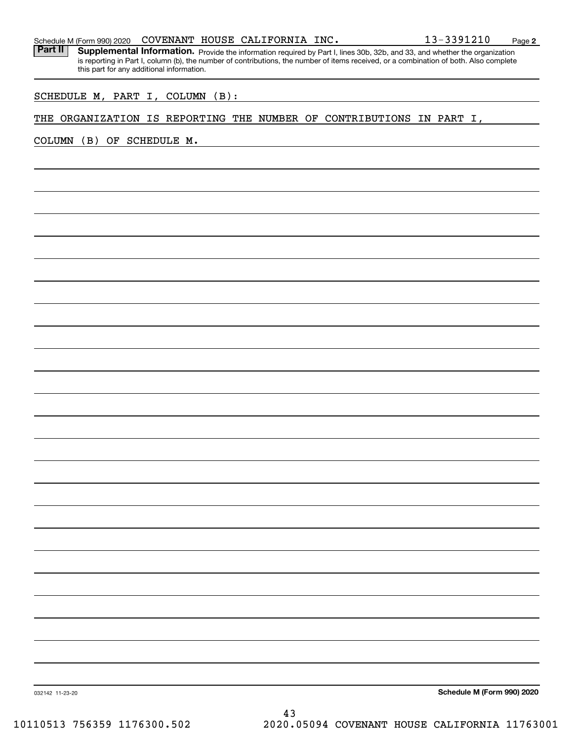| Schedule M (Form 990) 2020 | COVENANT |  | ' HOUSE CALIFORNIA | INC. | 13-3391210 | Page |  |
|----------------------------|----------|--|--------------------|------|------------|------|--|
|----------------------------|----------|--|--------------------|------|------------|------|--|

Part II | Supplemental Information. Provide the information required by Part I, lines 30b, 32b, and 33, and whether the organization is reporting in Part I, column (b), the number of contributions, the number of items received, or a combination of both. Also complete this part for any additional information.

SCHEDULE M, PART I, COLUMN (B):

#### THE ORGANIZATION IS REPORTING THE NUMBER OF CONTRIBUTIONS IN PART I,

COLUMN (B) OF SCHEDULE M.

**Schedule M (Form 990) 2020**

032142 11-23-20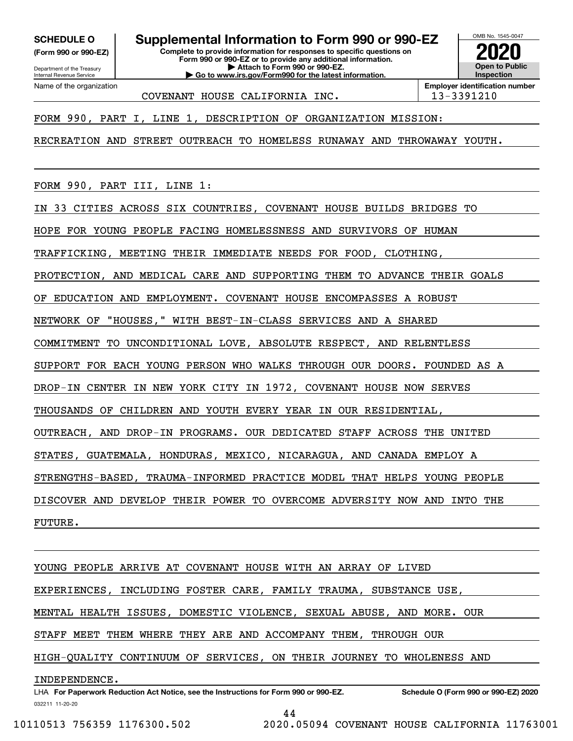**(Form 990 or 990-EZ)**

Department of the Treasury Internal Revenue Service Name of the organization

**SCHEDULE O Supplemental Information to Form 990 or 990-EZ**

**Complete to provide information for responses to specific questions on Form 990 or 990-EZ or to provide any additional information. | Attach to Form 990 or 990-EZ. | Go to www.irs.gov/Form990 for the latest information.**



COVENANT HOUSE CALIFORNIA INC. | 13-3391210

**Employer identification number**

FORM 990, PART I, LINE 1, DESCRIPTION OF ORGANIZATION MISSION:

RECREATION AND STREET OUTREACH TO HOMELESS RUNAWAY AND THROWAWAY YOUTH.

FORM 990, PART III, LINE 1:

IN 33 CITIES ACROSS SIX COUNTRIES, COVENANT HOUSE BUILDS BRIDGES TO

HOPE FOR YOUNG PEOPLE FACING HOMELESSNESS AND SURVIVORS OF HUMAN

TRAFFICKING, MEETING THEIR IMMEDIATE NEEDS FOR FOOD, CLOTHING,

PROTECTION, AND MEDICAL CARE AND SUPPORTING THEM TO ADVANCE THEIR GOALS

OF EDUCATION AND EMPLOYMENT. COVENANT HOUSE ENCOMPASSES A ROBUST

NETWORK OF "HOUSES," WITH BEST-IN-CLASS SERVICES AND A SHARED

COMMITMENT TO UNCONDITIONAL LOVE, ABSOLUTE RESPECT, AND RELENTLESS

SUPPORT FOR EACH YOUNG PERSON WHO WALKS THROUGH OUR DOORS. FOUNDED AS A

DROP-IN CENTER IN NEW YORK CITY IN 1972, COVENANT HOUSE NOW SERVES

THOUSANDS OF CHILDREN AND YOUTH EVERY YEAR IN OUR RESIDENTIAL,

OUTREACH, AND DROP-IN PROGRAMS. OUR DEDICATED STAFF ACROSS THE UNITED

STATES, GUATEMALA, HONDURAS, MEXICO, NICARAGUA, AND CANADA EMPLOY A

STRENGTHS-BASED, TRAUMA-INFORMED PRACTICE MODEL THAT HELPS YOUNG PEOPLE

DISCOVER AND DEVELOP THEIR POWER TO OVERCOME ADVERSITY NOW AND INTO THE

FUTURE.

YOUNG PEOPLE ARRIVE AT COVENANT HOUSE WITH AN ARRAY OF LIVED EXPERIENCES, INCLUDING FOSTER CARE, FAMILY TRAUMA, SUBSTANCE USE, MENTAL HEALTH ISSUES, DOMESTIC VIOLENCE, SEXUAL ABUSE, AND MORE. OUR STAFF MEET THEM WHERE THEY ARE AND ACCOMPANY THEM, THROUGH OUR HIGH-QUALITY CONTINUUM OF SERVICES, ON THEIR JOURNEY TO WHOLENESS AND INDEPENDENCE.

032211 11-20-20 LHA For Paperwork Reduction Act Notice, see the Instructions for Form 990 or 990-EZ. Schedule O (Form 990 or 990-EZ) 2020 44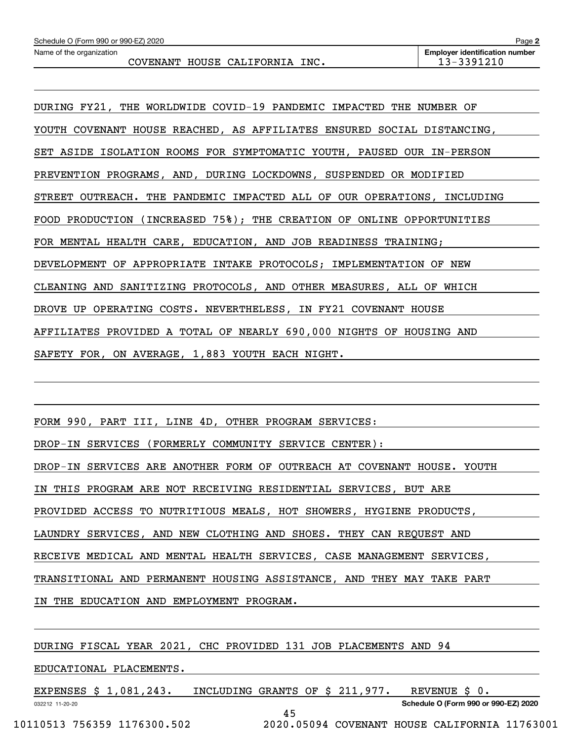DURING FY21, THE WORLDWIDE COVID-19 PANDEMIC IMPACTED THE NUMBER OF YOUTH COVENANT HOUSE REACHED, AS AFFILIATES ENSURED SOCIAL DISTANCING, SET ASIDE ISOLATION ROOMS FOR SYMPTOMATIC YOUTH, PAUSED OUR IN-PERSON PREVENTION PROGRAMS, AND, DURING LOCKDOWNS, SUSPENDED OR MODIFIED STREET OUTREACH. THE PANDEMIC IMPACTED ALL OF OUR OPERATIONS, INCLUDING FOOD PRODUCTION (INCREASED 75%); THE CREATION OF ONLINE OPPORTUNITIES FOR MENTAL HEALTH CARE, EDUCATION, AND JOB READINESS TRAINING; DEVELOPMENT OF APPROPRIATE INTAKE PROTOCOLS; IMPLEMENTATION OF NEW CLEANING AND SANITIZING PROTOCOLS, AND OTHER MEASURES, ALL OF WHICH DROVE UP OPERATING COSTS. NEVERTHELESS, IN FY21 COVENANT HOUSE AFFILIATES PROVIDED A TOTAL OF NEARLY 690,000 NIGHTS OF HOUSING AND SAFETY FOR, ON AVERAGE, 1,883 YOUTH EACH NIGHT.

FORM 990, PART III, LINE 4D, OTHER PROGRAM SERVICES:

DROP-IN SERVICES (FORMERLY COMMUNITY SERVICE CENTER):

DROP-IN SERVICES ARE ANOTHER FORM OF OUTREACH AT COVENANT HOUSE. YOUTH

IN THIS PROGRAM ARE NOT RECEIVING RESIDENTIAL SERVICES, BUT ARE

PROVIDED ACCESS TO NUTRITIOUS MEALS, HOT SHOWERS, HYGIENE PRODUCTS,

LAUNDRY SERVICES, AND NEW CLOTHING AND SHOES. THEY CAN REQUEST AND

RECEIVE MEDICAL AND MENTAL HEALTH SERVICES, CASE MANAGEMENT SERVICES,

TRANSITIONAL AND PERMANENT HOUSING ASSISTANCE, AND THEY MAY TAKE PART

IN THE EDUCATION AND EMPLOYMENT PROGRAM.

DURING FISCAL YEAR 2021, CHC PROVIDED 131 JOB PLACEMENTS AND 94

EDUCATIONAL PLACEMENTS.

032212 11-20-20 **Schedule O (Form 990 or 990-EZ) 2020** EXPENSES \$ 1,081,243. INCLUDING GRANTS OF \$ 211,977. REVENUE \$ 0. 45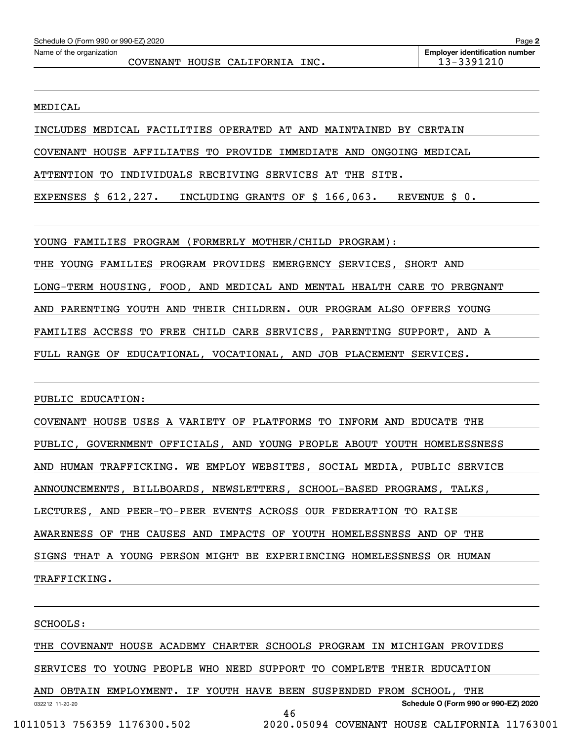MEDICAL

INCLUDES MEDICAL FACILITIES OPERATED AT AND MAINTAINED BY CERTAIN

COVENANT HOUSE AFFILIATES TO PROVIDE IMMEDIATE AND ONGOING MEDICAL

ATTENTION TO INDIVIDUALS RECEIVING SERVICES AT THE SITE.

EXPENSES \$ 612,227. INCLUDING GRANTS OF \$ 166,063. REVENUE \$ 0.

YOUNG FAMILIES PROGRAM (FORMERLY MOTHER/CHILD PROGRAM):

THE YOUNG FAMILIES PROGRAM PROVIDES EMERGENCY SERVICES, SHORT AND

LONG-TERM HOUSING, FOOD, AND MEDICAL AND MENTAL HEALTH CARE TO PREGNANT

AND PARENTING YOUTH AND THEIR CHILDREN. OUR PROGRAM ALSO OFFERS YOUNG

FAMILIES ACCESS TO FREE CHILD CARE SERVICES, PARENTING SUPPORT, AND A

FULL RANGE OF EDUCATIONAL, VOCATIONAL, AND JOB PLACEMENT SERVICES.

PUBLIC EDUCATION:

COVENANT HOUSE USES A VARIETY OF PLATFORMS TO INFORM AND EDUCATE THE PUBLIC, GOVERNMENT OFFICIALS, AND YOUNG PEOPLE ABOUT YOUTH HOMELESSNESS AND HUMAN TRAFFICKING. WE EMPLOY WEBSITES, SOCIAL MEDIA, PUBLIC SERVICE ANNOUNCEMENTS, BILLBOARDS, NEWSLETTERS, SCHOOL-BASED PROGRAMS, TALKS, LECTURES, AND PEER-TO-PEER EVENTS ACROSS OUR FEDERATION TO RAISE AWARENESS OF THE CAUSES AND IMPACTS OF YOUTH HOMELESSNESS AND OF THE SIGNS THAT A YOUNG PERSON MIGHT BE EXPERIENCING HOMELESSNESS OR HUMAN TRAFFICKING.

SCHOOLS:

THE COVENANT HOUSE ACADEMY CHARTER SCHOOLS PROGRAM IN MICHIGAN PROVIDES

SERVICES TO YOUNG PEOPLE WHO NEED SUPPORT TO COMPLETE THEIR EDUCATION

032212 11-20-20 **Schedule O (Form 990 or 990-EZ) 2020** AND OBTAIN EMPLOYMENT. IF YOUTH HAVE BEEN SUSPENDED FROM SCHOOL, THE 46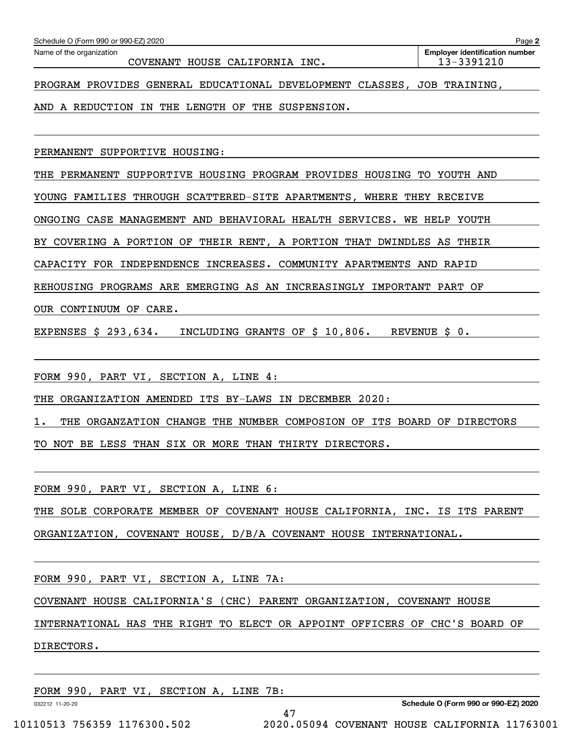| Schedule O (Form 990 or 990-EZ) 2020                                    | Page 2                                              |
|-------------------------------------------------------------------------|-----------------------------------------------------|
| Name of the organization<br>COVENANT HOUSE CALIFORNIA INC.              | <b>Employer identification number</b><br>13-3391210 |
| PROGRAM PROVIDES GENERAL EDUCATIONAL DEVELOPMENT CLASSES, JOB TRAINING, |                                                     |
| AND A REDUCTION IN THE LENGTH OF THE SUSPENSION.                        |                                                     |
| PERMANENT SUPPORTIVE HOUSING:                                           |                                                     |

THE PERMANENT SUPPORTIVE HOUSING PROGRAM PROVIDES HOUSING TO YOUTH AND YOUNG FAMILIES THROUGH SCATTERED-SITE APARTMENTS, WHERE THEY RECEIVE ONGOING CASE MANAGEMENT AND BEHAVIORAL HEALTH SERVICES. WE HELP YOUTH

BY COVERING A PORTION OF THEIR RENT, A PORTION THAT DWINDLES AS THEIR

CAPACITY FOR INDEPENDENCE INCREASES. COMMUNITY APARTMENTS AND RAPID

REHOUSING PROGRAMS ARE EMERGING AS AN INCREASINGLY IMPORTANT PART OF

OUR CONTINUUM OF CARE.

EXPENSES \$ 293,634. INCLUDING GRANTS OF \$ 10,806. REVENUE \$ 0.

FORM 990, PART VI, SECTION A, LINE 4:

THE ORGANIZATION AMENDED ITS BY-LAWS IN DECEMBER 2020:

1. THE ORGANZATION CHANGE THE NUMBER COMPOSION OF ITS BOARD OF DIRECTORS

TO NOT BE LESS THAN SIX OR MORE THAN THIRTY DIRECTORS.

FORM 990, PART VI, SECTION A, LINE 6:

THE SOLE CORPORATE MEMBER OF COVENANT HOUSE CALIFORNIA, INC. IS ITS PARENT

ORGANIZATION, COVENANT HOUSE, D/B/A COVENANT HOUSE INTERNATIONAL.

FORM 990, PART VI, SECTION A, LINE 7A:

COVENANT HOUSE CALIFORNIA'S (CHC) PARENT ORGANIZATION, COVENANT HOUSE

INTERNATIONAL HAS THE RIGHT TO ELECT OR APPOINT OFFICERS OF CHC'S BOARD OF

47

DIRECTORS.

FORM 990, PART VI, SECTION A, LINE 7B:

032212 11-20-20

**Schedule O (Form 990 or 990-EZ) 2020**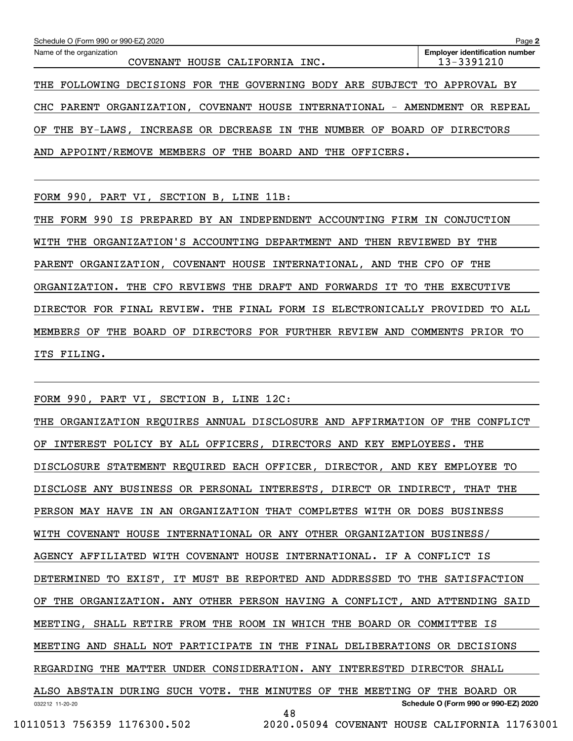| Schedule O (Form 990 or 990-EZ) 2020                                        | Page 2                                              |
|-----------------------------------------------------------------------------|-----------------------------------------------------|
| Name of the organization<br>COVENANT HOUSE CALIFORNIA INC.                  | <b>Employer identification number</b><br>13-3391210 |
| THE FOLLOWING DECISIONS FOR THE GOVERNING BODY ARE SUBJECT TO APPROVAL BY   |                                                     |
| CHC PARENT ORGANIZATION, COVENANT HOUSE INTERNATIONAL - AMENDMENT OR REPEAL |                                                     |
| OF THE BY-LAWS, INCREASE OR DECREASE IN THE NUMBER OF BOARD OF DIRECTORS    |                                                     |
| AND APPOINT/REMOVE MEMBERS OF THE BOARD AND THE OFFICERS.                   |                                                     |

FORM 990, PART VI, SECTION B, LINE 11B:

THE FORM 990 IS PREPARED BY AN INDEPENDENT ACCOUNTING FIRM IN CONJUCTION WITH THE ORGANIZATION'S ACCOUNTING DEPARTMENT AND THEN REVIEWED BY THE PARENT ORGANIZATION, COVENANT HOUSE INTERNATIONAL, AND THE CFO OF THE ORGANIZATION. THE CFO REVIEWS THE DRAFT AND FORWARDS IT TO THE EXECUTIVE DIRECTOR FOR FINAL REVIEW. THE FINAL FORM IS ELECTRONICALLY PROVIDED TO ALL MEMBERS OF THE BOARD OF DIRECTORS FOR FURTHER REVIEW AND COMMENTS PRIOR TO ITS FILING.

FORM 990, PART VI, SECTION B, LINE 12C:

032212 11-20-20 **Schedule O (Form 990 or 990-EZ) 2020** THE ORGANIZATION REQUIRES ANNUAL DISCLOSURE AND AFFIRMATION OF THE CONFLICT OF INTEREST POLICY BY ALL OFFICERS, DIRECTORS AND KEY EMPLOYEES. THE DISCLOSURE STATEMENT REQUIRED EACH OFFICER, DIRECTOR, AND KEY EMPLOYEE TO DISCLOSE ANY BUSINESS OR PERSONAL INTERESTS, DIRECT OR INDIRECT, THAT THE PERSON MAY HAVE IN AN ORGANIZATION THAT COMPLETES WITH OR DOES BUSINESS WITH COVENANT HOUSE INTERNATIONAL OR ANY OTHER ORGANIZATION BUSINESS/ AGENCY AFFILIATED WITH COVENANT HOUSE INTERNATIONAL. IF A CONFLICT IS DETERMINED TO EXIST, IT MUST BE REPORTED AND ADDRESSED TO THE SATISFACTION OF THE ORGANIZATION. ANY OTHER PERSON HAVING A CONFLICT, AND ATTENDING SAID MEETING, SHALL RETIRE FROM THE ROOM IN WHICH THE BOARD OR COMMITTEE IS MEETING AND SHALL NOT PARTICIPATE IN THE FINAL DELIBERATIONS OR DECISIONS REGARDING THE MATTER UNDER CONSIDERATION. ANY INTERESTED DIRECTOR SHALL ALSO ABSTAIN DURING SUCH VOTE. THE MINUTES OF THE MEETING OF THE BOARD OR 48

 <sup>10110513 756359 1176300.502 2020.05094</sup> COVENANT HOUSE CALIFORNIA 11763001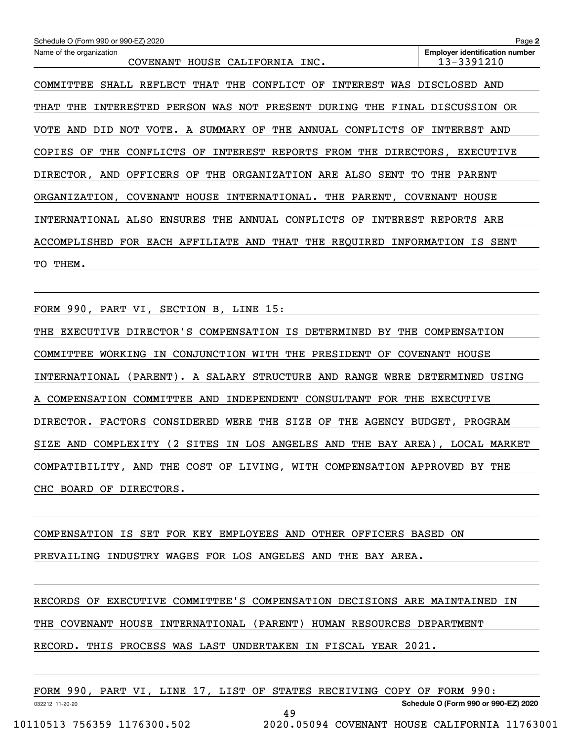| Schedule O (Form 990 or 990-EZ) 2020                                                    | Page 2                                              |
|-----------------------------------------------------------------------------------------|-----------------------------------------------------|
| Name of the organization<br>HOUSE CALIFORNIA INC.<br>COVENANT                           | <b>Employer identification number</b><br>13-3391210 |
| SHALL REFLECT THAT THE CONFLICT OF<br>INTEREST<br>WAS<br>COMMITTEE                      | DISCLOSED AND                                       |
| PRESENT<br>THE<br>INTERESTED<br>PERSON<br>WAS<br>NOT<br>DURING<br>THE<br>THAT           | FINAL DISCUSSION<br>0R                              |
| A SUMMARY<br>OF<br>THE<br>ANNUAL<br>CONFLICTS<br>AND<br>DID.<br>NOT VOTE.<br>OF<br>VOTE | INTEREST AND                                        |
| THE<br>CONFLICTS OF<br>INTEREST REPORTS<br>FROM THE<br><b>COPIES</b><br>OF              | DIRECTORS, EXECUTIVE                                |
| OFFICERS OF THE ORGANIZATION ARE ALSO<br>SENT<br>TO<br>DIRECTOR, AND                    | THE<br>PARENT                                       |
| COVENANT HOUSE INTERNATIONAL. THE PARENT,<br>ORGANIZATION,                              | <b>COVENANT</b><br>HOUSE                            |
| INTERNATIONAL ALSO ENSURES THE ANNUAL CONFLICTS OF<br>INTEREST                          | REPORTS ARE                                         |
| ACCOMPLISHED<br><b>FOR</b><br>EACH AFFILIATE<br>AND<br>THAT THE<br>REOUIRED INFORMATION | IS<br>SENT                                          |
| THEM.<br>TO.                                                                            |                                                     |

FORM 990, PART VI, SECTION B, LINE 15:

THE EXECUTIVE DIRECTOR'S COMPENSATION IS DETERMINED BY THE COMPENSATION COMMITTEE WORKING IN CONJUNCTION WITH THE PRESIDENT OF COVENANT HOUSE INTERNATIONAL (PARENT). A SALARY STRUCTURE AND RANGE WERE DETERMINED USING A COMPENSATION COMMITTEE AND INDEPENDENT CONSULTANT FOR THE EXECUTIVE DIRECTOR. FACTORS CONSIDERED WERE THE SIZE OF THE AGENCY BUDGET, PROGRAM SIZE AND COMPLEXITY (2 SITES IN LOS ANGELES AND THE BAY AREA), LOCAL MARKET COMPATIBILITY, AND THE COST OF LIVING, WITH COMPENSATION APPROVED BY THE CHC BOARD OF DIRECTORS.

COMPENSATION IS SET FOR KEY EMPLOYEES AND OTHER OFFICERS BASED ON PREVAILING INDUSTRY WAGES FOR LOS ANGELES AND THE BAY AREA.

RECORDS OF EXECUTIVE COMMITTEE'S COMPENSATION DECISIONS ARE MAINTAINED IN THE COVENANT HOUSE INTERNATIONAL (PARENT) HUMAN RESOURCES DEPARTMENT RECORD. THIS PROCESS WAS LAST UNDERTAKEN IN FISCAL YEAR 2021.

| 990<br>FORM     | PART | VI | LINE | 17 | LIST | OF | F STATES RECEIVING COPY OF |  | FORM                           | 990: |  |
|-----------------|------|----|------|----|------|----|----------------------------|--|--------------------------------|------|--|
| 032212 11-20-20 |      |    |      |    |      |    |                            |  | Schedule O (Form 990 or 990-EZ |      |  |

49

**Schedule O (Form 990 or 990-EZ) 2020**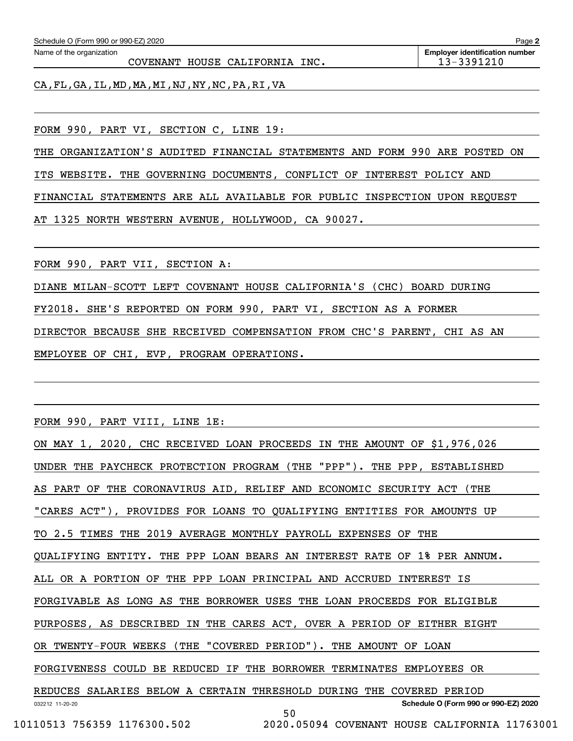| Schedule O (Form 990 or 990-EZ) 2020 | Page                                  |
|--------------------------------------|---------------------------------------|
| Name of the organization             | <b>Emplover identification number</b> |

COVENANT HOUSE CALIFORNIA INC. 13-3391210

CA,FL,GA,IL,MD,MA,MI,NJ,NY,NC,PA,RI,VA

FORM 990, PART VI, SECTION C, LINE 19:

THE ORGANIZATION'S AUDITED FINANCIAL STATEMENTS AND FORM 990 ARE POSTED ON

ITS WEBSITE. THE GOVERNING DOCUMENTS, CONFLICT OF INTEREST POLICY AND

FINANCIAL STATEMENTS ARE ALL AVAILABLE FOR PUBLIC INSPECTION UPON REQUEST

AT 1325 NORTH WESTERN AVENUE, HOLLYWOOD, CA 90027.

FORM 990, PART VII, SECTION A:

DIANE MILAN-SCOTT LEFT COVENANT HOUSE CALIFORNIA'S (CHC) BOARD DURING

FY2018. SHE'S REPORTED ON FORM 990, PART VI, SECTION AS A FORMER

DIRECTOR BECAUSE SHE RECEIVED COMPENSATION FROM CHC'S PARENT, CHI AS AN

EMPLOYEE OF CHI, EVP, PROGRAM OPERATIONS.

FORM 990, PART VIII, LINE 1E:

| ON MAY 1, 2020, CHC RECEIVED LOAN PROCEEDS IN THE AMOUNT OF \$1,976,026 |
|-------------------------------------------------------------------------|
| UNDER THE PAYCHECK PROTECTION PROGRAM (THE "PPP"). THE PPP, ESTABLISHED |
| AS PART OF THE CORONAVIRUS AID, RELIEF AND ECONOMIC SECURITY ACT (THE   |
| "CARES ACT"), PROVIDES FOR LOANS TO QUALIFYING ENTITIES FOR AMOUNTS UP  |
| TO 2.5 TIMES THE 2019 AVERAGE MONTHLY PAYROLL EXPENSES OF THE           |
| QUALIFYING ENTITY. THE PPP LOAN BEARS AN INTEREST RATE OF 1% PER ANNUM. |
| ALL OR A PORTION OF THE PPP LOAN PRINCIPAL AND ACCRUED INTEREST IS      |
| FORGIVABLE AS LONG AS THE BORROWER USES THE LOAN PROCEEDS FOR ELIGIBLE  |
| PURPOSES, AS DESCRIBED IN THE CARES ACT, OVER A PERIOD OF EITHER EIGHT  |
| OR TWENTY-FOUR WEEKS (THE "COVERED PERIOD"). THE AMOUNT OF LOAN         |
| FORGIVENESS COULD BE REDUCED IF THE BORROWER TERMINATES EMPLOYEES OR    |
| REDUCES SALARIES BELOW A CERTAIN THRESHOLD DURING THE COVERED PERIOD    |
| Schedule O (Form 990 or 990-EZ) 2020<br>032212 11-20-20<br>50           |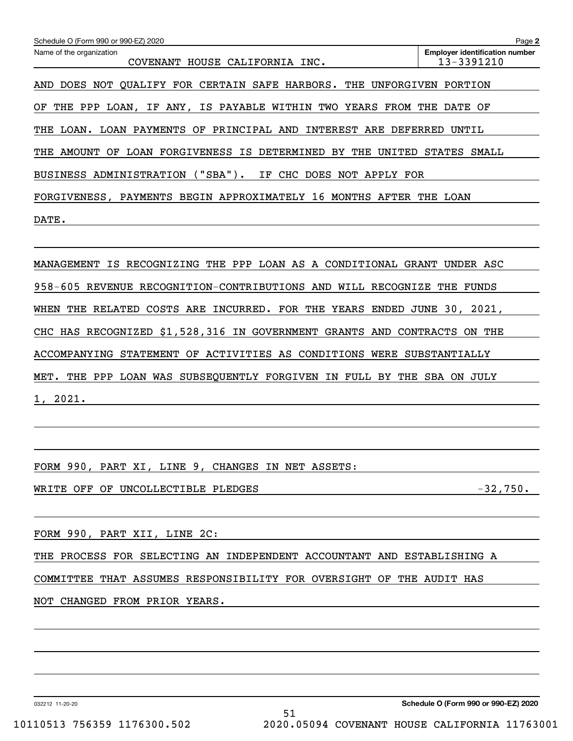| Schedule O (Form 990 or 990-EZ) 2020                                                        | Page 2                                              |
|---------------------------------------------------------------------------------------------|-----------------------------------------------------|
| Name of the organization<br><b>COVENANT</b><br>HOUSE CALIFORNIA INC.                        | <b>Employer identification number</b><br>13-3391210 |
| DOES NOT QUALIFY FOR CERTAIN SAFE HARBORS.<br>THE<br><b>UNFORGIVEN</b><br>AND               | PORTION                                             |
| THE PPP<br>LOAN,<br>ΙF<br>ANY,<br>IS PAYABLE WITHIN<br>TWO<br>YEARS<br>FROM<br>ΟF           | THE<br>DATE OF                                      |
| LOAN.<br>LOAN PAYMENTS<br>OF<br>PRINCIPAL AND<br>INTEREST ARE DEFERRED<br>THE               | UNTIL                                               |
| AMOUNT<br>OF<br>LOAN FORGIVENESS<br>IS DETERMINED<br>BY<br>THE<br>UNITED<br>THE             | <b>STATES</b><br>SMALL                              |
| $('SBA")$ .<br>BUSINESS ADMINISTRATION<br>CHC<br>DOES NOT APPLY FOR<br>IF                   |                                                     |
| FORGIVENESS, PAYMENTS BEGIN APPROXIMATELY<br>MONTHS<br>16<br>AFTER                          | THE<br>LOAN                                         |
| DATE.                                                                                       |                                                     |
|                                                                                             |                                                     |
| MANAGEMENT IS RECOGNIZING THE PPP LOAN AS A CONDITIONAL GRANT                               | UNDER ASC                                           |
| 958-605<br>REVENUE<br>RECOGNITION-CONTRIBUTIONS AND<br>WILL RECOGNIZE                       | FUNDS<br>THE                                        |
| <b>WHEN</b><br><b>COSTS</b><br>ARE<br>INCURRED. FOR THE<br>YEARS<br>ENDED<br>THE<br>RELATED | JUNE 30, 2021,                                      |
| CHC HAS RECOGNIZED \$1,528,316 IN GOVERNMENT GRANTS<br>AND CONTRACTS                        | ON<br>THE                                           |

1, 2021.

ACCOMPANYING STATEMENT OF ACTIVITIES AS CONDITIONS WERE SUBSTANTIALLY

MET. THE PPP LOAN WAS SUBSEQUENTLY FORGIVEN IN FULL BY THE SBA ON JULY

FORM 990, PART XI, LINE 9, CHANGES IN NET ASSETS:

WRITE OFF OF UNCOLLECTIBLE PLEDGES  $-32,750$ .

FORM 990, PART XII, LINE 2C:

THE PROCESS FOR SELECTING AN INDEPENDENT ACCOUNTANT AND ESTABLISHING A

51

COMMITTEE THAT ASSUMES RESPONSIBILITY FOR OVERSIGHT OF THE AUDIT HAS

NOT CHANGED FROM PRIOR YEARS.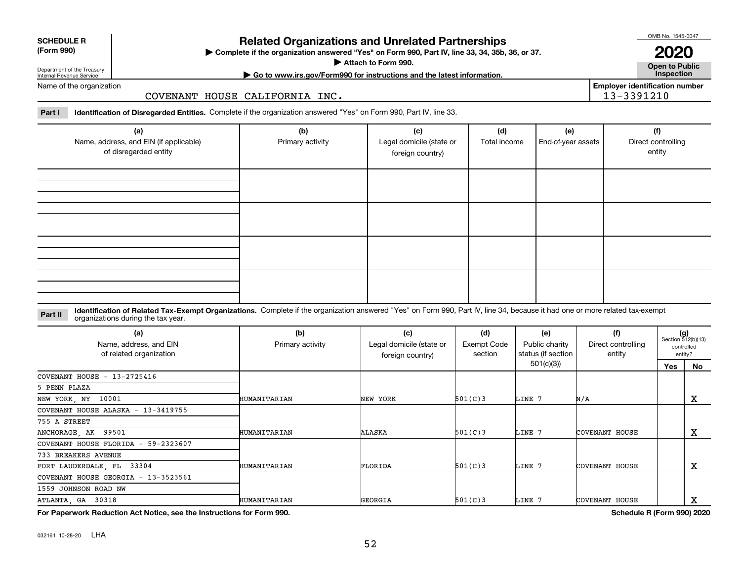## **Related Organizations and Unrelated Partnerships**

**Complete if the organization answered "Yes" on Form 990, Part IV, line 33, 34, 35b, 36, or 37.** |

**Attach to Form 990.**  |

#### Department of the Treasury Internal Revenue Service Name of the organization

### COVENANT HOUSE CALIFORNIA INC.

**Part I Identification of Disregarded Entities.**  Complete if the organization answered "Yes" on Form 990, Part IV, line 33.

| (a)<br>Name, address, and EIN (if applicable)<br>of disregarded entity | (b)<br>Primary activity | (c)<br>Legal domicile (state or<br>foreign country) | (d)<br>Total income | (e)<br>End-of-year assets | (f)<br>Direct controlling<br>entity |
|------------------------------------------------------------------------|-------------------------|-----------------------------------------------------|---------------------|---------------------------|-------------------------------------|
|                                                                        |                         |                                                     |                     |                           |                                     |
|                                                                        |                         |                                                     |                     |                           |                                     |
|                                                                        |                         |                                                     |                     |                           |                                     |
|                                                                        |                         |                                                     |                     |                           |                                     |

#### **Identification of Related Tax-Exempt Organizations.** Complete if the organization answered "Yes" on Form 990, Part IV, line 34, because it had one or more related tax-exempt **Part II** organizations during the tax year.

| (a)<br>Name, address, and EIN<br>of related organization | (b)<br>Primary activity | (c)<br>Legal domicile (state or<br>foreign country) | (d)<br>Exempt Code<br>section | (e)<br>Public charity<br>status (if section | (f)<br>Direct controlling<br>entity | $(g)$<br>Section 512(b)(13) | controlled<br>entity? |
|----------------------------------------------------------|-------------------------|-----------------------------------------------------|-------------------------------|---------------------------------------------|-------------------------------------|-----------------------------|-----------------------|
|                                                          |                         |                                                     |                               | 501(c)(3)                                   |                                     | Yes                         | <b>No</b>             |
| COVENANT HOUSE $-13-2725416$                             |                         |                                                     |                               |                                             |                                     |                             |                       |
| 5 PENN PLAZA                                             |                         |                                                     |                               |                                             |                                     |                             |                       |
| NEW YORK, NY 10001                                       | HUMANITARIAN            | NEW YORK                                            | 501(C)3                       | LINE 7                                      | N/A                                 |                             | x                     |
| COVENANT HOUSE ALASKA - 13-3419755                       |                         |                                                     |                               |                                             |                                     |                             |                       |
| 755 A STREET                                             |                         |                                                     |                               |                                             |                                     |                             |                       |
| ANCHORAGE, AK 99501                                      | HUMANITARIAN            | ALASKA                                              | 501(C)3                       | LINE 7                                      | COVENANT HOUSE                      |                             | x                     |
| COVENANT HOUSE FLORIDA - 59-2323607                      |                         |                                                     |                               |                                             |                                     |                             |                       |
| 733 BREAKERS AVENUE                                      |                         |                                                     |                               |                                             |                                     |                             |                       |
| FORT LAUDERDALE, FL 33304                                | HUMANITARIAN            | FLORIDA                                             | 501(C)3                       | LINE 7                                      | COVENANT HOUSE                      |                             | х                     |
| COVENANT HOUSE GEORGIA - 13-3523561                      |                         |                                                     |                               |                                             |                                     |                             |                       |
| 1559 JOHNSON ROAD NW                                     |                         |                                                     |                               |                                             |                                     |                             |                       |
| ATLANTA, GA 30318                                        | HUMANITARIAN            | GEORGIA                                             | 501(C)3                       | LINE 7                                      | COVENANT HOUSE                      |                             | х                     |

**For Paperwork Reduction Act Notice, see the Instructions for Form 990. Schedule R (Form 990) 2020**



**Open to Public | Go to www.irs.gov/Form990 for instructions and the latest information. Inspection Employer identification number**

13-3391210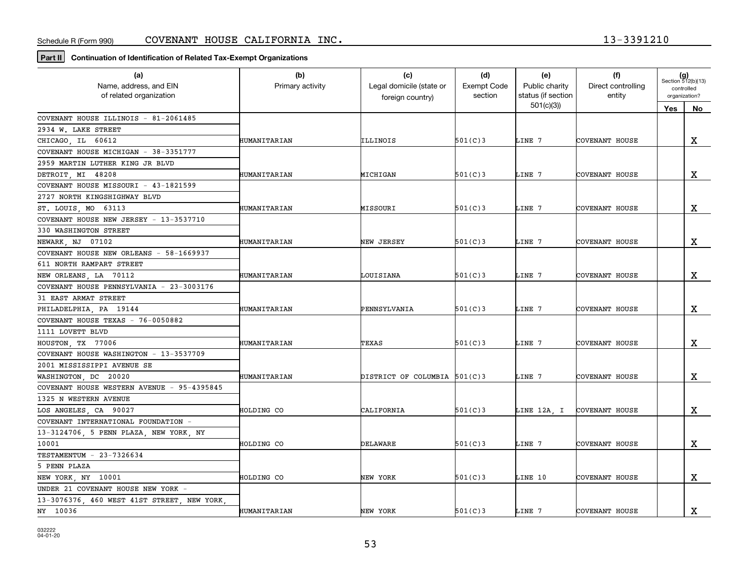**Part II Continuation of Identification of Related Tax-Exempt Organizations**

| (a)                                         | (b)              | (c)                          | (d)                | (e)                | (f)                   | $(g)$<br>Section 512(b)(13) |             |
|---------------------------------------------|------------------|------------------------------|--------------------|--------------------|-----------------------|-----------------------------|-------------|
| Name, address, and EIN                      | Primary activity | Legal domicile (state or     | <b>Exempt Code</b> | Public charity     | Direct controlling    | controlled<br>organization? |             |
| of related organization                     |                  | foreign country)             | section            | status (if section | entity                |                             |             |
|                                             |                  |                              |                    | 501(c)(3)          |                       | Yes                         | No.         |
| COVENANT HOUSE ILLINOIS - 81-2061485        |                  |                              |                    |                    |                       |                             |             |
| 2934 W. LAKE STREET                         |                  |                              |                    |                    |                       |                             |             |
| CHICAGO, IL 60612                           | HUMANITARIAN     | ILLINOIS                     | 501(C)3            | LINE 7             | COVENANT HOUSE        |                             | X           |
| COVENANT HOUSE MICHIGAN - 38-3351777        |                  |                              |                    |                    |                       |                             |             |
| 2959 MARTIN LUTHER KING JR BLVD             |                  |                              |                    |                    |                       |                             |             |
| DETROIT, MI 48208                           | HUMANITARIAN     | MICHIGAN                     | 501(C)3            | LINE 7             | COVENANT HOUSE        |                             | $\mathbf X$ |
| COVENANT HOUSE MISSOURI - 43-1821599        |                  |                              |                    |                    |                       |                             |             |
| 2727 NORTH KINGSHIGHWAY BLVD                |                  |                              |                    |                    |                       |                             |             |
| ST. LOUIS, MO 63113                         | HUMANITARIAN     | MISSOURI                     | 501(C)3            | LINE 7             | COVENANT HOUSE        |                             | $\mathbf X$ |
| COVENANT HOUSE NEW JERSEY - 13-3537710      |                  |                              |                    |                    |                       |                             |             |
| 330 WASHINGTON STREET                       |                  |                              |                    |                    |                       |                             |             |
| NEWARK, NJ 07102                            | HUMANITARIAN     | NEW JERSEY                   | 501(C)3            | LINE 7             | COVENANT HOUSE        |                             | $\mathbf X$ |
| COVENANT HOUSE NEW ORLEANS - 58-1669937     |                  |                              |                    |                    |                       |                             |             |
| 611 NORTH RAMPART STREET                    |                  |                              |                    |                    |                       |                             |             |
| NEW ORLEANS, LA 70112                       | HUMANITARIAN     | LOUISIANA                    | 501(C)3            | LINE 7             | COVENANT HOUSE        |                             | х           |
| COVENANT HOUSE PENNSYLVANIA - 23-3003176    |                  |                              |                    |                    |                       |                             |             |
| 31 EAST ARMAT STREET                        |                  |                              |                    |                    |                       |                             |             |
| PHILADELPHIA, PA 19144                      | HUMANITARIAN     | PENNSYLVANIA                 | 501(C)3            | LINE 7             | COVENANT HOUSE        |                             | $\mathbf X$ |
| COVENANT HOUSE TEXAS - 76-0050882           |                  |                              |                    |                    |                       |                             |             |
| 1111 LOVETT BLVD                            |                  |                              |                    |                    |                       |                             |             |
| HOUSTON, TX 77006                           | HUMANITARIAN     | TEXAS                        | 501(C)3            | LINE 7             | COVENANT HOUSE        |                             | $\mathbf X$ |
| COVENANT HOUSE WASHINGTON - 13-3537709      |                  |                              |                    |                    |                       |                             |             |
| 2001 MISSISSIPPI AVENUE SE                  |                  |                              |                    |                    |                       |                             |             |
| WASHINGTON DC 20020                         | HUMANITARIAN     | DISTRICT OF COLUMBIA 501(C)3 |                    | LINE 7             | COVENANT HOUSE        |                             | $\mathbf X$ |
| COVENANT HOUSE WESTERN AVENUE - 95-4395845  |                  |                              |                    |                    |                       |                             |             |
| 1325 N WESTERN AVENUE                       |                  |                              |                    |                    |                       |                             |             |
| LOS ANGELES, CA 90027                       | HOLDING CO       | CALIFORNIA                   | 501(C)3            | LINE 12A, I        | <b>COVENANT HOUSE</b> |                             | $\mathbf X$ |
| COVENANT INTERNATIONAL FOUNDATION -         |                  |                              |                    |                    |                       |                             |             |
| 13-3124706, 5 PENN PLAZA, NEW YORK, NY      |                  |                              |                    |                    |                       |                             |             |
| 10001                                       | HOLDING CO       | DELAWARE                     | 501(C)3            | LINE 7             | COVENANT HOUSE        |                             | х           |
| TESTAMENTUM - 23-7326634                    |                  |                              |                    |                    |                       |                             |             |
| 5 PENN PLAZA                                |                  |                              |                    |                    |                       |                             |             |
| NEW YORK, NY 10001                          | HOLDING CO       | NEW YORK                     | 501(C)3            | LINE 10            | COVENANT HOUSE        |                             | $\mathbf X$ |
| UNDER 21 COVENANT HOUSE NEW YORK -          |                  |                              |                    |                    |                       |                             |             |
| 13-3076376, 460 WEST 41ST STREET, NEW YORK, |                  |                              |                    |                    |                       |                             |             |
| NY 10036                                    | HUMANITARIAN     | NEW YORK                     | 501(C)3            | LINE 7             | COVENANT HOUSE        |                             | $\mathbf X$ |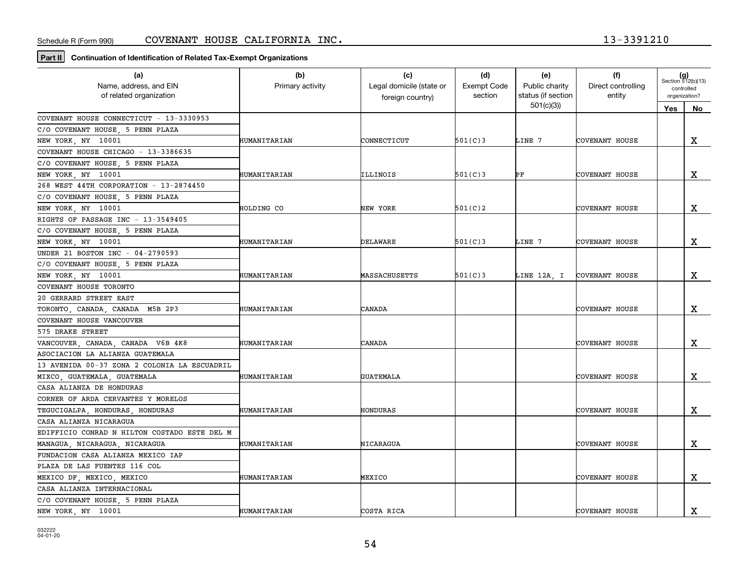**Part II Continuation of Identification of Related Tax-Exempt Organizations**

| (a)<br>Name, address, and EIN<br>of related organization | (b)<br>Primary activity | (c)<br>Legal domicile (state or<br>foreign country) | (d)<br><b>Exempt Code</b><br>section | (e)<br>Public charity<br>status (if section | (f)<br>Direct controlling<br>entity | $(g)$<br>Section 512(b)(13)<br>controlled<br>organization? |             |
|----------------------------------------------------------|-------------------------|-----------------------------------------------------|--------------------------------------|---------------------------------------------|-------------------------------------|------------------------------------------------------------|-------------|
|                                                          |                         |                                                     |                                      | 501(c)(3)                                   |                                     | Yes<br>No                                                  |             |
| COVENANT HOUSE CONNECTICUT - 13-3330953                  |                         |                                                     |                                      |                                             |                                     |                                                            |             |
| C/O COVENANT HOUSE, 5 PENN PLAZA                         |                         |                                                     |                                      |                                             |                                     |                                                            |             |
| NEW YORK, NY 10001                                       | HUMANITARIAN            | CONNECTICUT                                         | 501(C)3                              | LINE 7                                      | COVENANT HOUSE                      |                                                            | $\mathbf X$ |
| COVENANT HOUSE CHICAGO - 13-3386635                      |                         |                                                     |                                      |                                             |                                     |                                                            |             |
| C/O COVENANT HOUSE, 5 PENN PLAZA                         |                         |                                                     |                                      |                                             |                                     |                                                            |             |
| NEW YORK, NY 10001                                       | HUMANITARIAN            | ILLINOIS                                            | 501(C)3                              | PF                                          | COVENANT HOUSE                      |                                                            | X           |
| 268 WEST 44TH CORPORATION - 13-2874450                   |                         |                                                     |                                      |                                             |                                     |                                                            |             |
| C/O COVENANT HOUSE, 5 PENN PLAZA                         |                         |                                                     |                                      |                                             |                                     |                                                            |             |
| NEW YORK, NY 10001                                       | HOLDING CO              | NEW YORK                                            | 501(C)2                              |                                             | COVENANT HOUSE                      |                                                            | X           |
| RIGHTS OF PASSAGE INC - 13-3549405                       |                         |                                                     |                                      |                                             |                                     |                                                            |             |
| C/O COVENANT HOUSE, 5 PENN PLAZA                         |                         |                                                     |                                      |                                             |                                     |                                                            |             |
| NEW YORK, NY 10001                                       | HUMANITARIAN            | DELAWARE                                            | 501(C)3                              | LINE 7                                      | COVENANT HOUSE                      |                                                            | x           |
| UNDER 21 BOSTON INC - 04-2790593                         |                         |                                                     |                                      |                                             |                                     |                                                            |             |
| C/O COVENANT HOUSE, 5 PENN PLAZA                         |                         |                                                     |                                      |                                             |                                     |                                                            |             |
| NEW YORK, NY 10001                                       | HUMANITARIAN            | MASSACHUSETTS                                       | 501(C)3                              |                                             | LINE 12A, I COVENANT HOUSE          |                                                            | х           |
| COVENANT HOUSE TORONTO                                   |                         |                                                     |                                      |                                             |                                     |                                                            |             |
| 20 GERRARD STREET EAST                                   |                         |                                                     |                                      |                                             |                                     |                                                            |             |
| TORONTO, CANADA, CANADA M5B 2P3                          | HUMANITARIAN            | CANADA                                              |                                      |                                             | COVENANT HOUSE                      |                                                            | X           |
| COVENANT HOUSE VANCOUVER                                 |                         |                                                     |                                      |                                             |                                     |                                                            |             |
| 575 DRAKE STREET                                         |                         |                                                     |                                      |                                             |                                     |                                                            |             |
| VANCOUVER, CANADA, CANADA V6B 4K8                        | HUMANITARIAN            | CANADA                                              |                                      |                                             | COVENANT HOUSE                      |                                                            | X           |
| ASOCIACION LA ALIANZA GUATEMALA                          |                         |                                                     |                                      |                                             |                                     |                                                            |             |
| 13 AVENIDA 00-37 ZONA 2 COLONIA LA ESCUADRIL             |                         |                                                     |                                      |                                             |                                     |                                                            |             |
| MIXCO, GUATEMALA, GUATEMALA                              | HUMANITARIAN            | <b>GUATEMALA</b>                                    |                                      |                                             | COVENANT HOUSE                      |                                                            | х           |
| CASA ALIANZA DE HONDURAS                                 |                         |                                                     |                                      |                                             |                                     |                                                            |             |
| CORNER OF ARDA CERVANTES Y MORELOS                       |                         |                                                     |                                      |                                             |                                     |                                                            |             |
| TEGUCIGALPA, HONDURAS, HONDURAS                          | HUMANITARIAN            | HONDURAS                                            |                                      |                                             | COVENANT HOUSE                      |                                                            | x           |
| CASA ALIANZA NICARAGUA                                   |                         |                                                     |                                      |                                             |                                     |                                                            |             |
| EDIFFICIO CONRAD N HILTON COSTADO ESTE DEL M             |                         |                                                     |                                      |                                             |                                     |                                                            |             |
| MANAGUA, NICARAGUA, NICARAGUA                            | HUMANITARIAN            | NICARAGUA                                           |                                      |                                             | COVENANT HOUSE                      |                                                            | $\mathbf X$ |
| FUNDACION CASA ALIANZA MEXICO IAP                        |                         |                                                     |                                      |                                             |                                     |                                                            |             |
| PLAZA DE LAS FUENTES 116 COL                             |                         |                                                     |                                      |                                             |                                     |                                                            |             |
| MEXICO DF, MEXICO, MEXICO                                | HUMANITARIAN            | MEXICO                                              |                                      |                                             | COVENANT HOUSE                      |                                                            | X           |
| CASA ALIANZA INTERNACIONAL                               |                         |                                                     |                                      |                                             |                                     |                                                            |             |
| C/O COVENANT HOUSE, 5 PENN PLAZA                         |                         |                                                     |                                      |                                             |                                     |                                                            |             |
| NEW YORK, NY 10001                                       | HUMANITARIAN            | COSTA RICA                                          |                                      |                                             | COVENANT HOUSE                      |                                                            | $\mathbf X$ |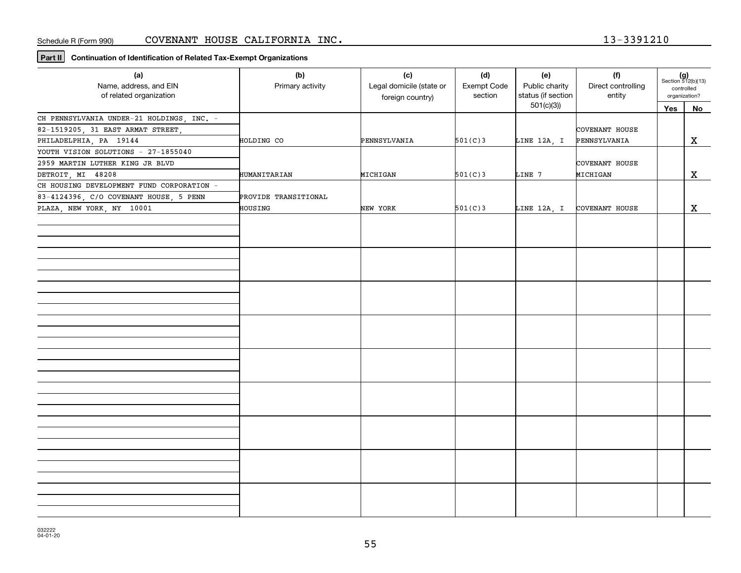**Part II Continuation of Identification of Related Tax-Exempt Organizations**

| (a)<br>Name, address, and EIN<br>of related organization | (b)<br>Primary activity | (c)<br>Legal domicile (state or<br>foreign country) | (d)<br>Exempt Code<br>section | (e)<br>Public charity<br>status (if section | (f)<br>Direct controlling<br>entity | $(g)$<br>Section 512(b)(13)<br>controlled<br>organization? |             |
|----------------------------------------------------------|-------------------------|-----------------------------------------------------|-------------------------------|---------------------------------------------|-------------------------------------|------------------------------------------------------------|-------------|
|                                                          |                         |                                                     |                               | 501(c)(3)                                   |                                     | $Yes$                                                      | No          |
| CH PENNSYLVANIA UNDER-21 HOLDINGS, INC. -                |                         |                                                     |                               |                                             |                                     |                                                            |             |
| 82-1519205, 31 EAST ARMAT STREET,                        |                         |                                                     |                               |                                             | COVENANT HOUSE                      |                                                            |             |
| PHILADELPHIA, PA 19144                                   | HOLDING CO              | PENNSYLVANIA                                        | 501(C)3                       | LINE 12A, I                                 | PENNSYLVANIA                        |                                                            | $\mathbf X$ |
| YOUTH VISION SOLUTIONS - 27-1855040                      |                         |                                                     |                               |                                             |                                     |                                                            |             |
| 2959 MARTIN LUTHER KING JR BLVD                          |                         |                                                     |                               |                                             | COVENANT HOUSE                      |                                                            |             |
| DETROIT, MI 48208                                        | HUMANITARIAN            | MICHIGAN                                            | 501(C)3                       | LINE 7                                      | MICHIGAN                            |                                                            | X           |
| CH HOUSING DEVELOPMENT FUND CORPORATION -                |                         |                                                     |                               |                                             |                                     |                                                            |             |
| 83-4124396, C/O COVENANT HOUSE, 5 PENN                   | PROVIDE TRANSITIONAL    |                                                     |                               |                                             |                                     |                                                            |             |
| PLAZA, NEW YORK, NY 10001                                | HOUSING                 | NEW YORK                                            | 501(C)3                       | LINE 12A, I                                 | COVENANT HOUSE                      |                                                            | X           |
|                                                          |                         |                                                     |                               |                                             |                                     |                                                            |             |
|                                                          |                         |                                                     |                               |                                             |                                     |                                                            |             |
|                                                          |                         |                                                     |                               |                                             |                                     |                                                            |             |
|                                                          |                         |                                                     |                               |                                             |                                     |                                                            |             |
|                                                          |                         |                                                     |                               |                                             |                                     |                                                            |             |
|                                                          |                         |                                                     |                               |                                             |                                     |                                                            |             |
|                                                          |                         |                                                     |                               |                                             |                                     |                                                            |             |
|                                                          |                         |                                                     |                               |                                             |                                     |                                                            |             |
|                                                          |                         |                                                     |                               |                                             |                                     |                                                            |             |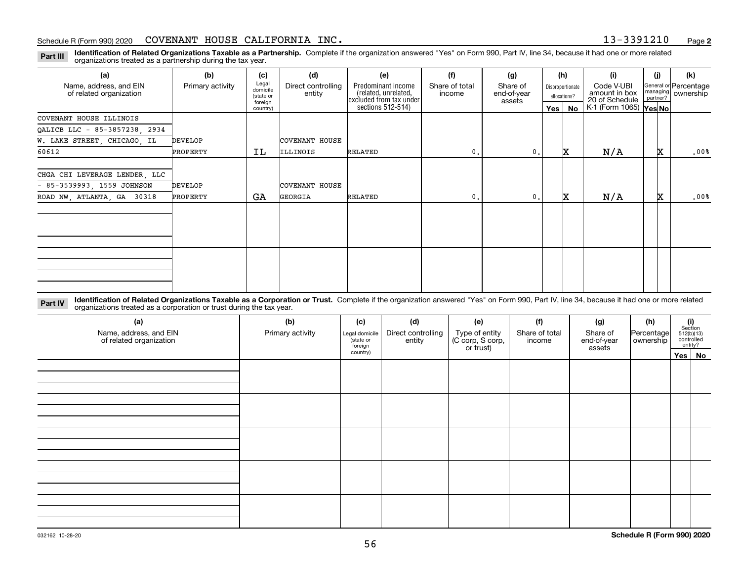**Identification of Related Organizations Taxable as a Partnership.** Complete if the organization answered "Yes" on Form 990, Part IV, line 34, because it had one or more related **Part III** organizations treated as a partnership during the tax year.

| (a)                                               | (b)              | (c)                                       | (d)                          | (e)                                                                   | (f)                      | (g)                               |         | (h)                              | (i)                                           | (i) | (k)                                         |
|---------------------------------------------------|------------------|-------------------------------------------|------------------------------|-----------------------------------------------------------------------|--------------------------|-----------------------------------|---------|----------------------------------|-----------------------------------------------|-----|---------------------------------------------|
| Name, address, and EIN<br>of related organization | Primary activity | Legal<br>domicile<br>(state or<br>foreign | Direct controlling<br>entity | Predominant income<br>(related, unrelated,<br>excluded from tax under | Share of total<br>income | Share of<br>end-of-year<br>assets |         | Disproportionate<br>allocations? | Code V-UBI<br>amount in box<br>20 of Schedule |     | General or Percentage<br>managing ownership |
|                                                   |                  | country)                                  |                              | sections 512-514)                                                     |                          |                                   | Yes $ $ | No                               | K-1 (Form 1065) Yes No                        |     |                                             |
| COVENANT HOUSE ILLINOIS                           |                  |                                           |                              |                                                                       |                          |                                   |         |                                  |                                               |     |                                             |
| QALICB LLC - 85-3857238, 2934                     |                  |                                           |                              |                                                                       |                          |                                   |         |                                  |                                               |     |                                             |
| W. LAKE STREET, CHICAGO, IL                       | <b>DEVELOP</b>   |                                           | <b>COVENANT HOUSE</b>        |                                                                       |                          |                                   |         |                                  |                                               |     |                                             |
| 60612                                             | PROPERTY         | ΙL                                        | ILLINOIS                     | RELATED                                                               | 0.                       | 0.                                |         | x                                | N/A                                           | x   | .00%                                        |
|                                                   |                  |                                           |                              |                                                                       |                          |                                   |         |                                  |                                               |     |                                             |
| CHGA CHI LEVERAGE LENDER, LLC                     |                  |                                           |                              |                                                                       |                          |                                   |         |                                  |                                               |     |                                             |
| $-85-3539993, 1559$ JOHNSON                       | DEVELOP          |                                           | COVENANT HOUSE               |                                                                       |                          |                                   |         |                                  |                                               |     |                                             |
| ROAD NW, ATLANTA, GA 30318                        | PROPERTY         | GA                                        | <b>GEORGIA</b>               | RELATED                                                               | 0.                       | 0.                                |         | x                                | N/A                                           | x   | .00%                                        |
|                                                   |                  |                                           |                              |                                                                       |                          |                                   |         |                                  |                                               |     |                                             |
|                                                   |                  |                                           |                              |                                                                       |                          |                                   |         |                                  |                                               |     |                                             |
|                                                   |                  |                                           |                              |                                                                       |                          |                                   |         |                                  |                                               |     |                                             |
|                                                   |                  |                                           |                              |                                                                       |                          |                                   |         |                                  |                                               |     |                                             |
|                                                   |                  |                                           |                              |                                                                       |                          |                                   |         |                                  |                                               |     |                                             |
|                                                   |                  |                                           |                              |                                                                       |                          |                                   |         |                                  |                                               |     |                                             |
|                                                   |                  |                                           |                              |                                                                       |                          |                                   |         |                                  |                                               |     |                                             |
|                                                   |                  |                                           |                              |                                                                       |                          |                                   |         |                                  |                                               |     |                                             |

**Identification of Related Organizations Taxable as a Corporation or Trust.** Complete if the organization answered "Yes" on Form 990, Part IV, line 34, because it had one or more related **Part IV** organizations treated as a corporation or trust during the tax year.

| (a)<br>Name, address, and EIN<br>of related organization | (b)<br>Primary activity | (c)<br>Legal domicile<br>(state or<br>foreign | (d)<br>Direct controlling<br>entity | (e)<br>Type of entity<br>(C corp, S corp,<br>or trust) | (f)<br>Share of total<br>income | (g)<br>Share of<br>end-of-year<br>assets | (h)<br>Percentage<br>ownership | $\begin{array}{c} \textbf{(i)}\\ \text{Section}\\ 512 \text{(b)} \text{(13)}\\ \text{controlled}\end{array}$ | entity? |
|----------------------------------------------------------|-------------------------|-----------------------------------------------|-------------------------------------|--------------------------------------------------------|---------------------------------|------------------------------------------|--------------------------------|--------------------------------------------------------------------------------------------------------------|---------|
|                                                          |                         | country)                                      |                                     |                                                        |                                 |                                          |                                |                                                                                                              | Yes No  |
|                                                          |                         |                                               |                                     |                                                        |                                 |                                          |                                |                                                                                                              |         |
|                                                          |                         |                                               |                                     |                                                        |                                 |                                          |                                |                                                                                                              |         |
|                                                          |                         |                                               |                                     |                                                        |                                 |                                          |                                |                                                                                                              |         |
|                                                          |                         |                                               |                                     |                                                        |                                 |                                          |                                |                                                                                                              |         |
|                                                          |                         |                                               |                                     |                                                        |                                 |                                          |                                |                                                                                                              |         |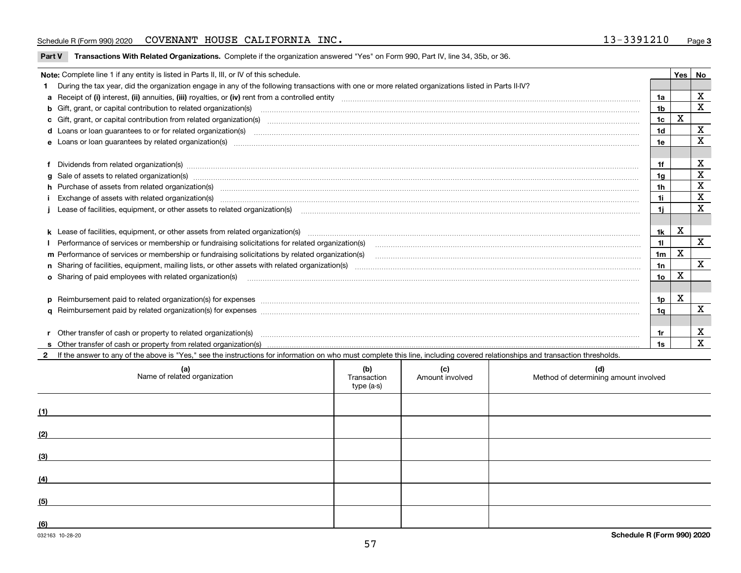#### Schedule R (Form 990) 2020 Page COVENANT HOUSE CALIFORNIA INC. 13-3391210

**Part V** T**ransactions With Related Organizations.** Complete if the organization answered "Yes" on Form 990, Part IV, line 34, 35b, or 36.

| Note: Complete line 1 if any entity is listed in Parts II, III, or IV of this schedule.                                                                                                                                        |                 | Yes         | No           |
|--------------------------------------------------------------------------------------------------------------------------------------------------------------------------------------------------------------------------------|-----------------|-------------|--------------|
| During the tax year, did the organization engage in any of the following transactions with one or more related organizations listed in Parts II-IV?                                                                            |                 |             |              |
|                                                                                                                                                                                                                                | 1a              |             | X            |
| <b>b</b> Gift, grant, or capital contribution to related organization(s)                                                                                                                                                       | 1 <sub>b</sub>  |             | X            |
| c Gift, grant, or capital contribution from related organization(s) material contracts and contribution from related organization(s) material contents and contribution from related organization(s) material contents and con | 1c              | $\mathbf X$ |              |
|                                                                                                                                                                                                                                | 1 <sub>d</sub>  |             | X            |
|                                                                                                                                                                                                                                | 1e              |             | X            |
|                                                                                                                                                                                                                                |                 |             |              |
| Dividends from related organization(s) manufactured and contract and contract or produced and contract and contract and contract and contract and contract and contract and contract and contract and contract and contract an | 1f              |             | х            |
| g Sale of assets to related organization(s) www.assettion.com/www.assettion.com/www.assettion.com/www.assettion.com/www.assettion.com/www.assettion.com/www.assettion.com/www.assettion.com/www.assettion.com/www.assettion.co | 1g              |             | X            |
| h Purchase of assets from related organization(s) manufactured content to content the content of the content of the content of the content of the content of the content of the content of the content of the content of the c | 1h              |             | X            |
| Exchange of assets with related organization(s) www.assettion.com/www.assettion.com/www.assettion.com/www.assettion.com/www.assettion.com/www.assettion.com/www.assettion.com/www.assettion.com/www.assettion.com/www.assettio | 1i.             |             | $\mathbf x$  |
| Lease of facilities, equipment, or other assets to related organization(s) manufactured content and content and content and content and content and content and content and content and content and content and content and co | 1i.             |             | X            |
|                                                                                                                                                                                                                                |                 |             |              |
|                                                                                                                                                                                                                                | 1k              | X           |              |
|                                                                                                                                                                                                                                | 11              |             | X            |
| m Performance of services or membership or fundraising solicitations by related organization(s)                                                                                                                                | 1 <sub>m</sub>  | X           |              |
|                                                                                                                                                                                                                                | 1n              |             | $\mathbf{x}$ |
| <b>o</b> Sharing of paid employees with related organization(s)                                                                                                                                                                | 10 <sub>o</sub> | X           |              |
|                                                                                                                                                                                                                                |                 |             |              |
|                                                                                                                                                                                                                                | 1p              | X           |              |
|                                                                                                                                                                                                                                | 1q              |             | $\mathbf X$  |
|                                                                                                                                                                                                                                |                 |             |              |
| Other transfer of cash or property to related organization(s)                                                                                                                                                                  | 1r              |             | X            |
|                                                                                                                                                                                                                                | 1s              |             | $\mathbf{x}$ |
| 2 If the answer to any of the above is "Yes," see the instructions for information on who must complete this line, including covered relationships and transaction thresholds.                                                 |                 |             |              |

| (a)<br>Name of related organization | (b)<br>Transaction<br>type (a-s) | (c)<br>Amount involved | (d)<br>Method of determining amount involved |
|-------------------------------------|----------------------------------|------------------------|----------------------------------------------|
| (1)                                 |                                  |                        |                                              |
| (2)                                 |                                  |                        |                                              |
| (3)                                 |                                  |                        |                                              |
| (4)                                 |                                  |                        |                                              |
| (5)                                 |                                  |                        |                                              |
| (6)                                 |                                  |                        |                                              |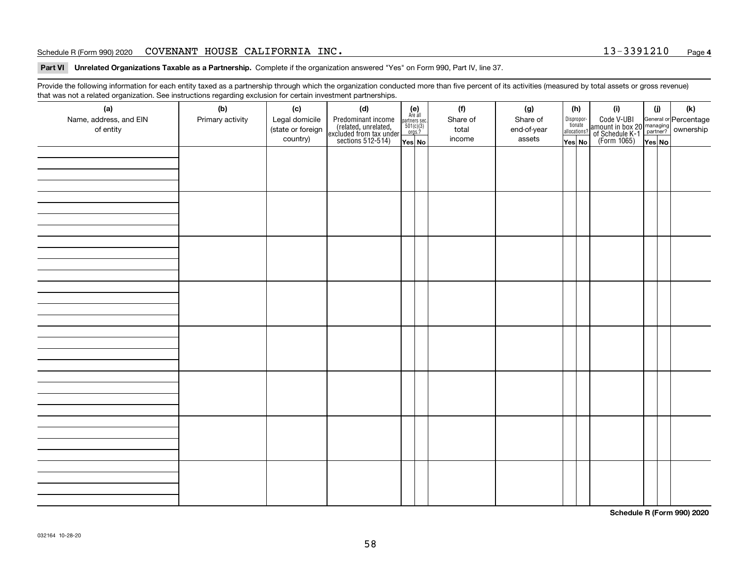#### Schedule R (Form 990) 2020 Page COVENANT HOUSE CALIFORNIA INC. 13-3391210

**Part VI Unrelated Organizations Taxable as a Partnership. Complete if the organization answered "Yes" on Form 990, Part IV, line 37.** 

Provide the following information for each entity taxed as a partnership through which the organization conducted more than five percent of its activities (measured by total assets or gross revenue) that was not a related organization. See instructions regarding exclusion for certain investment partnerships.

| (a)<br>Name, address, and EIN<br>of entity | ັ<br>(b)<br>Primary activity | (c)<br>Legal domicile<br>(state or foreign<br>country) | (d)<br>Predominant income<br>(related, unrelated,<br>excluded from tax under<br>sections 512-514) | $(e)$<br>Are all<br>partners sec.<br>501(c)(3)<br>orgs.?<br>Yes No | (f)<br>Share of<br>total<br>income | (g)<br>Share of<br>end-of-year<br>assets | (h)<br>Dispropor-<br>tionate<br>allocations?<br>Yes No | (i)<br>Code V-UBI<br>  amount in box 20 managing<br>  of Schedule K-1 partner? ownership<br>  of Schedule K-1 partner? ownership<br>  Yes No | (i)<br>Yes No | $(\mathsf{k})$ |
|--------------------------------------------|------------------------------|--------------------------------------------------------|---------------------------------------------------------------------------------------------------|--------------------------------------------------------------------|------------------------------------|------------------------------------------|--------------------------------------------------------|----------------------------------------------------------------------------------------------------------------------------------------------|---------------|----------------|
|                                            |                              |                                                        |                                                                                                   |                                                                    |                                    |                                          |                                                        |                                                                                                                                              |               |                |
|                                            |                              |                                                        |                                                                                                   |                                                                    |                                    |                                          |                                                        |                                                                                                                                              |               |                |
|                                            |                              |                                                        |                                                                                                   |                                                                    |                                    |                                          |                                                        |                                                                                                                                              |               |                |
|                                            |                              |                                                        |                                                                                                   |                                                                    |                                    |                                          |                                                        |                                                                                                                                              |               |                |
|                                            |                              |                                                        |                                                                                                   |                                                                    |                                    |                                          |                                                        |                                                                                                                                              |               |                |
|                                            |                              |                                                        |                                                                                                   |                                                                    |                                    |                                          |                                                        |                                                                                                                                              |               |                |
|                                            |                              |                                                        |                                                                                                   |                                                                    |                                    |                                          |                                                        |                                                                                                                                              |               |                |
|                                            |                              |                                                        |                                                                                                   |                                                                    |                                    |                                          |                                                        |                                                                                                                                              |               |                |

**Schedule R (Form 990) 2020**